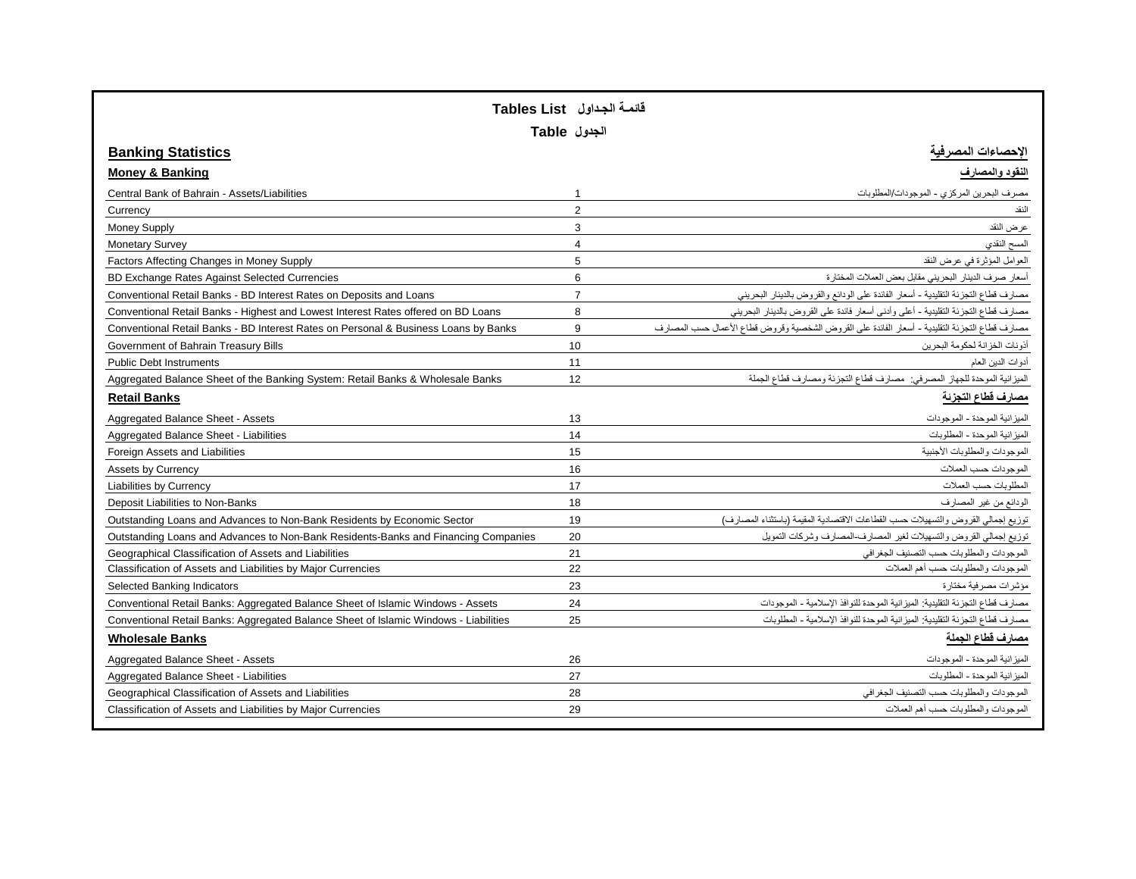|                                                                                      | قائمـة الجداول   Tables List<br>الجدول Table |                                                                                                |
|--------------------------------------------------------------------------------------|----------------------------------------------|------------------------------------------------------------------------------------------------|
| <b>Banking Statistics</b>                                                            |                                              | لإحصاءات ا <u>لمص</u> رفيه                                                                     |
| <b>Money &amp; Banking</b>                                                           |                                              | لنقود والمصارف                                                                                 |
| Central Bank of Bahrain - Assets/Liabilities                                         | $\mathbf 1$                                  | مصرف البحرين المركزي - الموجودات/المطلوبات                                                     |
| Currency                                                                             | $\overline{2}$                               | النقد                                                                                          |
| <b>Money Supply</b>                                                                  | 3                                            | عرض النقد                                                                                      |
| <b>Monetary Survey</b>                                                               | $\overline{4}$                               | المسح النقدي                                                                                   |
| Factors Affecting Changes in Money Supply                                            | 5                                            | العوامل المؤثرة في عرض النقد                                                                   |
| BD Exchange Rates Against Selected Currencies                                        | 6                                            | أسعار صرف الدينار البحريني مقابل بعض العملات المختارة                                          |
| Conventional Retail Banks - BD Interest Rates on Deposits and Loans                  | $\overline{7}$                               | مصارف قطاع التجزئة التقليدية - أسعار الفائدة على الودائع والقروض بالدينار البحريني             |
| Conventional Retail Banks - Highest and Lowest Interest Rates offered on BD Loans    | 8                                            | مصارف قطاع التجزئة التقليدية - أعلى وأدنى أسعار فائدة على القروض بالدينار البحريني             |
| Conventional Retail Banks - BD Interest Rates on Personal & Business Loans by Banks  | 9                                            | مصارف قطاع التجزئة التقليدية - أسعار الفائدة على القروض الشخصية وقروض قطاع الأعمال حسب المصارف |
| Government of Bahrain Treasury Bills                                                 | 10                                           | أذونات الخزانة لحكومة البحرين                                                                  |
| <b>Public Debt Instruments</b>                                                       | 11                                           | أدوات الدين المعام                                                                             |
| Aggregated Balance Sheet of the Banking System: Retail Banks & Wholesale Banks       | 12                                           | الميزانية الموحدة للجهاز المصرفي: مصارف قطاع التجزئة ومصارف قطاع الجملة                        |
| <b>Retail Banks</b>                                                                  |                                              | مصارف قطاع التجزئة                                                                             |
| Aggregated Balance Sheet - Assets                                                    | 13                                           | الميز انية الموحدة - الموجودات                                                                 |
| Aggregated Balance Sheet - Liabilities                                               | 14                                           | الميز انية الموحدة - المطلوبات                                                                 |
| Foreign Assets and Liabilities                                                       | 15                                           | الموجودات والمطلوبات الأجنبية                                                                  |
| Assets by Currency                                                                   | 16                                           | الموجودات حسب العملات                                                                          |
| <b>Liabilities by Currency</b>                                                       | 17                                           | المطلوبات حسب العملات                                                                          |
| Deposit Liabilities to Non-Banks                                                     | 18                                           | الودانع من غير المصارف                                                                         |
| Outstanding Loans and Advances to Non-Bank Residents by Economic Sector              | 19                                           | توزيع إجمالي القروض والتسهيلات حسب القطاعات الاقتصادية المقيمة (باستثناء المصارف)              |
| Outstanding Loans and Advances to Non-Bank Residents-Banks and Financing Companies   | 20                                           | توزيع إجمالي القروض والتسهيلات لغير المصارف المصارف وشركات التمويل                             |
| Geographical Classification of Assets and Liabilities                                | 21                                           | الموجودات والمطلوبات حسب التصنيف الجغرافي                                                      |
| Classification of Assets and Liabilities by Major Currencies                         | 22                                           | الموجودات والمطلوبات حسب أهم العملات                                                           |
| Selected Banking Indicators                                                          | 23                                           | مؤشر ات مصر فية مختار ة                                                                        |
| Conventional Retail Banks: Aggregated Balance Sheet of Islamic Windows - Assets      | 24                                           | مصار ف قطاع التجز ئة التقليدية: الميز انية الموحدة للنو افذ الإسلامية - الموجودات              |
| Conventional Retail Banks: Aggregated Balance Sheet of Islamic Windows - Liabilities | 25                                           | مصار ف قطاع التجز ئة التقليدية: الميز انية الموحدة للنو افذ الإسلامية - المطلوبات              |
| <b>Wholesale Banks</b>                                                               |                                              | مصارف قطاع الجملة                                                                              |
| Aggregated Balance Sheet - Assets                                                    | 26                                           | الميز انية الموحدة - الموجودات                                                                 |
| Aggregated Balance Sheet - Liabilities                                               | 27                                           | الميز انية الموحدة - المطلوبات                                                                 |
| Geographical Classification of Assets and Liabilities                                | 28                                           | الموجودات والمطلوبات حسب التصنيف الجغر افى                                                     |
| Classification of Assets and Liabilities by Major Currencies                         | 29                                           | الموجودات والمطلوبات حسب أهم العملات                                                           |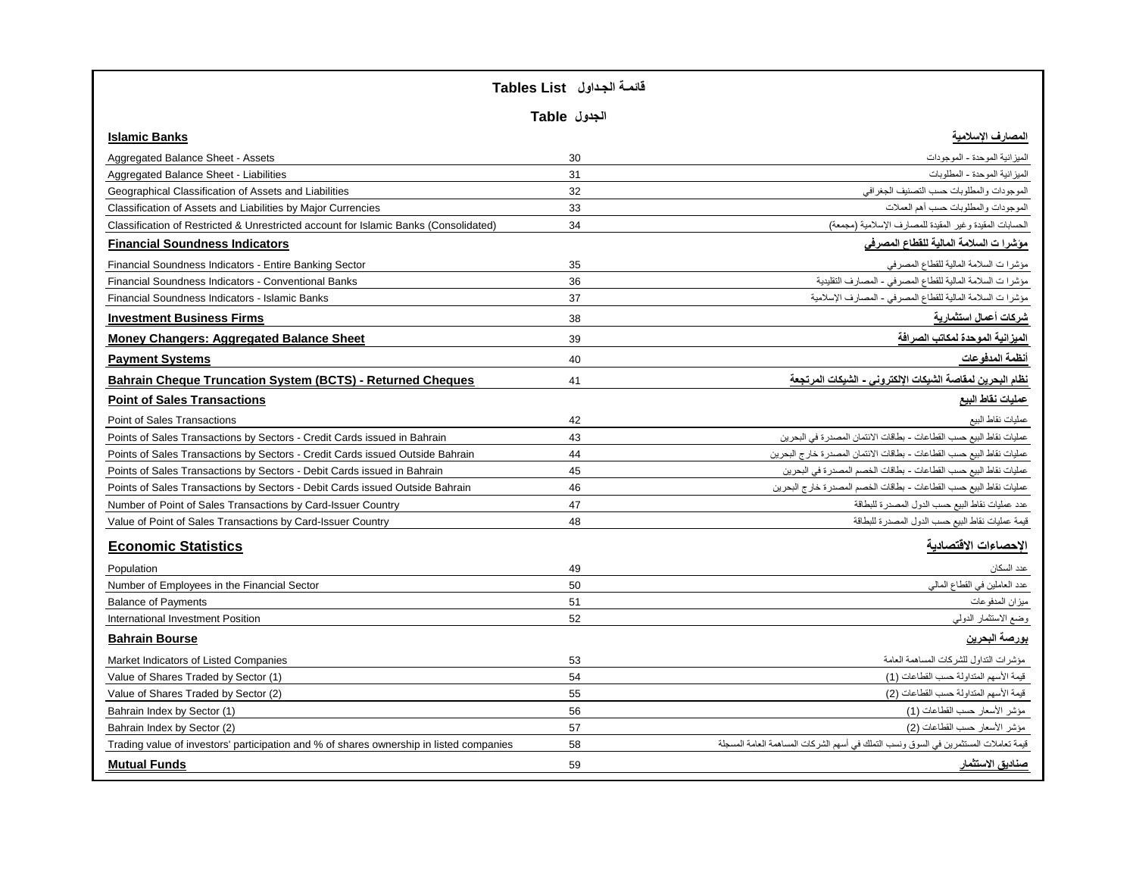|                                                                                         | قائمة الجداول   Tables List |                                                                                          |
|-----------------------------------------------------------------------------------------|-----------------------------|------------------------------------------------------------------------------------------|
|                                                                                         | الجدول Table                |                                                                                          |
| <b>Islamic Banks</b>                                                                    |                             | المصارف الإسلامية                                                                        |
| Aggregated Balance Sheet - Assets                                                       | 30                          | الميز انية الموحدة - الموجودات                                                           |
| Aggregated Balance Sheet - Liabilities                                                  | 31                          | الميز انية الموحدة - المطلوبات                                                           |
| Geographical Classification of Assets and Liabilities                                   | 32                          | الموجودات والمطلوبات حسب التصنيف الجغرافي                                                |
| Classification of Assets and Liabilities by Major Currencies                            | 33                          | الموجودات والمطلوبات حسب أهم العملات                                                     |
| Classification of Restricted & Unrestricted account for Islamic Banks (Consolidated)    | 34                          | الحسابات المقيدة وغير المقيدة للمصارف الإسلامية (مجمعة)                                  |
| <b>Financial Soundness Indicators</b>                                                   |                             | مؤشرا ت السلامة المالية للفطاع المصرفى                                                   |
| Financial Soundness Indicators - Entire Banking Sector                                  | 35                          | مؤشرا ت السلامة المالية للقطاع المصرفي                                                   |
| Financial Soundness Indicators - Conventional Banks                                     | 36                          | مؤشرا ت السلامة المالية للقطاع المصرفي - المصارف التقليدية                               |
| Financial Soundness Indicators - Islamic Banks                                          | 37                          | مؤشرا ت السلامة المالية للقطاع المصرفي - المصارف الإسلامية                               |
| <b>Investment Business Firms</b>                                                        | 38                          | شركات أعمال استثمارية                                                                    |
| <b>Money Changers: Aggregated Balance Sheet</b>                                         | 39                          | الميزانية الموحدة لمكاتب الصرافة                                                         |
| <b>Payment Systems</b>                                                                  | 40                          | أنظمة المدفوعات                                                                          |
| <b>Bahrain Cheque Truncation System (BCTS) - Returned Cheques</b>                       | 41                          | نظام البحرين لمفاصة الشبكات الإلكتروني - الشبكات المرتجعة                                |
| <b>Point of Sales Transactions</b>                                                      |                             | عمليات نفاط البيع                                                                        |
| Point of Sales Transactions                                                             | 42                          | عمليات نقاط البيع                                                                        |
| Points of Sales Transactions by Sectors - Credit Cards issued in Bahrain                | 43                          | عمليات نقاط البيع حسب القطاعات - بطاقات الائتمان المصدر ة في البحر ين                    |
| Points of Sales Transactions by Sectors - Credit Cards issued Outside Bahrain           | 44                          | عمليات نقاط البيع حسب القطاعات - بطاقات الائتمان المصدر ة خار ج البحر بن                 |
| Points of Sales Transactions by Sectors - Debit Cards issued in Bahrain                 | 45                          | عمليات نقاط البيع حسب القطاعات - بطاقات الخصم المصدر ة في البحرين                        |
| Points of Sales Transactions by Sectors - Debit Cards issued Outside Bahrain            | 46                          | عمليات نقاط البيع حسب القطاعات - بطاقات الخصم المصدر ة خار ج البحرين                     |
| Number of Point of Sales Transactions by Card-Issuer Country                            | 47                          | عدد عمليات نقاط البيع حسب الدول المصدرة للبطاقة                                          |
| Value of Point of Sales Transactions by Card-Issuer Country                             | 48                          | قيمة عمليات نقاط البيع حسب الدول المصدرة للبطاقة                                         |
| <b>Economic Statistics</b>                                                              |                             | الإحصاءات الاقتصادية                                                                     |
| Population                                                                              | 49                          | عدد السكان                                                                               |
| Number of Employees in the Financial Sector                                             | 50                          | عدد العاملين في القطاع المالي                                                            |
| <b>Balance of Payments</b>                                                              | 51                          | ميزان المدفوعات                                                                          |
| International Investment Position                                                       | 52                          | وضع الاستثمار الدولمي                                                                    |
| <b>Bahrain Bourse</b>                                                                   |                             | بورصة البحرين                                                                            |
| Market Indicators of Listed Companies                                                   | 53                          | مؤشر ات التداول للشركات المساهمة العامة                                                  |
| Value of Shares Traded by Sector (1)                                                    | 54                          | قيمة الأسهم المنداولة حسب القطاعات (1)                                                   |
| Value of Shares Traded by Sector (2)                                                    | 55                          | قيمة الأسهم المتداولة حسب القطاعات (2)                                                   |
| Bahrain Index by Sector (1)                                                             | 56                          | مؤشر الأسعار حسب القطاعات (1)                                                            |
| Bahrain Index by Sector (2)                                                             | 57                          | مؤشر الأسعار حسب القطاعات (2)                                                            |
| Trading value of investors' participation and % of shares ownership in listed companies | 58                          | قيمة تعاملات المستثمر بن في السو ق و نسب التملك في أسهم الشر كات المساهمة العامة المسجلة |
| <b>Mutual Funds</b>                                                                     | 59                          | صناديق الاستثمار                                                                         |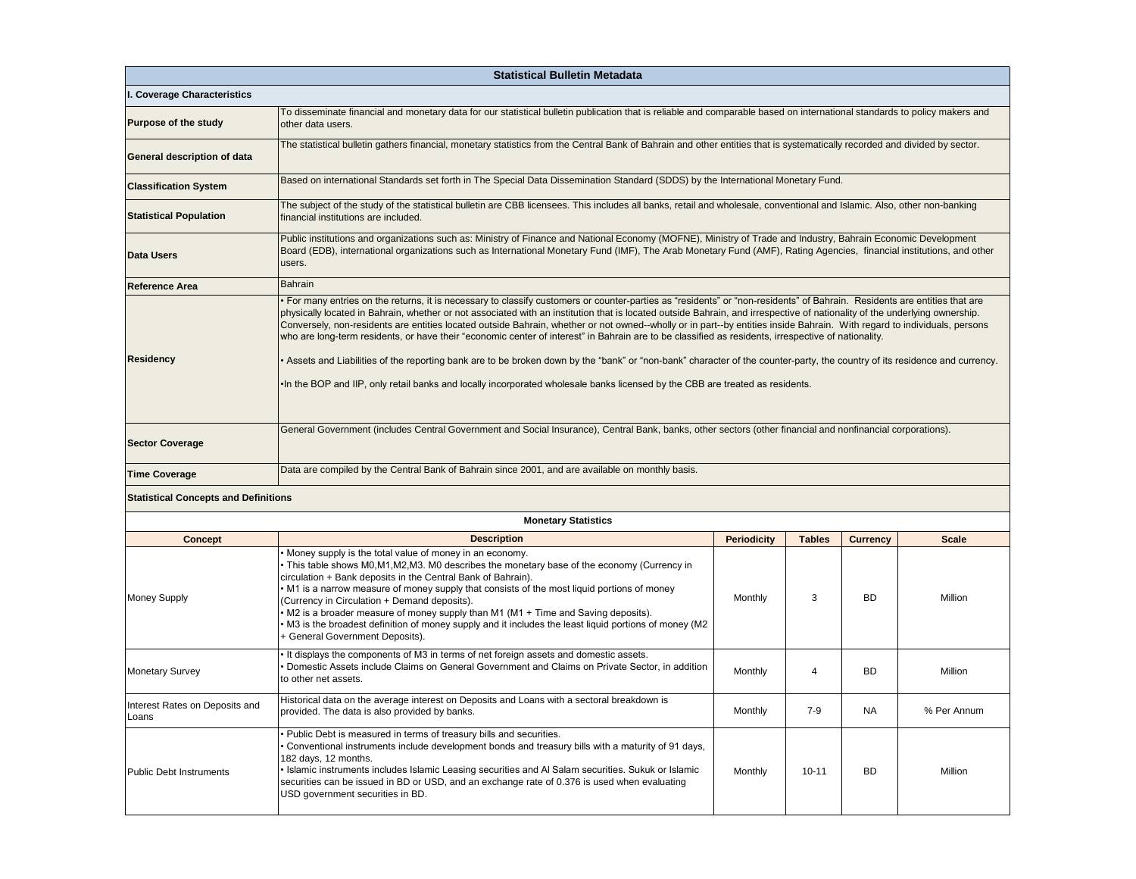| <b>Statistical Bulletin Metadata</b>        |                                                                                                                                                                                                                                                                                                                                                                                                                                                                                                                                                                                                                                                                                                                                                                                                                                                                                                                                                                                                             |                                                                                                                                                                           |               |                 |              |  |  |  |  |  |  |
|---------------------------------------------|-------------------------------------------------------------------------------------------------------------------------------------------------------------------------------------------------------------------------------------------------------------------------------------------------------------------------------------------------------------------------------------------------------------------------------------------------------------------------------------------------------------------------------------------------------------------------------------------------------------------------------------------------------------------------------------------------------------------------------------------------------------------------------------------------------------------------------------------------------------------------------------------------------------------------------------------------------------------------------------------------------------|---------------------------------------------------------------------------------------------------------------------------------------------------------------------------|---------------|-----------------|--------------|--|--|--|--|--|--|
| I. Coverage Characteristics                 |                                                                                                                                                                                                                                                                                                                                                                                                                                                                                                                                                                                                                                                                                                                                                                                                                                                                                                                                                                                                             |                                                                                                                                                                           |               |                 |              |  |  |  |  |  |  |
| <b>Purpose of the study</b>                 | other data users.                                                                                                                                                                                                                                                                                                                                                                                                                                                                                                                                                                                                                                                                                                                                                                                                                                                                                                                                                                                           | To disseminate financial and monetary data for our statistical bulletin publication that is reliable and comparable based on international standards to policy makers and |               |                 |              |  |  |  |  |  |  |
| General description of data                 | The statistical bulletin gathers financial, monetary statistics from the Central Bank of Bahrain and other entities that is systematically recorded and divided by sector.                                                                                                                                                                                                                                                                                                                                                                                                                                                                                                                                                                                                                                                                                                                                                                                                                                  |                                                                                                                                                                           |               |                 |              |  |  |  |  |  |  |
| <b>Classification System</b>                |                                                                                                                                                                                                                                                                                                                                                                                                                                                                                                                                                                                                                                                                                                                                                                                                                                                                                                                                                                                                             | Based on international Standards set forth in The Special Data Dissemination Standard (SDDS) by the International Monetary Fund.                                          |               |                 |              |  |  |  |  |  |  |
| <b>Statistical Population</b>               | The subject of the study of the statistical bulletin are CBB licensees. This includes all banks, retail and wholesale, conventional and Islamic. Also, other non-banking<br>financial institutions are included.                                                                                                                                                                                                                                                                                                                                                                                                                                                                                                                                                                                                                                                                                                                                                                                            |                                                                                                                                                                           |               |                 |              |  |  |  |  |  |  |
| <b>Data Users</b>                           | Public institutions and organizations such as: Ministry of Finance and National Economy (MOFNE), Ministry of Trade and Industry, Bahrain Economic Development<br>Board (EDB), international organizations such as International Monetary Fund (IMF), The Arab Monetary Fund (AMF), Rating Agencies, financial institutions, and other<br>users.                                                                                                                                                                                                                                                                                                                                                                                                                                                                                                                                                                                                                                                             |                                                                                                                                                                           |               |                 |              |  |  |  |  |  |  |
| <b>Reference Area</b>                       | <b>Bahrain</b>                                                                                                                                                                                                                                                                                                                                                                                                                                                                                                                                                                                                                                                                                                                                                                                                                                                                                                                                                                                              |                                                                                                                                                                           |               |                 |              |  |  |  |  |  |  |
| <b>Residency</b>                            | • For many entries on the returns, it is necessary to classify customers or counter-parties as "residents" or "non-residents" of Bahrain. Residents are entities that are<br>physically located in Bahrain, whether or not associated with an institution that is located outside Bahrain, and irrespective of nationality of the underlying ownership.<br>Conversely, non-residents are entities located outside Bahrain, whether or not owned--wholly or in part--by entities inside Bahrain. With regard to individuals, persons<br>who are long-term residents, or have their "economic center of interest" in Bahrain are to be classified as residents, irrespective of nationality.<br>• Assets and Liabilities of the reporting bank are to be broken down by the "bank" or "non-bank" character of the counter-party, the country of its residence and currency.<br>. In the BOP and IIP, only retail banks and locally incorporated wholesale banks licensed by the CBB are treated as residents. |                                                                                                                                                                           |               |                 |              |  |  |  |  |  |  |
| <b>Sector Coverage</b>                      | General Government (includes Central Government and Social Insurance), Central Bank, banks, other sectors (other financial and nonfinancial corporations).                                                                                                                                                                                                                                                                                                                                                                                                                                                                                                                                                                                                                                                                                                                                                                                                                                                  |                                                                                                                                                                           |               |                 |              |  |  |  |  |  |  |
| <b>Time Coverage</b>                        | Data are compiled by the Central Bank of Bahrain since 2001, and are available on monthly basis.                                                                                                                                                                                                                                                                                                                                                                                                                                                                                                                                                                                                                                                                                                                                                                                                                                                                                                            |                                                                                                                                                                           |               |                 |              |  |  |  |  |  |  |
| <b>Statistical Concepts and Definitions</b> |                                                                                                                                                                                                                                                                                                                                                                                                                                                                                                                                                                                                                                                                                                                                                                                                                                                                                                                                                                                                             |                                                                                                                                                                           |               |                 |              |  |  |  |  |  |  |
|                                             | <b>Monetary Statistics</b>                                                                                                                                                                                                                                                                                                                                                                                                                                                                                                                                                                                                                                                                                                                                                                                                                                                                                                                                                                                  |                                                                                                                                                                           |               |                 |              |  |  |  |  |  |  |
| <b>Concept</b>                              | <b>Description</b>                                                                                                                                                                                                                                                                                                                                                                                                                                                                                                                                                                                                                                                                                                                                                                                                                                                                                                                                                                                          | <b>Periodicity</b>                                                                                                                                                        | <b>Tables</b> | <b>Currency</b> | <b>Scale</b> |  |  |  |  |  |  |
| <b>Money Supply</b>                         | Money supply is the total value of money in an economy.<br>• This table shows M0,M1,M2,M3. M0 describes the monetary base of the economy (Currency in<br>circulation + Bank deposits in the Central Bank of Bahrain).<br>• M1 is a narrow measure of money supply that consists of the most liquid portions of money<br>(Currency in Circulation + Demand deposits).<br>• M2 is a broader measure of money supply than M1 (M1 + Time and Saving deposits).<br>M3 is the broadest definition of money supply and it includes the least liquid portions of money (M2<br>+ General Government Deposits).                                                                                                                                                                                                                                                                                                                                                                                                       | Monthly                                                                                                                                                                   | 3             | <b>BD</b>       | Million      |  |  |  |  |  |  |
| <b>Monetary Survey</b>                      | It displays the components of M3 in terms of net foreign assets and domestic assets.<br>Domestic Assets include Claims on General Government and Claims on Private Sector, in addition<br><b>BD</b><br>Monthly<br>4<br>Million<br>to other net assets.                                                                                                                                                                                                                                                                                                                                                                                                                                                                                                                                                                                                                                                                                                                                                      |                                                                                                                                                                           |               |                 |              |  |  |  |  |  |  |
| Interest Rates on Deposits and<br>Loans     | Historical data on the average interest on Deposits and Loans with a sectoral breakdown is<br>$7-9$<br>Monthly<br><b>NA</b><br>% Per Annum<br>provided. The data is also provided by banks.                                                                                                                                                                                                                                                                                                                                                                                                                                                                                                                                                                                                                                                                                                                                                                                                                 |                                                                                                                                                                           |               |                 |              |  |  |  |  |  |  |
| <b>Public Debt Instruments</b>              | Public Debt is measured in terms of treasury bills and securities.<br>Conventional instruments include development bonds and treasury bills with a maturity of 91 days,<br>182 days, 12 months.<br>Islamic instruments includes Islamic Leasing securities and Al Salam securities. Sukuk or Islamic<br>Monthly<br>$10 - 11$<br><b>BD</b><br>securities can be issued in BD or USD, and an exchange rate of 0.376 is used when evaluating<br>USD government securities in BD.                                                                                                                                                                                                                                                                                                                                                                                                                                                                                                                               |                                                                                                                                                                           |               |                 |              |  |  |  |  |  |  |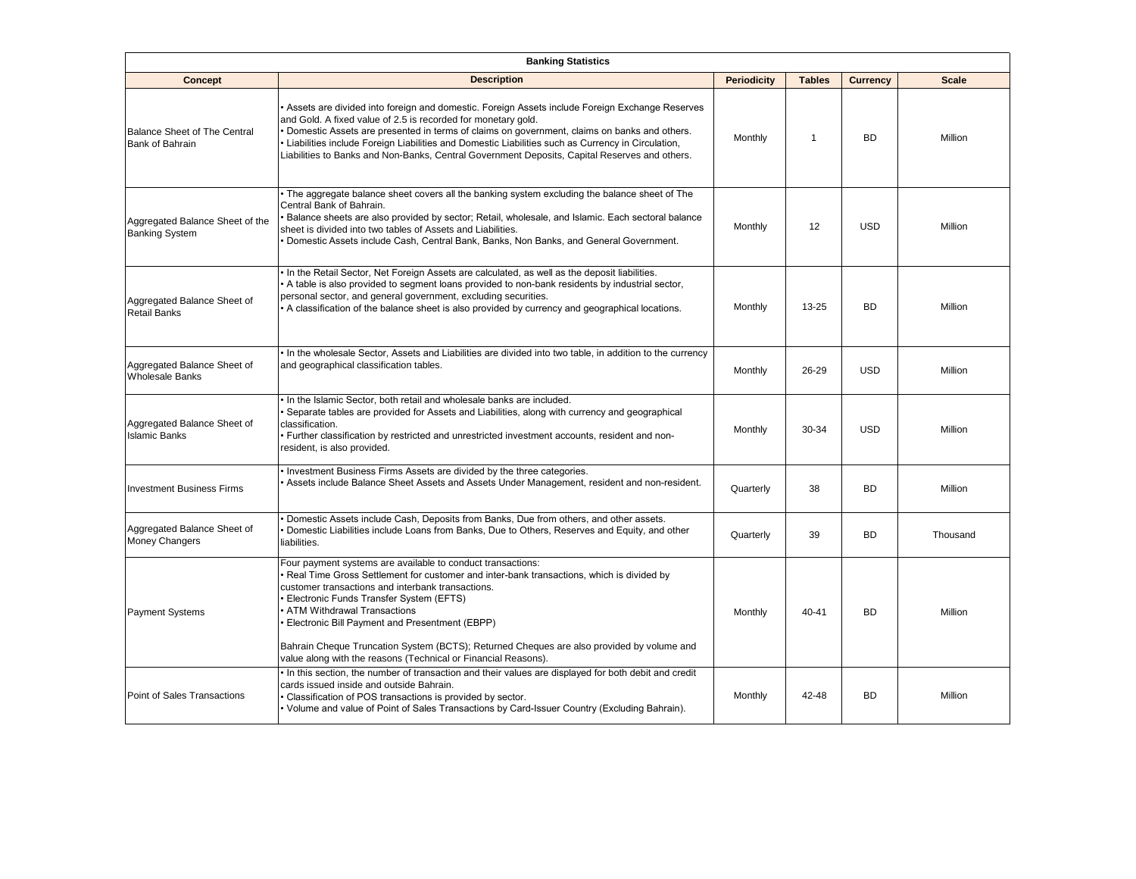|                                                               | <b>Banking Statistics</b>                                                                                                                                                                                                                                                                                                                                                                                                                                                                               |                    |               |                 |              |  |  |  |  |
|---------------------------------------------------------------|---------------------------------------------------------------------------------------------------------------------------------------------------------------------------------------------------------------------------------------------------------------------------------------------------------------------------------------------------------------------------------------------------------------------------------------------------------------------------------------------------------|--------------------|---------------|-----------------|--------------|--|--|--|--|
| Concept                                                       | <b>Description</b>                                                                                                                                                                                                                                                                                                                                                                                                                                                                                      | <b>Periodicity</b> | <b>Tables</b> | <b>Currency</b> | <b>Scale</b> |  |  |  |  |
| <b>Balance Sheet of The Central</b><br><b>Bank of Bahrain</b> | Assets are divided into foreign and domestic. Foreign Assets include Foreign Exchange Reserves<br>and Gold. A fixed value of 2.5 is recorded for monetary gold.<br>Domestic Assets are presented in terms of claims on government, claims on banks and others.<br>Liabilities include Foreign Liabilities and Domestic Liabilities such as Currency in Circulation,<br>Liabilities to Banks and Non-Banks, Central Government Deposits, Capital Reserves and others.                                    | Monthly            | $\mathbf 1$   | <b>BD</b>       | Million      |  |  |  |  |
| Aggregated Balance Sheet of the<br><b>Banking System</b>      | • The aggregate balance sheet covers all the banking system excluding the balance sheet of The<br>Central Bank of Bahrain.<br>Balance sheets are also provided by sector; Retail, wholesale, and Islamic. Each sectoral balance<br>sheet is divided into two tables of Assets and Liabilities.<br>Domestic Assets include Cash, Central Bank, Banks, Non Banks, and General Government.                                                                                                                 | Monthly            | 12            | <b>USD</b>      | Million      |  |  |  |  |
| Aggregated Balance Sheet of<br><b>Retail Banks</b>            | In the Retail Sector, Net Foreign Assets are calculated, as well as the deposit liabilities.<br>A table is also provided to segment loans provided to non-bank residents by industrial sector,<br>personal sector, and general government, excluding securities.<br>A classification of the balance sheet is also provided by currency and geographical locations.                                                                                                                                      | Monthly            | $13 - 25$     | <b>BD</b>       | Million      |  |  |  |  |
| Aggregated Balance Sheet of<br><b>Wholesale Banks</b>         | In the wholesale Sector, Assets and Liabilities are divided into two table, in addition to the currency<br>and geographical classification tables.                                                                                                                                                                                                                                                                                                                                                      | Monthly            | 26-29         | <b>USD</b>      | Million      |  |  |  |  |
| Aggregated Balance Sheet of<br><b>Islamic Banks</b>           | In the Islamic Sector, both retail and wholesale banks are included.<br>Separate tables are provided for Assets and Liabilities, along with currency and geographical<br>classification.<br>Further classification by restricted and unrestricted investment accounts, resident and non-<br>resident, is also provided.                                                                                                                                                                                 | Monthly            | 30-34         | <b>USD</b>      | Million      |  |  |  |  |
| <b>Investment Business Firms</b>                              | Investment Business Firms Assets are divided by the three categories.<br>Assets include Balance Sheet Assets and Assets Under Management, resident and non-resident.                                                                                                                                                                                                                                                                                                                                    | Quarterly          | 38            | <b>BD</b>       | Million      |  |  |  |  |
| Aggregated Balance Sheet of<br>Money Changers                 | Domestic Assets include Cash, Deposits from Banks, Due from others, and other assets.<br>Domestic Liabilities include Loans from Banks, Due to Others, Reserves and Equity, and other<br>liabilities.                                                                                                                                                                                                                                                                                                   | Quarterly          | 39            | <b>BD</b>       | Thousand     |  |  |  |  |
| <b>Payment Systems</b>                                        | Four payment systems are available to conduct transactions:<br>Real Time Gross Settlement for customer and inter-bank transactions, which is divided by<br>customer transactions and interbank transactions.<br>Electronic Funds Transfer System (EFTS)<br>ATM Withdrawal Transactions<br>Electronic Bill Payment and Presentment (EBPP)<br>Bahrain Cheque Truncation System (BCTS); Returned Cheques are also provided by volume and<br>value along with the reasons (Technical or Financial Reasons). | Monthly            | 40-41         | <b>BD</b>       | Million      |  |  |  |  |
| Point of Sales Transactions                                   | In this section, the number of transaction and their values are displayed for both debit and credit<br>cards issued inside and outside Bahrain.<br>Classification of POS transactions is provided by sector.<br>Volume and value of Point of Sales Transactions by Card-Issuer Country (Excluding Bahrain).                                                                                                                                                                                             | Monthly            | 42-48         | <b>BD</b>       | Million      |  |  |  |  |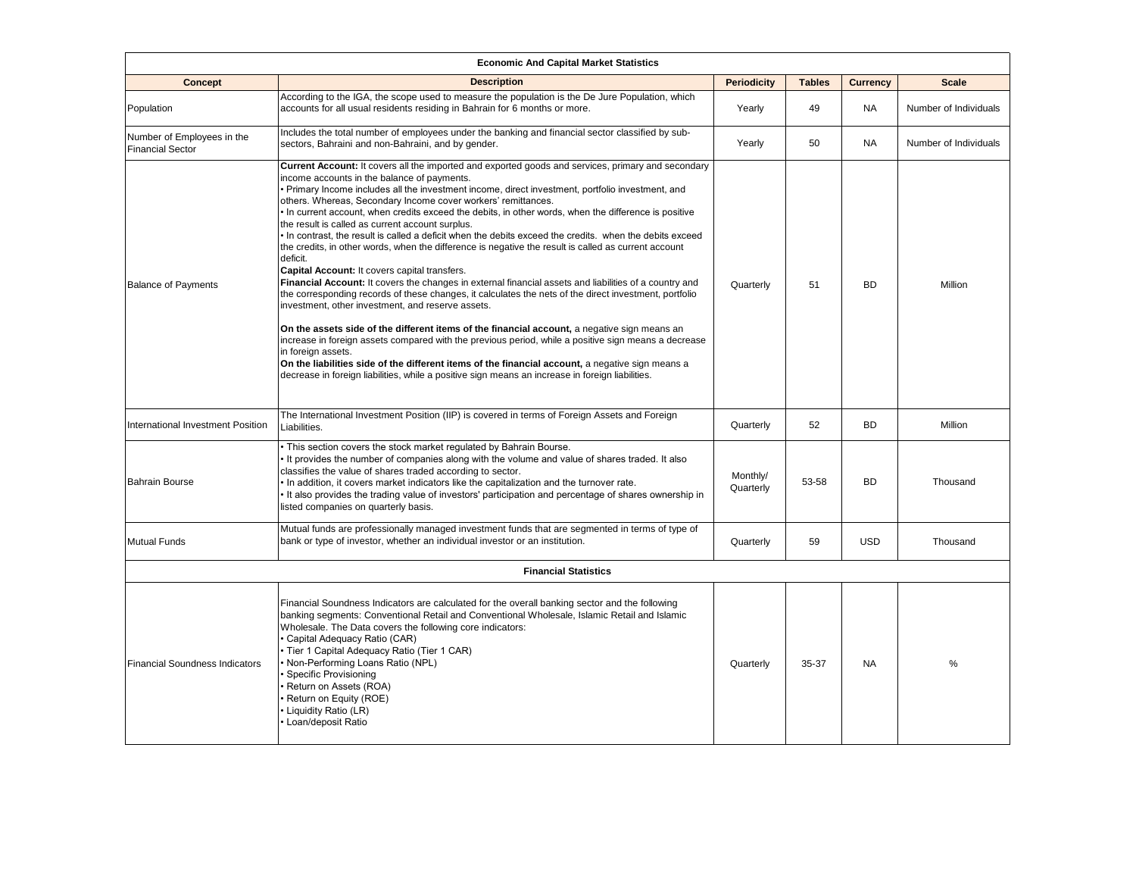| <b>Economic And Capital Market Statistics</b>         |                                                                                                                                                                                                                                                                                                                                                                                                                                                                                                                                                                                                                                                                                                                                                                                                                                                                                                                                                                                                                                                                                                                                                                                                                                                                                                                                                                                                                                                                                |                       |               |                 |                       |  |  |  |  |
|-------------------------------------------------------|--------------------------------------------------------------------------------------------------------------------------------------------------------------------------------------------------------------------------------------------------------------------------------------------------------------------------------------------------------------------------------------------------------------------------------------------------------------------------------------------------------------------------------------------------------------------------------------------------------------------------------------------------------------------------------------------------------------------------------------------------------------------------------------------------------------------------------------------------------------------------------------------------------------------------------------------------------------------------------------------------------------------------------------------------------------------------------------------------------------------------------------------------------------------------------------------------------------------------------------------------------------------------------------------------------------------------------------------------------------------------------------------------------------------------------------------------------------------------------|-----------------------|---------------|-----------------|-----------------------|--|--|--|--|
| <b>Concept</b>                                        | <b>Description</b>                                                                                                                                                                                                                                                                                                                                                                                                                                                                                                                                                                                                                                                                                                                                                                                                                                                                                                                                                                                                                                                                                                                                                                                                                                                                                                                                                                                                                                                             | <b>Periodicity</b>    | <b>Tables</b> | <b>Currency</b> | <b>Scale</b>          |  |  |  |  |
| Population                                            | According to the IGA, the scope used to measure the population is the De Jure Population, which<br>accounts for all usual residents residing in Bahrain for 6 months or more.                                                                                                                                                                                                                                                                                                                                                                                                                                                                                                                                                                                                                                                                                                                                                                                                                                                                                                                                                                                                                                                                                                                                                                                                                                                                                                  | Yearly                | 49            | <b>NA</b>       | Number of Individuals |  |  |  |  |
| Number of Employees in the<br><b>Financial Sector</b> | Includes the total number of employees under the banking and financial sector classified by sub-<br>sectors, Bahraini and non-Bahraini, and by gender.                                                                                                                                                                                                                                                                                                                                                                                                                                                                                                                                                                                                                                                                                                                                                                                                                                                                                                                                                                                                                                                                                                                                                                                                                                                                                                                         | Yearly                | 50            | <b>NA</b>       | Number of Individuals |  |  |  |  |
| <b>Balance of Payments</b>                            | Current Account: It covers all the imported and exported goods and services, primary and secondary<br>income accounts in the balance of payments.<br>Primary Income includes all the investment income, direct investment, portfolio investment, and<br>others. Whereas, Secondary Income cover workers' remittances.<br>In current account, when credits exceed the debits, in other words, when the difference is positive<br>the result is called as current account surplus.<br>In contrast, the result is called a deficit when the debits exceed the credits. when the debits exceed<br>the credits, in other words, when the difference is negative the result is called as current account<br>deficit.<br>Capital Account: It covers capital transfers.<br>Financial Account: It covers the changes in external financial assets and liabilities of a country and<br>the corresponding records of these changes, it calculates the nets of the direct investment, portfolio<br>investment, other investment, and reserve assets.<br>On the assets side of the different items of the financial account, a negative sign means an<br>increase in foreign assets compared with the previous period, while a positive sign means a decrease<br>in foreign assets.<br>On the liabilities side of the different items of the financial account, a negative sign means a<br>decrease in foreign liabilities, while a positive sign means an increase in foreign liabilities. | Quarterly             | 51            | <b>BD</b>       | Million               |  |  |  |  |
| International Investment Position                     | The International Investment Position (IIP) is covered in terms of Foreign Assets and Foreign<br>Liabilities.                                                                                                                                                                                                                                                                                                                                                                                                                                                                                                                                                                                                                                                                                                                                                                                                                                                                                                                                                                                                                                                                                                                                                                                                                                                                                                                                                                  | Quarterly             | 52            | <b>BD</b>       | Million               |  |  |  |  |
| <b>Bahrain Bourse</b>                                 | . This section covers the stock market regulated by Bahrain Bourse.<br>It provides the number of companies along with the volume and value of shares traded. It also<br>classifies the value of shares traded according to sector.<br>In addition, it covers market indicators like the capitalization and the turnover rate.<br>It also provides the trading value of investors' participation and percentage of shares ownership in<br>listed companies on quarterly basis.                                                                                                                                                                                                                                                                                                                                                                                                                                                                                                                                                                                                                                                                                                                                                                                                                                                                                                                                                                                                  | Monthly/<br>Quarterly | 53-58         | <b>BD</b>       | Thousand              |  |  |  |  |
| <b>Mutual Funds</b>                                   | Mutual funds are professionally managed investment funds that are segmented in terms of type of<br>bank or type of investor, whether an individual investor or an institution.                                                                                                                                                                                                                                                                                                                                                                                                                                                                                                                                                                                                                                                                                                                                                                                                                                                                                                                                                                                                                                                                                                                                                                                                                                                                                                 | Quarterly             | 59            | <b>USD</b>      | Thousand              |  |  |  |  |
|                                                       | <b>Financial Statistics</b>                                                                                                                                                                                                                                                                                                                                                                                                                                                                                                                                                                                                                                                                                                                                                                                                                                                                                                                                                                                                                                                                                                                                                                                                                                                                                                                                                                                                                                                    |                       |               |                 |                       |  |  |  |  |
| <b>Financial Soundness Indicators</b>                 | Financial Soundness Indicators are calculated for the overall banking sector and the following<br>banking segments: Conventional Retail and Conventional Wholesale, Islamic Retail and Islamic<br>Wholesale. The Data covers the following core indicators:<br>Capital Adequacy Ratio (CAR)<br>Tier 1 Capital Adequacy Ratio (Tier 1 CAR)<br>Non-Performing Loans Ratio (NPL)<br>Specific Provisioning<br>Return on Assets (ROA)<br>Return on Equity (ROE)<br>Liquidity Ratio (LR)<br>Loan/deposit Ratio                                                                                                                                                                                                                                                                                                                                                                                                                                                                                                                                                                                                                                                                                                                                                                                                                                                                                                                                                                       | Quarterly             | 35-37         | <b>NA</b>       | %                     |  |  |  |  |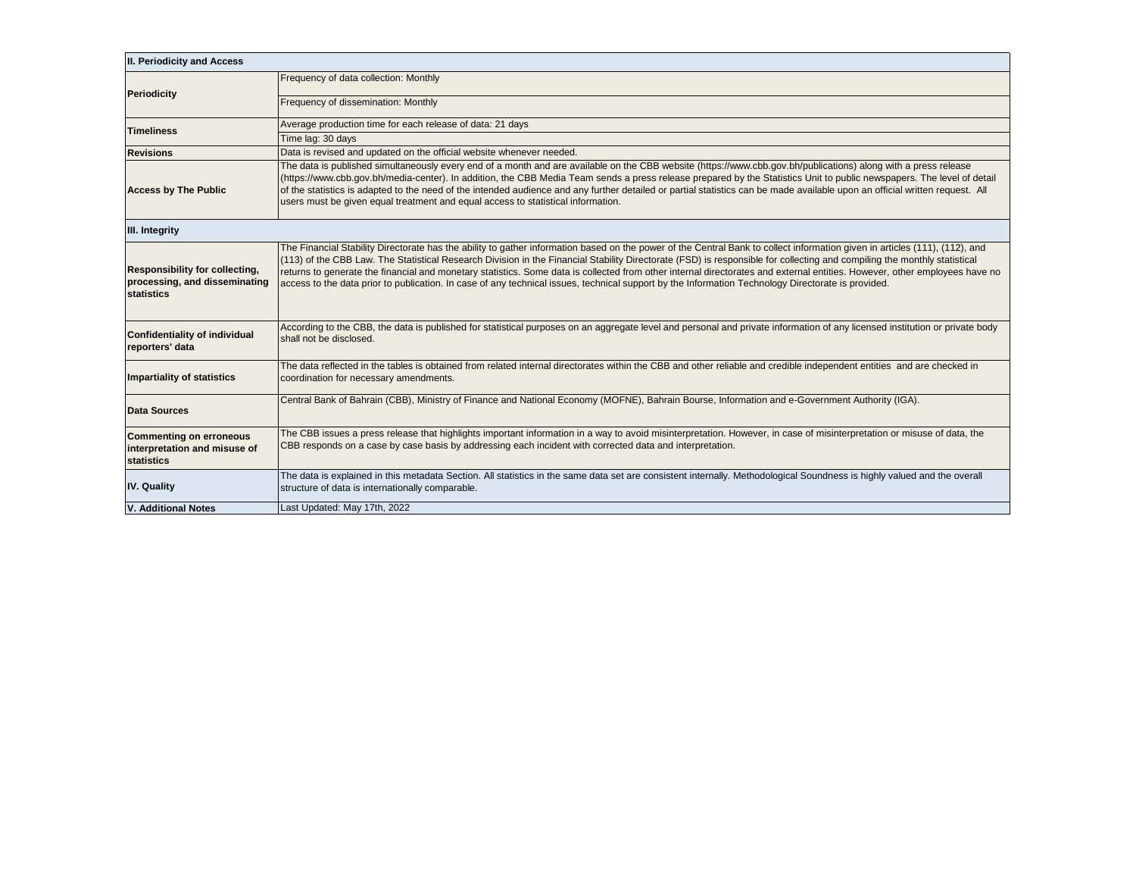| II. Periodicity and Access                                                    |                                                                                                                                                                                                                                                                                                                                                                                                                                                                                                                                                                                                                                                                                             |
|-------------------------------------------------------------------------------|---------------------------------------------------------------------------------------------------------------------------------------------------------------------------------------------------------------------------------------------------------------------------------------------------------------------------------------------------------------------------------------------------------------------------------------------------------------------------------------------------------------------------------------------------------------------------------------------------------------------------------------------------------------------------------------------|
| <b>Periodicity</b>                                                            | Frequency of data collection: Monthly                                                                                                                                                                                                                                                                                                                                                                                                                                                                                                                                                                                                                                                       |
|                                                                               | Frequency of dissemination: Monthly                                                                                                                                                                                                                                                                                                                                                                                                                                                                                                                                                                                                                                                         |
| <b>Timeliness</b>                                                             | Average production time for each release of data: 21 days                                                                                                                                                                                                                                                                                                                                                                                                                                                                                                                                                                                                                                   |
|                                                                               | Time lag: 30 days                                                                                                                                                                                                                                                                                                                                                                                                                                                                                                                                                                                                                                                                           |
| <b>Revisions</b>                                                              | Data is revised and updated on the official website whenever needed.                                                                                                                                                                                                                                                                                                                                                                                                                                                                                                                                                                                                                        |
| <b>Access by The Public</b>                                                   | The data is published simultaneously every end of a month and are available on the CBB website (https://www.cbb.gov.bh/publications) along with a press release<br>(https://www.cbb.gov.bh/media-center). In addition, the CBB Media Team sends a press release prepared by the Statistics Unit to public newspapers. The level of detail<br>of the statistics is adapted to the need of the intended audience and any further detailed or partial statistics can be made available upon an official written request. All<br>users must be given equal treatment and equal access to statistical information.                                                                               |
| III. Integrity                                                                |                                                                                                                                                                                                                                                                                                                                                                                                                                                                                                                                                                                                                                                                                             |
| Responsibility for collecting,<br>processing, and disseminating<br>statistics | The Financial Stability Directorate has the ability to gather information based on the power of the Central Bank to collect information given in articles (111), (112), and<br>(113) of the CBB Law. The Statistical Research Division in the Financial Stability Directorate (FSD) is responsible for collecting and compiling the monthly statistical<br>returns to generate the financial and monetary statistics. Some data is collected from other internal directorates and external entities. However, other employees have no<br>access to the data prior to publication. In case of any technical issues, technical support by the Information Technology Directorate is provided. |
| Confidentiality of individual<br>reporters' data                              | According to the CBB, the data is published for statistical purposes on an aggregate level and personal and private information of any licensed institution or private body<br>shall not be disclosed.                                                                                                                                                                                                                                                                                                                                                                                                                                                                                      |
| <b>Impartiality of statistics</b>                                             | The data reflected in the tables is obtained from related internal directorates within the CBB and other reliable and credible independent entities and are checked in<br>coordination for necessary amendments.                                                                                                                                                                                                                                                                                                                                                                                                                                                                            |
| <b>Data Sources</b>                                                           | Central Bank of Bahrain (CBB), Ministry of Finance and National Economy (MOFNE), Bahrain Bourse, Information and e-Government Authority (IGA).                                                                                                                                                                                                                                                                                                                                                                                                                                                                                                                                              |
| <b>Commenting on erroneous</b><br>interpretation and misuse of<br>statistics  | The CBB issues a press release that highlights important information in a way to avoid misinterpretation. However, in case of misinterpretation or misuse of data, the<br>CBB responds on a case by case basis by addressing each incident with corrected data and interpretation.                                                                                                                                                                                                                                                                                                                                                                                                          |
| <b>IV. Quality</b>                                                            | The data is explained in this metadata Section. All statistics in the same data set are consistent internally. Methodological Soundness is highly valued and the overall<br>structure of data is internationally comparable.                                                                                                                                                                                                                                                                                                                                                                                                                                                                |
| <b>V. Additional Notes</b>                                                    | Last Updated: May 17th, 2022                                                                                                                                                                                                                                                                                                                                                                                                                                                                                                                                                                                                                                                                |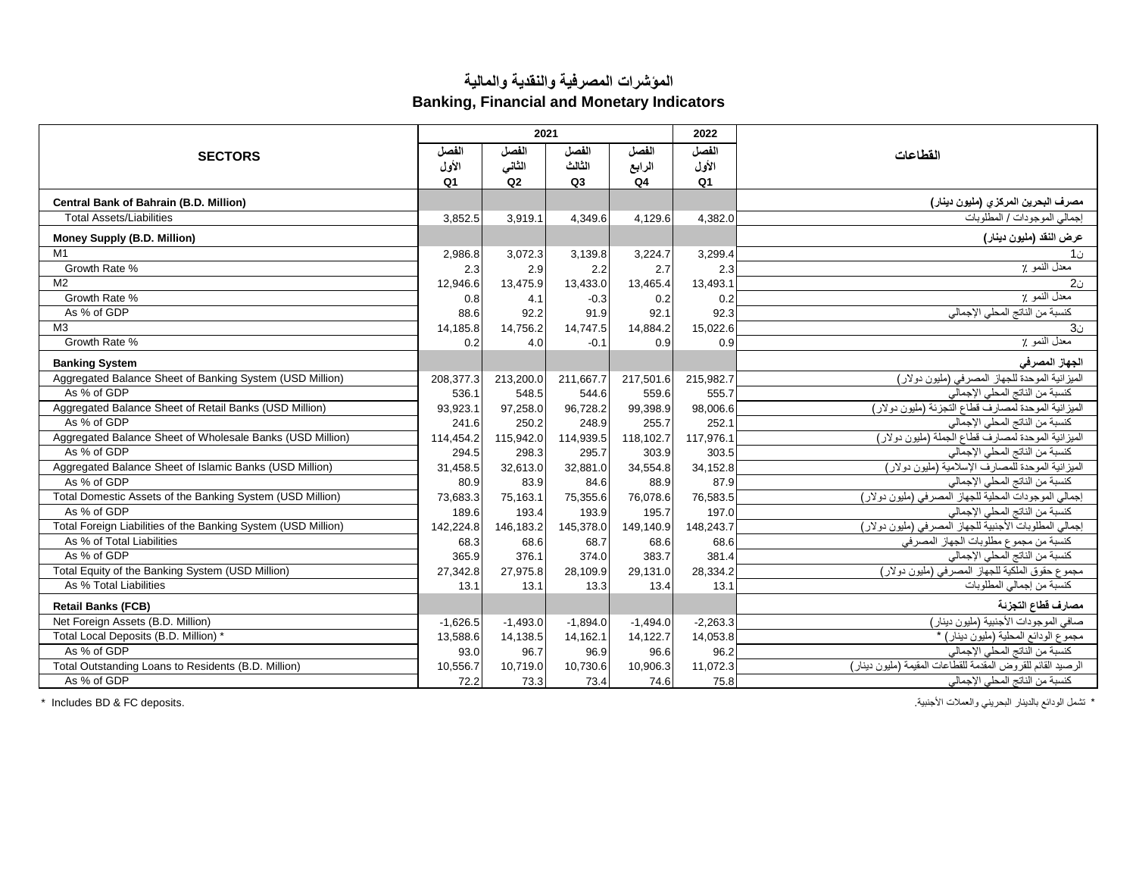## **المؤشرات المصرفية والنقدية والمالية**

**Banking, Financial and Monetary Indicators**

|                                                               |                | 2021       |            |                | 2022           |                                                             |
|---------------------------------------------------------------|----------------|------------|------------|----------------|----------------|-------------------------------------------------------------|
| <b>SECTORS</b>                                                | الفصل          | الفصل      | الفصل      | الفصل          | الفصل          | القطاعات                                                    |
|                                                               | الأول          | الثاني     | الثالث     | الرابع         | الأول          |                                                             |
|                                                               | Q <sub>1</sub> | Q2         | Q3         | Q <sub>4</sub> | Q <sub>1</sub> |                                                             |
| Central Bank of Bahrain (B.D. Million)                        |                |            |            |                |                | مصرف البحرين المركز ى (مليون دينار)                         |
| <b>Total Assets/Liabilities</b>                               | 3,852.5        | 3,919.1    | 4,349.6    | 4,129.6        | 4.382.0        | إجمالي الموجودات / المطلوبات                                |
| Money Supply (B.D. Million)                                   |                |            |            |                |                | عرض النقد (مليون دينار)                                     |
| M <sub>1</sub>                                                | 2,986.8        | 3,072.3    | 3,139.8    | 3,224.7        | 3,299.4        | ن1                                                          |
| Growth Rate %                                                 | 2.3            | 2.9        | 2.2        | 2.7            | 2.3            | معدل النمو ٪                                                |
| M <sub>2</sub>                                                | 12,946.6       | 13,475.9   | 13,433.0   | 13,465.4       | 13,493.1       | 20 <sub>1</sub>                                             |
| Growth Rate %                                                 | 0.8            | 4.1        | $-0.3$     | 0.2            | 0.2            | معدل النمو ٪                                                |
| As % of GDP                                                   | 88.6           | 92.2       | 91.9       | 92.1           | 92.3           | كنسبة من الناتج المحلي الإجمالي                             |
| M <sub>3</sub>                                                | 14,185.8       | 14,756.2   | 14,747.5   | 14,884.2       | 15,022.6       | 3 <sub>0</sub>                                              |
| Growth Rate %                                                 | 0.2            | 4.0        | $-0.1$     | 0.9            | 0.9            | معدل النمو ٪                                                |
| <b>Banking System</b>                                         |                |            |            |                |                | الجهاز المصرفى                                              |
| Aggregated Balance Sheet of Banking System (USD Million)      | 208,377.3      | 213,200.0  | 211,667.7  | 217,501.6      | 215,982.7      | الميزانية الموحدة للجهاز المصرفي (مليون دولار)              |
| As % of GDP                                                   | 536.1          | 548.5      | 544.6      | 559.6          | 555.7          | كنسبة من الناتج المحلي الإجمالي                             |
| Aggregated Balance Sheet of Retail Banks (USD Million)        | 93,923.1       | 97,258.0   | 96,728.2   | 99,398.9       | 98,006.6       | الميزانية الموحدة لمصارف قطاع التجزئة (مليون دولار)         |
| As % of GDP                                                   | 241.6          | 250.2      | 248.9      | 255.7          | 252.1          | كنسبة من الناتج المحلي الإجمالي                             |
| Aggregated Balance Sheet of Wholesale Banks (USD Million)     | 114,454.2      | 115,942.0  | 114,939.5  | 118,102.7      | 117.976.       | الميزانية الموحدة لمصارف قطاع الجملة (مليون دولار)          |
| As % of GDP                                                   | 294.5          | 298.3      | 295.7      | 303.9          | 303.5          | كنسبة من الناتج المحلي الإجمالي                             |
| Aggregated Balance Sheet of Islamic Banks (USD Million)       | 31,458.5       | 32,613.0   | 32,881.0   | 34,554.8       | 34,152.8       | الميزانية الموحدة للمصارف الإسلامية (مليون دولار)           |
| As % of GDP                                                   | 80.9           | 83.9       | 84.6       | 88.9           | 87.9           | كنسبة من الناتج المحلي الإجمالي                             |
| Total Domestic Assets of the Banking System (USD Million)     | 73,683.3       | 75,163.1   | 75,355.6   | 76,078.6       | 76,583.5       | إجمالي الموجودات المحلية للجهاز المصرفي (مليون دولار)       |
| As % of GDP                                                   | 189.6          | 193.4      | 193.9      | 195.7          | 197.0          | كنسبة من الناتج المحلي الإجمالي                             |
| Total Foreign Liabilities of the Banking System (USD Million) | 142,224.8      | 146.183.2  | 145,378.0  | 149.140.9      | 148.243.7      | إجمالي المطلوبات الأجنبية للجهاز المصرفي (مليون دولار)      |
| As % of Total Liabilities                                     | 68.3           | 68.6       | 68.7       | 68.6           | 68.6           | كنسبة من مجموع مطلوبات الجهاز المصرفي                       |
| As % of GDP                                                   | 365.9          | 376.1      | 374.0      | 383.7          | 381.4          | كنسبة من الناتج المحلي الإجمالي                             |
| Total Equity of the Banking System (USD Million)              | 27,342.8       | 27,975.8   | 28,109.9   | 29,131.0       | 28,334.2       | مجموع حقوق الملكية للجهاز المصرفي (مليون دولار)             |
| As % Total Liabilities                                        | 13.1           | 13.1       | 13.3       | 13.4           | 13.1           | كنسبة من إجمالي المطلوبات                                   |
| <b>Retail Banks (FCB)</b>                                     |                |            |            |                |                | مصارف قطاع التجزئة                                          |
| Net Foreign Assets (B.D. Million)                             | $-1,626.5$     | $-1,493.0$ | $-1,894.0$ | $-1,494.0$     | $-2,263.3$     | صافي الموجودات الأجنبية (مليون دينار)                       |
| Total Local Deposits (B.D. Million) *                         | 13,588.6       | 14,138.5   | 14,162.1   | 14,122.7       | 14,053.8       | مجموع الودائع المحلية (مليون دينار) *                       |
| As % of GDP                                                   | 93.0           | 96.7       | 96.9       | 96.6           | 96.2           | كنسبة من الناتج المحلي الإجمالي                             |
| Total Outstanding Loans to Residents (B.D. Million)           | 10,556.7       | 10,719.0   | 10,730.6   | 10,906.3       | 11,072.3       | الرصيد القائم للقروض المقدمة للقطاعات المقيمة (مليون دينار) |
| As % of GDP                                                   | 72.2           | 73.3       | 73.4       | 74.6           | 75.8           | كنسبة من الناتج المحلي الإجمالي                             |

\* تشمل الودائع بالدينار البحريني والعمالت األجنبية. .deposits FC & BD Includes\*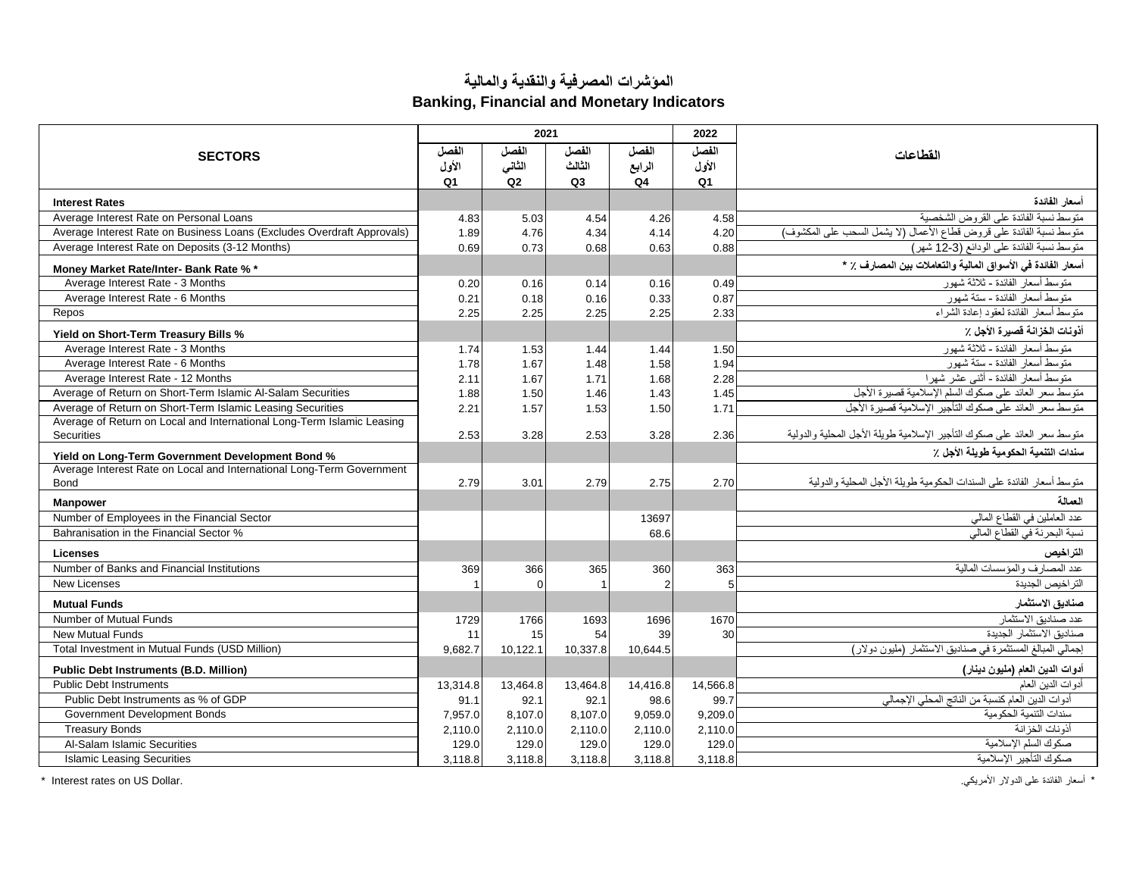## **المؤشرات المصرفية والنقدية والمالية Banking, Financial and Monetary Indicators**

|                                                                                             |                | 2021           |                |                | 2022           |                                                                           |
|---------------------------------------------------------------------------------------------|----------------|----------------|----------------|----------------|----------------|---------------------------------------------------------------------------|
| <b>SECTORS</b>                                                                              | الفصل          | الفصل          | الفصل          | الفصل          | الفصل          | القطاعات                                                                  |
|                                                                                             | الأول          | الثاني         | الثالث         | الرابع         | الأول          |                                                                           |
|                                                                                             | Q <sub>1</sub> | Q <sub>2</sub> | Q <sub>3</sub> | Q4             | Q <sub>1</sub> |                                                                           |
| <b>Interest Rates</b>                                                                       |                |                |                |                |                | أسعار الفائدة                                                             |
| Average Interest Rate on Personal Loans                                                     | 4.83           | 5.03           | 4.54           | 4.26           | 4.58           | متوسط نسبة الفائدة على القروض الشخصية                                     |
| Average Interest Rate on Business Loans (Excludes Overdraft Approvals)                      | 1.89           | 4.76           | 4.34           | 4.14           | 4.20           | .<br>منوسط نسبة الفائدة على فروض فطاع الأعمال (لا يشمل السحب على المكشوف) |
| Average Interest Rate on Deposits (3-12 Months)                                             | 0.69           | 0.73           | 0.68           | 0.63           | 0.88           | متوسط نسبة الفائدة على الودائع (3-12 شهر)                                 |
| Money Market Rate/Inter- Bank Rate % *                                                      |                |                |                |                |                | أسعار الفائدة في الأسواق المالية والتعاملات بين المصارف ٪ *               |
| Average Interest Rate - 3 Months                                                            | 0.20           | 0.16           | 0.14           | 0.16           | 0.49           | منوسط أسعار الفائدة - ثلاثة شهور                                          |
| Average Interest Rate - 6 Months                                                            | 0.21           | 0.18           | 0.16           | 0.33           | 0.87           | متوسط أسعار الفائدة - ستة شهو ر                                           |
| Repos                                                                                       | 2.25           | 2.25           | 2.25           | 2.25           | 2.33           | منوسط أسعار الفائدة لعقود إعادة الشراء                                    |
| Yield on Short-Term Treasury Bills %                                                        |                |                |                |                |                | أذونات الخزانة فصيرة الأجل ٪                                              |
| Average Interest Rate - 3 Months                                                            | 1.74           | 1.53           | 1.44           | 1.44           | 1.50           | منوسط أسعار الفائدة - ثلاثة شهور                                          |
| Average Interest Rate - 6 Months                                                            | 1.78           | 1.67           | 1.48           | 1.58           | 1.94           | متوسط أسعار الفائدة - ستة شهور                                            |
| Average Interest Rate - 12 Months                                                           | 2.11           | 1.67           | 1.71           | 1.68           | 2.28           | متوسط أسعار الفائدة - أثنى عشر شهرا                                       |
| Average of Return on Short-Term Islamic Al-Salam Securities                                 | 1.88           | 1.50           | 1.46           | 1.43           | 1.45           | متوسط سعر العائد على صكوك السلم الإسلامية قصيرة الأجل                     |
| Average of Return on Short-Term Islamic Leasing Securities                                  | 2.21           | 1.57           | 1.53           | 1.50           | 1.71           | متوسط سعر العائد على صكوك التأجير الإسلامية قصيرة الأجل                   |
| Average of Return on Local and International Long-Term Islamic Leasing<br><b>Securities</b> |                | 3.28           | 2.53           | 3.28           | 2.36           | متوسط سعر العائد على صكوك التأجير الإسلامية طويلة الأجل المحلية والدولية  |
|                                                                                             | 2.53           |                |                |                |                |                                                                           |
| Yield on Long-Term Government Development Bond %                                            |                |                |                |                |                | سندات التنمية الحكومية طويلة الأجل ٪                                      |
| Average Interest Rate on Local and International Long-Term Government                       |                |                |                |                |                | متوسط أسعار   الفائدة على السندات الحكومية طويلة الأجل المحلية والدولية   |
| <b>Bond</b>                                                                                 | 2.79           | 3.01           | 2.79           | 2.75           | 2.70           |                                                                           |
| <b>Manpower</b>                                                                             |                |                |                |                |                | العمالة                                                                   |
| Number of Employees in the Financial Sector                                                 |                |                |                | 13697          |                | عدد العاملين في القطاع المالي                                             |
| Bahranisation in the Financial Sector %                                                     |                |                |                | 68.6           |                | نسبة البحرنة في القطاع المالي                                             |
| Licenses                                                                                    |                |                |                |                |                | التراخيص                                                                  |
| Number of Banks and Financial Institutions                                                  | 369            | 366            | 365            | 360            | 363            | عدد المصارف والمؤسسات المالية                                             |
| <b>New Licenses</b>                                                                         |                | $\Omega$       |                | $\overline{2}$ |                | التراخيص الجديدة                                                          |
| <b>Mutual Funds</b>                                                                         |                |                |                |                |                | صناديق الاستثمار                                                          |
| Number of Mutual Funds                                                                      | 1729           | 1766           | 1693           | 1696           | 1670           | عدد صناديق الاستثمار                                                      |
| <b>New Mutual Funds</b>                                                                     | 11             | 15             | 54             | 39             | 30             | صناديق الاستثمار الجديدة                                                  |
| Total Investment in Mutual Funds (USD Million)                                              | 9,682.7        | 10,122.1       | 10,337.8       | 10.644.5       |                | إجمالي المبالغ المستثمرة في صناديق الاستثمار (مليون دولار)                |
| <b>Public Debt Instruments (B.D. Million)</b>                                               |                |                |                |                |                | أدوات الدين العام (مليون دينار)                                           |
| <b>Public Debt Instruments</b>                                                              | 13,314.8       | 13,464.8       | 13,464.8       | 14,416.8       | 14,566.8       | أدوات الدين العام                                                         |
| Public Debt Instruments as % of GDP                                                         | 91.1           | 92.1           | 92.1           | 98.6           | 99.7           | أدوات الدين العام كنسبة من الناتج المحلي الإجمالي                         |
| Government Development Bonds                                                                | 7.957.0        | 8.107.0        | 8,107.0        | 9.059.0        | 9.209.0        | سندات التنمبة الحكو مبة                                                   |
| <b>Treasury Bonds</b>                                                                       | 2,110.0        | 2,110.0        | 2,110.0        | 2,110.0        | 2,110.0        | أذو نات الخز انة                                                          |
| Al-Salam Islamic Securities                                                                 | 129.0          | 129.0          | 129.0          | 129.0          | 129.0          | صكوك السلم الإسلامية                                                      |
| <b>Islamic Leasing Securities</b>                                                           | 3.118.8        | 3.118.8        | 3,118.8        | 3,118.8        | 3.118.8        | صكوك التأجير الإسلامية                                                    |

\* أسعار الفائدة على الدولار الأمريكي. .<br>\* أسعار الفائدة على الدولار الأمريكي. .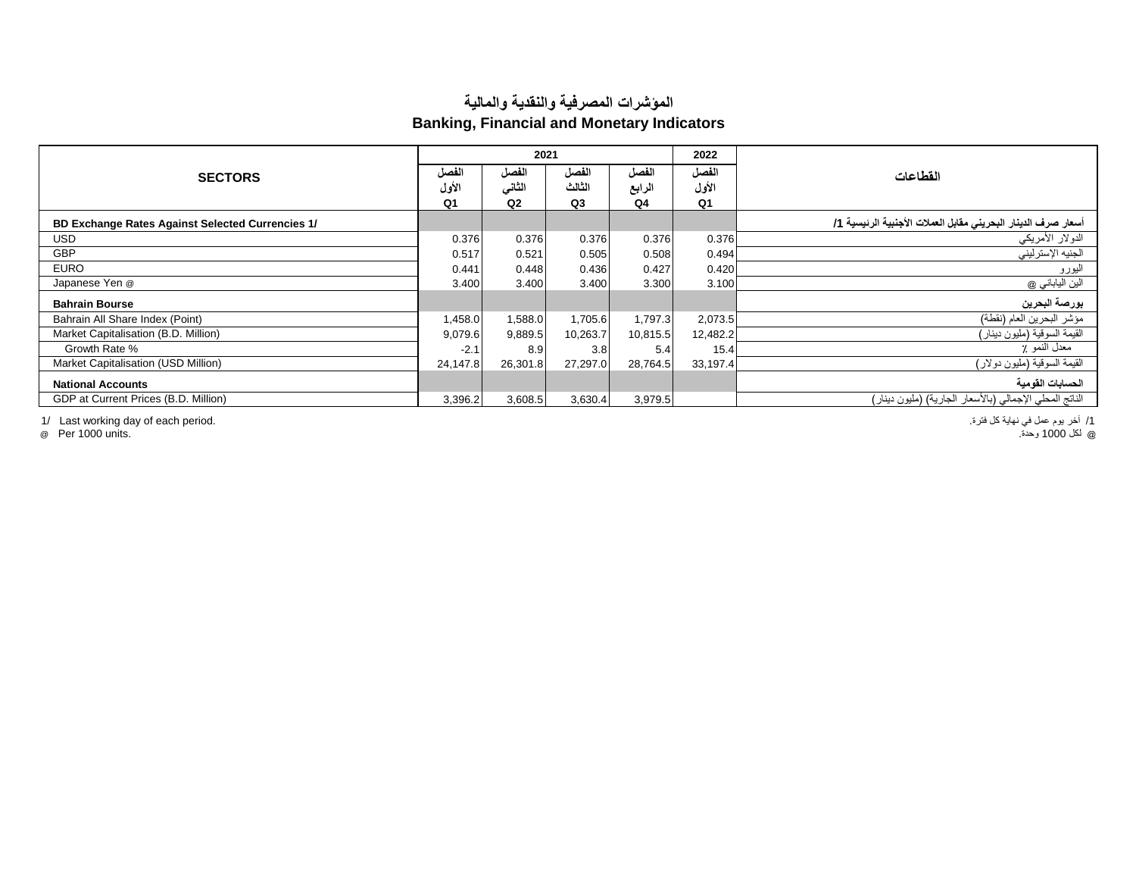## **المؤشرات المصرفية والنقدية والمالية Banking, Financial and Monetary Indicators**

| <b>SECTORS</b>                                   |                | 2021           |                |                | 2022           |                                                               |
|--------------------------------------------------|----------------|----------------|----------------|----------------|----------------|---------------------------------------------------------------|
|                                                  |                | الفصل          | الفصل          | الفصل          | الفصل          | القطاعات                                                      |
|                                                  | الأول          | الثاني         | الثالث         | الرابع         | الأول          |                                                               |
|                                                  | Q <sub>1</sub> | Q <sub>2</sub> | Q <sub>3</sub> | Q <sub>4</sub> | Q <sub>1</sub> |                                                               |
| BD Exchange Rates Against Selected Currencies 1/ |                |                |                |                |                | أسعار صرف الدينار البحريني مقابل العملات الأجنبية الرئيسية 1/ |
| <b>USD</b>                                       | 0.376          | 0.376          | 0.376          | 0.376          | 0.376          | الدولار الأمريكي                                              |
| <b>GBP</b>                                       | 0.517          | 0.521          | 0.505          | 0.508          | 0.494          | الجنيه الإسترليني                                             |
| <b>EURO</b>                                      | 0.441          | 0.448          | 0.436          | 0.427          | 0.420          | اليورو                                                        |
| Japanese Yen @                                   | 3.400          | 3.400          | 3.400          | 3.300          | 3.100          | الين الياباني @                                               |
| <b>Bahrain Bourse</b>                            |                |                |                |                |                | بورصة البحرين                                                 |
| Bahrain All Share Index (Point)                  | 1,458.0        | 1,588.0        | 1,705.6        | 1,797.3        | 2,073.5        | مؤشر البحرين العام (نقطة)                                     |
| Market Capitalisation (B.D. Million)             | 9,079.6        | 9,889.5        | 10,263.7       | 10,815.5       | 12,482.2       | القيمة السوقية (مليون دينار)                                  |
| Growth Rate %                                    | $-2.1$         | 8.9            | 3.8            | 5.4            | 15.4           | معدل النمو ٪                                                  |
| Market Capitalisation (USD Million)              | 24,147.8       | 26,301.8       | 27,297.0       | 28,764.5       | 33,197.4       | القيمة السوقية (مليون دولار)                                  |
| <b>National Accounts</b>                         |                |                |                |                |                | الحسابات القومية                                              |
| GDP at Current Prices (B.D. Million)             | 3,396.2        | 3,608.5        | 3,630.4        | 3,979.5        |                | الناتج المحلي الإجمالي (بالأسعار الجارية) (مليون دينار)       |

/1 آخر يوم عمل في نهاية كل فترة. .period each of day working Last 1/

@ لكل 1000 وحدة. .units 1000 Per@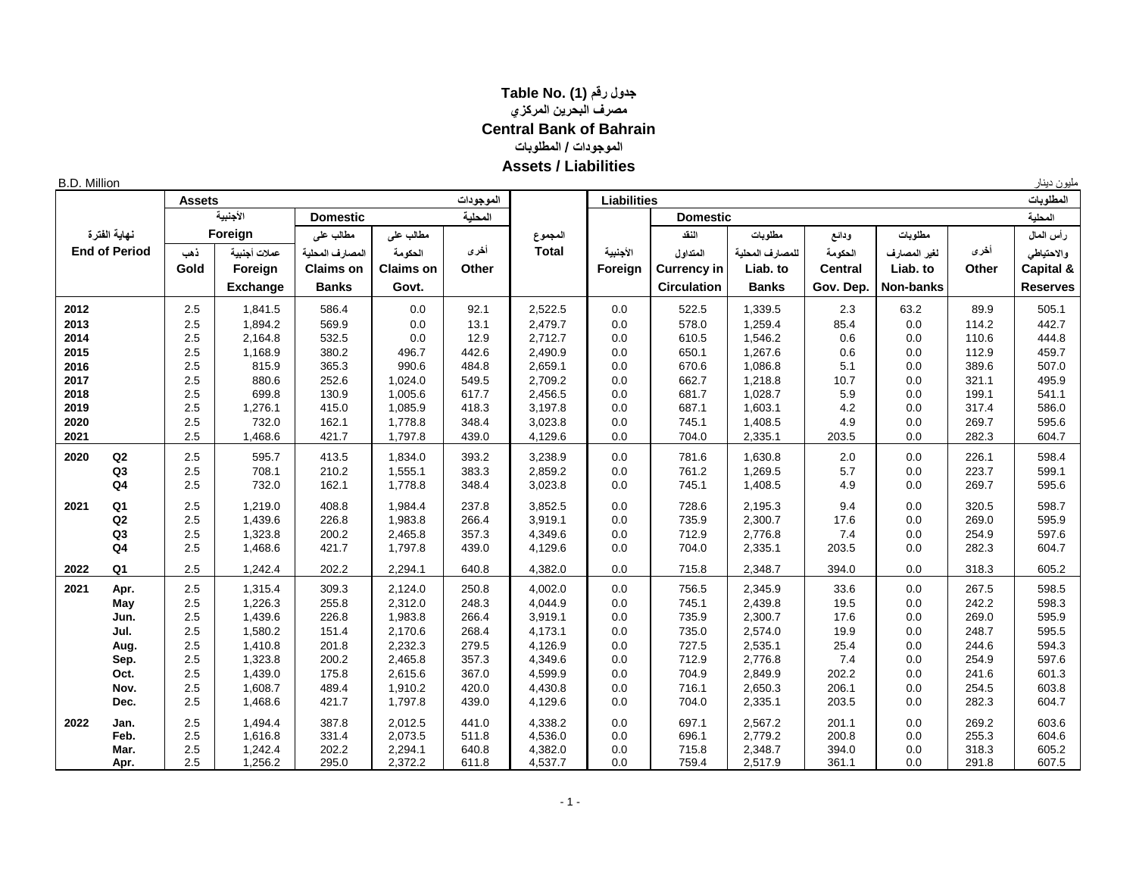## **جدول رقم (1) .No Table مصرف البحرين المركزي Central Bank of Bahrain الموجودات / المطلوبات Assets / Liabilities**

| <b>B.D. Million</b> |                      |               |                 |                  |                  |           |              |                    |                    |                 |                |                  |       | مليون دينار     |
|---------------------|----------------------|---------------|-----------------|------------------|------------------|-----------|--------------|--------------------|--------------------|-----------------|----------------|------------------|-------|-----------------|
|                     |                      | <b>Assets</b> |                 |                  |                  | الموجودات |              | <b>Liabilities</b> |                    |                 |                |                  |       | المطلوبات       |
|                     |                      |               | الأجنبية        | <b>Domestic</b>  |                  | المحلية   |              |                    | <b>Domestic</b>    |                 |                |                  |       | المحلية         |
|                     | نهاية الفترة         |               | Foreign         | مطالب على        | مطالب على        |           | المجموع      |                    | النفد              | مطلوبات         | ودائع          | مطلوبات          |       | رأس المال       |
|                     | <b>End of Period</b> | ذهب           | عملات أجنبية    | المصارف المحلية  | الحكومة          | أخرى      | <b>Total</b> | الأجنبية           | المتداول           | للمصارف المحلية | الحكومة        | لغير المصارف     | أخرى  | والاحتياطي      |
|                     |                      | Gold          | Foreign         | <b>Claims on</b> | <b>Claims on</b> | Other     |              | Foreign            | <b>Currency in</b> | Liab. to        | <b>Central</b> | Liab. to         | Other | Capital &       |
|                     |                      |               | <b>Exchange</b> | <b>Banks</b>     | Govt.            |           |              |                    | <b>Circulation</b> | <b>Banks</b>    | Gov. Dep.      | <b>Non-banks</b> |       | <b>Reserves</b> |
| 2012                |                      | 2.5           | 1,841.5         | 586.4            | 0.0              | 92.1      | 2,522.5      | 0.0                | 522.5              | 1,339.5         | 2.3            | 63.2             | 89.9  | 505.1           |
| 2013                |                      | 2.5           | 1,894.2         | 569.9            | 0.0              | 13.1      | 2,479.7      | 0.0                | 578.0              | 1,259.4         | 85.4           | 0.0              | 114.2 | 442.7           |
| 2014                |                      | 2.5           | 2,164.8         | 532.5            | 0.0              | 12.9      | 2,712.7      | 0.0                | 610.5              | 1,546.2         | 0.6            | 0.0              | 110.6 | 444.8           |
| 2015                |                      | 2.5           | 1,168.9         | 380.2            | 496.7            | 442.6     | 2,490.9      | 0.0                | 650.1              | 1,267.6         | 0.6            | 0.0              | 112.9 | 459.7           |
| 2016                |                      | 2.5           | 815.9           | 365.3            | 990.6            | 484.8     | 2,659.1      | 0.0                | 670.6              | 1,086.8         | 5.1            | 0.0              | 389.6 | 507.0           |
| 2017                |                      | 2.5           | 880.6           | 252.6            | 1,024.0          | 549.5     | 2,709.2      | 0.0                | 662.7              | 1,218.8         | 10.7           | 0.0              | 321.1 | 495.9           |
| 2018                |                      | 2.5           | 699.8           | 130.9            | 1,005.6          | 617.7     | 2,456.5      | 0.0                | 681.7              | 1,028.7         | 5.9            | 0.0              | 199.1 | 541.1           |
| 2019                |                      | 2.5           | 1,276.1         | 415.0            | 1,085.9          | 418.3     | 3,197.8      | 0.0                | 687.1              | 1,603.1         | 4.2            | 0.0              | 317.4 | 586.0           |
| 2020                |                      | 2.5           | 732.0           | 162.1            | 1,778.8          | 348.4     | 3,023.8      | 0.0                | 745.1              | 1,408.5         | 4.9            | 0.0              | 269.7 | 595.6           |
| 2021                |                      | 2.5           | 1,468.6         | 421.7            | 1,797.8          | 439.0     | 4,129.6      | 0.0                | 704.0              | 2,335.1         | 203.5          | 0.0              | 282.3 | 604.7           |
| 2020                | Q2                   | 2.5           | 595.7           | 413.5            | 1,834.0          | 393.2     | 3,238.9      | 0.0                | 781.6              | 1,630.8         | 2.0            | 0.0              | 226.1 | 598.4           |
|                     | Q <sub>3</sub>       | 2.5           | 708.1           | 210.2            | 1,555.1          | 383.3     | 2,859.2      | 0.0                | 761.2              | 1,269.5         | 5.7            | 0.0              | 223.7 | 599.1           |
|                     | Q <sub>4</sub>       | 2.5           | 732.0           | 162.1            | 1,778.8          | 348.4     | 3,023.8      | 0.0                | 745.1              | 1,408.5         | 4.9            | 0.0              | 269.7 | 595.6           |
| 2021                | Q <sub>1</sub>       | 2.5           | 1,219.0         | 408.8            | 1,984.4          | 237.8     | 3,852.5      | 0.0                | 728.6              | 2,195.3         | 9.4            | 0.0              | 320.5 | 598.7           |
|                     | Q2                   | 2.5           | 1,439.6         | 226.8            | 1,983.8          | 266.4     | 3,919.1      | 0.0                | 735.9              | 2,300.7         | 17.6           | 0.0              | 269.0 | 595.9           |
|                     | Q <sub>3</sub>       | 2.5           | 1,323.8         | 200.2            | 2,465.8          | 357.3     | 4,349.6      | 0.0                | 712.9              | 2,776.8         | 7.4            | 0.0              | 254.9 | 597.6           |
|                     | Q <sub>4</sub>       | 2.5           | 1,468.6         | 421.7            | 1,797.8          | 439.0     | 4,129.6      | 0.0                | 704.0              | 2,335.1         | 203.5          | 0.0              | 282.3 | 604.7           |
| 2022                | Q1                   | 2.5           | 1,242.4         | 202.2            | 2,294.1          | 640.8     | 4,382.0      | 0.0                | 715.8              | 2,348.7         | 394.0          | 0.0              | 318.3 | 605.2           |
| 2021                | Apr.                 | 2.5           | 1,315.4         | 309.3            | 2,124.0          | 250.8     | 4,002.0      | 0.0                | 756.5              | 2,345.9         | 33.6           | 0.0              | 267.5 | 598.5           |
|                     | May                  | 2.5           | 1,226.3         | 255.8            | 2,312.0          | 248.3     | 4,044.9      | 0.0                | 745.1              | 2,439.8         | 19.5           | 0.0              | 242.2 | 598.3           |
|                     | Jun.                 | 2.5           | 1,439.6         | 226.8            | 1,983.8          | 266.4     | 3,919.1      | 0.0                | 735.9              | 2,300.7         | 17.6           | 0.0              | 269.0 | 595.9           |
|                     | Jul.                 | 2.5           | 1,580.2         | 151.4            | 2,170.6          | 268.4     | 4,173.1      | 0.0                | 735.0              | 2,574.0         | 19.9           | 0.0              | 248.7 | 595.5           |
|                     | Aug.                 | 2.5           | 1,410.8         | 201.8            | 2,232.3          | 279.5     | 4,126.9      | 0.0                | 727.5              | 2,535.1         | 25.4           | 0.0              | 244.6 | 594.3           |
|                     | Sep.                 | 2.5           | 1,323.8         | 200.2            | 2,465.8          | 357.3     | 4,349.6      | 0.0                | 712.9              | 2,776.8         | 7.4            | 0.0              | 254.9 | 597.6           |
|                     | Oct.                 | 2.5           | 1,439.0         | 175.8            | 2,615.6          | 367.0     | 4,599.9      | 0.0                | 704.9              | 2,849.9         | 202.2          | 0.0              | 241.6 | 601.3           |
|                     | Nov.                 | 2.5           | 1,608.7         | 489.4            | 1,910.2          | 420.0     | 4,430.8      | 0.0                | 716.1              | 2,650.3         | 206.1          | 0.0              | 254.5 | 603.8           |
|                     | Dec.                 | 2.5           | 1,468.6         | 421.7            | 1,797.8          | 439.0     | 4,129.6      | 0.0                | 704.0              | 2,335.1         | 203.5          | 0.0              | 282.3 | 604.7           |
| 2022                | Jan.                 | 2.5           | 1,494.4         | 387.8            | 2,012.5          | 441.0     | 4,338.2      | 0.0                | 697.1              | 2,567.2         | 201.1          | 0.0              | 269.2 | 603.6           |
|                     | Feb.                 | 2.5           | 1,616.8         | 331.4            | 2,073.5          | 511.8     | 4,536.0      | 0.0                | 696.1              | 2,779.2         | 200.8          | 0.0              | 255.3 | 604.6           |
|                     | Mar.                 | 2.5           | 1,242.4         | 202.2            | 2,294.1          | 640.8     | 4,382.0      | 0.0                | 715.8              | 2,348.7         | 394.0          | 0.0              | 318.3 | 605.2           |
|                     | Apr.                 | 2.5           | 1,256.2         | 295.0            | 2,372.2          | 611.8     | 4,537.7      | 0.0                | 759.4              | 2,517.9         | 361.1          | 0.0              | 291.8 | 607.5           |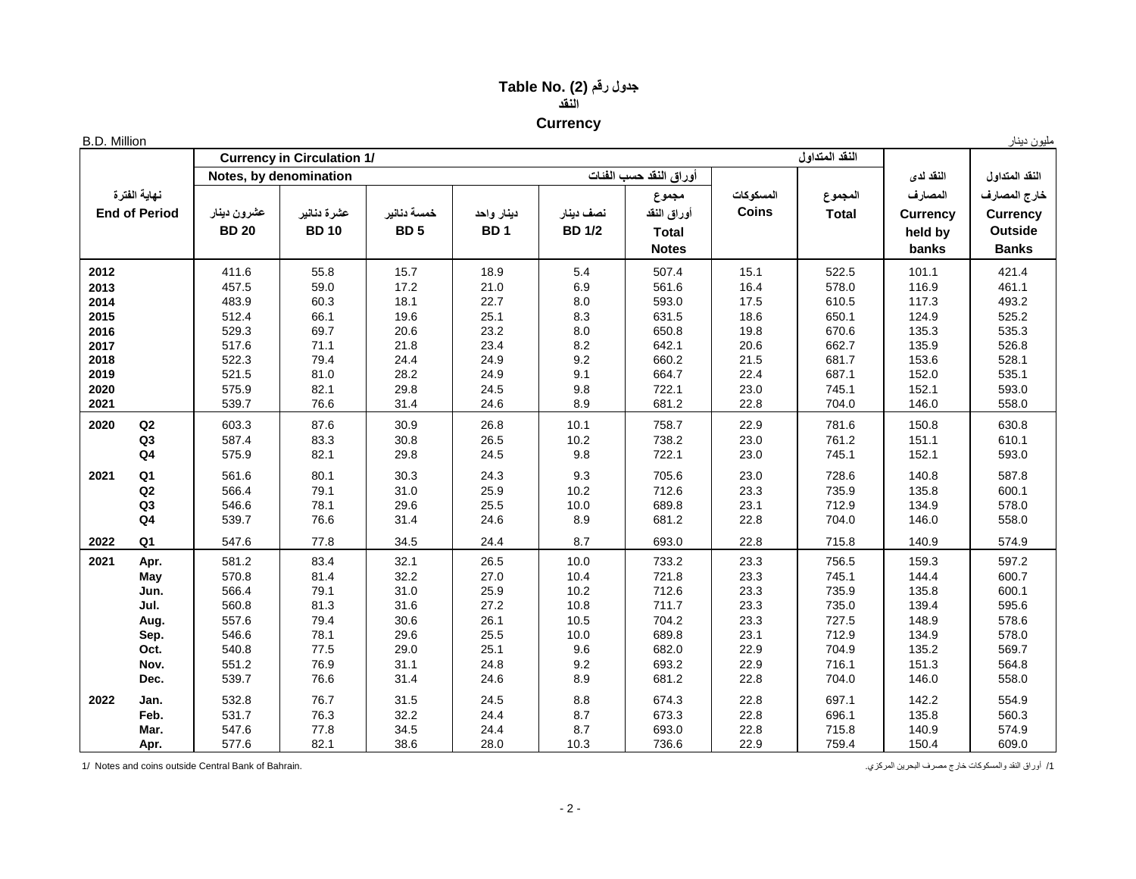## **جدول رقم (2) .No Table النقد Currency**

| <b>B.D. Million</b> |                      |              |                                   |             |                 |               |                        |              |                |                 | مليون دينار     |
|---------------------|----------------------|--------------|-----------------------------------|-------------|-----------------|---------------|------------------------|--------------|----------------|-----------------|-----------------|
|                     |                      |              | <b>Currency in Circulation 1/</b> |             |                 |               |                        |              | النقد المتداول |                 |                 |
|                     |                      |              | Notes, by denomination            |             |                 |               | أوراق النقد حسب الفنات |              |                | النقد لدى       | النقد المتداول  |
|                     | نهاية الفترة         |              |                                   |             |                 |               | مجموع                  | المسكوكات    | المجموع        | المصارف         | خارج المصارف    |
|                     | <b>End of Period</b> | عشرون دينار  | عشرة دنانير                       | خمسة دنانير | دينار واحد      | نصف دينار     | أوراق النقد            | <b>Coins</b> | <b>Total</b>   | <b>Currency</b> | <b>Currency</b> |
|                     |                      | <b>BD 20</b> | <b>BD10</b>                       | <b>BD5</b>  | BD <sub>1</sub> | <b>BD 1/2</b> | <b>Total</b>           |              |                | held by         | <b>Outside</b>  |
|                     |                      |              |                                   |             |                 |               | <b>Notes</b>           |              |                | banks           | <b>Banks</b>    |
| 2012                |                      | 411.6        | 55.8                              | 15.7        | 18.9            | 5.4           | 507.4                  | 15.1         | 522.5          | 101.1           | 421.4           |
| 2013                |                      | 457.5        | 59.0                              | 17.2        | 21.0            | 6.9           | 561.6                  | 16.4         | 578.0          | 116.9           | 461.1           |
| 2014                |                      | 483.9        | 60.3                              | 18.1        | 22.7            | 8.0           | 593.0                  | 17.5         | 610.5          | 117.3           | 493.2           |
| 2015                |                      | 512.4        | 66.1                              | 19.6        | 25.1            | 8.3           | 631.5                  | 18.6         | 650.1          | 124.9           | 525.2           |
| 2016                |                      | 529.3        | 69.7                              | 20.6        | 23.2            | 8.0           | 650.8                  | 19.8         | 670.6          | 135.3           | 535.3           |
| 2017                |                      | 517.6        | 71.1                              | 21.8        | 23.4            | 8.2           | 642.1                  | 20.6         | 662.7          | 135.9           | 526.8           |
| 2018                |                      | 522.3        | 79.4                              | 24.4        | 24.9            | 9.2           | 660.2                  | 21.5         | 681.7          | 153.6           | 528.1           |
| 2019                |                      | 521.5        | 81.0                              | 28.2        | 24.9            | 9.1           | 664.7                  | 22.4         | 687.1          | 152.0           | 535.1           |
| 2020                |                      | 575.9        | 82.1                              | 29.8        | 24.5            | 9.8           | 722.1                  | 23.0         | 745.1          | 152.1           | 593.0           |
| 2021                |                      | 539.7        | 76.6                              | 31.4        | 24.6            | 8.9           | 681.2                  | 22.8         | 704.0          | 146.0           | 558.0           |
| 2020                | $\mathsf Q2$         | 603.3        | 87.6                              | 30.9        | 26.8            | 10.1          | 758.7                  | 22.9         | 781.6          | 150.8           | 630.8           |
|                     | Q3                   | 587.4        | 83.3                              | 30.8        | 26.5            | 10.2          | 738.2                  | 23.0         | 761.2          | 151.1           | 610.1           |
|                     | $\mathsf{Q4}$        | 575.9        | 82.1                              | 29.8        | 24.5            | 9.8           | 722.1                  | 23.0         | 745.1          | 152.1           | 593.0           |
| 2021                | Q <sub>1</sub>       | 561.6        | 80.1                              | 30.3        | 24.3            | 9.3           | 705.6                  | 23.0         | 728.6          | 140.8           | 587.8           |
|                     | $\mathsf Q2$         | 566.4        | 79.1                              | 31.0        | 25.9            | 10.2          | 712.6                  | 23.3         | 735.9          | 135.8           | 600.1           |
|                     | Q3                   | 546.6        | 78.1                              | 29.6        | 25.5            | 10.0          | 689.8                  | 23.1         | 712.9          | 134.9           | 578.0           |
|                     | Q <sub>4</sub>       | 539.7        | 76.6                              | 31.4        | 24.6            | 8.9           | 681.2                  | 22.8         | 704.0          | 146.0           | 558.0           |
| 2022                | Q1                   | 547.6        | 77.8                              | 34.5        | 24.4            | 8.7           | 693.0                  | 22.8         | 715.8          | 140.9           | 574.9           |
| 2021                | Apr.                 | 581.2        | 83.4                              | 32.1        | 26.5            | 10.0          | 733.2                  | 23.3         | 756.5          | 159.3           | 597.2           |
|                     | May                  | 570.8        | 81.4                              | 32.2        | 27.0            | 10.4          | 721.8                  | 23.3         | 745.1          | 144.4           | 600.7           |
|                     | Jun.                 | 566.4        | 79.1                              | 31.0        | 25.9            | 10.2          | 712.6                  | 23.3         | 735.9          | 135.8           | 600.1           |
|                     | Jul.                 | 560.8        | 81.3                              | 31.6        | 27.2            | 10.8          | 711.7                  | 23.3         | 735.0          | 139.4           | 595.6           |
|                     | Aug.                 | 557.6        | 79.4                              | 30.6        | 26.1            | 10.5          | 704.2                  | 23.3         | 727.5          | 148.9           | 578.6           |
|                     | Sep.                 | 546.6        | 78.1                              | 29.6        | 25.5            | 10.0          | 689.8                  | 23.1         | 712.9          | 134.9           | 578.0           |
|                     | Oct.                 | 540.8        | 77.5                              | 29.0        | 25.1            | 9.6           | 682.0                  | 22.9         | 704.9          | 135.2           | 569.7           |
|                     | Nov.                 | 551.2        | 76.9                              | 31.1        | 24.8            | 9.2           | 693.2                  | 22.9         | 716.1          | 151.3           | 564.8           |
|                     | Dec.                 | 539.7        | 76.6                              | 31.4        | 24.6            | 8.9           | 681.2                  | 22.8         | 704.0          | 146.0           | 558.0           |
| 2022                | Jan.                 | 532.8        | 76.7                              | 31.5        | 24.5            | 8.8           | 674.3                  | 22.8         | 697.1          | 142.2           | 554.9           |
|                     | Feb.                 | 531.7        | 76.3                              | 32.2        | 24.4            | 8.7           | 673.3                  | 22.8         | 696.1          | 135.8           | 560.3           |
|                     | Mar.                 | 547.6        | 77.8                              | 34.5        | 24.4            | 8.7           | 693.0                  | 22.8         | 715.8          | 140.9           | 574.9           |
|                     | Apr.                 | 577.6        | 82.1                              | 38.6        | 28.0            | 10.3          | 736.6                  | 22.9         | 759.4          | 150.4           | 609.0           |

1/ Notes and coins outside Central Bank of Bahrain. .المركزي البحرين مصرف خارج والمسكوكات النقد أوراق /1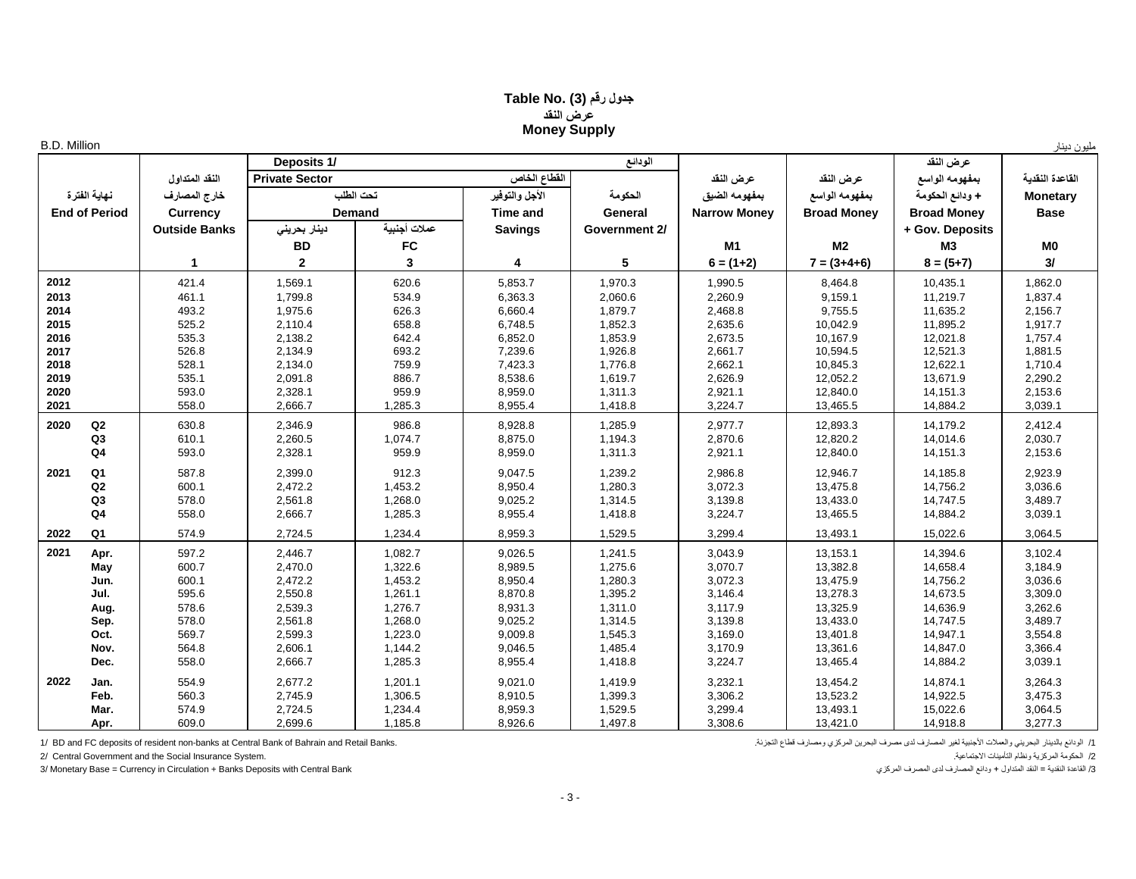### **جدول رقم (3) .No Table عرض النقد Money Supply**

|  | Million |
|--|---------|

| <b>B.D. Million</b>    |                      |                       |               |                 |               |                     |                    |                    | مليون دينار     |
|------------------------|----------------------|-----------------------|---------------|-----------------|---------------|---------------------|--------------------|--------------------|-----------------|
|                        |                      | Deposits 1/           |               |                 | الودائع       |                     |                    | عرض النقد          |                 |
|                        | النقد المتداول       | <b>Private Sector</b> |               | القطاع الخاص    |               | عرض النقد           | عرض النقد          | بمفهومه الواسع     | القاعدة النقدية |
| نهاية الفترة           | خارج المصارف         |                       | نحت الطلب     | الأجل والتوفير  | الحكومة       | بمفهومه الضيق       | بمفهومه الواسع     | + ودائع الحكومة    | <b>Monetary</b> |
| <b>End of Period</b>   | <b>Currency</b>      |                       | <b>Demand</b> | <b>Time and</b> | General       | <b>Narrow Monev</b> | <b>Broad Monev</b> | <b>Broad Money</b> | <b>Base</b>     |
|                        | <b>Outside Banks</b> | دينار بحريني          | عملات أجنبية  | <b>Savings</b>  | Government 2/ |                     |                    | + Gov. Deposits    |                 |
|                        |                      | <b>BD</b>             | <b>FC</b>     |                 |               | M <sub>1</sub>      | M <sub>2</sub>     | <b>M3</b>          | M <sub>0</sub>  |
|                        | -1                   | $\mathbf{2}$          | 3             | 4               | 5             | $6 = (1+2)$         | $7 = (3+4+6)$      | $8 = (5+7)$        | 3/              |
| 2012                   | 421.4                | 1,569.1               | 620.6         | 5,853.7         | 1,970.3       | 1,990.5             | 8,464.8            | 10,435.1           | 1,862.0         |
| 2013                   | 461.1                | 1,799.8               | 534.9         | 6,363.3         | 2,060.6       | 2,260.9             | 9,159.1            | 11,219.7           | 1,837.4         |
| 2014                   | 493.2                | 1,975.6               | 626.3         | 6,660.4         | 1,879.7       | 2,468.8             | 9,755.5            | 11,635.2           | 2,156.7         |
| 2015                   | 525.2                | 2,110.4               | 658.8         | 6,748.5         | 1,852.3       | 2,635.6             | 10,042.9           | 11,895.2           | 1,917.7         |
| 2016                   | 535.3                | 2,138.2               | 642.4         | 6,852.0         | 1,853.9       | 2,673.5             | 10,167.9           | 12,021.8           | 1,757.4         |
| 2017                   | 526.8                | 2,134.9               | 693.2         | 7,239.6         | 1,926.8       | 2,661.7             | 10,594.5           | 12,521.3           | 1,881.5         |
| 2018                   | 528.1                | 2,134.0               | 759.9         | 7,423.3         | 1,776.8       | 2,662.1             | 10,845.3           | 12,622.1           | 1,710.4         |
| 2019                   | 535.1                | 2,091.8               | 886.7         | 8,538.6         | 1,619.7       | 2,626.9             | 12,052.2           | 13,671.9           | 2,290.2         |
| 2020                   | 593.0                | 2,328.1               | 959.9         | 8,959.0         | 1,311.3       | 2,921.1             | 12,840.0           | 14,151.3           | 2,153.6         |
| 2021                   | 558.0                | 2,666.7               | 1,285.3       | 8,955.4         | 1,418.8       | 3,224.7             | 13,465.5           | 14,884.2           | 3,039.1         |
| Q2<br>2020             | 630.8                | 2,346.9               | 986.8         | 8,928.8         | 1,285.9       | 2,977.7             | 12,893.3           | 14,179.2           | 2,412.4         |
| Q3                     | 610.1                | 2,260.5               | 1,074.7       | 8,875.0         | 1,194.3       | 2,870.6             | 12,820.2           | 14,014.6           | 2,030.7         |
| Q <sub>4</sub>         | 593.0                | 2,328.1               | 959.9         | 8,959.0         | 1,311.3       | 2,921.1             | 12,840.0           | 14,151.3           | 2,153.6         |
| Q <sub>1</sub><br>2021 | 587.8                | 2,399.0               | 912.3         | 9,047.5         | 1,239.2       | 2,986.8             | 12,946.7           | 14,185.8           | 2,923.9         |
| Q2                     | 600.1                | 2,472.2               | 1,453.2       | 8,950.4         | 1,280.3       | 3,072.3             | 13,475.8           | 14,756.2           | 3,036.6         |
| Q <sub>3</sub>         | 578.0                | 2,561.8               | 1,268.0       | 9,025.2         | 1,314.5       | 3,139.8             | 13,433.0           | 14,747.5           | 3,489.7         |
| Q <sub>4</sub>         | 558.0                | 2,666.7               | 1,285.3       | 8,955.4         | 1,418.8       | 3,224.7             | 13,465.5           | 14,884.2           | 3,039.1         |
| Q <sub>1</sub><br>2022 | 574.9                | 2,724.5               | 1,234.4       | 8,959.3         | 1,529.5       | 3,299.4             | 13,493.1           | 15,022.6           | 3,064.5         |
| 2021<br>Apr.           | 597.2                | 2,446.7               | 1,082.7       | 9,026.5         | 1,241.5       | 3,043.9             | 13,153.1           | 14,394.6           | 3,102.4         |
| May                    | 600.7                | 2,470.0               | 1,322.6       | 8,989.5         | 1,275.6       | 3,070.7             | 13,382.8           | 14,658.4           | 3,184.9         |
| Jun.                   | 600.1                | 2,472.2               | 1,453.2       | 8,950.4         | 1,280.3       | 3,072.3             | 13,475.9           | 14,756.2           | 3,036.6         |
| Jul.                   | 595.6                | 2,550.8               | 1,261.1       | 8,870.8         | 1,395.2       | 3,146.4             | 13,278.3           | 14,673.5           | 3,309.0         |
| Aug.                   | 578.6                | 2,539.3               | 1,276.7       | 8,931.3         | 1,311.0       | 3,117.9             | 13,325.9           | 14,636.9           | 3,262.6         |
| Sep.                   | 578.0                | 2,561.8               | 1,268.0       | 9,025.2         | 1,314.5       | 3,139.8             | 13,433.0           | 14,747.5           | 3,489.7         |
| Oct.                   | 569.7                | 2,599.3               | 1,223.0       | 9,009.8         | 1,545.3       | 3,169.0             | 13,401.8           | 14,947.1           | 3,554.8         |
| Nov.                   | 564.8                | 2,606.1               | 1,144.2       | 9,046.5         | 1,485.4       | 3,170.9             | 13,361.6           | 14,847.0           | 3,366.4         |
| Dec.                   | 558.0                | 2,666.7               | 1,285.3       | 8,955.4         | 1,418.8       | 3,224.7             | 13,465.4           | 14,884.2           | 3,039.1         |
| 2022<br>Jan.           | 554.9                | 2,677.2               | 1,201.1       | 9,021.0         | 1,419.9       | 3,232.1             | 13,454.2           | 14,874.1           | 3,264.3         |
| Feb.                   | 560.3                | 2,745.9               | 1,306.5       | 8,910.5         | 1,399.3       | 3,306.2             | 13,523.2           | 14,922.5           | 3,475.3         |
| Mar.                   | 574.9                | 2,724.5               | 1,234.4       | 8,959.3         | 1,529.5       | 3,299.4             | 13,493.1           | 15,022.6           | 3,064.5         |
| Apr.                   | 609.0                | 2,699.6               | 1,185.8       | 8,926.6         | 1,497.8       | 3,308.6             | 13,421.0           | 14,918.8           | 3,277.3         |

1/ الودائع بالنيلل والعلاث الأجنبية لغير المصارف لدى مصرف البحرين المركزي ومصارف قطاع التجزئة. " BD and FC deposits of resident non-banks at Central Bank of Bahrain and Retail Banks.<br>2/ الحكومة المركزية ونظام التأمينات ال

2/ Central Government and the Social Insurance System.

3/ Monetary Base = Currency in Circulation + Banks Deposits with Central Bank القاعدة النقدية = النقد المتداول + ودائع المصارف لدى المصرف المركزي المصرف المركزي النقدية = النقد المتداول النقدية = النقد النقداول + ودائع ال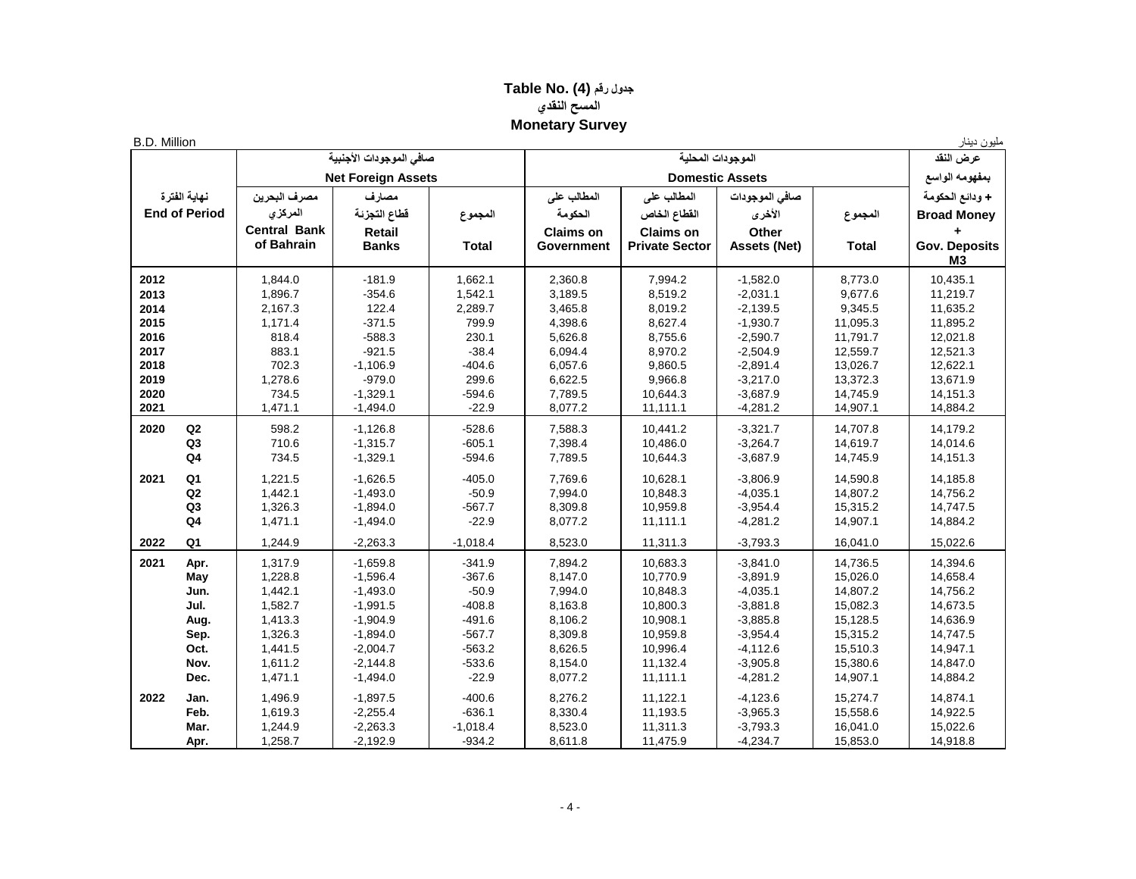## **جدول رقم (4) .No Table المسح النقدي Monetary Survey**

| <b>B.D. Million</b> |                      |                     |                           |              |                  |                        |                     |              | مليون دينار                            |
|---------------------|----------------------|---------------------|---------------------------|--------------|------------------|------------------------|---------------------|--------------|----------------------------------------|
|                     |                      |                     | صافى الموجودات الأجنبية   |              |                  | الموجودات المحلبة      |                     |              | عرض النقد                              |
|                     |                      |                     | <b>Net Foreign Assets</b> |              |                  | <b>Domestic Assets</b> |                     |              | بمفهومه الواسع                         |
|                     | نهاية الفترة         | مصرف البحرين        | مصارف                     |              | المطالب على      | المطالب على            | صافي الموجودات      |              | + ودائع الحكومة                        |
|                     | <b>End of Period</b> | المركزي             | فطاع التجزئة              | المجموع      | الحكومة          | القطاع الخاص           | الأخرى              | المجموع      | <b>Broad Money</b>                     |
|                     |                      | <b>Central Bank</b> | Retail                    |              | <b>Claims on</b> | <b>Claims on</b>       | Other               |              |                                        |
|                     |                      | of Bahrain          | <b>Banks</b>              | <b>Total</b> | Government       | <b>Private Sector</b>  | <b>Assets (Net)</b> | <b>Total</b> | <b>Gov. Deposits</b><br>M <sub>3</sub> |
| 2012                |                      | 1,844.0             | $-181.9$                  | 1,662.1      | 2,360.8          | 7,994.2                | $-1,582.0$          | 8,773.0      | 10,435.1                               |
| 2013                |                      | 1,896.7             | $-354.6$                  | 1,542.1      | 3,189.5          | 8,519.2                | $-2,031.1$          | 9,677.6      | 11,219.7                               |
| 2014                |                      | 2,167.3             | 122.4                     | 2,289.7      | 3,465.8          | 8,019.2                | $-2,139.5$          | 9,345.5      | 11,635.2                               |
| 2015                |                      | 1,171.4             | $-371.5$                  | 799.9        | 4,398.6          | 8,627.4                | $-1,930.7$          | 11,095.3     | 11,895.2                               |
| 2016                |                      | 818.4               | $-588.3$                  | 230.1        | 5,626.8          | 8,755.6                | $-2,590.7$          | 11,791.7     | 12,021.8                               |
| 2017                |                      | 883.1               | $-921.5$                  | $-38.4$      | 6,094.4          | 8,970.2                | $-2,504.9$          | 12,559.7     | 12,521.3                               |
| 2018                |                      | 702.3               | $-1,106.9$                | $-404.6$     | 6,057.6          | 9,860.5                | $-2,891.4$          | 13,026.7     | 12,622.1                               |
| 2019                |                      | 1,278.6             | $-979.0$                  | 299.6        | 6,622.5          | 9,966.8                | $-3,217.0$          | 13,372.3     | 13,671.9                               |
| 2020                |                      | 734.5               | $-1,329.1$                | $-594.6$     | 7,789.5          | 10,644.3               | $-3,687.9$          | 14,745.9     | 14,151.3                               |
| 2021                |                      | 1,471.1             | $-1,494.0$                | $-22.9$      | 8,077.2          | 11,111.1               | $-4,281.2$          | 14,907.1     | 14,884.2                               |
| 2020                | Q2                   | 598.2               | $-1,126.8$                | $-528.6$     | 7,588.3          | 10,441.2               | $-3,321.7$          | 14,707.8     | 14,179.2                               |
|                     | Q3                   | 710.6               | $-1,315.7$                | $-605.1$     | 7,398.4          | 10,486.0               | $-3,264.7$          | 14,619.7     | 14,014.6                               |
|                     | Q <sub>4</sub>       | 734.5               | $-1,329.1$                | $-594.6$     | 7,789.5          | 10,644.3               | $-3,687.9$          | 14,745.9     | 14,151.3                               |
| 2021                | Q <sub>1</sub>       | 1,221.5             | $-1,626.5$                | $-405.0$     | 7,769.6          | 10,628.1               | $-3,806.9$          | 14,590.8     | 14,185.8                               |
|                     | Q2                   | 1,442.1             | $-1,493.0$                | $-50.9$      | 7,994.0          | 10,848.3               | $-4,035.1$          | 14,807.2     | 14,756.2                               |
|                     | Q3                   | 1,326.3             | $-1,894.0$                | $-567.7$     | 8,309.8          | 10,959.8               | $-3,954.4$          | 15,315.2     | 14,747.5                               |
|                     | Q <sub>4</sub>       | 1,471.1             | $-1,494.0$                | $-22.9$      | 8,077.2          | 11,111.1               | $-4,281.2$          | 14,907.1     | 14,884.2                               |
| 2022                | Q1                   | 1,244.9             | $-2,263.3$                | $-1,018.4$   | 8,523.0          | 11,311.3               | $-3,793.3$          | 16,041.0     | 15,022.6                               |
| 2021                | Apr.                 | 1,317.9             | $-1,659.8$                | $-341.9$     | 7,894.2          | 10,683.3               | $-3,841.0$          | 14,736.5     | 14,394.6                               |
|                     | May                  | 1,228.8             | $-1,596.4$                | $-367.6$     | 8,147.0          | 10,770.9               | $-3,891.9$          | 15,026.0     | 14,658.4                               |
|                     | Jun.                 | 1,442.1             | $-1,493.0$                | $-50.9$      | 7,994.0          | 10,848.3               | $-4,035.1$          | 14,807.2     | 14,756.2                               |
|                     | Jul.                 | 1,582.7             | $-1,991.5$                | $-408.8$     | 8,163.8          | 10,800.3               | $-3,881.8$          | 15,082.3     | 14,673.5                               |
|                     | Aug.                 | 1,413.3             | $-1,904.9$                | $-491.6$     | 8,106.2          | 10,908.1               | $-3,885.8$          | 15,128.5     | 14,636.9                               |
|                     | Sep.                 | 1,326.3             | $-1,894.0$                | $-567.7$     | 8,309.8          | 10,959.8               | $-3,954.4$          | 15,315.2     | 14,747.5                               |
|                     | Oct.                 | 1,441.5             | $-2,004.7$                | $-563.2$     | 8,626.5          | 10,996.4               | $-4,112.6$          | 15,510.3     | 14,947.1                               |
|                     | Nov.                 | 1,611.2             | $-2,144.8$                | $-533.6$     | 8,154.0          | 11,132.4               | $-3,905.8$          | 15,380.6     | 14,847.0                               |
|                     | Dec.                 | 1,471.1             | $-1,494.0$                | $-22.9$      | 8,077.2          | 11,111.1               | $-4,281.2$          | 14,907.1     | 14,884.2                               |
| 2022                | Jan.                 | 1,496.9             | $-1,897.5$                | $-400.6$     | 8,276.2          | 11,122.1               | $-4,123.6$          | 15,274.7     | 14,874.1                               |
|                     | Feb.                 | 1,619.3             | $-2,255.4$                | $-636.1$     | 8,330.4          | 11,193.5               | $-3,965.3$          | 15,558.6     | 14,922.5                               |
|                     | Mar.                 | 1,244.9             | $-2,263.3$                | $-1,018.4$   | 8,523.0          | 11,311.3               | $-3,793.3$          | 16,041.0     | 15,022.6                               |
|                     | Apr.                 | 1,258.7             | $-2,192.9$                | $-934.2$     | 8,611.8          | 11,475.9               | $-4,234.7$          | 15,853.0     | 14,918.8                               |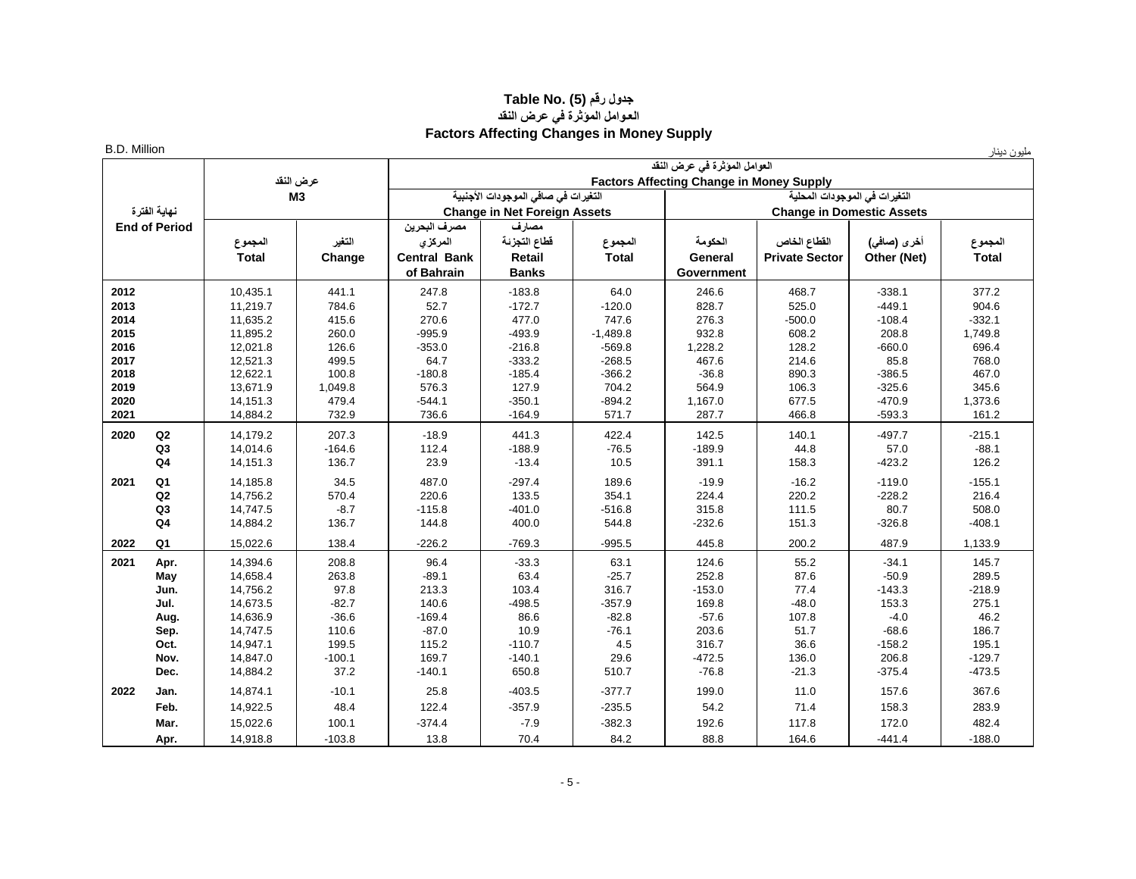#### **جدول رقم (5) .Table No العـوامل المؤثرة في عرض النقد Factors Affecting Changes in Money Supply**

| <b>B.D. Million</b> |                      |              |                |                     |                                     |              |                                                 |                                  |             | مليون دينار  |
|---------------------|----------------------|--------------|----------------|---------------------|-------------------------------------|--------------|-------------------------------------------------|----------------------------------|-------------|--------------|
|                     |                      |              |                |                     |                                     |              | العوامل المؤثرة في عرض النقد                    |                                  |             |              |
|                     |                      |              | عرض النقد      |                     |                                     |              | <b>Factors Affecting Change in Money Supply</b> |                                  |             |              |
|                     |                      |              | M <sub>3</sub> |                     | التغيرات في صافي الموجودات الأجنبية |              |                                                 | التغيرات في الموجودات المحلية    |             |              |
|                     | نهاية الفترة         |              |                |                     | <b>Change in Net Foreign Assets</b> |              |                                                 | <b>Change in Domestic Assets</b> |             |              |
|                     | <b>End of Period</b> |              |                | مصرف البحرين        | مصارف                               |              |                                                 |                                  |             |              |
|                     |                      | المجموع      | التغبر         | المركزى             | قطاع التجزئة                        | المجموع      | الحكومة                                         | القطاع الخاص                     | أخرى (صافى) | المجموع      |
|                     |                      | <b>Total</b> | Change         | <b>Central Bank</b> | <b>Retail</b>                       | <b>Total</b> | General                                         | <b>Private Sector</b>            | Other (Net) | <b>Total</b> |
|                     |                      |              |                | of Bahrain          | <b>Banks</b>                        |              | Government                                      |                                  |             |              |
| 2012                |                      | 10,435.1     | 441.1          | 247.8               | $-183.8$                            | 64.0         | 246.6                                           | 468.7                            | $-338.1$    | 377.2        |
| 2013                |                      | 11,219.7     | 784.6          | 52.7                | $-172.7$                            | $-120.0$     | 828.7                                           | 525.0                            | $-449.1$    | 904.6        |
| 2014                |                      | 11,635.2     | 415.6          | 270.6               | 477.0                               | 747.6        | 276.3                                           | $-500.0$                         | $-108.4$    | $-332.1$     |
| 2015                |                      | 11,895.2     | 260.0          | $-995.9$            | $-493.9$                            | $-1,489.8$   | 932.8                                           | 608.2                            | 208.8       | 1,749.8      |
| 2016                |                      | 12,021.8     | 126.6          | $-353.0$            | $-216.8$                            | $-569.8$     | 1,228.2                                         | 128.2                            | $-660.0$    | 696.4        |
| 2017                |                      | 12,521.3     | 499.5          | 64.7                | $-333.2$                            | $-268.5$     | 467.6                                           | 214.6                            | 85.8        | 768.0        |
| 2018                |                      | 12,622.1     | 100.8          | $-180.8$            | $-185.4$                            | $-366.2$     | $-36.8$                                         | 890.3                            | $-386.5$    | 467.0        |
| 2019                |                      | 13,671.9     | 1,049.8        | 576.3               | 127.9                               | 704.2        | 564.9                                           | 106.3                            | $-325.6$    | 345.6        |
| 2020                |                      | 14,151.3     | 479.4          | $-544.1$            | $-350.1$                            | $-894.2$     | 1,167.0                                         | 677.5                            | $-470.9$    | 1,373.6      |
| 2021                |                      | 14,884.2     | 732.9          | 736.6               | $-164.9$                            | 571.7        | 287.7                                           | 466.8                            | $-593.3$    | 161.2        |
| 2020                | Q2                   | 14,179.2     | 207.3          | $-18.9$             | 441.3                               | 422.4        | 142.5                                           | 140.1                            | $-497.7$    | $-215.1$     |
|                     | Q <sub>3</sub>       | 14,014.6     | $-164.6$       | 112.4               | $-188.9$                            | $-76.5$      | $-189.9$                                        | 44.8                             | 57.0        | $-88.1$      |
|                     | Q <sub>4</sub>       | 14,151.3     | 136.7          | 23.9                | $-13.4$                             | 10.5         | 391.1                                           | 158.3                            | $-423.2$    | 126.2        |
| 2021                | Q <sub>1</sub>       | 14,185.8     | 34.5           | 487.0               | $-297.4$                            | 189.6        | $-19.9$                                         | $-16.2$                          | $-119.0$    | $-155.1$     |
|                     | Q <sub>2</sub>       | 14,756.2     | 570.4          | 220.6               | 133.5                               | 354.1        | 224.4                                           | 220.2                            | $-228.2$    | 216.4        |
|                     | Q <sub>3</sub>       | 14,747.5     | $-8.7$         | $-115.8$            | $-401.0$                            | $-516.8$     | 315.8                                           | 111.5                            | 80.7        | 508.0        |
|                     | Q <sub>4</sub>       | 14,884.2     | 136.7          | 144.8               | 400.0                               | 544.8        | $-232.6$                                        | 151.3                            | $-326.8$    | $-408.1$     |
| 2022                | Q <sub>1</sub>       | 15,022.6     | 138.4          | $-226.2$            | $-769.3$                            | $-995.5$     | 445.8                                           | 200.2                            | 487.9       | 1,133.9      |
| 2021                | Apr.                 | 14,394.6     | 208.8          | 96.4                | $-33.3$                             | 63.1         | 124.6                                           | 55.2                             | $-34.1$     | 145.7        |
|                     | May                  | 14,658.4     | 263.8          | $-89.1$             | 63.4                                | $-25.7$      | 252.8                                           | 87.6                             | $-50.9$     | 289.5        |
|                     | Jun.                 | 14,756.2     | 97.8           | 213.3               | 103.4                               | 316.7        | $-153.0$                                        | 77.4                             | $-143.3$    | $-218.9$     |
|                     | Jul.                 | 14,673.5     | $-82.7$        | 140.6               | $-498.5$                            | $-357.9$     | 169.8                                           | $-48.0$                          | 153.3       | 275.1        |
|                     | Aug.                 | 14,636.9     | $-36.6$        | $-169.4$            | 86.6                                | $-82.8$      | $-57.6$                                         | 107.8                            | $-4.0$      | 46.2         |
|                     | Sep.                 | 14,747.5     | 110.6          | $-87.0$             | 10.9                                | $-76.1$      | 203.6                                           | 51.7                             | $-68.6$     | 186.7        |
|                     | Oct.                 | 14,947.1     | 199.5          | 115.2               | $-110.7$                            | 4.5          | 316.7                                           | 36.6                             | $-158.2$    | 195.1        |
|                     | Nov.                 | 14,847.0     | $-100.1$       | 169.7               | $-140.1$                            | 29.6         | $-472.5$                                        | 136.0                            | 206.8       | $-129.7$     |
|                     | Dec.                 | 14,884.2     | 37.2           | $-140.1$            | 650.8                               | 510.7        | $-76.8$                                         | $-21.3$                          | $-375.4$    | $-473.5$     |
| 2022                | Jan.                 | 14,874.1     | $-10.1$        | 25.8                | $-403.5$                            | $-377.7$     | 199.0                                           | 11.0                             | 157.6       | 367.6        |
|                     | Feb.                 | 14,922.5     | 48.4           | 122.4               | $-357.9$                            | $-235.5$     | 54.2                                            | 71.4                             | 158.3       | 283.9        |
|                     | Mar.                 | 15,022.6     | 100.1          | $-374.4$            | $-7.9$                              | $-382.3$     | 192.6                                           | 117.8                            | 172.0       | 482.4        |
|                     | Apr.                 | 14,918.8     | $-103.8$       | 13.8                | 70.4                                | 84.2         | 88.8                                            | 164.6                            | $-441.4$    | $-188.0$     |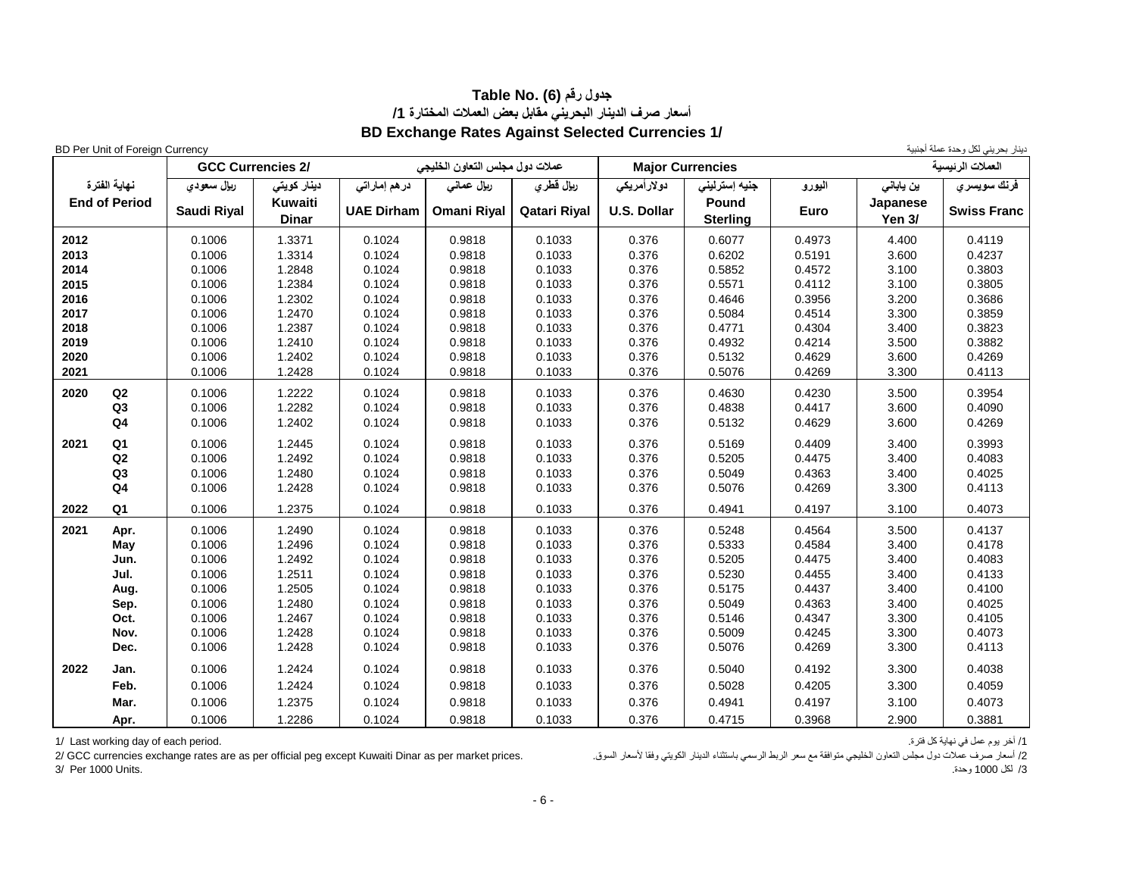## **جدول رقم (6) .No Table أسعار صرف الدينار البحريني مقابل بعض العمالت المختارة /1 BD Exchange Rates Against Selected Currencies 1/**

دينار بحريني لكل وحدة عملة أجنبية لتنار بحريني لكل وحدة عملة أجنبية التعليم العامل التعليم العامل العامل العامل العامل العامل العامل العامل العامل العامل العامل العامل العامل العامل العامل العامل العامل العامل العامل العا

|      |                      |                  | <b>GCC Currencies 2/</b> |                   | عملات دول مجلس التعاون الخليجي |                  |                    | <b>Major Currencies</b>  |                  |                           | العملات الرئيسية   |
|------|----------------------|------------------|--------------------------|-------------------|--------------------------------|------------------|--------------------|--------------------------|------------------|---------------------------|--------------------|
|      | نهاية الفترة         | ريال سعودي       | دینار کویتی              | در هم إماراتي     | ريإل عماني                     | ريإل فطري        | <b>دولارأمريكى</b> | جنيه إسترليني            | اليورو           | ين ياباني                 | فرنك سويسري        |
|      | <b>End of Period</b> | Saudi Riyal      | Kuwaiti<br><b>Dinar</b>  | <b>UAE Dirham</b> | <b>Omani Riyal</b>             | Qatari Riyal     | <b>U.S. Dollar</b> | Pound<br><b>Sterling</b> | Euro             | Japanese<br><b>Yen 3/</b> | <b>Swiss Franc</b> |
| 2012 |                      | 0.1006           | 1.3371                   | 0.1024            | 0.9818                         | 0.1033           | 0.376              | 0.6077                   | 0.4973           | 4.400                     | 0.4119             |
| 2013 |                      | 0.1006           | 1.3314                   | 0.1024            | 0.9818                         | 0.1033           | 0.376              | 0.6202                   | 0.5191           | 3.600                     | 0.4237             |
| 2014 |                      | 0.1006           | 1.2848                   | 0.1024            | 0.9818                         | 0.1033           | 0.376              | 0.5852                   | 0.4572           | 3.100                     | 0.3803             |
| 2015 |                      | 0.1006           | 1.2384                   | 0.1024            | 0.9818                         | 0.1033           | 0.376              | 0.5571                   | 0.4112           | 3.100                     | 0.3805             |
| 2016 |                      | 0.1006           | 1.2302                   | 0.1024            | 0.9818                         | 0.1033           | 0.376              | 0.4646                   | 0.3956           | 3.200                     | 0.3686             |
| 2017 |                      | 0.1006           | 1.2470                   | 0.1024            | 0.9818                         | 0.1033           | 0.376              | 0.5084                   | 0.4514           | 3.300                     | 0.3859             |
| 2018 |                      | 0.1006           | 1.2387                   | 0.1024            | 0.9818                         | 0.1033           | 0.376              | 0.4771                   | 0.4304           | 3.400                     | 0.3823             |
| 2019 |                      | 0.1006           | 1.2410                   | 0.1024            | 0.9818                         | 0.1033           | 0.376              | 0.4932                   | 0.4214           | 3.500                     | 0.3882             |
| 2020 |                      | 0.1006           | 1.2402                   | 0.1024            | 0.9818                         | 0.1033           | 0.376              | 0.5132                   | 0.4629           | 3.600                     | 0.4269             |
| 2021 |                      | 0.1006           | 1.2428                   | 0.1024            | 0.9818                         | 0.1033           | 0.376              | 0.5076                   | 0.4269           | 3.300                     | 0.4113             |
| 2020 | Q2                   | 0.1006           | 1.2222                   | 0.1024            | 0.9818                         | 0.1033           | 0.376              | 0.4630                   | 0.4230           | 3.500                     | 0.3954             |
|      | Q <sub>3</sub>       | 0.1006           | 1.2282                   | 0.1024            | 0.9818                         | 0.1033           | 0.376              | 0.4838                   | 0.4417           | 3.600                     | 0.4090             |
|      | Q <sub>4</sub>       | 0.1006           | 1.2402                   | 0.1024            | 0.9818                         | 0.1033           | 0.376              | 0.5132                   | 0.4629           | 3.600                     | 0.4269             |
|      |                      |                  | 1.2445                   |                   |                                |                  |                    |                          |                  |                           |                    |
| 2021 | Q <sub>1</sub>       | 0.1006           |                          | 0.1024<br>0.1024  | 0.9818                         | 0.1033           | 0.376              | 0.5169                   | 0.4409           | 3.400                     | 0.3993<br>0.4083   |
|      | Q2<br>Q3             | 0.1006<br>0.1006 | 1.2492<br>1.2480         | 0.1024            | 0.9818<br>0.9818               | 0.1033<br>0.1033 | 0.376<br>0.376     | 0.5205<br>0.5049         | 0.4475<br>0.4363 | 3.400<br>3.400            | 0.4025             |
|      | Q <sub>4</sub>       | 0.1006           | 1.2428                   | 0.1024            | 0.9818                         | 0.1033           | 0.376              | 0.5076                   | 0.4269           | 3.300                     | 0.4113             |
|      |                      |                  |                          |                   |                                |                  |                    |                          |                  |                           |                    |
| 2022 | Q <sub>1</sub>       | 0.1006           | 1.2375                   | 0.1024            | 0.9818                         | 0.1033           | 0.376              | 0.4941                   | 0.4197           | 3.100                     | 0.4073             |
| 2021 | Apr.                 | 0.1006           | 1.2490                   | 0.1024            | 0.9818                         | 0.1033           | 0.376              | 0.5248                   | 0.4564           | 3.500                     | 0.4137             |
|      | May                  | 0.1006           | 1.2496                   | 0.1024            | 0.9818                         | 0.1033           | 0.376              | 0.5333                   | 0.4584           | 3.400                     | 0.4178             |
|      | Jun.                 | 0.1006           | 1.2492                   | 0.1024            | 0.9818                         | 0.1033           | 0.376              | 0.5205                   | 0.4475           | 3.400                     | 0.4083             |
|      | Jul.                 | 0.1006           | 1.2511                   | 0.1024            | 0.9818                         | 0.1033           | 0.376              | 0.5230                   | 0.4455           | 3.400                     | 0.4133             |
|      | Aug.                 | 0.1006           | 1.2505                   | 0.1024            | 0.9818                         | 0.1033           | 0.376              | 0.5175                   | 0.4437           | 3.400                     | 0.4100             |
|      | Sep.                 | 0.1006           | 1.2480                   | 0.1024            | 0.9818                         | 0.1033           | 0.376              | 0.5049                   | 0.4363           | 3.400                     | 0.4025             |
|      | Oct.                 | 0.1006           | 1.2467                   | 0.1024            | 0.9818                         | 0.1033           | 0.376              | 0.5146                   | 0.4347           | 3.300                     | 0.4105             |
|      | Nov.                 | 0.1006           | 1.2428                   | 0.1024            | 0.9818                         | 0.1033           | 0.376              | 0.5009                   | 0.4245           | 3.300                     | 0.4073             |
|      | Dec.                 | 0.1006           | 1.2428                   | 0.1024            | 0.9818                         | 0.1033           | 0.376              | 0.5076                   | 0.4269           | 3.300                     | 0.4113             |
| 2022 | Jan.                 | 0.1006           | 1.2424                   | 0.1024            | 0.9818                         | 0.1033           | 0.376              | 0.5040                   | 0.4192           | 3.300                     | 0.4038             |
|      | Feb.                 | 0.1006           | 1.2424                   | 0.1024            | 0.9818                         | 0.1033           | 0.376              | 0.5028                   | 0.4205           | 3.300                     | 0.4059             |
|      | Mar.                 | 0.1006           | 1.2375                   | 0.1024            | 0.9818                         | 0.1033           | 0.376              | 0.4941                   | 0.4197           | 3.100                     | 0.4073             |
|      | Apr.                 | 0.1006           | 1.2286                   | 0.1024            | 0.9818                         | 0.1033           | 0.376              | 0.4715                   | 0.3968           | 2.900                     | 0.3881             |

1/ أخر يوم عمل في نهاية كل فترة.<br>2/ أسعار صرف عملات دول مجلس النعاون الخليجي متوافقة مع سعر الربط الرسمي باستثناء النينار الكويتي وفقا لأسعار السوق.<br>2/ أسعار صرف عملات دول مجلس النعاون الخليجي متوافقة مع سعر الربط الرسمي 2/ أسعار صرف عملات دول مجلس التعاون الخليجي متوافقة مع سعر الربط الرسمي باستثناء الدينار الكويتي وفقا لأسعار السوق.<br>3/ التار 2/ 1000 وحدة. /3 لكل 1000 وحدة. .Units 1000 Per 3/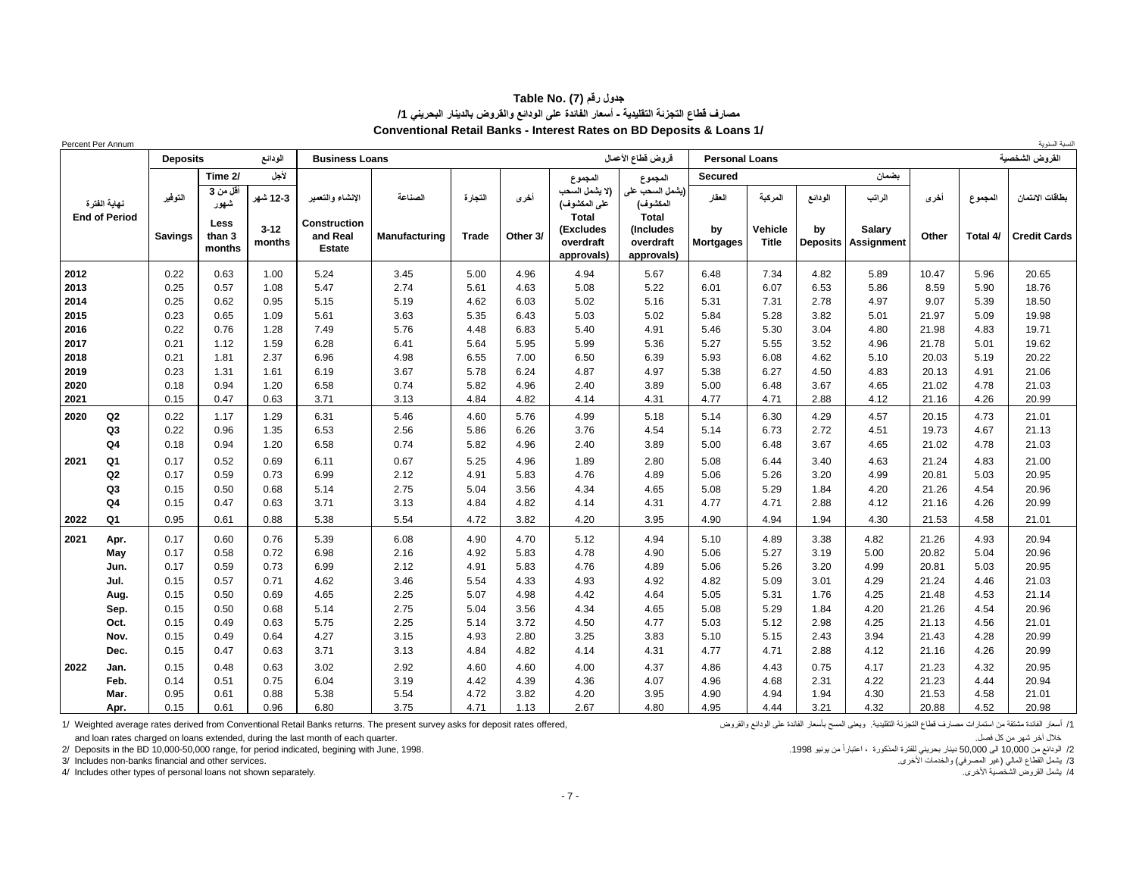#### **جدول رقم (7) .No Table مصارف قطاع التجزئة التقليدية - أسعار الفائدة على الودائع والقروض بالدينار البحريني /1 Conventional Retail Banks - Interest Rates on BD Deposits & Loans 1/**

| Percent Per Annum |                      |                 |                          |                    |                                                  |               |              |          |                                                      |                                                      |                        |                         |                       |                             |       |          | لنسبة السنوية       |
|-------------------|----------------------|-----------------|--------------------------|--------------------|--------------------------------------------------|---------------|--------------|----------|------------------------------------------------------|------------------------------------------------------|------------------------|-------------------------|-----------------------|-----------------------------|-------|----------|---------------------|
|                   |                      | <b>Deposits</b> |                          | الودانع            | <b>Business Loans</b>                            |               |              |          |                                                      | قروض قطاع الأعمال                                    | <b>Personal Loans</b>  |                         |                       |                             |       |          | القروض الشخصية      |
|                   |                      |                 | Time 2/                  | لأجل               |                                                  |               |              |          | المجموع                                              | المجموع                                              | <b>Secured</b>         |                         |                       | بضمان                       |       |          |                     |
|                   | نهاية الفترة         | النوفير         | أقل من 3<br>شھور         | 12-3 شهر           | الانشاء والتعمير                                 | الصناعة       | النجارة      | أخرى     | (لا يشمل السحب<br>على المكشوف)                       | (يشمل السحب على<br>المكشوف)                          | العقار                 | المركبة                 | الودانع               | الراتب                      | أخرى  | المجموع  | بطاقات الانتمان     |
|                   | <b>End of Period</b> | <b>Savings</b>  | Less<br>than 3<br>months | $3 - 12$<br>months | <b>Construction</b><br>and Real<br><b>Estate</b> | Manufacturing | <b>Trade</b> | Other 3/ | <b>Total</b><br>(Excludes<br>overdraft<br>approvals) | <b>Total</b><br>(Includes<br>overdraft<br>approvals) | by<br><b>Mortgages</b> | Vehicle<br><b>Title</b> | bv<br><b>Deposits</b> | Salary<br><b>Assignment</b> | Other | Total 4/ | <b>Credit Cards</b> |
| 2012              |                      | 0.22            | 0.63                     | 1.00               | 5.24                                             | 3.45          | 5.00         | 4.96     | 4.94                                                 | 5.67                                                 | 6.48                   | 7.34                    | 4.82                  | 5.89                        | 10.47 | 5.96     | 20.65               |
| 2013              |                      | 0.25            | 0.57                     | 1.08               | 5.47                                             | 2.74          | 5.61         | 4.63     | 5.08                                                 | 5.22                                                 | 6.01                   | 6.07                    | 6.53                  | 5.86                        | 8.59  | 5.90     | 18.76               |
| 2014              |                      | 0.25            | 0.62                     | 0.95               | 5.15                                             | 5.19          | 4.62         | 6.03     | 5.02                                                 | 5.16                                                 | 5.31                   | 7.31                    | 2.78                  | 4.97                        | 9.07  | 5.39     | 18.50               |
| 2015              |                      | 0.23            | 0.65                     | 1.09               | 5.61                                             | 3.63          | 5.35         | 6.43     | 5.03                                                 | 5.02                                                 | 5.84                   | 5.28                    | 3.82                  | 5.01                        | 21.97 | 5.09     | 19.98               |
| 2016              |                      | 0.22            | 0.76                     | 1.28               | 7.49                                             | 5.76          | 4.48         | 6.83     | 5.40                                                 | 4.91                                                 | 5.46                   | 5.30                    | 3.04                  | 4.80                        | 21.98 | 4.83     | 19.71               |
| 2017              |                      | 0.21            | 1.12                     | 1.59               | 6.28                                             | 6.41          | 5.64         | 5.95     | 5.99                                                 | 5.36                                                 | 5.27                   | 5.55                    | 3.52                  | 4.96                        | 21.78 | 5.01     | 19.62               |
| 2018              |                      | 0.21            | 1.81                     | 2.37               | 6.96                                             | 4.98          | 6.55         | 7.00     | 6.50                                                 | 6.39                                                 | 5.93                   | 6.08                    | 4.62                  | 5.10                        | 20.03 | 5.19     | 20.22               |
| 2019              |                      | 0.23            | 1.31                     | 1.61               | 6.19                                             | 3.67          | 5.78         | 6.24     | 4.87                                                 | 4.97                                                 | 5.38                   | 6.27                    | 4.50                  | 4.83                        | 20.13 | 4.91     | 21.06               |
| 2020              |                      | 0.18            | 0.94                     | 1.20               | 6.58                                             | 0.74          | 5.82         | 4.96     | 2.40                                                 | 3.89                                                 | 5.00                   | 6.48                    | 3.67                  | 4.65                        | 21.02 | 4.78     | 21.03               |
| 2021              |                      | 0.15            | 0.47                     | 0.63               | 3.71                                             | 3.13          | 4.84         | 4.82     | 4.14                                                 | 4.31                                                 | 4.77                   | 4.71                    | 2.88                  | 4.12                        | 21.16 | 4.26     | 20.99               |
| 2020              | Q2                   | 0.22            | 1.17                     | 1.29               | 6.31                                             | 5.46          | 4.60         | 5.76     | 4.99                                                 | 5.18                                                 | 5.14                   | 6.30                    | 4.29                  | 4.57                        | 20.15 | 4.73     | 21.01               |
|                   | Q3                   | 0.22            | 0.96                     | 1.35               | 6.53                                             | 2.56          | 5.86         | 6.26     | 3.76                                                 | 4.54                                                 | 5.14                   | 6.73                    | 2.72                  | 4.51                        | 19.73 | 4.67     | 21.13               |
|                   | Q <sub>4</sub>       | 0.18            | 0.94                     | 1.20               | 6.58                                             | 0.74          | 5.82         | 4.96     | 2.40                                                 | 3.89                                                 | 5.00                   | 6.48                    | 3.67                  | 4.65                        | 21.02 | 4.78     | 21.03               |
| 2021              | Q1                   | 0.17            | 0.52                     | 0.69               | 6.11                                             | 0.67          | 5.25         | 4.96     | 1.89                                                 | 2.80                                                 | 5.08                   | 6.44                    | 3.40                  | 4.63                        | 21.24 | 4.83     | 21.00               |
|                   | Q2                   | 0.17            | 0.59                     | 0.73               | 6.99                                             | 2.12          | 4.91         | 5.83     | 4.76                                                 | 4.89                                                 | 5.06                   | 5.26                    | 3.20                  | 4.99                        | 20.81 | 5.03     | 20.95               |
|                   | Q <sub>3</sub>       | 0.15            | 0.50                     | 0.68               | 5.14                                             | 2.75          | 5.04         | 3.56     | 4.34                                                 | 4.65                                                 | 5.08                   | 5.29                    | 1.84                  | 4.20                        | 21.26 | 4.54     | 20.96               |
|                   | Q <sub>4</sub>       | 0.15            | 0.47                     | 0.63               | 3.71                                             | 3.13          | 4.84         | 4.82     | 4.14                                                 | 4.31                                                 | 4.77                   | 4.71                    | 2.88                  | 4.12                        | 21.16 | 4.26     | 20.99               |
| 2022              | Q1                   | 0.95            | 0.61                     | 0.88               | 5.38                                             | 5.54          | 4.72         | 3.82     | 4.20                                                 | 3.95                                                 | 4.90                   | 4.94                    | 1.94                  | 4.30                        | 21.53 | 4.58     | 21.01               |
| 2021              | Apr.                 | 0.17            | 0.60                     | 0.76               | 5.39                                             | 6.08          | 4.90         | 4.70     | 5.12                                                 | 4.94                                                 | 5.10                   | 4.89                    | 3.38                  | 4.82                        | 21.26 | 4.93     | 20.94               |
|                   | May                  | 0.17            | 0.58                     | 0.72               | 6.98                                             | 2.16          | 4.92         | 5.83     | 4.78                                                 | 4.90                                                 | 5.06                   | 5.27                    | 3.19                  | 5.00                        | 20.82 | 5.04     | 20.96               |
|                   | Jun.                 | 0.17            | 0.59                     | 0.73               | 6.99                                             | 2.12          | 4.91         | 5.83     | 4.76                                                 | 4.89                                                 | 5.06                   | 5.26                    | 3.20                  | 4.99                        | 20.81 | 5.03     | 20.95               |
|                   | Jul.                 | 0.15            | 0.57                     | 0.71               | 4.62                                             | 3.46          | 5.54         | 4.33     | 4.93                                                 | 4.92                                                 | 4.82                   | 5.09                    | 3.01                  | 4.29                        | 21.24 | 4.46     | 21.03               |
|                   | Aug.                 | 0.15            | 0.50                     | 0.69               | 4.65                                             | 2.25          | 5.07         | 4.98     | 4.42                                                 | 4.64                                                 | 5.05                   | 5.31                    | 1.76                  | 4.25                        | 21.48 | 4.53     | 21.14               |
|                   | Sep.                 | 0.15            | 0.50                     | 0.68               | 5.14                                             | 2.75          | 5.04         | 3.56     | 4.34                                                 | 4.65                                                 | 5.08                   | 5.29                    | 1.84                  | 4.20                        | 21.26 | 4.54     | 20.96               |
|                   | Oct.                 | 0.15            | 0.49                     | 0.63               | 5.75                                             | 2.25          | 5.14         | 3.72     | 4.50                                                 | 4.77                                                 | 5.03                   | 5.12                    | 2.98                  | 4.25                        | 21.13 | 4.56     | 21.01               |
|                   | Nov.                 | 0.15            | 0.49                     | 0.64               | 4.27                                             | 3.15          | 4.93         | 2.80     | 3.25                                                 | 3.83                                                 | 5.10                   | 5.15                    | 2.43                  | 3.94                        | 21.43 | 4.28     | 20.99               |
|                   | Dec.                 | 0.15            | 0.47                     | 0.63               | 3.71                                             | 3.13          | 4.84         | 4.82     | 4.14                                                 | 4.31                                                 | 4.77                   | 4.71                    | 2.88                  | 4.12                        | 21.16 | 4.26     | 20.99               |
| 2022              | Jan.                 | 0.15            | 0.48                     | 0.63               | 3.02                                             | 2.92          | 4.60         | 4.60     | 4.00                                                 | 4.37                                                 | 4.86                   | 4.43                    | 0.75                  | 4.17                        | 21.23 | 4.32     | 20.95               |
|                   | Feb.                 | 0.14            | 0.51                     | 0.75               | 6.04                                             | 3.19          | 4.42         | 4.39     | 4.36                                                 | 4.07                                                 | 4.96                   | 4.68                    | 2.31                  | 4.22                        | 21.23 | 4.44     | 20.94               |
|                   | Mar.                 | 0.95            | 0.61                     | 0.88               | 5.38                                             | 5.54          | 4.72         | 3.82     | 4.20                                                 | 3.95                                                 | 4.90                   | 4.94                    | 1.94                  | 4.30                        | 21.53 | 4.58     | 21.01               |
|                   | Apr.                 | 0.15            | 0.61                     | 0.96               | 6.80                                             | 3.75          | 4.71         | 1.13     | 2.67                                                 | 4.80                                                 | 4.95                   | 4.44                    | 3.21                  | 4.32                        | 20.88 | 4.52     | 20.98               |

1/ أسعلن هاشته المستطرات مصدارف قطاع الثجزئة التقليدية. ويعني المسح بأسعار الفلادة على الودائع والقروض صحارف قطاع التجزئة التقليدية. ويعني المسح بأسعار الفلادة على الودائع والقروض صحارف قطاع التجزئة التقليدية. ويعني المسح

خلال آخر شهر من كل فصل.<br>2/ الودائع من 10,000-50,000 التي قال 1990، دينار بحريني للفترة المذكورة ، اعتباراً من يونيو 1998.<br>2/ الودائع من 10,000-50,000 الله 1,000-50,000 الله من 1,000 الى 1,000-60,000 المن 1,000 الى 1,000-

3/ Includes non-banks financial and other services.

4/ Includes other types of personal loans not shown separately.

2/ الودائع من 10,000-50,000 range, for period indicated, begining with June, 1998. .1998 يونيو 1998. .1998 يونيو 1998. .1998 .1998 .1998 .<br>3/ يشمل القطاع العالي (غير المصرفي) والخنمات الأخرى.<br>4/ يشمل القروض الشخصية الأخرى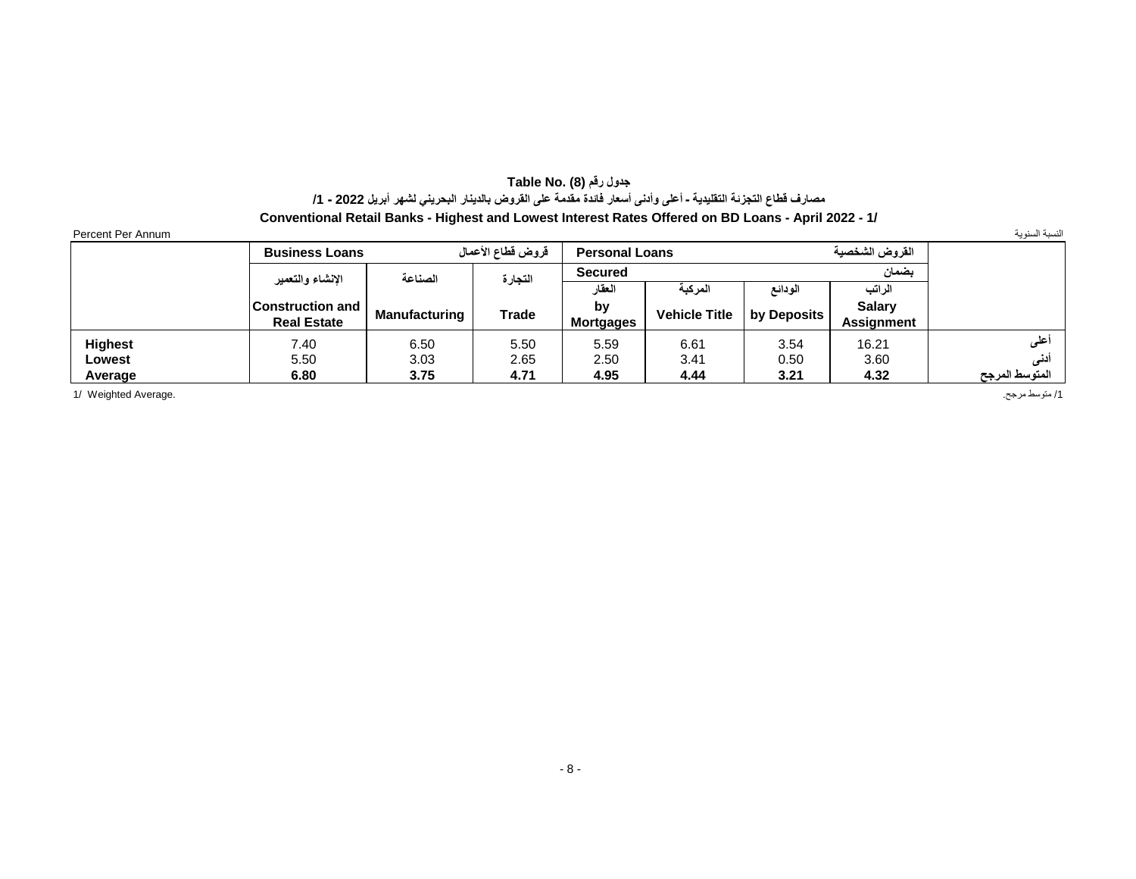## **جدول رقم (8) Table No.** مصارف فَطاع النَجزئة النَقليدية ـ أعلى وأدنى أسعار فاندة مقدمة على القروض بالدينار البحريني لشهر أبريل 2022 - 1/

**Conventional Retail Banks - Highest and Lowest Interest Rates Offered on BD Loans - April 2022 - 1/**

| Percent Per<br>Annum |  |  |
|----------------------|--|--|
|                      |  |  |

|                | <b>Business Loans</b> |               | قروض قطاع الأعمال | <b>Personal Loans</b> |                      |             | القروض الشخصية    |                |
|----------------|-----------------------|---------------|-------------------|-----------------------|----------------------|-------------|-------------------|----------------|
|                | الإنشاء والتعمير      | الصناعة       | النجارة           | <b>Secured</b>        |                      |             | بضمان             |                |
|                |                       |               |                   | العقار                | المركبة              | الودائع     |                   |                |
|                | ∣Construction and ∣   | Manufacturing | <b>Trade</b>      | by                    | <b>Vehicle Title</b> | by Deposits | <b>Salarv</b>     |                |
|                | <b>Real Estate</b>    |               |                   | <b>Mortgages</b>      |                      |             | <b>Assignment</b> |                |
| <b>Highest</b> | 7.40                  | 6.50          | 5.50              | 5.59                  | 6.61                 | 3.54        | 16.21             | 'على           |
| Lowest         | 5.50                  | 3.03          | 2.65              | 2.50                  | 3.41                 | 0.50        | 3.60              | دنی            |
| Average        | 6.80                  | 3.75          | 4.71              | 4.95                  | 4.44                 | 3.21        | 4.32              | المتوسط المرجح |

/1 متوسط مرجح. .Average Weighted 1/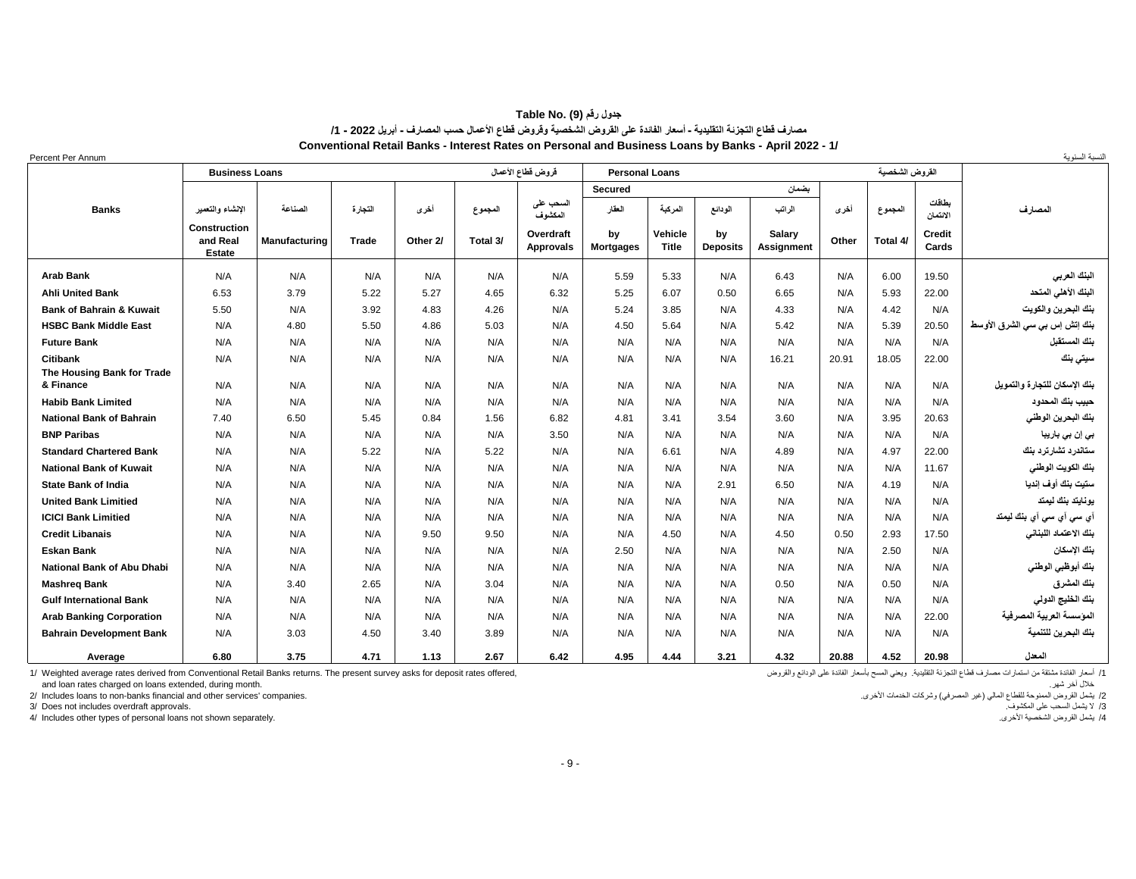| ـ جدول رقم (9) Table No.                                                                                               |
|------------------------------------------------------------------------------------------------------------------------|
| مصارف فَطاع النَجِزنة التقليدية ـ أسعار الفائدة على الفَروض الشخصية وفَروض فَطاع الأعمال حسب المصارف ـ أبريل 2022 ـ 1/ |
| Conventional Retail Banks - Interest Rates on Personal and Business Loans by Banks - April 2022 - 1/                   |

| Percent Per Annum                       |                                                  |                      |         |          |          |                               |                        |                  |                       |                             |       |                |                        | لنسبة السنوية                 |
|-----------------------------------------|--------------------------------------------------|----------------------|---------|----------|----------|-------------------------------|------------------------|------------------|-----------------------|-----------------------------|-------|----------------|------------------------|-------------------------------|
|                                         | <b>Business Loans</b>                            |                      |         |          |          | قروض قطاع الأعمال             | <b>Personal Loans</b>  |                  |                       |                             |       | القروض الشخصية |                        |                               |
|                                         |                                                  |                      |         |          |          |                               | <b>Secured</b>         |                  |                       | بضمان                       |       |                |                        |                               |
| <b>Banks</b>                            | الانشاء والتعمير                                 | الصناعة              | التجارة | أخرى     | المجموع  | السحب على<br>المكشوف          | العقار                 | المركبة          | الودائع               | الراتب                      | أخرى  | المجموع        | بطاقات<br>الانتمان     | المصارف                       |
|                                         | <b>Construction</b><br>and Real<br><b>Estate</b> | <b>Manufacturing</b> | Trade   | Other 2/ | Total 3/ | Overdraft<br><b>Approvals</b> | by<br><b>Mortgages</b> | Vehicle<br>Title | by<br><b>Deposits</b> | Salary<br><b>Assignment</b> | Other | Total 4/       | <b>Credit</b><br>Cards |                               |
| <b>Arab Bank</b>                        | N/A                                              | N/A                  | N/A     | N/A      | N/A      | N/A                           | 5.59                   | 5.33             | N/A                   | 6.43                        | N/A   | 6.00           | 19.50                  | البنك العربى                  |
| <b>Ahli United Bank</b>                 | 6.53                                             | 3.79                 | 5.22    | 5.27     | 4.65     | 6.32                          | 5.25                   | 6.07             | 0.50                  | 6.65                        | N/A   | 5.93           | 22.00                  | البنك الأهلى المنحد           |
| <b>Bank of Bahrain &amp; Kuwait</b>     | 5.50                                             | N/A                  | 3.92    | 4.83     | 4.26     | N/A                           | 5.24                   | 3.85             | N/A                   | 4.33                        | N/A   | 4.42           | N/A                    | بنك البحرين والكويت           |
| <b>HSBC Bank Middle East</b>            | N/A                                              | 4.80                 | 5.50    | 4.86     | 5.03     | N/A                           | 4.50                   | 5.64             | N/A                   | 5.42                        | N/A   | 5.39           | 20.50                  | بنك إتش إس بي سي الشرق الأوسط |
| <b>Future Bank</b>                      | N/A                                              | N/A                  | N/A     | N/A      | N/A      | N/A                           | N/A                    | N/A              | N/A                   | N/A                         | N/A   | N/A            | N/A                    | بنك المستقبل                  |
| <b>Citibank</b>                         | N/A                                              | N/A                  | N/A     | N/A      | N/A      | N/A                           | N/A                    | N/A              | N/A                   | 16.21                       | 20.91 | 18.05          | 22.00                  | سیتی بنك                      |
| The Housing Bank for Trade<br>& Finance | N/A                                              | N/A                  | N/A     | N/A      | N/A      | N/A                           | N/A                    | N/A              | N/A                   | N/A                         | N/A   | N/A            | N/A                    | بنك الإسكان للتجارة والتمويل  |
| <b>Habib Bank Limited</b>               | N/A                                              | N/A                  | N/A     | N/A      | N/A      | N/A                           | N/A                    | N/A              | N/A                   | N/A                         | N/A   | N/A            | N/A                    | حبيب بنك المحدود              |
| <b>National Bank of Bahrain</b>         | 7.40                                             | 6.50                 | 5.45    | 0.84     | 1.56     | 6.82                          | 4.81                   | 3.41             | 3.54                  | 3.60                        | N/A   | 3.95           | 20.63                  | بنك البحرين الوطني            |
| <b>BNP Paribas</b>                      | N/A                                              | N/A                  | N/A     | N/A      | N/A      | 3.50                          | N/A                    | N/A              | N/A                   | N/A                         | N/A   | N/A            | N/A                    | بی إن بی باريبا               |
| <b>Standard Chartered Bank</b>          | N/A                                              | N/A                  | 5.22    | N/A      | 5.22     | N/A                           | N/A                    | 6.61             | N/A                   | 4.89                        | N/A   | 4.97           | 22.00                  | ستاندرد تشارترد بنك           |
| <b>National Bank of Kuwait</b>          | N/A                                              | N/A                  | N/A     | N/A      | N/A      | N/A                           | N/A                    | N/A              | N/A                   | N/A                         | N/A   | N/A            | 11.67                  | بنك الكويت الوطني             |
| <b>State Bank of India</b>              | N/A                                              | N/A                  | N/A     | N/A      | N/A      | N/A                           | N/A                    | N/A              | 2.91                  | 6.50                        | N/A   | 4.19           | N/A                    | ستبت بنك أوف اندبا            |
| <b>United Bank Limitied</b>             | N/A                                              | N/A                  | N/A     | N/A      | N/A      | N/A                           | N/A                    | N/A              | N/A                   | N/A                         | N/A   | N/A            | N/A                    | بونايتد بنك ليمتد             |
| <b>ICICI Bank Limitied</b>              | N/A                                              | N/A                  | N/A     | N/A      | N/A      | N/A                           | N/A                    | N/A              | N/A                   | N/A                         | N/A   | N/A            | N/A                    | آی سی آی سی آی بنك ليمتد      |
| <b>Credit Libanais</b>                  | N/A                                              | N/A                  | N/A     | 9.50     | 9.50     | N/A                           | N/A                    | 4.50             | N/A                   | 4.50                        | 0.50  | 2.93           | 17.50                  | بنك الاعتماد اللبناني         |
| <b>Eskan Bank</b>                       | N/A                                              | N/A                  | N/A     | N/A      | N/A      | N/A                           | 2.50                   | N/A              | N/A                   | N/A                         | N/A   | 2.50           | N/A                    | بنك الإسكان                   |
| National Bank of Abu Dhabi              | N/A                                              | N/A                  | N/A     | N/A      | N/A      | N/A                           | N/A                    | N/A              | N/A                   | N/A                         | N/A   | N/A            | N/A                    | بنك أبوظبي الوطني             |
| <b>Mashreg Bank</b>                     | N/A                                              | 3.40                 | 2.65    | N/A      | 3.04     | N/A                           | N/A                    | N/A              | N/A                   | 0.50                        | N/A   | 0.50           | N/A                    | بنك المشرق                    |
| <b>Gulf International Bank</b>          | N/A                                              | N/A                  | N/A     | N/A      | N/A      | N/A                           | N/A                    | N/A              | N/A                   | N/A                         | N/A   | N/A            | N/A                    | بنك الخليج الدولى             |
| <b>Arab Banking Corporation</b>         | N/A                                              | N/A                  | N/A     | N/A      | N/A      | N/A                           | N/A                    | N/A              | N/A                   | N/A                         | N/A   | N/A            | 22.00                  | الموسسة العرببة المصر فبة     |
| <b>Bahrain Development Bank</b>         | N/A                                              | 3.03                 | 4.50    | 3.40     | 3.89     | N/A                           | N/A                    | N/A              | N/A                   | N/A                         | N/A   | N/A            | N/A                    | بنك البحرين للتنمية           |
| Average                                 | 6.80                                             | 3.75                 | 4.71    | 1.13     | 2.67     | 6.42                          | 4.95                   | 4.44             | 3.21                  | 4.32                        | 20.88 | 4.52           | 20.98                  | المعدل                        |

1/ اسعار الفائدة مشتقة من استمارات كالتاجزة التغيل المسلم المعالمة المعامل المعامل المعالمة المعامل المعالمة المعامل الثائلات المعالمة والقروض المعامل المعالمة والمعامل المعالمة والقروض المعامل المعالم المعالم المعالم الم

2/ Includes loans to non-banks financial and other services' companies.<br>3/ Does not includes overdraft approvals.

4/ Includes other types of personal loans not shown separately.

/3 ال يشمل السحب على المكشوف. .approvals overdraft includes not Does 3/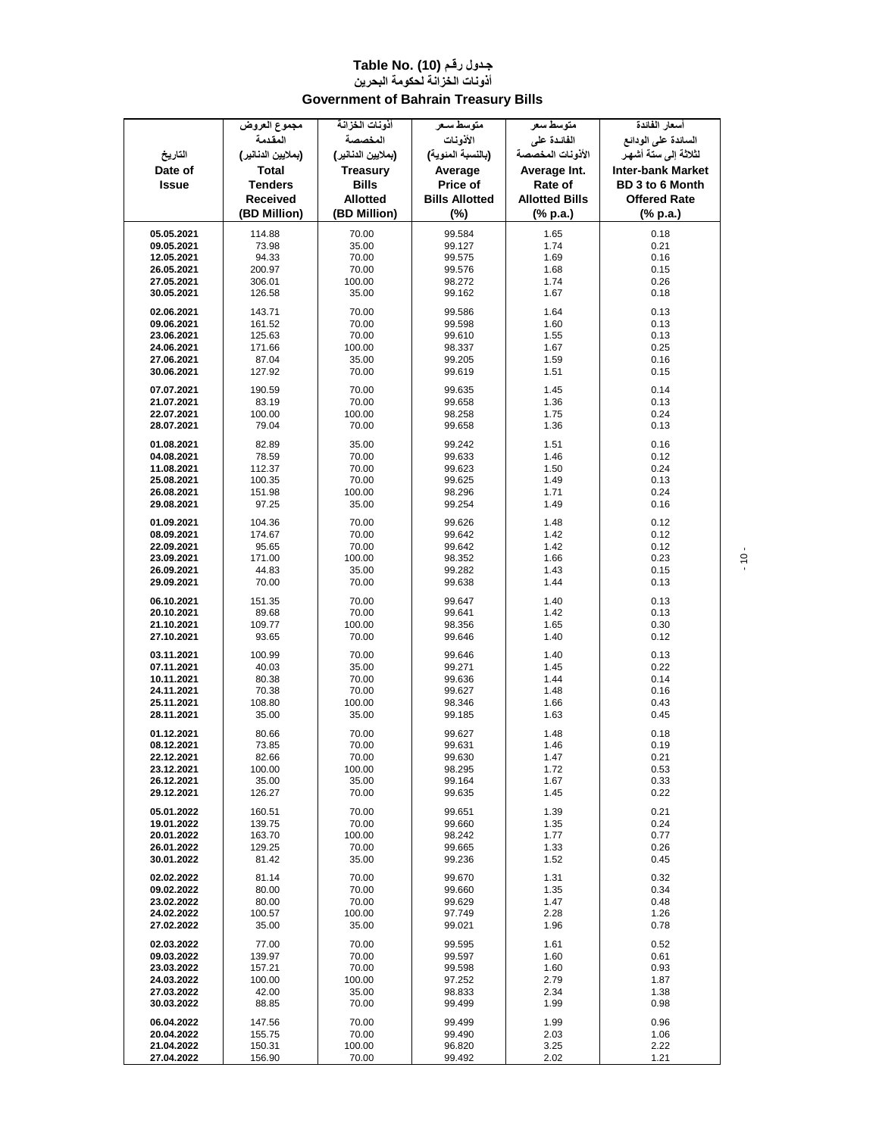#### **جـدول رقـم (10) .Table No أذونات الخزانة لحكومة البحرين Government of Bahrain Treasury Bills**

|              | مجموع العروض       | أذونات الخزانة     | متوسط سعر             | متوسط سعر             | أسعار الفائدة            |
|--------------|--------------------|--------------------|-----------------------|-----------------------|--------------------------|
|              | المقدمة            | المخصصة            | الأذونات              | الفائدة على           | السائدة على الودائع      |
| التاريخ      | (بملايين الدنانير) | (بملايين الدنانير) | (بالنسبة المنوية)     | الأذونات المخصصة      | لثلاثة إلى ستة أشهر      |
|              |                    |                    |                       |                       |                          |
| Date of      | <b>Total</b>       | <b>Treasury</b>    | Average               | Average Int.          | <b>Inter-bank Market</b> |
| <b>Issue</b> | <b>Tenders</b>     | <b>Bills</b>       | Price of              | Rate of               | <b>BD 3 to 6 Month</b>   |
|              | Received           | <b>Allotted</b>    | <b>Bills Allotted</b> | <b>Allotted Bills</b> | <b>Offered Rate</b>      |
|              | (BD Million)       | (BD Million)       | (%)                   | (% p.a.)              | (% p.a.)                 |
|              |                    |                    |                       |                       |                          |
| 05.05.2021   | 114.88             | 70.00              | 99.584                | 1.65                  | 0.18                     |
| 09.05.2021   | 73.98              | 35.00              | 99.127                | 1.74                  | 0.21                     |
| 12.05.2021   | 94.33              | 70.00              | 99.575                | 1.69                  | 0.16                     |
| 26.05.2021   | 200.97             | 70.00              | 99.576                | 1.68                  | 0.15                     |
| 27.05.2021   | 306.01             | 100.00             | 98.272                | 1.74                  | 0.26                     |
| 30.05.2021   | 126.58             | 35.00              | 99.162                | 1.67                  | 0.18                     |
| 02.06.2021   | 143.71             | 70.00              | 99.586                | 1.64                  | 0.13                     |
| 09.06.2021   | 161.52             | 70.00              | 99.598                | 1.60                  | 0.13                     |
| 23.06.2021   | 125.63             | 70.00              | 99.610                | 1.55                  | 0.13                     |
| 24.06.2021   | 171.66             | 100.00             | 98.337                | 1.67                  | 0.25                     |
| 27.06.2021   | 87.04              | 35.00              | 99.205                | 1.59                  | 0.16                     |
| 30.06.2021   | 127.92             | 70.00              | 99.619                | 1.51                  | 0.15                     |
|              |                    |                    |                       |                       |                          |
| 07.07.2021   | 190.59             | 70.00              | 99.635                | 1.45                  | 0.14                     |
| 21.07.2021   | 83.19              | 70.00              | 99.658                | 1.36                  | 0.13                     |
| 22.07.2021   | 100.00             | 100.00             | 98.258                | 1.75                  | 0.24                     |
| 28.07.2021   | 79.04              | 70.00              | 99.658                | 1.36                  | 0.13                     |
| 01.08.2021   | 82.89              | 35.00              | 99.242                | 1.51                  | 0.16                     |
| 04.08.2021   | 78.59              | 70.00              | 99.633                | 1.46                  | 0.12                     |
| 11.08.2021   | 112.37             | 70.00              | 99.623                | 1.50                  | 0.24                     |
| 25.08.2021   | 100.35             | 70.00              | 99.625                | 1.49                  | 0.13                     |
| 26.08.2021   | 151.98             | 100.00             | 98.296                | 1.71                  | 0.24                     |
| 29.08.2021   | 97.25              | 35.00              | 99.254                | 1.49                  | 0.16                     |
| 01.09.2021   |                    |                    | 99.626                | 1.48                  |                          |
|              | 104.36             | 70.00              |                       | 1.42                  | 0.12                     |
| 08.09.2021   | 174.67             | 70.00              | 99.642                |                       | 0.12                     |
| 22.09.2021   | 95.65              | 70.00              | 99.642                | 1.42                  | 0.12                     |
| 23.09.2021   | 171.00             | 100.00             | 98.352                | 1.66                  | 0.23                     |
| 26.09.2021   | 44.83              | 35.00              | 99.282                | 1.43                  | 0.15                     |
| 29.09.2021   | 70.00              | 70.00              | 99.638                | 1.44                  | 0.13                     |
| 06.10.2021   | 151.35             | 70.00              | 99.647                | 1.40                  | 0.13                     |
| 20.10.2021   | 89.68              | 70.00              | 99.641                | 1.42                  | 0.13                     |
| 21.10.2021   | 109.77             | 100.00             | 98.356                | 1.65                  | 0.30                     |
| 27.10.2021   | 93.65              | 70.00              | 99.646                | 1.40                  | 0.12                     |
| 03.11.2021   | 100.99             | 70.00              | 99.646                | 1.40                  | 0.13                     |
| 07.11.2021   | 40.03              | 35.00              | 99.271                | 1.45                  | 0.22                     |
| 10.11.2021   | 80.38              | 70.00              | 99.636                | 1.44                  | 0.14                     |
| 24.11.2021   | 70.38              | 70.00              | 99.627                | 1.48                  | 0.16                     |
| 25.11.2021   | 108.80             | 100.00             | 98.346                | 1.66                  | 0.43                     |
| 28.11.2021   | 35.00              | 35.00              | 99.185                | 1.63                  | 0.45                     |
|              |                    |                    |                       |                       |                          |
| 01.12.2021   | 80.66              | 70.00              | 99.627                | 1.48                  | 0.18                     |
| 08.12.2021   | 73.85              | 70.00              | 99.631                | 1.46                  | 0.19                     |
| 22.12.2021   | 82.66              | 70.00              | 99.630                | 1.47                  | 0.21                     |
| 23.12.2021   | 100.00             | 100.00             | 98.295                | 1.72                  | 0.53                     |
| 26.12.2021   | 35.00              | 35.00              | 99.164                | 1.67                  | 0.33                     |
| 29.12.2021   | 126.27             | 70.00              | 99.635                | 1.45                  | 0.22                     |
| 05.01.2022   | 160.51             | 70.00              | 99.651                | 1.39                  | 0.21                     |
| 19.01.2022   | 139.75             | 70.00              | 99.660                | 1.35                  | 0.24                     |
| 20.01.2022   | 163.70             | 100.00             | 98.242                | 1.77                  | 0.77                     |
| 26.01.2022   | 129.25             | 70.00              | 99.665                | 1.33                  | 0.26                     |
| 30.01.2022   | 81.42              | 35.00              | 99.236                | 1.52                  | 0.45                     |
| 02.02.2022   | 81.14              | 70.00              | 99.670                | 1.31                  | 0.32                     |
| 09.02.2022   | 80.00              | 70.00              | 99.660                | 1.35                  | 0.34                     |
| 23.02.2022   | 80.00              | 70.00              | 99.629                | 1.47                  | 0.48                     |
| 24.02.2022   | 100.57             | 100.00             | 97.749                | 2.28                  | 1.26                     |
| 27.02.2022   | 35.00              | 35.00              | 99.021                | 1.96                  | 0.78                     |
|              |                    |                    |                       |                       |                          |
| 02.03.2022   | 77.00              | 70.00              | 99.595                | 1.61                  | 0.52                     |
| 09.03.2022   | 139.97             | 70.00              | 99.597                | 1.60                  | 0.61                     |
| 23.03.2022   | 157.21             | 70.00              | 99.598                | 1.60                  | 0.93                     |
| 24.03.2022   | 100.00             | 100.00             | 97.252                | 2.79                  | 1.87                     |
| 27.03.2022   | 42.00              | 35.00              | 98.833                | 2.34                  | 1.38                     |
| 30.03.2022   | 88.85              | 70.00              | 99.499                | 1.99                  | 0.98                     |
| 06.04.2022   | 147.56             | 70.00              | 99.499                | 1.99                  | 0.96                     |
| 20.04.2022   | 155.75             | 70.00              | 99.490                | 2.03                  | 1.06                     |
| 21.04.2022   | 150.31             | 100.00             | 96.820                | 3.25                  | 2.22                     |
| 27.04.2022   | 156.90             | 70.00              | 99.492                | 2.02                  | 1.21                     |

- 10 -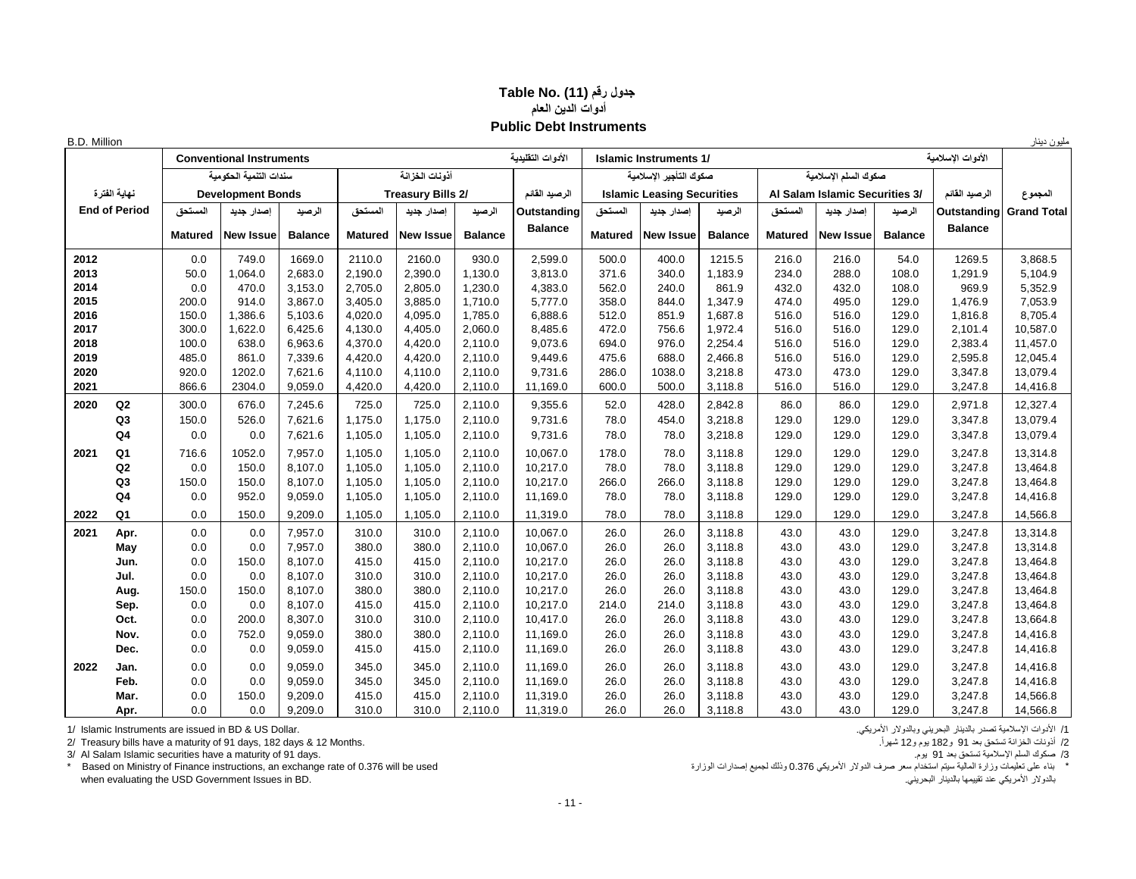## **جدول رقم (11) .No Table أدوات الدين العام Public Debt Instruments**

| B.D. Million |                      |                |                                 |                |                |                          |                |                    |                |                                   |                |                |                                |                |                   | مليون دينار        |
|--------------|----------------------|----------------|---------------------------------|----------------|----------------|--------------------------|----------------|--------------------|----------------|-----------------------------------|----------------|----------------|--------------------------------|----------------|-------------------|--------------------|
|              |                      |                | <b>Conventional Instruments</b> |                |                |                          |                | الأدوات التقلبدبة  |                | <b>Islamic Instruments 1/</b>     |                |                |                                |                | الأدوات الاسلامية |                    |
|              |                      |                | سندات التنمية الحكومية          |                |                | أذونات الخزانة           |                |                    |                | صكوك التأجير الاسلامية            |                |                | صكوك السلم الإسلامية           |                |                   |                    |
|              | نهاية الفترة         |                | <b>Development Bonds</b>        |                |                | <b>Treasury Bills 2/</b> |                | الرصيد القائم      |                | <b>Islamic Leasing Securities</b> |                |                | Al Salam Islamic Securities 3/ |                | الرصيد القائم     | المجموع            |
|              | <b>End of Period</b> | المستحق        | إصدار جديد                      | الرصيد         | المستحق        | إصدار جديد               | الرصيد         | <b>Outstanding</b> | المستحق        | إصدار جديد                        | الرصيد         | المستحق        | إصدار جديد                     | الرصيد         | Outstanding       | <b>Grand Total</b> |
|              |                      | <b>Matured</b> | <b>New Issue</b>                | <b>Balance</b> | <b>Matured</b> | <b>New Issue</b>         | <b>Balance</b> | <b>Balance</b>     | <b>Matured</b> | <b>New Issue</b>                  | <b>Balance</b> | <b>Matured</b> | <b>New Issue</b>               | <b>Balance</b> | <b>Balance</b>    |                    |
|              |                      |                |                                 |                |                |                          |                |                    |                |                                   |                |                |                                |                |                   |                    |
| 2012         |                      | 0.0            | 749.0                           | 1669.0         | 2110.0         | 2160.0                   | 930.0          | 2,599.0            | 500.0          | 400.0                             | 1215.5         | 216.0          | 216.0                          | 54.0           | 1269.5            | 3.868.5            |
| 2013         |                      | 50.0           | 1,064.0                         | 2,683.0        | 2,190.0        | 2,390.0                  | 1,130.0        | 3,813.0            | 371.6          | 340.0                             | 1,183.9        | 234.0          | 288.0                          | 108.0          | 1,291.9           | 5,104.9            |
| 2014         |                      | 0.0            | 470.0                           | 3,153.0        | 2,705.0        | 2,805.0                  | 1,230.0        | 4,383.0            | 562.0          | 240.0                             | 861.9          | 432.0          | 432.0                          | 108.0          | 969.9             | 5,352.9            |
| 2015         |                      | 200.0          | 914.0                           | 3,867.0        | 3,405.0        | 3,885.0                  | 1,710.0        | 5.777.0            | 358.0          | 844.0                             | 1,347.9        | 474.0          | 495.0                          | 129.0          | 1,476.9           | 7,053.9            |
| 2016         |                      | 150.0          | 1.386.6                         | 5,103.6        | 4.020.0        | 4,095.0                  | 1,785.0        | 6.888.6            | 512.0          | 851.9                             | 1,687.8        | 516.0          | 516.0                          | 129.0          | 1,816.8           | 8.705.4            |
| 2017         |                      | 300.0          | 1,622.0                         | 6,425.6        | 4.130.0        | 4,405.0                  | 2,060.0        | 8.485.6            | 472.0          | 756.6                             | 1,972.4        | 516.0          | 516.0                          | 129.0          | 2,101.4           | 10,587.0           |
| 2018         |                      | 100.0          | 638.0                           | 6,963.6        | 4,370.0        | 4,420.0                  | 2,110.0        | 9,073.6            | 694.0          | 976.0                             | 2,254.4        | 516.0          | 516.0                          | 129.0          | 2,383.4           | 11,457.0           |
| 2019         |                      | 485.0          | 861.0                           | 7,339.6        | 4,420.0        | 4,420.0                  | 2,110.0        | 9,449.6            | 475.6          | 688.0                             | 2,466.8        | 516.0          | 516.0                          | 129.0          | 2,595.8           | 12.045.4           |
| 2020         |                      | 920.0          | 1202.0                          | 7,621.6        | 4,110.0        | 4,110.0                  | 2,110.0        | 9.731.6            | 286.0          | 1038.0                            | 3,218.8        | 473.0          | 473.0                          | 129.0          | 3,347.8           | 13,079.4           |
| 2021         |                      | 866.6          | 2304.0                          | 9,059.0        | 4,420.0        | 4,420.0                  | 2,110.0        | 11,169.0           | 600.0          | 500.0                             | 3,118.8        | 516.0          | 516.0                          | 129.0          | 3,247.8           | 14,416.8           |
| 2020         | Q2                   | 300.0          | 676.0                           | 7,245.6        | 725.0          | 725.0                    | 2,110.0        | 9,355.6            | 52.0           | 428.0                             | 2,842.8        | 86.0           | 86.0                           | 129.0          | 2,971.8           | 12,327.4           |
|              | Q <sub>3</sub>       | 150.0          | 526.0                           | 7,621.6        | 1,175.0        | 1,175.0                  | 2,110.0        | 9,731.6            | 78.0           | 454.0                             | 3,218.8        | 129.0          | 129.0                          | 129.0          | 3,347.8           | 13,079.4           |
|              | Q <sub>4</sub>       | 0.0            | 0.0                             | 7,621.6        | 1,105.0        | 1,105.0                  | 2,110.0        | 9,731.6            | 78.0           | 78.0                              | 3,218.8        | 129.0          | 129.0                          | 129.0          | 3,347.8           | 13,079.4           |
| 2021         | Q <sub>1</sub>       | 716.6          | 1052.0                          | 7,957.0        | 1,105.0        | 1,105.0                  | 2,110.0        | 10,067.0           | 178.0          | 78.0                              | 3,118.8        | 129.0          | 129.0                          | 129.0          | 3,247.8           | 13,314.8           |
|              | Q2                   | 0.0            | 150.0                           | 8,107.0        | 1,105.0        | 1,105.0                  | 2,110.0        | 10,217.0           | 78.0           | 78.0                              | 3,118.8        | 129.0          | 129.0                          | 129.0          | 3,247.8           | 13,464.8           |
|              | Q <sub>3</sub>       | 150.0          | 150.0                           | 8,107.0        | 1,105.0        | 1,105.0                  | 2,110.0        | 10,217.0           | 266.0          | 266.0                             | 3,118.8        | 129.0          | 129.0                          | 129.0          | 3,247.8           | 13,464.8           |
|              | Q4                   | 0.0            | 952.0                           | 9,059.0        | 1,105.0        | 1,105.0                  | 2,110.0        | 11,169.0           | 78.0           | 78.0                              | 3,118.8        | 129.0          | 129.0                          | 129.0          | 3,247.8           | 14,416.8           |
| 2022         | Q <sub>1</sub>       | 0.0            | 150.0                           | 9,209.0        | 1,105.0        | 1,105.0                  | 2,110.0        | 11,319.0           | 78.0           | 78.0                              | 3,118.8        | 129.0          | 129.0                          | 129.0          | 3,247.8           | 14,566.8           |
| 2021         | Apr.                 | 0.0            | 0.0                             | 7,957.0        | 310.0          | 310.0                    | 2,110.0        | 10,067.0           | 26.0           | 26.0                              | 3,118.8        | 43.0           | 43.0                           | 129.0          | 3,247.8           | 13,314.8           |
|              | May                  | 0.0            | 0.0                             | 7,957.0        | 380.0          | 380.0                    | 2,110.0        | 10,067.0           | 26.0           | 26.0                              | 3,118.8        | 43.0           | 43.0                           | 129.0          | 3,247.8           | 13,314.8           |
|              | Jun.                 | 0.0            | 150.0                           | 8,107.0        | 415.0          | 415.0                    | 2,110.0        | 10,217.0           | 26.0           | 26.0                              | 3,118.8        | 43.0           | 43.0                           | 129.0          | 3,247.8           | 13,464.8           |
|              | Jul.                 | 0.0            | 0.0                             | 8,107.0        | 310.0          | 310.0                    | 2,110.0        | 10,217.0           | 26.0           | 26.0                              | 3,118.8        | 43.0           | 43.0                           | 129.0          | 3,247.8           | 13,464.8           |
|              | Aug.                 | 150.0          | 150.0                           | 8.107.0        | 380.0          | 380.0                    | 2,110.0        | 10,217.0           | 26.0           | 26.0                              | 3,118.8        | 43.0           | 43.0                           | 129.0          | 3,247.8           | 13,464.8           |
|              | Sep.                 | 0.0            | 0.0                             | 8.107.0        | 415.0          | 415.0                    | 2,110.0        | 10.217.0           | 214.0          | 214.0                             | 3,118.8        | 43.0           | 43.0                           | 129.0          | 3,247.8           | 13,464.8           |
|              | Oct.                 | 0.0            | 200.0                           | 8,307.0        | 310.0          | 310.0                    | 2,110.0        | 10,417.0           | 26.0           | 26.0                              | 3,118.8        | 43.0           | 43.0                           | 129.0          | 3,247.8           | 13,664.8           |
|              | Nov.                 | 0.0            | 752.0                           | 9,059.0        | 380.0          | 380.0                    | 2,110.0        | 11,169.0           | 26.0           | 26.0                              | 3,118.8        | 43.0           | 43.0                           | 129.0          | 3,247.8           | 14,416.8           |
|              | Dec.                 | 0.0            | 0.0                             | 9,059.0        | 415.0          | 415.0                    | 2,110.0        | 11,169.0           | 26.0           | 26.0                              | 3,118.8        | 43.0           | 43.0                           | 129.0          | 3,247.8           | 14,416.8           |
| 2022         | Jan.                 | 0.0            | 0.0                             | 9.059.0        | 345.0          | 345.0                    | 2,110.0        | 11,169.0           | 26.0           | 26.0                              | 3.118.8        | 43.0           | 43.0                           | 129.0          | 3,247.8           | 14,416.8           |
|              | Feb.                 | 0.0            | 0.0                             | 9,059.0        | 345.0          | 345.0                    | 2,110.0        | 11,169.0           | 26.0           | 26.0                              | 3,118.8        | 43.0           | 43.0                           | 129.0          | 3,247.8           | 14,416.8           |
|              | Mar.                 | 0.0            | 150.0                           | 9,209.0        | 415.0          | 415.0                    | 2,110.0        | 11,319.0           | 26.0           | 26.0                              | 3,118.8        | 43.0           | 43.0                           | 129.0          | 3,247.8           | 14,566.8           |
|              | Apr.                 | 0.0            | 0.0                             | 9,209.0        | 310.0          | 310.0                    | 2,110.0        | 11,319.0           | 26.0           | 26.0                              | 3,118.8        | 43.0           | 43.0                           | 129.0          | 3,247.8           | 14,566.8           |

1/ الأدوات الإسلامية تصدر بالديالر البحريني وبالدولار الأمريكي.<br>2/ أنونك الخزانة تستحق بند 91 و 182 يوم و12 شهراً.<br>3/ Al Salam Islamic securities have a maturity of 91 days. 12 Months. صكوك السلم الإسلامية تستحق بند 91 و 2/ Treasury bills have a maturity of 91 days, 182 days & 12 Months.

3/ Al Salam Islamic securities have a maturity of 91 days.<br>\* Based on Ministry of Finance instructions, an exchange rate of 0.376 will be used when evaluating the USD Government Issues in BD. .البحريني بالدينار تقييمها عند األمريكي بالدوالر

\* بناء على تعليمات وزارة المالية سيتم استخدام سعر صرف الدولار الأمريكي 0.376 وذلك لجميع إصدارات الوزارة وذلك لجميع إصدارات الوزارة والمالية سيتم استخدام سعر صرف الدولار الأمريكي 0.376 وذلك لجميع إصدارات الوزارة في 2.376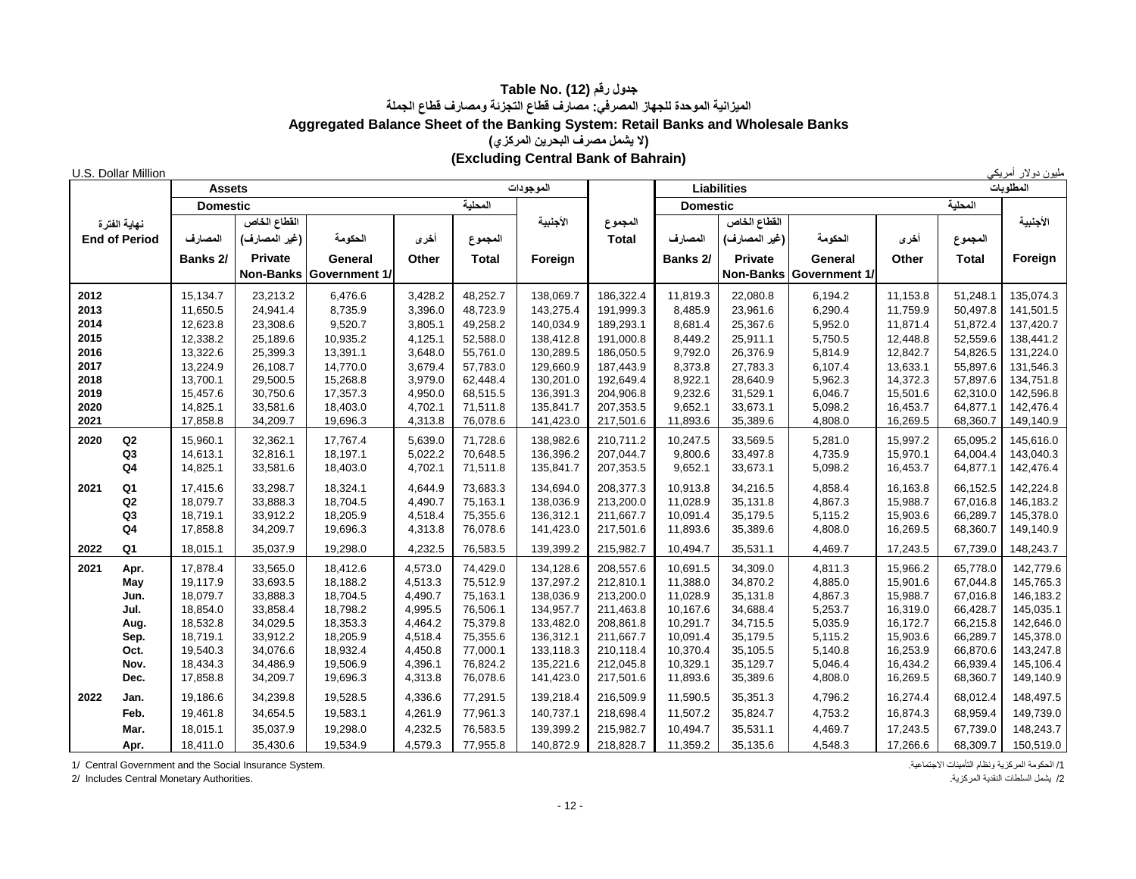## **جدول رقم (12) Table No. الميزانية الموحدة للجهاز المصرفي: مصارف قطاع التجزئة ومصارف قطاع الجملة Aggregated Balance Sheet of the Banking System: Retail Banks and Wholesale Banks )ال يشمل مصرف البحرين المركزي( (Excluding Central Bank of Bahrain)**

| U.S. Dollar Million              |                      |                      |                         |                    |                      |                        |                        |                      |                      |                      |                      |                      | مليون دولار أمريكي     |
|----------------------------------|----------------------|----------------------|-------------------------|--------------------|----------------------|------------------------|------------------------|----------------------|----------------------|----------------------|----------------------|----------------------|------------------------|
|                                  | <b>Assets</b>        |                      |                         |                    |                      | الموجودات              |                        |                      | <b>Liabilities</b>   |                      |                      |                      | المطلوبات              |
|                                  | <b>Domestic</b>      |                      |                         |                    | المطبة               |                        |                        | <b>Domestic</b>      |                      |                      |                      | المحلية              |                        |
| نهاية الفترة                     |                      | القطاع الخاص         |                         |                    |                      | الأجنبية               | المجموع                |                      | القطاع الخاص         |                      |                      |                      | الأجنبية               |
| <b>End of Period</b>             | المصارف              | (غير المصارف)        | الحكومة                 | أخرى               | المجموع              |                        | <b>Total</b>           | المصارف              | (غير المصارف)        | الحكومة              | أخرى                 | المجموع              |                        |
|                                  | Banks 2/             | Private              | General                 | Other              | <b>Total</b>         | Foreign                |                        | Banks 2/             | <b>Private</b>       | General              | Other                | <b>Total</b>         | Foreign                |
|                                  |                      |                      | Non-Banks Government 1/ |                    |                      |                        |                        |                      | <b>Non-Banks</b>     | <b>Government 1/</b> |                      |                      |                        |
| 2012                             | 15,134.7             | 23,213.2             | 6,476.6                 | 3,428.2            | 48,252.7             | 138,069.7              | 186,322.4              | 11,819.3             | 22,080.8             | 6,194.2              | 11,153.8             | 51,248.1             | 135,074.3              |
| 2013                             | 11,650.5             | 24,941.4             | 8,735.9                 | 3,396.0            | 48,723.9             | 143,275.4              | 191,999.3              | 8,485.9              | 23,961.6             | 6,290.4              | 11,759.9             | 50,497.8             | 141,501.5              |
| 2014                             | 12,623.8             | 23,308.6             | 9,520.7                 | 3,805.1            | 49,258.2             | 140,034.9              | 189,293.1              | 8,681.4              | 25,367.6             | 5,952.0              | 11,871.4             | 51,872.4             | 137,420.7              |
| 2015                             | 12,338.2             | 25,189.6             | 10,935.2                | 4,125.1            | 52,588.0             | 138,412.8              | 191,000.8              | 8,449.2              | 25,911.1             | 5,750.5              | 12,448.8             | 52,559.6             | 138,441.2              |
| 2016                             | 13,322.6             | 25,399.3             | 13,391.1                | 3,648.0            | 55,761.0             | 130,289.5              | 186,050.5              | 9,792.0              | 26,376.9             | 5,814.9              | 12,842.7             | 54,826.5             | 131,224.0              |
| 2017                             | 13,224.9             | 26,108.7             | 14,770.0                | 3,679.4            | 57,783.0             | 129,660.9              | 187.443.9              | 8,373.8              | 27,783.3             | 6,107.4              | 13,633.1             | 55.897.6             | 131,546.3              |
| 2018                             | 13,700.1             | 29,500.5             | 15,268.8                | 3,979.0            | 62,448.4             | 130,201.0              | 192,649.4              | 8,922.1              | 28,640.9             | 5,962.3              | 14,372.3             | 57,897.6             | 134,751.8              |
| 2019<br>2020                     | 15,457.6<br>14,825.1 | 30,750.6<br>33,581.6 | 17,357.3                | 4,950.0            | 68,515.5<br>71,511.8 | 136,391.3<br>135,841.7 | 204,906.8<br>207,353.5 | 9,232.6<br>9,652.1   | 31,529.1<br>33,673.1 | 6,046.7              | 15,501.6<br>16,453.7 | 62,310.0<br>64,877.1 | 142,596.8<br>142,476.4 |
| 2021                             | 17,858.8             | 34,209.7             | 18,403.0<br>19,696.3    | 4,702.1<br>4,313.8 | 76,078.6             | 141,423.0              | 217,501.6              | 11,893.6             | 35,389.6             | 5,098.2<br>4,808.0   | 16,269.5             | 68,360.7             | 149,140.9              |
|                                  |                      |                      |                         |                    |                      |                        |                        |                      |                      |                      |                      |                      |                        |
| 2020<br>$_{\mathsf{Q2}}$         | 15,960.1             | 32,362.1             | 17,767.4                | 5,639.0            | 71,728.6             | 138,982.6              | 210,711.2              | 10,247.5             | 33,569.5             | 5,281.0              | 15,997.2             | 65,095.2             | 145,616.0              |
| Q <sub>3</sub><br>Q <sub>4</sub> | 14,613.1<br>14,825.1 | 32,816.1<br>33,581.6 | 18,197.1<br>18,403.0    | 5,022.2<br>4,702.1 | 70,648.5<br>71,511.8 | 136,396.2<br>135,841.7 | 207,044.7<br>207,353.5 | 9,800.6<br>9,652.1   | 33,497.8<br>33,673.1 | 4,735.9<br>5,098.2   | 15,970.1<br>16,453.7 | 64,004.4<br>64,877.1 | 143,040.3<br>142,476.4 |
|                                  |                      |                      |                         |                    |                      |                        |                        |                      |                      |                      |                      |                      |                        |
| Q <sub>1</sub><br>2021           | 17,415.6             | 33,298.7             | 18,324.1                | 4,644.9            | 73,683.3             | 134,694.0              | 208,377.3              | 10,913.8             | 34,216.5             | 4,858.4              | 16,163.8             | 66,152.5             | 142,224.8              |
| ${\sf Q2}$                       | 18,079.7             | 33,888.3             | 18,704.5                | 4,490.7            | 75,163.1             | 138,036.9              | 213,200.0              | 11,028.9             | 35,131.8             | 4,867.3              | 15,988.7             | 67,016.8             | 146,183.2              |
| Q <sub>3</sub><br>Q <sub>4</sub> | 18,719.1<br>17,858.8 | 33,912.2<br>34,209.7 | 18,205.9<br>19,696.3    | 4,518.4<br>4,313.8 | 75,355.6<br>76,078.6 | 136,312.1<br>141,423.0 | 211,667.7<br>217,501.6 | 10,091.4<br>11,893.6 | 35,179.5<br>35,389.6 | 5,115.2<br>4,808.0   | 15,903.6<br>16,269.5 | 66,289.7<br>68,360.7 | 145,378.0<br>149,140.9 |
|                                  |                      |                      |                         |                    |                      |                        |                        |                      |                      |                      |                      |                      |                        |
| Q <sub>1</sub><br>2022           | 18,015.1             | 35,037.9             | 19,298.0                | 4,232.5            | 76,583.5             | 139,399.2              | 215,982.7              | 10,494.7             | 35,531.1             | 4,469.7              | 17,243.5             | 67,739.0             | 148,243.7              |
| 2021<br>Apr.                     | 17,878.4             | 33,565.0             | 18,412.6                | 4,573.0            | 74,429.0             | 134,128.6              | 208,557.6              | 10,691.5             | 34,309.0             | 4,811.3              | 15,966.2             | 65,778.0             | 142,779.6              |
| May                              | 19,117.9             | 33,693.5             | 18,188.2                | 4,513.3            | 75,512.9             | 137,297.2              | 212,810.1              | 11,388.0             | 34,870.2             | 4,885.0              | 15,901.6             | 67,044.8             | 145,765.3              |
| Jun.                             | 18,079.7             | 33,888.3             | 18,704.5                | 4,490.7            | 75,163.1             | 138,036.9              | 213,200.0              | 11,028.9             | 35,131.8             | 4,867.3              | 15,988.7             | 67,016.8             | 146,183.2              |
| Jul.                             | 18,854.0             | 33,858.4             | 18,798.2                | 4,995.5            | 76,506.1             | 134,957.7              | 211,463.8              | 10,167.6             | 34,688.4             | 5,253.7              | 16,319.0             | 66,428.7             | 145,035.1              |
| Aug.                             | 18,532.8             | 34,029.5             | 18,353.3                | 4,464.2            | 75,379.8             | 133,482.0              | 208,861.8              | 10,291.7             | 34,715.5             | 5,035.9              | 16,172.7             | 66,215.8             | 142,646.0              |
| Sep.<br>Oct.                     | 18,719.1<br>19,540.3 | 33,912.2<br>34,076.6 | 18,205.9<br>18,932.4    | 4,518.4<br>4,450.8 | 75,355.6<br>77,000.1 | 136,312.1<br>133,118.3 | 211,667.7<br>210,118.4 | 10,091.4<br>10,370.4 | 35,179.5<br>35,105.5 | 5,115.2<br>5,140.8   | 15,903.6<br>16,253.9 | 66,289.7<br>66,870.6 | 145,378.0<br>143,247.8 |
| Nov.                             | 18,434.3             | 34,486.9             | 19,506.9                | 4,396.1            | 76,824.2             | 135,221.6              | 212,045.8              | 10,329.1             | 35,129.7             | 5,046.4              | 16,434.2             | 66,939.4             | 145,106.4              |
| Dec.                             | 17,858.8             | 34,209.7             | 19,696.3                | 4,313.8            | 76,078.6             | 141,423.0              | 217,501.6              | 11,893.6             | 35,389.6             | 4,808.0              | 16,269.5             | 68,360.7             | 149,140.9              |
| 2022<br>Jan.                     | 19,186.6             | 34,239.8             | 19,528.5                | 4,336.6            | 77,291.5             | 139,218.4              | 216,509.9              | 11,590.5             | 35,351.3             | 4,796.2              | 16,274.4             | 68,012.4             | 148,497.5              |
| Feb.                             | 19,461.8             | 34,654.5             | 19,583.1                | 4,261.9            | 77,961.3             | 140,737.1              | 218,698.4              | 11,507.2             | 35,824.7             | 4,753.2              | 16,874.3             | 68,959.4             | 149,739.0              |
| Mar.                             | 18,015.1             | 35,037.9             | 19,298.0                |                    | 76,583.5             | 139,399.2              | 215,982.7              | 10,494.7             | 35,531.1             | 4,469.7              | 17,243.5             | 67,739.0             | 148,243.7              |
|                                  |                      |                      |                         | 4,232.5            |                      |                        |                        |                      |                      |                      |                      |                      |                        |
| Apr.                             | 18,411.0             | 35,430.6             | 19,534.9                | 4,579.3            | 77,955.8             | 140,872.9              | 218,828.7              | 11,359.2             | 35,135.6             | 4,548.3              | 17,266.6             | 68,309.7             | 150,519.0              |

1/ Central Government and the Social Insurance System. .االجتماعية التأمينات ونظام المركزية الحكومة /1

2/ Includes Central Monetary Authorities.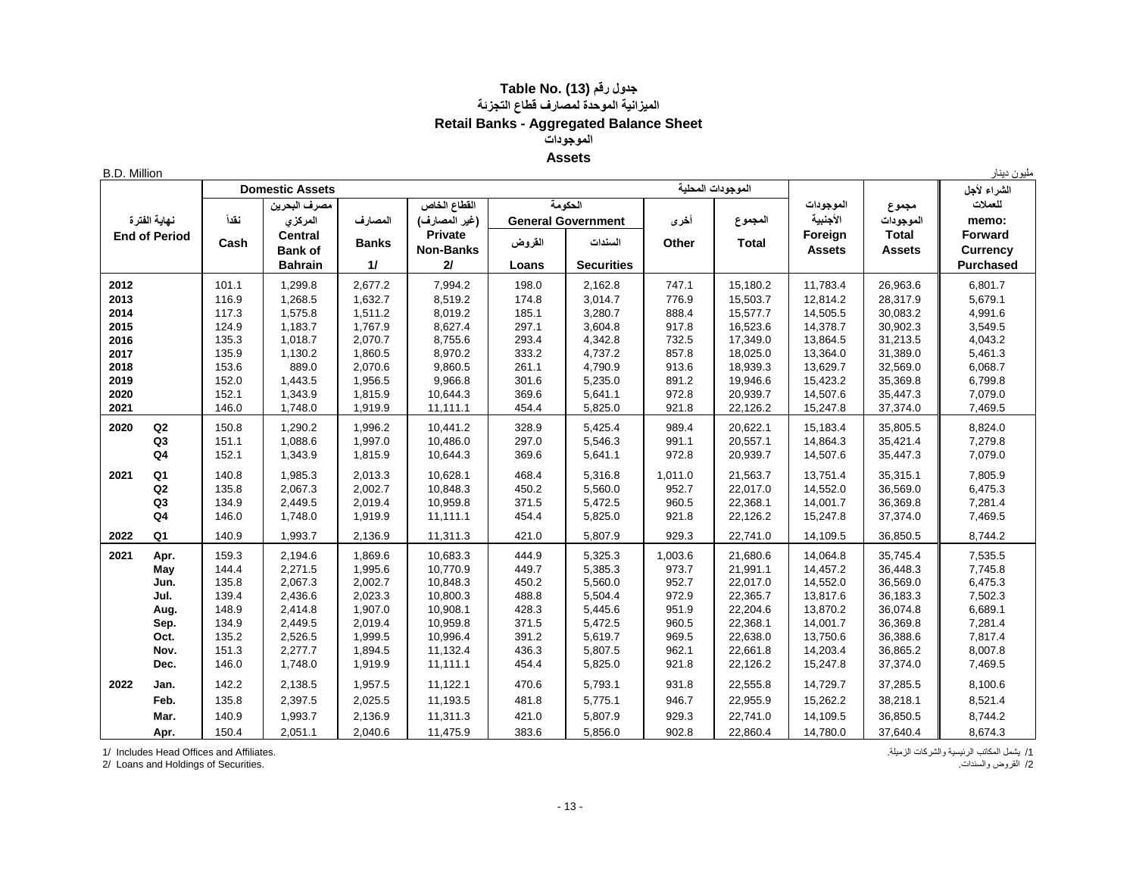## **جدول رقم (13) .No Table الميزانية الموحدة لمصارف قطاع التجزئة Retail Banks - Aggregated Balance Sheet الموجودات Assets**

B.D. Million دينار مليون

|      |                      |                              | <b>Domestic Assets</b> |              |                  |         |                           |         | الموجودات المحلية |               |               | الشراء لأجل      |
|------|----------------------|------------------------------|------------------------|--------------|------------------|---------|---------------------------|---------|-------------------|---------------|---------------|------------------|
|      |                      | القطاع الخاص<br>مصرف البحرين |                        |              |                  | الحكومة |                           |         | الموجودات         | مجموع         | للعملات       |                  |
|      | نهاية الفترة         | نقدأ                         | المركزى                | المصارف      | (غير المصارف)    |         | <b>General Government</b> | أخرى    | المجموع           | الأجنبية      | الموجودات     | memo:            |
|      | <b>End of Period</b> |                              | <b>Central</b>         |              | <b>Private</b>   |         |                           |         |                   | Foreign       | <b>Total</b>  | <b>Forward</b>   |
|      |                      | Cash                         | <b>Bank of</b>         | <b>Banks</b> | <b>Non-Banks</b> | القروض  | السندات                   | Other   | <b>Total</b>      | <b>Assets</b> | <b>Assets</b> | <b>Currency</b>  |
|      |                      |                              | <b>Bahrain</b>         | 11           | 21               | Loans   | <b>Securities</b>         |         |                   |               |               | <b>Purchased</b> |
| 2012 |                      | 101.1                        | 1,299.8                | 2,677.2      | 7,994.2          | 198.0   | 2,162.8                   | 747.1   | 15,180.2          | 11,783.4      | 26,963.6      | 6,801.7          |
| 2013 |                      | 116.9                        | 1,268.5                | 1,632.7      | 8,519.2          | 174.8   | 3,014.7                   | 776.9   | 15,503.7          | 12,814.2      | 28,317.9      | 5,679.1          |
| 2014 |                      | 117.3                        | 1,575.8                | 1,511.2      | 8,019.2          | 185.1   | 3,280.7                   | 888.4   | 15,577.7          | 14,505.5      | 30,083.2      | 4,991.6          |
| 2015 |                      | 124.9                        | 1,183.7                | 1,767.9      | 8,627.4          | 297.1   | 3,604.8                   | 917.8   | 16,523.6          | 14,378.7      | 30,902.3      | 3,549.5          |
| 2016 |                      | 135.3                        | 1,018.7                | 2,070.7      | 8,755.6          | 293.4   | 4,342.8                   | 732.5   | 17,349.0          | 13,864.5      | 31,213.5      | 4,043.2          |
| 2017 |                      | 135.9                        | 1,130.2                | 1,860.5      | 8,970.2          | 333.2   | 4,737.2                   | 857.8   | 18,025.0          | 13,364.0      | 31,389.0      | 5,461.3          |
| 2018 |                      | 153.6                        | 889.0                  | 2,070.6      | 9,860.5          | 261.1   | 4,790.9                   | 913.6   | 18,939.3          | 13,629.7      | 32,569.0      | 6,068.7          |
| 2019 |                      | 152.0                        | 1,443.5                | 1,956.5      | 9,966.8          | 301.6   | 5,235.0                   | 891.2   | 19,946.6          | 15,423.2      | 35,369.8      | 6,799.8          |
| 2020 |                      | 152.1                        | 1,343.9                | 1,815.9      | 10,644.3         | 369.6   | 5,641.1                   | 972.8   | 20,939.7          | 14,507.6      | 35,447.3      | 7,079.0          |
| 2021 |                      | 146.0                        | 1,748.0                | 1,919.9      | 11,111.1         | 454.4   | 5,825.0                   | 921.8   | 22,126.2          | 15,247.8      | 37,374.0      | 7,469.5          |
| 2020 | Q2                   | 150.8                        | 1,290.2                | 1,996.2      | 10,441.2         | 328.9   | 5,425.4                   | 989.4   | 20,622.1          | 15,183.4      | 35,805.5      | 8,824.0          |
|      | Q3                   | 151.1                        | 1,088.6                | 1,997.0      | 10,486.0         | 297.0   | 5,546.3                   | 991.1   | 20,557.1          | 14,864.3      | 35,421.4      | 7,279.8          |
|      | Q <sub>4</sub>       | 152.1                        | 1,343.9                | 1,815.9      | 10,644.3         | 369.6   | 5,641.1                   | 972.8   | 20,939.7          | 14,507.6      | 35,447.3      | 7,079.0          |
| 2021 | Q1                   | 140.8                        | 1,985.3                | 2,013.3      | 10,628.1         | 468.4   | 5,316.8                   | 1,011.0 | 21,563.7          | 13,751.4      | 35,315.1      | 7,805.9          |
|      | Q <sub>2</sub>       | 135.8                        | 2,067.3                | 2,002.7      | 10,848.3         | 450.2   | 5,560.0                   | 952.7   | 22,017.0          | 14,552.0      | 36,569.0      | 6,475.3          |
|      | Q <sub>3</sub>       | 134.9                        | 2,449.5                | 2,019.4      | 10,959.8         | 371.5   | 5,472.5                   | 960.5   | 22,368.1          | 14,001.7      | 36,369.8      | 7,281.4          |
|      | Q <sub>4</sub>       | 146.0                        | 1,748.0                | 1,919.9      | 11,111.1         | 454.4   | 5,825.0                   | 921.8   | 22,126.2          | 15,247.8      | 37,374.0      | 7,469.5          |
| 2022 | Q <sub>1</sub>       | 140.9                        | 1,993.7                | 2,136.9      | 11,311.3         | 421.0   | 5,807.9                   | 929.3   | 22,741.0          | 14,109.5      | 36,850.5      | 8,744.2          |
| 2021 | Apr.                 | 159.3                        | 2,194.6                | 1,869.6      | 10,683.3         | 444.9   | 5,325.3                   | 1,003.6 | 21,680.6          | 14,064.8      | 35,745.4      | 7,535.5          |
|      | May                  | 144.4                        | 2,271.5                | 1,995.6      | 10,770.9         | 449.7   | 5,385.3                   | 973.7   | 21,991.1          | 14,457.2      | 36,448.3      | 7,745.8          |
|      | Jun.                 | 135.8                        | 2,067.3                | 2,002.7      | 10,848.3         | 450.2   | 5,560.0                   | 952.7   | 22,017.0          | 14,552.0      | 36,569.0      | 6,475.3          |
|      | Jul.                 | 139.4                        | 2,436.6                | 2,023.3      | 10,800.3         | 488.8   | 5,504.4                   | 972.9   | 22,365.7          | 13,817.6      | 36,183.3      | 7,502.3          |
|      | Aug.                 | 148.9                        | 2,414.8                | 1,907.0      | 10,908.1         | 428.3   | 5,445.6                   | 951.9   | 22,204.6          | 13,870.2      | 36,074.8      | 6,689.1          |
|      | Sep.                 | 134.9                        | 2,449.5                | 2,019.4      | 10,959.8         | 371.5   | 5,472.5                   | 960.5   | 22,368.1          | 14,001.7      | 36,369.8      | 7,281.4          |
|      | Oct.                 | 135.2                        | 2,526.5                | 1,999.5      | 10,996.4         | 391.2   | 5,619.7                   | 969.5   | 22,638.0          | 13,750.6      | 36,388.6      | 7,817.4          |
|      | Nov.                 | 151.3                        | 2,277.7                | 1,894.5      | 11,132.4         | 436.3   | 5,807.5                   | 962.1   | 22,661.8          | 14,203.4      | 36,865.2      | 8,007.8          |
|      | Dec.                 | 146.0                        | 1,748.0                | 1,919.9      | 11,111.1         | 454.4   | 5,825.0                   | 921.8   | 22,126.2          | 15,247.8      | 37,374.0      | 7,469.5          |
| 2022 | Jan.                 | 142.2                        | 2,138.5                | 1,957.5      | 11,122.1         | 470.6   | 5,793.1                   | 931.8   | 22,555.8          | 14,729.7      | 37,285.5      | 8,100.6          |
|      | Feb.                 | 135.8                        | 2,397.5                | 2,025.5      | 11,193.5         | 481.8   | 5,775.1                   | 946.7   | 22,955.9          | 15,262.2      | 38,218.1      | 8,521.4          |
|      | Mar.                 | 140.9                        | 1,993.7                | 2,136.9      | 11,311.3         | 421.0   | 5,807.9                   | 929.3   | 22,741.0          | 14,109.5      | 36,850.5      | 8,744.2          |
|      | Apr.                 | 150.4                        | 2,051.1                | 2,040.6      | 11,475.9         | 383.6   | 5,856.0                   | 902.8   | 22,860.4          | 14,780.0      | 37,640.4      | 8,674.3          |

/1 يشمل المكاتب الرئيسية والشركات الزميلة. .Affiliates and Offices Head Includes 1/

2/ Loans and Holdings of Securities. .والسندات القروض /2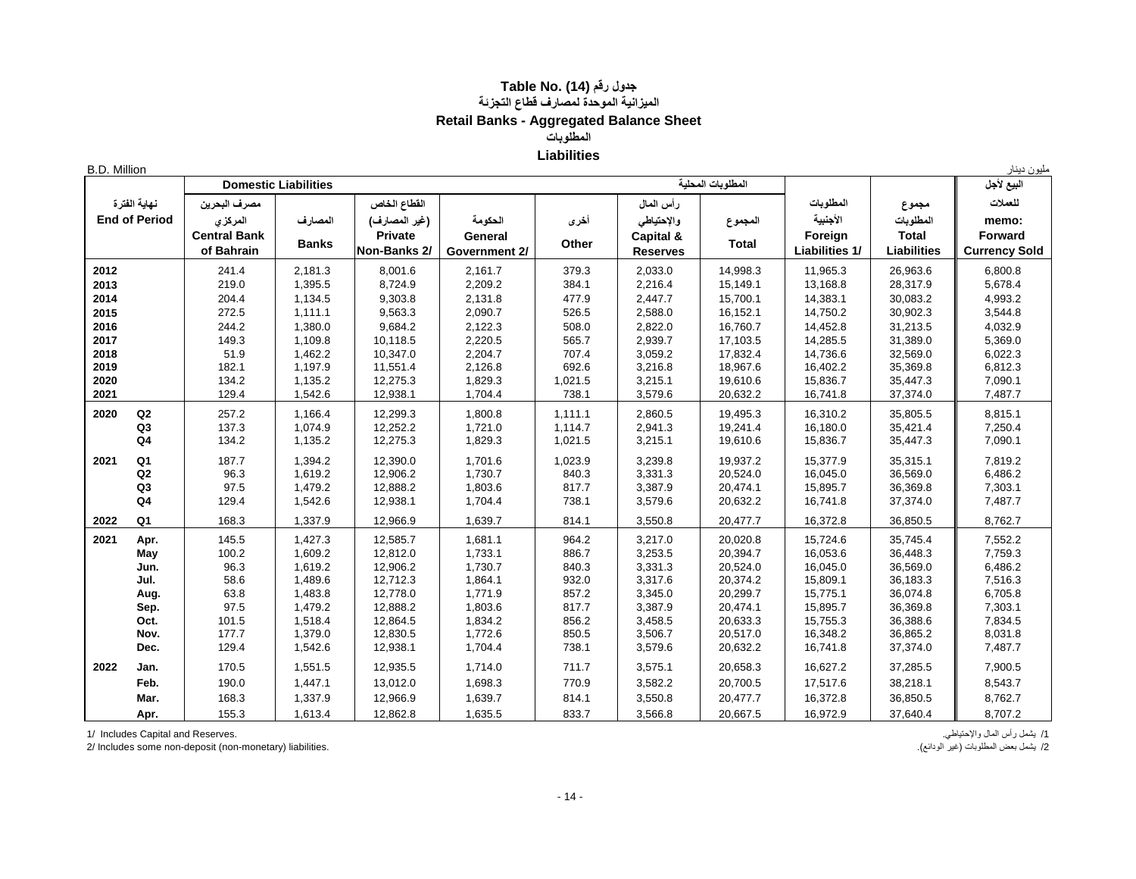## **جدول رقم (14) .No Table الميزانية الموحدة لمصارف قطاع التجزئة Retail Banks - Aggregated Balance Sheet المطلوبات** مليون دينار<br>مليون دينار

| B.D. Million |  |
|--------------|--|
|              |  |
|              |  |
|              |  |

| <b>B.D. Million</b>                  |                |                     |                             |                |               |         |                 |                   |                       |                    | مليون دينار          |
|--------------------------------------|----------------|---------------------|-----------------------------|----------------|---------------|---------|-----------------|-------------------|-----------------------|--------------------|----------------------|
| نهاية الفترة<br><b>End of Period</b> |                |                     | <b>Domestic Liabilities</b> |                |               |         |                 | المطلوبات المحلبة |                       |                    | البيع لأجل           |
|                                      |                | مصرف البحرين        |                             | القطاع الخاص   |               |         | رأس المال       |                   | المطلوبات             | مجموع              | للعملات              |
|                                      |                | المركزى             | المصارف                     | (غير المصارف)  | الحكومة       | أخرى    | والإحتياطي      | المجموع           | الأجنبية              | المطلوبات          | memo:                |
|                                      |                | <b>Central Bank</b> |                             | <b>Private</b> | General       |         | Capital &       |                   | Foreign               | <b>Total</b>       | Forward              |
|                                      |                | of Bahrain          | <b>Banks</b>                | Non-Banks 2/   | Government 2/ | Other   | <b>Reserves</b> | <b>Total</b>      | <b>Liabilities 1/</b> | <b>Liabilities</b> | <b>Currency Sold</b> |
| 2012                                 |                | 241.4               | 2,181.3                     | 8,001.6        | 2,161.7       | 379.3   | 2,033.0         | 14,998.3          | 11,965.3              | 26,963.6           | 6,800.8              |
| 2013                                 |                | 219.0               | 1,395.5                     | 8,724.9        | 2,209.2       | 384.1   | 2,216.4         | 15,149.1          | 13,168.8              | 28,317.9           | 5,678.4              |
| 2014                                 |                | 204.4               | 1,134.5                     | 9,303.8        | 2,131.8       | 477.9   | 2,447.7         | 15,700.1          | 14,383.1              | 30,083.2           | 4,993.2              |
| 2015                                 |                | 272.5               | 1,111.1                     | 9,563.3        | 2,090.7       | 526.5   | 2,588.0         | 16,152.1          | 14,750.2              | 30,902.3           | 3,544.8              |
| 2016                                 |                | 244.2               | 1,380.0                     | 9,684.2        | 2,122.3       | 508.0   | 2,822.0         | 16,760.7          | 14,452.8              | 31,213.5           | 4,032.9              |
| 2017                                 |                | 149.3               | 1,109.8                     | 10,118.5       | 2,220.5       | 565.7   | 2,939.7         | 17,103.5          | 14,285.5              | 31,389.0           | 5,369.0              |
| 2018                                 |                | 51.9                | 1,462.2                     | 10,347.0       | 2,204.7       | 707.4   | 3,059.2         | 17,832.4          | 14,736.6              | 32,569.0           | 6,022.3              |
| 2019                                 |                | 182.1               | 1,197.9                     | 11,551.4       | 2,126.8       | 692.6   | 3,216.8         | 18,967.6          | 16,402.2              | 35,369.8           | 6,812.3              |
| 2020                                 |                | 134.2               | 1,135.2                     | 12,275.3       | 1,829.3       | 1,021.5 | 3,215.1         | 19,610.6          | 15,836.7              | 35,447.3           | 7,090.1              |
| 2021                                 |                | 129.4               | 1,542.6                     | 12,938.1       | 1,704.4       | 738.1   | 3,579.6         | 20,632.2          | 16,741.8              | 37,374.0           | 7,487.7              |
| 2020                                 | Q2             | 257.2               | 1,166.4                     | 12,299.3       | 1,800.8       | 1,111.1 | 2,860.5         | 19,495.3          | 16,310.2              | 35,805.5           | 8,815.1              |
|                                      | Q <sub>3</sub> | 137.3               | 1,074.9                     | 12,252.2       | 1,721.0       | 1,114.7 | 2,941.3         | 19,241.4          | 16,180.0              | 35,421.4           | 7,250.4              |
|                                      | Q <sub>4</sub> | 134.2               | 1,135.2                     | 12,275.3       | 1,829.3       | 1,021.5 | 3,215.1         | 19,610.6          | 15,836.7              | 35,447.3           | 7,090.1              |
| 2021                                 | Q <sub>1</sub> | 187.7               | 1,394.2                     | 12,390.0       | 1,701.6       | 1,023.9 | 3,239.8         | 19,937.2          | 15,377.9              | 35,315.1           | 7,819.2              |
|                                      | Q2             | 96.3                | 1,619.2                     | 12,906.2       | 1,730.7       | 840.3   | 3,331.3         | 20,524.0          | 16,045.0              | 36,569.0           | 6,486.2              |
|                                      | Q <sub>3</sub> | 97.5                | 1,479.2                     | 12,888.2       | 1,803.6       | 817.7   | 3,387.9         | 20,474.1          | 15,895.7              | 36,369.8           | 7,303.1              |
|                                      | Q <sub>4</sub> | 129.4               | 1,542.6                     | 12,938.1       | 1,704.4       | 738.1   | 3,579.6         | 20,632.2          | 16,741.8              | 37,374.0           | 7,487.7              |
| 2022                                 | Q <sub>1</sub> | 168.3               | 1,337.9                     | 12,966.9       | 1,639.7       | 814.1   | 3,550.8         | 20,477.7          | 16,372.8              | 36,850.5           | 8,762.7              |
| 2021                                 | Apr.           | 145.5               | 1,427.3                     | 12,585.7       | 1,681.1       | 964.2   | 3,217.0         | 20,020.8          | 15,724.6              | 35,745.4           | 7,552.2              |
|                                      | May            | 100.2               | 1,609.2                     | 12,812.0       | 1,733.1       | 886.7   | 3,253.5         | 20,394.7          | 16,053.6              | 36,448.3           | 7,759.3              |
|                                      | Jun.           | 96.3                | 1,619.2                     | 12,906.2       | 1,730.7       | 840.3   | 3,331.3         | 20,524.0          | 16,045.0              | 36,569.0           | 6,486.2              |
|                                      | Jul.           | 58.6                | 1,489.6                     | 12,712.3       | 1,864.1       | 932.0   | 3,317.6         | 20,374.2          | 15,809.1              | 36,183.3           | 7,516.3              |
|                                      | Aug.           | 63.8                | 1,483.8                     | 12,778.0       | 1,771.9       | 857.2   | 3,345.0         | 20,299.7          | 15,775.1              | 36,074.8           | 6,705.8              |
|                                      | Sep.           | 97.5                | 1,479.2                     | 12,888.2       | 1,803.6       | 817.7   | 3,387.9         | 20,474.1          | 15,895.7              | 36,369.8           | 7,303.1              |
|                                      | Oct.           | 101.5               | 1,518.4                     | 12,864.5       | 1,834.2       | 856.2   | 3,458.5         | 20,633.3          | 15,755.3              | 36,388.6           | 7,834.5              |
|                                      | Nov.           | 177.7               | 1,379.0                     | 12,830.5       | 1,772.6       | 850.5   | 3,506.7         | 20,517.0          | 16,348.2              | 36,865.2           | 8,031.8              |
|                                      | Dec.           | 129.4               | 1,542.6                     | 12,938.1       | 1,704.4       | 738.1   | 3,579.6         | 20,632.2          | 16,741.8              | 37,374.0           | 7,487.7              |
| 2022                                 | Jan.           | 170.5               | 1,551.5                     | 12,935.5       | 1,714.0       | 711.7   | 3,575.1         | 20,658.3          | 16,627.2              | 37,285.5           | 7,900.5              |
|                                      | Feb.           | 190.0               | 1,447.1                     | 13,012.0       | 1,698.3       | 770.9   | 3,582.2         | 20,700.5          | 17,517.6              | 38,218.1           | 8,543.7              |
|                                      | Mar.           | 168.3               | 1,337.9                     | 12,966.9       | 1,639.7       | 814.1   | 3,550.8         | 20,477.7          | 16,372.8              | 36,850.5           | 8,762.7              |
|                                      | Apr.           | 155.3               | 1,613.4                     | 12,862.8       | 1,635.5       | 833.7   | 3,566.8         | 20,667.5          | 16,972.9              | 37,640.4           | 8,707.2              |

2/ Includes some non-deposit (non-monetary) liabilities.

/1 يشمل رأس المال واإلحتياطي. .Reserves and Capital Includes 1/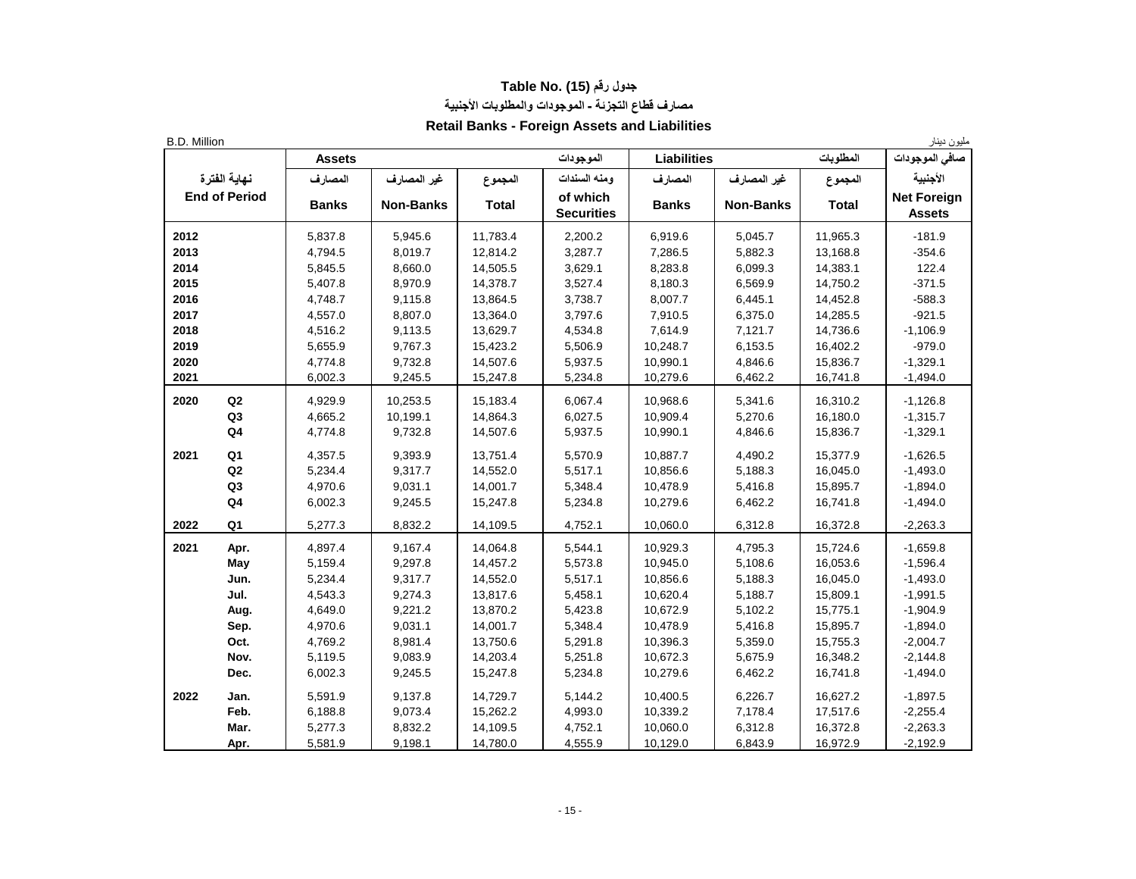## **جدول رقم (15) .No Table مصارف قطاع التجزئة - الموجودات والمطلوبات األجنبية**

## **Retail Banks - Foreign Assets and Liabilities**

| B.D. Million |                      |               |                  |              |                               |                    |                  |              | مليون دينار                         |
|--------------|----------------------|---------------|------------------|--------------|-------------------------------|--------------------|------------------|--------------|-------------------------------------|
|              |                      | <b>Assets</b> |                  |              | الموجودات                     | <b>Liabilities</b> |                  | المطلوبات    | صافي الموجودات                      |
|              | نهاية الفترة         | المصارف       | غير المصارف      | المجموع      | ومنه السندات                  | المصارف            | غير المصارف      | المجموع      | الأجنبية                            |
|              | <b>End of Period</b> | <b>Banks</b>  | <b>Non-Banks</b> | <b>Total</b> | of which<br><b>Securities</b> | <b>Banks</b>       | <b>Non-Banks</b> | <b>Total</b> | <b>Net Foreign</b><br><b>Assets</b> |
| 2012         |                      | 5,837.8       | 5,945.6          | 11,783.4     | 2,200.2                       | 6,919.6            | 5,045.7          | 11,965.3     | $-181.9$                            |
| 2013         |                      | 4,794.5       | 8,019.7          | 12,814.2     | 3,287.7                       | 7,286.5            | 5,882.3          | 13,168.8     | $-354.6$                            |
| 2014         |                      | 5,845.5       | 8,660.0          | 14,505.5     | 3,629.1                       | 8,283.8            | 6,099.3          | 14,383.1     | 122.4                               |
| 2015         |                      | 5,407.8       | 8,970.9          | 14,378.7     | 3,527.4                       | 8,180.3            | 6,569.9          | 14,750.2     | $-371.5$                            |
| 2016         |                      | 4,748.7       | 9,115.8          | 13,864.5     | 3,738.7                       | 8,007.7            | 6,445.1          | 14,452.8     | $-588.3$                            |
| 2017         |                      | 4,557.0       | 8,807.0          | 13,364.0     | 3,797.6                       | 7,910.5            | 6,375.0          | 14,285.5     | $-921.5$                            |
| 2018         |                      | 4,516.2       | 9,113.5          | 13,629.7     | 4,534.8                       | 7,614.9            | 7,121.7          | 14,736.6     | $-1,106.9$                          |
| 2019         |                      | 5,655.9       | 9,767.3          | 15,423.2     | 5,506.9                       | 10,248.7           | 6,153.5          | 16,402.2     | $-979.0$                            |
| 2020         |                      | 4,774.8       | 9,732.8          | 14,507.6     | 5,937.5                       | 10,990.1           | 4,846.6          | 15,836.7     | $-1,329.1$                          |
| 2021         |                      | 6,002.3       | 9,245.5          | 15,247.8     | 5,234.8                       | 10,279.6           | 6,462.2          | 16,741.8     | $-1,494.0$                          |
| 2020         | Q2                   | 4,929.9       | 10,253.5         | 15,183.4     | 6,067.4                       | 10,968.6           | 5,341.6          | 16,310.2     | $-1,126.8$                          |
|              | Q3                   | 4,665.2       | 10,199.1         | 14,864.3     | 6,027.5                       | 10,909.4           | 5,270.6          | 16,180.0     | $-1,315.7$                          |
|              | Q <sub>4</sub>       | 4,774.8       | 9,732.8          | 14,507.6     | 5,937.5                       | 10,990.1           | 4,846.6          | 15,836.7     | $-1,329.1$                          |
| 2021         | Q1                   | 4,357.5       | 9,393.9          | 13,751.4     | 5,570.9                       | 10,887.7           | 4,490.2          | 15,377.9     | $-1,626.5$                          |
|              | Q <sub>2</sub>       | 5,234.4       | 9,317.7          | 14,552.0     | 5,517.1                       | 10,856.6           | 5,188.3          | 16,045.0     | $-1,493.0$                          |
|              | Q <sub>3</sub>       | 4,970.6       | 9,031.1          | 14,001.7     | 5,348.4                       | 10,478.9           | 5,416.8          | 15,895.7     | $-1,894.0$                          |
|              | Q <sub>4</sub>       | 6,002.3       | 9,245.5          | 15,247.8     | 5,234.8                       | 10,279.6           | 6,462.2          | 16,741.8     | $-1,494.0$                          |
| 2022         | Q1                   | 5,277.3       | 8,832.2          | 14,109.5     | 4,752.1                       | 10,060.0           | 6,312.8          | 16,372.8     | $-2,263.3$                          |
| 2021         | Apr.                 | 4,897.4       | 9,167.4          | 14,064.8     | 5,544.1                       | 10,929.3           | 4,795.3          | 15,724.6     | $-1,659.8$                          |
|              | May                  | 5,159.4       | 9,297.8          | 14,457.2     | 5,573.8                       | 10,945.0           | 5,108.6          | 16,053.6     | $-1,596.4$                          |
|              | Jun.                 | 5,234.4       | 9,317.7          | 14,552.0     | 5,517.1                       | 10,856.6           | 5,188.3          | 16,045.0     | $-1,493.0$                          |
|              | Jul.                 | 4,543.3       | 9,274.3          | 13,817.6     | 5,458.1                       | 10,620.4           | 5,188.7          | 15,809.1     | $-1,991.5$                          |
|              | Aug.                 | 4,649.0       | 9,221.2          | 13,870.2     | 5,423.8                       | 10,672.9           | 5,102.2          | 15,775.1     | $-1,904.9$                          |
|              | Sep.                 | 4,970.6       | 9,031.1          | 14,001.7     | 5,348.4                       | 10,478.9           | 5,416.8          | 15,895.7     | $-1,894.0$                          |
|              | Oct.                 | 4,769.2       | 8,981.4          | 13,750.6     | 5,291.8                       | 10,396.3           | 5,359.0          | 15,755.3     | $-2,004.7$                          |
|              | Nov.                 | 5,119.5       | 9,083.9          | 14,203.4     | 5,251.8                       | 10,672.3           | 5,675.9          | 16,348.2     | $-2,144.8$                          |
|              | Dec.                 | 6,002.3       | 9,245.5          | 15,247.8     | 5,234.8                       | 10,279.6           | 6,462.2          | 16,741.8     | $-1,494.0$                          |
| 2022         | Jan.                 | 5,591.9       | 9,137.8          | 14,729.7     | 5,144.2                       | 10,400.5           | 6,226.7          | 16,627.2     | $-1,897.5$                          |
|              | Feb.                 | 6,188.8       | 9,073.4          | 15,262.2     | 4,993.0                       | 10,339.2           | 7,178.4          | 17,517.6     | $-2,255.4$                          |
|              | Mar.                 | 5,277.3       | 8,832.2          | 14,109.5     | 4,752.1                       | 10,060.0           | 6,312.8          | 16,372.8     | $-2,263.3$                          |
|              | Apr.                 | 5,581.9       | 9,198.1          | 14,780.0     | 4,555.9                       | 10,129.0           | 6,843.9          | 16,972.9     | $-2,192.9$                          |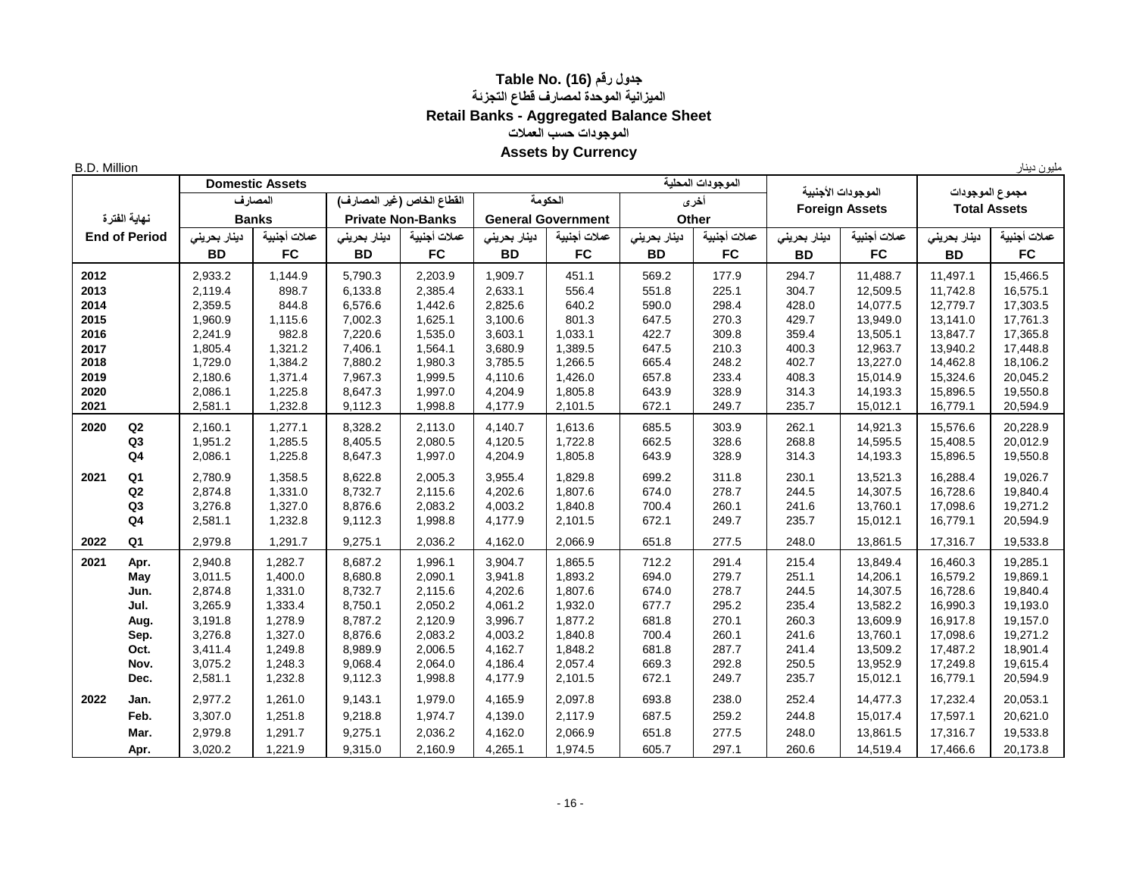## **جدول رقم (16) .Table No الميزانية الموحدة لمصارف قطاع التجزئة Retail Banks - Aggregated Balance Sheet الموجودات حسب العمالت Assets by Currency**

B.D. Million دينار مليون

|                      |                |              | <b>Domestic Assets</b> |                          |                            |              |                           |              | الموجودات المحلية | الموجودات الأجنبية |                       |                                        |              |
|----------------------|----------------|--------------|------------------------|--------------------------|----------------------------|--------------|---------------------------|--------------|-------------------|--------------------|-----------------------|----------------------------------------|--------------|
|                      |                | المصارف      |                        |                          | الفطاع الخاص (غير المصارف) |              | الحكومة                   |              | أخرى              |                    |                       | مجموع الموجودات<br><b>Total Assets</b> |              |
| نهاية الفترة         |                |              | <b>Banks</b>           | <b>Private Non-Banks</b> |                            |              | <b>General Government</b> |              | Other             |                    | <b>Foreign Assets</b> |                                        |              |
| <b>End of Period</b> |                | دينار بحريني | عملات أجنبية           | دينار بحرينى             | عملات أجنبية               | دينار بحرينى | عملات أجنبية              | دينار بحريني | عملات أجنبية      | دينار بحريني       | عملات أجنبية          | دينار بحريني                           | عملات أجنبية |
|                      |                | BD           | <b>FC</b>              | BD                       | <b>FC</b>                  | <b>BD</b>    | <b>FC</b>                 | BD           | <b>FC</b>         | BD                 | <b>FC</b>             | BD                                     | FC           |
| 2012                 |                | 2,933.2      | 1,144.9                | 5,790.3                  | 2,203.9                    | 1,909.7      | 451.1                     | 569.2        | 177.9             | 294.7              | 11,488.7              | 11,497.1                               | 15,466.5     |
| 2013                 |                | 2,119.4      | 898.7                  | 6,133.8                  | 2,385.4                    | 2,633.1      | 556.4                     | 551.8        | 225.1             | 304.7              | 12,509.5              | 11,742.8                               | 16,575.1     |
| 2014                 |                | 2,359.5      | 844.8                  | 6,576.6                  | 1,442.6                    | 2,825.6      | 640.2                     | 590.0        | 298.4             | 428.0              | 14,077.5              | 12,779.7                               | 17,303.5     |
| 2015                 |                | 1,960.9      | 1,115.6                | 7,002.3                  | 1,625.1                    | 3,100.6      | 801.3                     | 647.5        | 270.3             | 429.7              | 13,949.0              | 13,141.0                               | 17,761.3     |
| 2016                 |                | 2,241.9      | 982.8                  | 7,220.6                  | 1,535.0                    | 3,603.1      | 1,033.1                   | 422.7        | 309.8             | 359.4              | 13,505.1              | 13,847.7                               | 17,365.8     |
| 2017                 |                | 1,805.4      | 1,321.2                | 7,406.1                  | 1,564.1                    | 3,680.9      | 1,389.5                   | 647.5        | 210.3             | 400.3              | 12,963.7              | 13,940.2                               | 17,448.8     |
| 2018                 |                | 1,729.0      | 1,384.2                | 7,880.2                  | 1,980.3                    | 3,785.5      | 1,266.5                   | 665.4        | 248.2             | 402.7              | 13,227.0              | 14,462.8                               | 18,106.2     |
| 2019                 |                | 2,180.6      | 1,371.4                | 7,967.3                  | 1,999.5                    | 4,110.6      | 1,426.0                   | 657.8        | 233.4             | 408.3              | 15,014.9              | 15,324.6                               | 20,045.2     |
| 2020                 |                | 2,086.1      | 1,225.8                | 8,647.3                  | 1,997.0                    | 4,204.9      | 1,805.8                   | 643.9        | 328.9             | 314.3              | 14,193.3              | 15,896.5                               | 19,550.8     |
| 2021                 |                | 2,581.1      | 1,232.8                | 9,112.3                  | 1,998.8                    | 4,177.9      | 2,101.5                   | 672.1        | 249.7             | 235.7              | 15,012.1              | 16,779.1                               | 20,594.9     |
| 2020                 | Q2             | 2,160.1      | 1,277.1                | 8,328.2                  | 2,113.0                    | 4,140.7      | 1,613.6                   | 685.5        | 303.9             | 262.1              | 14,921.3              | 15,576.6                               | 20,228.9     |
|                      | Q <sub>3</sub> | 1,951.2      | 1,285.5                | 8,405.5                  | 2,080.5                    | 4,120.5      | 1,722.8                   | 662.5        | 328.6             | 268.8              | 14,595.5              | 15,408.5                               | 20,012.9     |
|                      | Q <sub>4</sub> | 2,086.1      | 1,225.8                | 8,647.3                  | 1,997.0                    | 4,204.9      | 1,805.8                   | 643.9        | 328.9             | 314.3              | 14,193.3              | 15,896.5                               | 19,550.8     |
|                      |                |              |                        |                          |                            |              |                           |              |                   |                    |                       |                                        |              |
| 2021                 | Q <sub>1</sub> | 2,780.9      | 1,358.5                | 8,622.8                  | 2,005.3                    | 3,955.4      | 1,829.8                   | 699.2        | 311.8             | 230.1              | 13,521.3              | 16,288.4                               | 19,026.7     |
|                      | Q2             | 2,874.8      | 1,331.0                | 8,732.7                  | 2,115.6                    | 4,202.6      | 1,807.6                   | 674.0        | 278.7             | 244.5              | 14,307.5              | 16,728.6                               | 19,840.4     |
|                      | Q <sub>3</sub> | 3,276.8      | 1,327.0                | 8,876.6                  | 2,083.2                    | 4,003.2      | 1,840.8                   | 700.4        | 260.1             | 241.6              | 13,760.1              | 17,098.6                               | 19,271.2     |
|                      | Q <sub>4</sub> | 2,581.1      | 1,232.8                | 9,112.3                  | 1,998.8                    | 4,177.9      | 2,101.5                   | 672.1        | 249.7             | 235.7              | 15,012.1              | 16,779.1                               | 20,594.9     |
| 2022                 | Q <sub>1</sub> | 2,979.8      | 1,291.7                | 9,275.1                  | 2,036.2                    | 4,162.0      | 2,066.9                   | 651.8        | 277.5             | 248.0              | 13,861.5              | 17,316.7                               | 19,533.8     |
| 2021                 | Apr.           | 2.940.8      | 1,282.7                | 8.687.2                  | 1,996.1                    | 3,904.7      | 1,865.5                   | 712.2        | 291.4             | 215.4              | 13,849.4              | 16.460.3                               | 19,285.1     |
|                      | May            | 3,011.5      | 1,400.0                | 8,680.8                  | 2,090.1                    | 3,941.8      | 1,893.2                   | 694.0        | 279.7             | 251.1              | 14,206.1              | 16,579.2                               | 19,869.1     |
|                      | Jun.           | 2,874.8      | 1,331.0                | 8,732.7                  | 2,115.6                    | 4,202.6      | 1,807.6                   | 674.0        | 278.7             | 244.5              | 14,307.5              | 16,728.6                               | 19,840.4     |
|                      | Jul.           | 3,265.9      | 1,333.4                | 8,750.1                  | 2,050.2                    | 4,061.2      | 1,932.0                   | 677.7        | 295.2             | 235.4              | 13,582.2              | 16,990.3                               | 19,193.0     |
|                      | Aug.           | 3,191.8      | 1,278.9                | 8,787.2                  | 2,120.9                    | 3,996.7      | 1,877.2                   | 681.8        | 270.1             | 260.3              | 13,609.9              | 16,917.8                               | 19,157.0     |
|                      | Sep.           | 3,276.8      | 1,327.0                | 8,876.6                  | 2,083.2                    | 4,003.2      | 1,840.8                   | 700.4        | 260.1             | 241.6              | 13,760.1              | 17,098.6                               | 19,271.2     |
|                      | Oct.           | 3,411.4      | 1,249.8                | 8,989.9                  | 2,006.5                    | 4,162.7      | 1,848.2                   | 681.8        | 287.7             | 241.4              | 13,509.2              | 17,487.2                               | 18,901.4     |
|                      | Nov.           | 3,075.2      | 1,248.3                | 9,068.4                  | 2,064.0                    | 4,186.4      | 2,057.4                   | 669.3        | 292.8             | 250.5              | 13,952.9              | 17,249.8                               | 19,615.4     |
|                      | Dec.           | 2,581.1      | 1,232.8                | 9,112.3                  | 1,998.8                    | 4,177.9      | 2,101.5                   | 672.1        | 249.7             | 235.7              | 15,012.1              | 16,779.1                               | 20,594.9     |
| 2022                 | Jan.           | 2,977.2      | 1,261.0                | 9,143.1                  | 1,979.0                    | 4,165.9      | 2,097.8                   | 693.8        | 238.0             | 252.4              | 14,477.3              | 17,232.4                               | 20,053.1     |
|                      | Feb.           | 3,307.0      | 1,251.8                | 9,218.8                  | 1,974.7                    | 4,139.0      | 2,117.9                   | 687.5        | 259.2             | 244.8              | 15,017.4              | 17,597.1                               | 20,621.0     |
|                      | Mar.           | 2,979.8      | 1,291.7                | 9,275.1                  | 2,036.2                    | 4,162.0      | 2,066.9                   | 651.8        | 277.5             | 248.0              | 13,861.5              | 17,316.7                               | 19,533.8     |
|                      | Apr.           | 3,020.2      | 1,221.9                | 9,315.0                  | 2,160.9                    | 4,265.1      | 1,974.5                   | 605.7        | 297.1             | 260.6              | 14,519.4              | 17,466.6                               | 20,173.8     |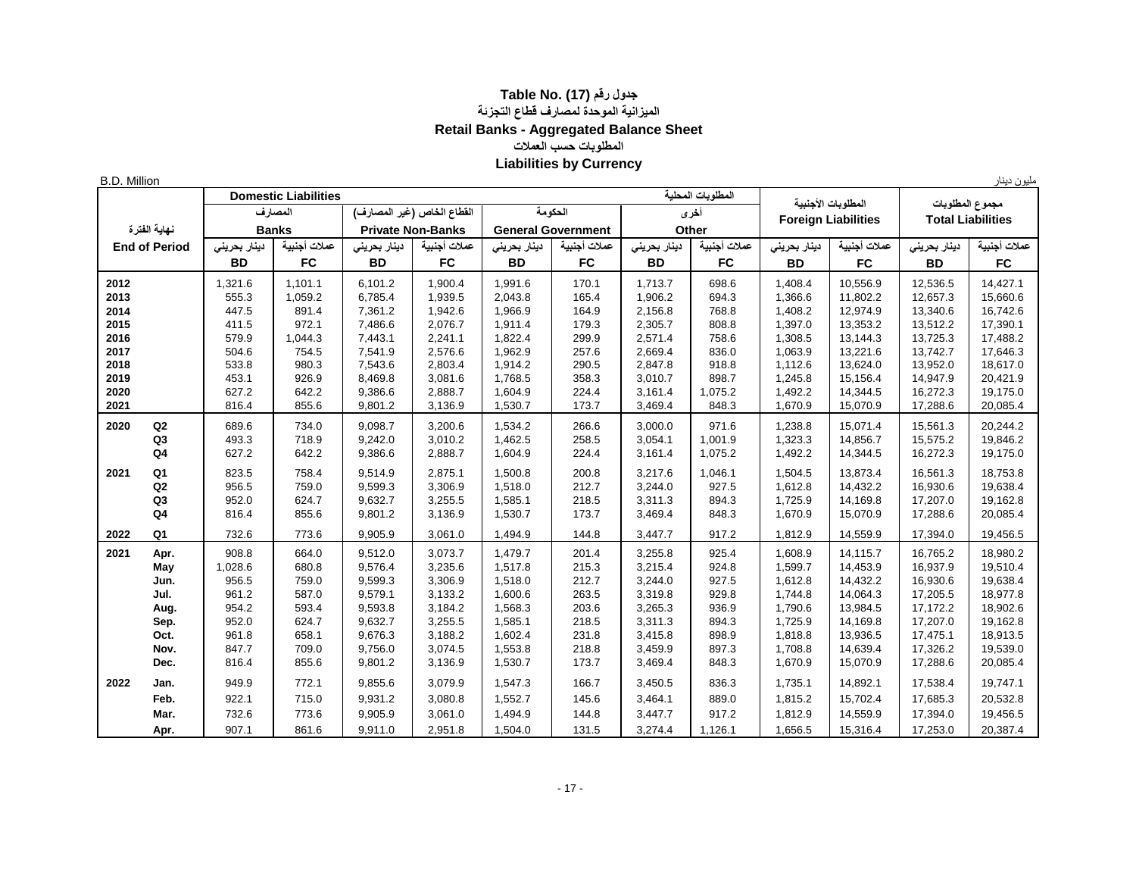## **جدول رقم (17) .No Table الميزانية الموحدة لمصارف قطاع التجزئة Retail Banks - Aggregated Balance Sheet المطلوبات حسب العمالت Liabilities by Currency**

B.D. Million دينار مليون **المطلوبات المحلية Liabilities Domestic أخرى الحكومة القطاع الخاص )غير المصارف( المصارف الفترة نهاية Banks Private Non-Banks General Government Other** عملات أجنبية | دينار بعريني | عملات أجنبية | دينار بعراس بعائب التابع عملات أجنبية | دينار بعريني الجنائج العلام أجنبية | دينار بعريني | End of Period | التار بعريني | علامات أجنبية | دينار بحريني | End of Period **BD FC BD FC BD FC BD FC BD FC BD FC 2012** 1,321.6 1,101.1 6,101.2 1,900.4 1,991.6 170.1 1,713.7 698.6 1,408.4 10,556.9 12,536.5 14,427.1  **2013** 555.3 1,059.2 6,785.4 1,939.5 2,043.8 165.4 1,906.2 694.3 1,366.6 11,802.2 12,657.3 15,660.6  **2014** 447.5 891.4 7,361.2 1,942.6 1,966.9 164.9 2,156.8 768.8 1,408.2 12,974.9 13,340.6 16,742.6  **2015** 411.5 972.1 7,486.6 2,076.7 1,911.4 179.3 2,305.7 808.8 1,397.0 13,353.2 13,512.2 17,390.1  **2016** 579.9 1,044.3 7,443.1 2,241.1 1,822.4 299.9 2,571.4 758.6 1,308.5 13,144.3 13,725.3 17,488.2  **2017** 504.6 754.5 7,541.9 2,576.6 1,962.9 257.6 2,669.4 836.0 1,063.9 13,221.6 13,742.7 17,646.3  **2018** 533.8 980.3 7,543.6 2,803.4 1,914.2 290.5 2,847.8 918.8 1,112.6 13,624.0 13,952.0 18,617.0  **2019** 453.1 926.9 8,469.8 3,081.6 1,768.5 358.3 3,010.7 898.7 1,245.8 15,156.4 14,947.9 20,421.9  **2020** 627.2 642.2 9,386.6 2,888.7 1,604.9 224.4 3,161.4 1,075.2 1,492.2 14,344.5 16,272.3 19,175.0  **2021** 816.4 855.6 9,801.2 3,136.9 1,530.7 173.7 3,469.4 848.3 1,670.9 15,070.9 17,288.6 20,085.4  **2020 Q2** 689.6 734.0 9,098.7 3,200.6 1,534.2 266.6 3,000.0 971.6 1,238.8 15,071.4 15,561.3 20,244.2 **Q3** 493.3 718.9 9,242.0 3,010.2 1,462.5 258.5 3,054.1 1,001.9 1,323.3 14,856.7 15,575.2 19,846.2 **Q4** | 627.2 | 642.2 | 9,386.6 | 2,888.7 | 1,604.9 | 224.4 | 1,015.4 | 1,075.2 | 1,492.2 | 14,344.5 | 16,272.3 | 19,175.0  **2021 Q1** 823.5 758.4 9,514.9 2,875.1 1,500.8 200.8 3,217.6 1,046.1 1,504.5 13,873.4 16,561.3 18,753.8 **Q2** 956.5 759.0 9,599.3 3,306.9 1,518.0 212.7 3,244.0 927.5 1,612.8 14,432.2 16,930.6 19,638.4 **Q3** 952.0 624.7 9,632.7 3,255.5 1,585.1 218.5 3,311.3 894.3 1,725.9 | 14,169.8 | 17,207.0 | 19,162.8 **Q4** | 816.4 | 855.6 | 9,801.2 | 3,136.9 | 1,530.7 | 173.7 | 3,469.4 | 848.3 | 1,670.9 | 15,070.9 | 17,288.6 | 20,085.4  **2022 Q1** 732.6 773.6 9,905.9 3,061.0 1,494.9 144.8 3,447.7 917.2 1,812.9 14,559.9 17,394.0 19,456.5  **2021 Apr.** 908.8 664.0 9,512.0 3,073.7 1,479.7 201.4 3,255.8 925.4 1,608.9 14,115.7 16,765.2 18,980.2 **May** | 1,028.6 | 680.8 | 9,576.4 | 3,235.6 | 1,517.8 | 215.3 | 3,215.4 | 924.8 | 1,599.7 |14,453.9 | 16,937.9 | 19,510.4 **Jun.** | 956.5 | 759.0 | 9,599.3 | 3,306.9 | 1,518.0 | 212.7 | 3,244.0 | 927.5 | 1,612.8 |14,432.2 | 16,930.6 | 19,638.4 **Jul.** | 961.2 | 587.0 | 9,579.1 | 3,133.2 | 1,600.6 | 263.5 | 3,319.8 | 929.8 | 1,744.8 |14,064.3 | 17,205.5 | 18,977.8 **Aug.** | 954.2 | 593.4 | 9,593.8 | 3,184.2 | 1,568.3 | 203.6 | 3,265.3 | 936.9 | 1,790.6 |13,984.5 | 17,172.2 | 18,902.6 **Sep.** | 952.0 | 624.7 | 9,632.7 | 3,255.5 | 1,585.1 | 218.5 | 3,311.3 | 894.3 | 1,725.9 |14,169.8 | 17,207.0 | 19,162.8 **Oct.** | 961.8 | 658.1 | 9,676.3 | 3,188.2 | 1,602.4 | 231.8 | 3,415.8 | 898.9 | 1,818.8 |13,936.5 | 17,475.1 |18,913.5 **Nov.** | 847.7 | 709.0 | 9,756.0 | 3,074.5 | 1,553.8 | 218.8 | 3,459.9 | 897.3 | 1,708.8 |14,639.4 | 17,326.2 | 19,539.0 **Dec.** | 816.4 | 855.6 | 9,801.2 | 3,136.9 | 1,530.7 | 173.7 | 3,469.4 | 848.3 | 1,670.9 | 15,070.9 | 17,288.6 | 20,085.4  **2022 Jan.** 949.9 772.1 9,855.6 3,079.9 1,547.3 166.7 3,450.5 836.3 1,735.1 14,892.1 17,538.4 19,747.1 **Feb.** | 922.1 | 715.0 | 9,931.2 | 3,080.8 | 1,552.7 | 145.6 | 3,464.1 | 889.0 | 1,815.2 |15,702.4 | 17,685.3 | 20,532.8 **Mar.** | 732.6 | 773.6 | 9,905.9 | 3,061.0 | 1,494.9 | 144.8 | 3,447.7 | 917.2 | 1,812.9 |14,559.9 | 17,394.0 | 19,456.5 **Apr.** | 907.1 | 861.6 | 9,911.0 | 2,951.8 | 1,504.0 | 131.5 | 3,274.4 |1,126.1 | 1,656.5 |15,316.4 | 17,253.0 | 20,387.4 **المطلوبات األجنبية Foreign Liabilities مجموع المطلوبات Total Liabilities**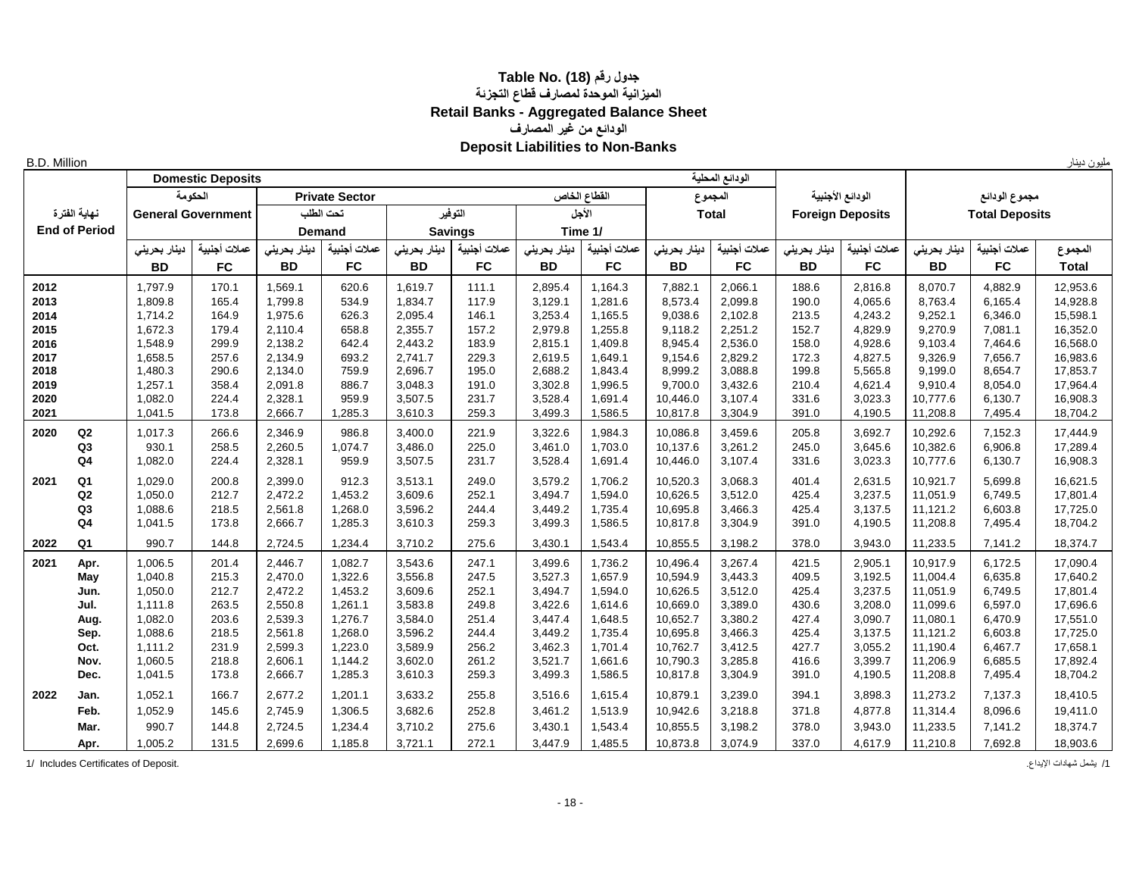## **جدول رقم (18) .No Table الميزانية الموحدة لمصارف قطاع التجزئة Retail Banks - Aggregated Balance Sheet الودائع من غير المصارف Deposit Liabilities to Non-Banks**

| <b>B.D. Million</b> |                      |                    |                           |                    |                       |                    |                |                    |                    |                      |                    |                |                         |                      |                       | مليون دينار          |
|---------------------|----------------------|--------------------|---------------------------|--------------------|-----------------------|--------------------|----------------|--------------------|--------------------|----------------------|--------------------|----------------|-------------------------|----------------------|-----------------------|----------------------|
|                     |                      |                    | <b>Domestic Deposits</b>  |                    |                       |                    |                |                    |                    |                      | الودائع المحلية    |                |                         |                      |                       |                      |
|                     |                      |                    | الحكومة                   |                    | <b>Private Sector</b> |                    |                |                    | القطاع الخاص       | المجموع              |                    |                | الودائع الأجنبية        |                      | مجموع الودائع         |                      |
|                     | نهاية الفترة         |                    | <b>General Government</b> |                    | نحت الطلب             |                    | التوفير        |                    | الأجل              | <b>Total</b>         |                    |                | <b>Foreign Deposits</b> |                      | <b>Total Deposits</b> |                      |
|                     | <b>End of Period</b> |                    |                           |                    | <b>Demand</b>         |                    | <b>Savings</b> |                    | Time 1/            |                      |                    |                |                         |                      |                       |                      |
|                     |                      | دينار بحريني       | عملات أجنبية              | دينار بحريني       | عملات أجنبية          | دينار بحريني       | عملات أجنبية   | دينار بحريني       | عملات أجنبية       | دينار بحريني         | عملات أجنبية       | دينار بحريني   | عملات أجنبية            | دينار بحرينى         | عملات أجنبية          | المجموع              |
|                     |                      | <b>BD</b>          | <b>FC</b>                 | <b>BD</b>          | <b>FC</b>             | <b>BD</b>          | <b>FC</b>      | <b>BD</b>          | <b>FC</b>          | <b>BD</b>            | <b>FC</b>          | <b>BD</b>      | <b>FC</b>               | <b>BD</b>            | <b>FC</b>             | <b>Total</b>         |
| 2012                |                      | 1,797.9            | 170.1                     | 1.569.1            | 620.6                 | 1,619.7            | 111.1          | 2,895.4            | 1.164.3            | 7,882.1              | 2,066.1            | 188.6          | 2.816.8                 | 8.070.7              | 4.882.9               | 12,953.6             |
| 2013                |                      | 1,809.8            | 165.4                     | 1,799.8            | 534.9                 | 1,834.7            | 117.9          | 3,129.1            | 1,281.6            | 8,573.4              | 2,099.8            | 190.0          | 4,065.6                 | 8,763.4              | 6,165.4               | 14,928.8             |
| 2014                |                      | 1,714.2            | 164.9                     | 1,975.6            | 626.3                 | 2,095.4            | 146.1          | 3,253.4            | 1,165.5            | 9,038.6              | 2,102.8            | 213.5          | 4,243.2                 | 9,252.1              | 6,346.0               | 15,598.1             |
| 2015                |                      | 1,672.3            | 179.4                     | 2,110.4            | 658.8                 | 2,355.7            | 157.2          | 2,979.8            | 1,255.8            | 9,118.2              | 2,251.2            | 152.7          | 4,829.9                 | 9,270.9              | 7,081.1               | 16,352.0             |
| 2016                |                      | 1,548.9            | 299.9                     | 2,138.2            | 642.4                 | 2,443.2            | 183.9          | 2,815.1            | 1,409.8            | 8,945.4              | 2,536.0            | 158.0          | 4,928.6                 | 9,103.4              | 7,464.6               | 16,568.0             |
| 2017                |                      | 1,658.5            | 257.6                     | 2,134.9            | 693.2                 | 2,741.7            | 229.3          | 2,619.5            | 1,649.1            | 9,154.6              | 2,829.2            | 172.3          | 4,827.5                 | 9,326.9              | 7,656.7               | 16,983.6             |
| 2018                |                      | 1,480.3            | 290.6                     | 2,134.0            | 759.9                 | 2,696.7            | 195.0          | 2,688.2            | 1,843.4            | 8,999.2              | 3,088.8            | 199.8          | 5,565.8                 | 9,199.0              | 8,654.7               | 17,853.7             |
| 2019                |                      | 1,257.1            | 358.4                     | 2,091.8            | 886.7                 | 3,048.3            | 191.0          | 3,302.8            | 1,996.5            | 9,700.0              | 3,432.6            | 210.4          | 4,621.4                 | 9,910.4              | 8,054.0               | 17,964.4             |
| 2020<br>2021        |                      | 1,082.0<br>1,041.5 | 224.4<br>173.8            | 2,328.1<br>2,666.7 | 959.9<br>1,285.3      | 3,507.5<br>3,610.3 | 231.7<br>259.3 | 3,528.4<br>3,499.3 | 1,691.4<br>1,586.5 | 10,446.0<br>10,817.8 | 3,107.4<br>3,304.9 | 331.6<br>391.0 | 3,023.3<br>4,190.5      | 10,777.6<br>11,208.8 | 6,130.7<br>7,495.4    | 16,908.3<br>18,704.2 |
|                     |                      |                    |                           |                    |                       |                    |                |                    |                    |                      |                    |                |                         |                      |                       |                      |
| 2020                | Q2                   | 1,017.3            | 266.6                     | 2,346.9            | 986.8                 | 3,400.0            | 221.9          | 3,322.6            | 1,984.3            | 10,086.8             | 3,459.6            | 205.8          | 3,692.7                 | 10,292.6             | 7,152.3               | 17,444.9             |
|                     | Q3                   | 930.1              | 258.5                     | 2,260.5            | 1,074.7               | 3,486.0            | 225.0          | 3,461.0            | 1,703.0            | 10,137.6             | 3,261.2            | 245.0          | 3,645.6                 | 10,382.6             | 6,906.8               | 17,289.4             |
|                     | Q <sub>4</sub>       | 1,082.0            | 224.4                     | 2,328.1            | 959.9                 | 3,507.5            | 231.7          | 3,528.4            | 1,691.4            | 10,446.0             | 3,107.4            | 331.6          | 3,023.3                 | 10,777.6             | 6,130.7               | 16,908.3             |
| 2021                | Q <sub>1</sub>       | 1,029.0            | 200.8                     | 2,399.0            | 912.3                 | 3,513.1            | 249.0          | 3,579.2            | 1,706.2            | 10,520.3             | 3,068.3            | 401.4          | 2,631.5                 | 10,921.7             | 5,699.8               | 16,621.5             |
|                     | Q2                   | 1.050.0            | 212.7                     | 2.472.2            | 1.453.2               | 3,609.6            | 252.1          | 3,494.7            | 1,594.0            | 10,626.5             | 3,512.0            | 425.4          | 3.237.5                 | 11.051.9             | 6.749.5               | 17,801.4             |
|                     | Q3                   | 1,088.6            | 218.5                     | 2,561.8            | 1,268.0               | 3,596.2            | 244.4          | 3,449.2            | 1,735.4            | 10,695.8             | 3,466.3            | 425.4          | 3,137.5                 | 11,121.2             | 6,603.8               | 17,725.0             |
|                     | Q <sub>4</sub>       | 1,041.5            | 173.8                     | 2,666.7            | 1,285.3               | 3,610.3            | 259.3          | 3,499.3            | 1,586.5            | 10,817.8             | 3,304.9            | 391.0          | 4,190.5                 | 11,208.8             | 7,495.4               | 18,704.2             |
| 2022                | Q <sub>1</sub>       | 990.7              | 144.8                     | 2,724.5            | 1,234.4               | 3,710.2            | 275.6          | 3,430.1            | 1,543.4            | 10,855.5             | 3,198.2            | 378.0          | 3,943.0                 | 11,233.5             | 7,141.2               | 18,374.7             |
| 2021                | Apr.                 | 1,006.5            | 201.4                     | 2,446.7            | 1,082.7               | 3,543.6            | 247.1          | 3,499.6            | 1,736.2            | 10,496.4             | 3,267.4            | 421.5          | 2,905.1                 | 10,917.9             | 6,172.5               | 17,090.4             |
|                     | May                  | 1,040.8            | 215.3                     | 2,470.0            | 1,322.6               | 3,556.8            | 247.5          | 3,527.3            | 1,657.9            | 10,594.9             | 3,443.3            | 409.5          | 3.192.5                 | 11,004.4             | 6,635.8               | 17,640.2             |
|                     | Jun.                 | 1,050.0            | 212.7                     | 2,472.2            | 1,453.2               | 3,609.6            | 252.1          | 3,494.7            | 1,594.0            | 10,626.5             | 3,512.0            | 425.4          | 3,237.5                 | 11,051.9             | 6,749.5               | 17,801.4             |
|                     | Jul.                 | 1,111.8            | 263.5                     | 2,550.8            | 1,261.1               | 3,583.8            | 249.8          | 3,422.6            | 1,614.6            | 10,669.0             | 3,389.0            | 430.6          | 3,208.0                 | 11,099.6             | 6,597.0               | 17,696.6             |
|                     | Aug.                 | 1,082.0            | 203.6                     | 2,539.3            | 1,276.7               | 3,584.0            | 251.4          | 3,447.4            | 1,648.5            | 10,652.7             | 3,380.2            | 427.4          | 3,090.7                 | 11,080.1             | 6,470.9               | 17,551.0             |
|                     | Sep.                 | 1,088.6            | 218.5                     | 2,561.8            | 1,268.0               | 3,596.2            | 244.4          | 3,449.2            | 1,735.4            | 10,695.8             | 3,466.3            | 425.4          | 3,137.5                 | 11,121.2             | 6,603.8               | 17,725.0             |
|                     | Oct.                 | 1,111.2            | 231.9                     | 2,599.3            | 1.223.0               | 3,589.9            | 256.2          | 3,462.3            | 1,701.4            | 10,762.7             | 3,412.5            | 427.7          | 3,055.2                 | 11,190.4             | 6,467.7               | 17,658.1             |
|                     | Nov.                 | 1,060.5            | 218.8                     | 2,606.1            | 1,144.2               | 3,602.0            | 261.2          | 3,521.7            | 1,661.6            | 10,790.3             | 3,285.8            | 416.6          | 3,399.7                 | 11,206.9             | 6,685.5               | 17,892.4             |
|                     | Dec.                 | 1,041.5            | 173.8                     | 2,666.7            | 1,285.3               | 3,610.3            | 259.3          | 3,499.3            | 1,586.5            | 10,817.8             | 3,304.9            | 391.0          | 4,190.5                 | 11,208.8             | 7,495.4               | 18,704.2             |
| 2022                | Jan.                 | 1,052.1            | 166.7                     | 2,677.2            | 1,201.1               | 3,633.2            | 255.8          | 3,516.6            | 1,615.4            | 10,879.1             | 3,239.0            | 394.1          | 3,898.3                 | 11,273.2             | 7,137.3               | 18,410.5             |
|                     | Feb.                 | 1,052.9            | 145.6                     | 2,745.9            | 1,306.5               | 3,682.6            | 252.8          | 3,461.2            | 1,513.9            | 10,942.6             | 3,218.8            | 371.8          | 4.877.8                 | 11,314.4             | 8,096.6               | 19,411.0             |
|                     | Mar.                 | 990.7              | 144.8                     | 2,724.5            | 1,234.4               | 3,710.2            | 275.6          | 3,430.1            | 1,543.4            | 10,855.5             | 3,198.2            | 378.0          | 3,943.0                 | 11,233.5             | 7,141.2               | 18,374.7             |
|                     | Apr.                 | 1,005.2            | 131.5                     | 2,699.6            | 1,185.8               | 3,721.1            | 272.1          | 3,447.9            | 1,485.5            | 10,873.8             | 3,074.9            | 337.0          | 4,617.9                 | 11,210.8             | 7,692.8               | 18,903.6             |

1/ المثلمات المعادات الإيداع. [1] 1/ Includes Certificates of Deposit. [1] يشمل شهادات الإيداع . [1] 1/ Includes Certificates of Deposit.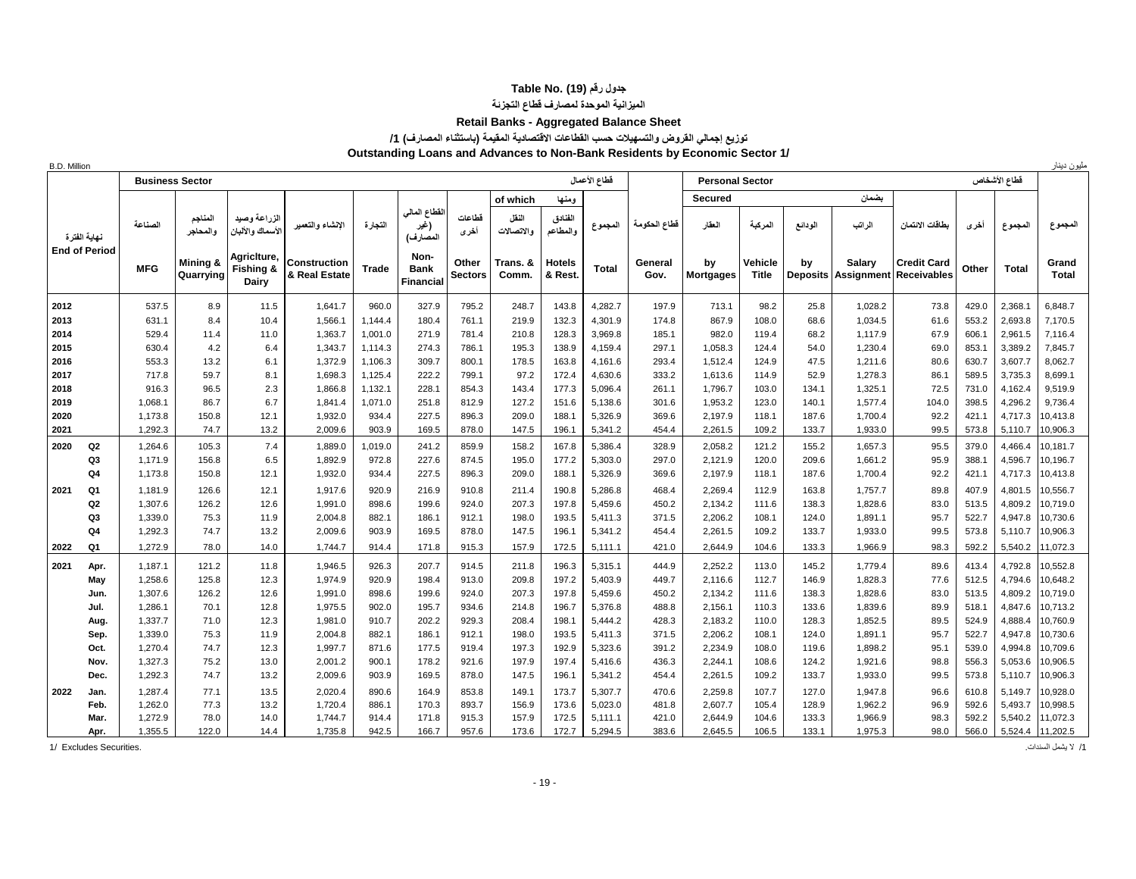## **جدول رقم (19) .Table No**

## **الميزانية الموحدة لمصارف قطاع التجزئة**

#### **Retail Banks - Aggregated Balance Sheet**

#### **توزيع إجمالي القروض والتسهيالت حسب القطاعات االقتصادية المقيمة )باستثناء المصارف( /1**

**Outstanding Loans and Advances to Non-Bank Residents by Economic Sector 1/**

| B.D. Million                 | مليون دينار<br>فطاع الأعمال<br>فطاع الأشخاص<br><b>Business Sector</b><br><b>Personal Sector</b> |                    |                       |                                   |                                      |                |                                         |                         |                     |                          |                    |                 |                        |                         |                |                                      |                                          |                |                    |                      |
|------------------------------|-------------------------------------------------------------------------------------------------|--------------------|-----------------------|-----------------------------------|--------------------------------------|----------------|-----------------------------------------|-------------------------|---------------------|--------------------------|--------------------|-----------------|------------------------|-------------------------|----------------|--------------------------------------|------------------------------------------|----------------|--------------------|----------------------|
|                              |                                                                                                 |                    |                       |                                   |                                      |                |                                         |                         |                     |                          |                    |                 |                        |                         |                |                                      |                                          |                |                    |                      |
|                              |                                                                                                 |                    |                       |                                   |                                      |                |                                         |                         | of which            | ومنها                    |                    |                 | <b>Secured</b>         |                         |                | بضمان                                |                                          |                |                    |                      |
| نهابة الفتر ة                |                                                                                                 | الصناعة            | المناجم<br>والمحاجر   | الزراعة وصيد<br>الأسماك والألبان  | الإنشاء والتعمير                     | النجارة        | لقطاع المالي<br>(غير<br>المصارف)        | فطاعات<br>أخرى          | النفل<br>والاتصالات | الفنادق<br>والمطاعم      | المجموع            | قطاع الحكومة    | العقار                 | المركبة                 | الودائع        | الراتب                               | بطاقات الانتمان                          | أخرى           | المجموع            | المجموع              |
| <b>End of Period</b>         |                                                                                                 | <b>MFG</b>         | Mining &<br>Quarrying | AgricIture,<br>Fishing &<br>Dairy | <b>Construction</b><br>& Real Estate | Trade          | Non-<br><b>Bank</b><br><b>Financial</b> | Other<br><b>Sectors</b> | Trans. &<br>Comm.   | <b>Hotels</b><br>& Rest. | Total              | General<br>Gov. | by<br><b>Mortgages</b> | Vehicle<br><b>Title</b> | by             | Salary<br><b>Deposits Assignment</b> | <b>Credit Card</b><br><b>Receivables</b> | Other          | <b>Total</b>       | Grand<br>Total       |
| 2012                         |                                                                                                 | 537.5              | 8.9                   | 11.5                              | 1,641.7                              | 960.0          | 327.9                                   | 795.2                   | 248.7               | 143.8                    | 4,282.7            | 197.9           | 713.1                  | 98.2                    | 25.8           | 1,028.2                              | 73.8                                     | 429.0          | 2.368.1            | 6.848.7              |
| 2013                         |                                                                                                 | 631.1              | 8.4                   | 10.4                              | 1,566.1                              | 1.144.4        | 180.4                                   | 761.1                   | 219.9               | 132.3                    | 4,301.9            | 174.8           | 867.9                  | 108.0                   | 68.6           | 1,034.5                              | 61.6                                     | 553.2          | 2,693.8            | 7,170.5              |
| 2014                         |                                                                                                 | 529.4              | 11.4                  | 11.0                              | 1,363.7                              | 1,001.0        | 271.9                                   | 781.4                   | 210.8               | 128.3                    | 3.969.8            | 185.1           | 982.0                  | 119.4                   | 68.2           | 1.117.9                              | 67.9                                     | 606.1          | 2,961.5            | 7,116.4              |
| 2015                         |                                                                                                 | 630.4              | 4.2                   | 6.4                               | 1,343.7                              | 1.114.3        | 274.3                                   | 786.1                   | 195.3               | 138.9                    | 4,159.4            | 297.1           | 1,058.3                | 124.4                   | 54.0           | 1,230.4                              | 69.0                                     | 853.1          | 3,389.2            | 7,845.7              |
| 2016                         |                                                                                                 | 553.3              | 13.2                  | 6.1                               | 1,372.9                              | 1.106.3        | 309.7                                   | 800.1                   | 178.5               | 163.8                    | 4,161.6            | 293.4           | 1,512.4                | 124.9                   | 47.5           | 1,211.6                              | 80.6                                     | 630.7          | 3,607.7            | 8,062.7              |
| 2017                         |                                                                                                 | 717.8              | 59.7                  | 8.1                               | 1,698.3                              | 1,125.4        | 222.2                                   | 799.1                   | 97.2                | 172.4                    | 4,630.6            | 333.2           | 1,613.6                | 114.9                   | 52.9           | 1,278.3                              | 86.1                                     | 589.5          | 3,735.3            | 8.699.1              |
| 2018                         |                                                                                                 | 916.3              | 96.5                  | 2.3                               | 1,866.8                              | 1,132.1        | 228.1                                   | 854.3                   | 143.4               | 177.3                    | 5,096.4            | 261.1           | 1,796.7                | 103.0                   | 134.1          | 1,325.1                              | 72.5                                     | 731.0          | 4,162.4            | 9,519.9              |
| 2019                         |                                                                                                 | 1,068.1            | 86.7                  | 6.7                               | 1,841.4                              | 1,071.0        | 251.8                                   | 812.9                   | 127.2               | 151.6                    | 5,138.6            | 301.6           | 1,953.2                | 123.0                   | 140.1          | 1,577.4                              | 104.0                                    | 398.5          | 4,296.2            | 9,736.4              |
| 2020                         |                                                                                                 | 1,173.8<br>1,292.3 | 150.8<br>74.7         | 12.1                              | 1,932.0                              | 934.4          | 227.5                                   | 896.3                   | 209.0               | 188.1                    | 5,326.9            | 369.6           | 2,197.9                | 118.1                   | 187.6          | 1,700.4                              | 92.2                                     | 421.1          | 4,717.3            | 10,413.8             |
| 2021                         |                                                                                                 |                    |                       | 13.2                              | 2,009.6                              | 903.9          | 169.5                                   | 878.0                   | 147.5               | 196.1                    | 5,341.2            | 454.4           | 2,261.5                | 109.2                   | 133.7          | 1,933.0                              | 99.5                                     | 573.8          | 5,110.7            | 10,906.3             |
| Q2<br>2020                   |                                                                                                 | 1.264.6<br>1.171.9 | 105.3                 | 7.4                               | 1,889.0                              | 1,019.0        | 241.2                                   | 859.9                   | 158.2               | 167.8                    | 5,386.4            | 328.9           | 2,058.2                | 121.2                   | 155.2          | 1,657.3<br>1,661.2                   | 95.5                                     | 379.0          | 4,466.4<br>4,596.7 | 10.181.7             |
| Q3<br>Q4                     |                                                                                                 | 1.173.8            | 156.8<br>150.8        | 6.5<br>12.1                       | 1,892.9<br>1,932.0                   | 972.8<br>934.4 | 227.6<br>227.5                          | 874.5<br>896.3          | 195.0<br>209.0      | 177.2<br>188.1           | 5,303.0<br>5,326.9 | 297.0<br>369.6  | 2,121.9<br>2,197.9     | 120.0<br>118.1          | 209.6<br>187.6 | 1,700.4                              | 95.9<br>92.2                             | 388.1<br>421.1 | 4,717.3            | 10,196.7<br>10,413.8 |
|                              |                                                                                                 |                    |                       |                                   |                                      |                |                                         |                         |                     |                          |                    |                 |                        |                         |                |                                      |                                          |                |                    |                      |
| 2021<br>Q1<br>Q <sub>2</sub> |                                                                                                 | 1,181.9<br>1,307.6 | 126.6<br>126.2        | 12.1<br>12.6                      | 1,917.6                              | 920.9<br>898.6 | 216.9<br>199.6                          | 910.8<br>924.0          | 211.4<br>207.3      | 190.8<br>197.8           | 5,286.8<br>5,459.6 | 468.4<br>450.2  | 2,269.4                | 112.9<br>111.6          | 163.8<br>138.3 | 1,757.7<br>1,828.6                   | 89.8                                     | 407.9<br>513.5 | 4,801.5            | 10,556.7<br>10,719.0 |
| Q <sub>3</sub>               |                                                                                                 | 1,339.0            | 75.3                  | 11.9                              | 1,991.0<br>2,004.8                   | 882.1          | 186.1                                   | 912.1                   | 198.0               | 193.5                    | 5,411.3            | 371.5           | 2,134.2<br>2,206.2     | 108.1                   | 124.0          | 1,891.1                              | 83.0<br>95.7                             | 522.7          | 4,809.2<br>4,947.8 | 10,730.6             |
| Q4                           |                                                                                                 | 1,292.3            | 74.7                  | 13.2                              | 2,009.6                              | 903.9          | 169.5                                   | 878.0                   | 147.5               | 196.1                    | 5,341.2            | 454.4           | 2,261.5                | 109.2                   | 133.7          | 1,933.0                              | 99.5                                     | 573.8          | 5,110.7            | 10,906.3             |
| 2022<br>Q1                   |                                                                                                 | 1,272.9            | 78.0                  | 14.0                              | 1,744.7                              | 914.4          | 171.8                                   | 915.3                   | 157.9               | 172.5                    | 5,111.1            | 421.0           | 2,644.9                | 104.6                   | 133.3          | 1,966.9                              | 98.3                                     | 592.2          | 5,540.2            | 11,072.3             |
| 2021                         |                                                                                                 | 1.187.1            |                       | 11.8                              |                                      | 926.3          | 207.7                                   | 914.5                   | 211.8               | 196.3                    |                    | 444.9           | 2,252.2                | 113.0                   |                |                                      |                                          | 413.4          |                    |                      |
| Apr.<br>May                  |                                                                                                 | 1.258.6            | 121.2<br>125.8        | 12.3                              | 1,946.5<br>1,974.9                   | 920.9          | 198.4                                   | 913.0                   | 209.8               | 197.2                    | 5,315.1<br>5,403.9 | 449.7           | 2,116.6                | 112.7                   | 145.2<br>146.9 | 1,779.4<br>1,828.3                   | 89.6<br>77.6                             | 512.5          | 4,792.8<br>4,794.6 | 10,552.8<br>10,648.2 |
| Jun.                         |                                                                                                 | 1.307.6            | 126.2                 | 12.6                              | 1,991.0                              | 898.6          | 199.6                                   | 924.0                   | 207.3               | 197.8                    | 5,459.6            | 450.2           | 2,134.2                | 111.6                   | 138.3          | 1,828.6                              | 83.0                                     | 513.5          | 4,809.2            | 10,719.0             |
| Jul.                         |                                                                                                 | 1.286.1            | 70.1                  | 12.8                              | 1,975.5                              | 902.0          | 195.7                                   | 934.6                   | 214.8               | 196.7                    | 5,376.8            | 488.8           | 2,156.1                | 110.3                   | 133.6          | 1,839.6                              | 89.9                                     | 518.1          | 4,847.6            | 10.713.2             |
| Aug.                         |                                                                                                 | 1.337.7            | 71.0                  | 12.3                              | 1,981.0                              | 910.7          | 202.2                                   | 929.3                   | 208.4               | 198.1                    | 5,444.2            | 428.3           | 2,183.2                | 110.0                   | 128.3          | 1,852.5                              | 89.5                                     | 524.9          | 4,888.4            | 10,760.9             |
| Sep.                         |                                                                                                 | 1.339.0            | 75.3                  | 11.9                              | 2,004.8                              | 882.1          | 186.1                                   | 912.1                   | 198.0               | 193.5                    | 5,411.3            | 371.5           | 2,206.2                | 108.1                   | 124.0          | 1,891.1                              | 95.7                                     | 522.7          | 4,947.8            | 10,730.6             |
| Oct.                         |                                                                                                 | 1,270.4            | 74.7                  | 12.3                              | 1,997.7                              | 871.6          | 177.5                                   | 919.4                   | 197.3               | 192.9                    | 5,323.6            | 391.2           | 2,234.9                | 108.0                   | 119.6          | 1,898.2                              | 95.1                                     | 539.0          | 4,994.8            | 10,709.6             |
| Nov.                         |                                                                                                 | 1,327.3            | 75.2                  | 13.0                              | 2,001.2                              | 900.1          | 178.2                                   | 921.6                   | 197.9               | 197.4                    | 5,416.6            | 436.3           | 2,244.1                | 108.6                   | 124.2          | 1,921.6                              | 98.8                                     | 556.3          | 5,053.6            | 10,906.5             |
| Dec.                         |                                                                                                 | 1,292.3            | 74.7                  | 13.2                              | 2,009.6                              | 903.9          | 169.5                                   | 878.0                   | 147.5               | 196.1                    | 5,341.2            | 454.4           | 2,261.5                | 109.2                   | 133.7          | 1,933.0                              | 99.5                                     | 573.8          | 5,110.7            | 10,906.3             |
| 2022<br>Jan.                 |                                                                                                 | 1.287.4            | 77.1                  | 13.5                              | 2,020.4                              | 890.6          | 164.9                                   | 853.8                   | 149.1               | 173.7                    | 5,307.7            | 470.6           | 2,259.8                | 107.7                   | 127.0          | 1,947.8                              | 96.6                                     | 610.8          | 5,149.7            | 10,928.0             |
| Feb.                         |                                                                                                 | 1.262.0            | 77.3                  | 13.2                              | 1,720.4                              | 886.1          | 170.3                                   | 893.7                   | 156.9               | 173.6                    | 5,023.0            | 481.8           | 2,607.7                | 105.4                   | 128.9          | 1,962.2                              | 96.9                                     | 592.6          | 5,493.7            | 10,998.5             |
| Mar.                         |                                                                                                 | 1.272.9            | 78.0                  | 14.0                              | 1,744.7                              | 914.4          | 171.8                                   | 915.3                   | 157.9               | 172.5                    | 5,111.1            | 421.0           | 2,644.9                | 104.6                   | 133.3          | 1,966.9                              | 98.3                                     | 592.2          | 5,540.2            | 11,072.3             |
| Apr.                         |                                                                                                 | 1,355.5            | 122.0                 | 14.4                              | 1,735.8                              | 942.5          | 166.7                                   | 957.6                   | 173.6               | 172.7                    | 5,294.5            | 383.6           | 2,645.5                | 106.5                   | 133.1          | 1,975.3                              | 98.0                                     | 566.0          | 5,524.4            | 11,202.5             |

/1 ال يشمل السندات. .Securities Excludes 1/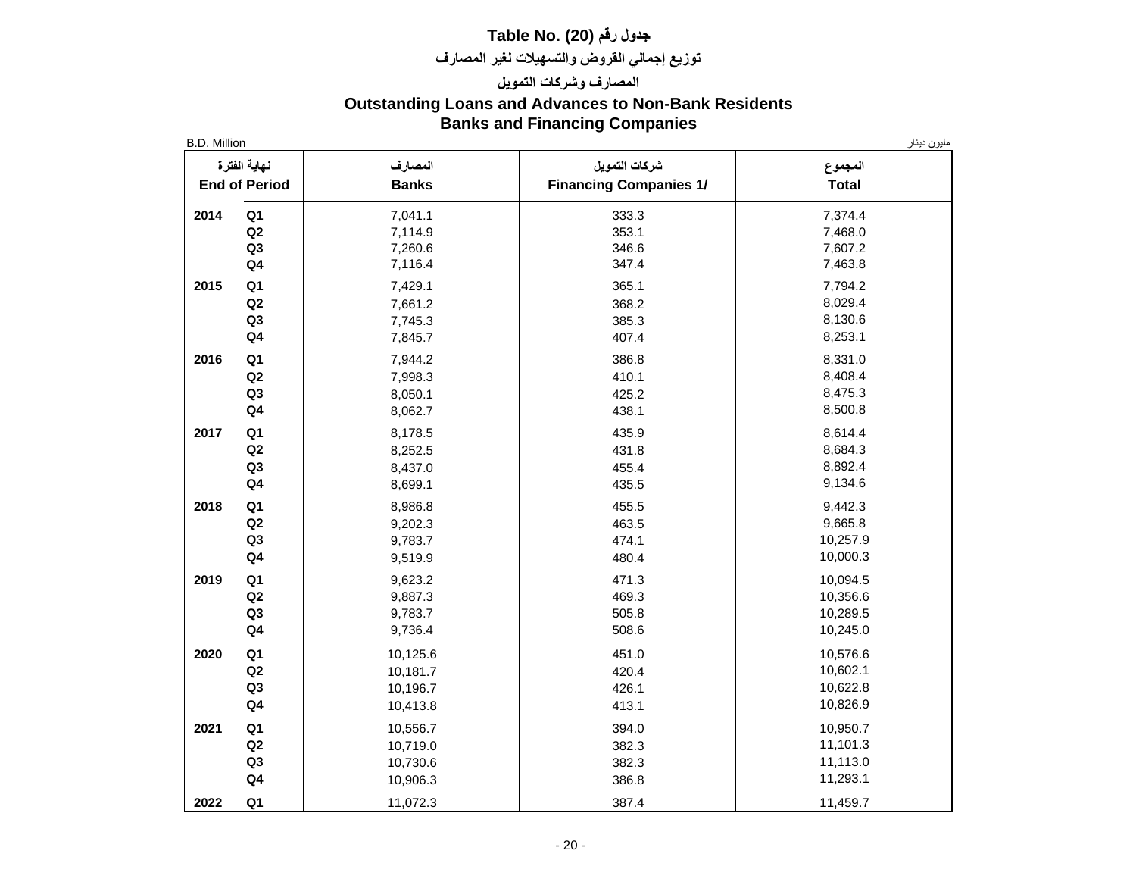## **جدول رقم (20) .No Table توزيع إجمالي القروض والتسهيالت لغير المصارف**

## **المصارف وشركات التمويل Outstanding Loans and Advances to Non-Bank Residents Banks and Financing Companies**

| نهاية الفترة<br><b>End of Period</b> | المصارف<br><b>Banks</b> | شركات التمويل<br><b>Financing Companies 1/</b> | المجموع<br><b>Total</b> |
|--------------------------------------|-------------------------|------------------------------------------------|-------------------------|
| Q1<br>2014                           | 7,041.1                 | 333.3                                          | 7,374.4                 |
| Q2                                   | 7,114.9                 | 353.1                                          | 7,468.0                 |
| Q3                                   | 7,260.6                 | 346.6                                          | 7,607.2                 |
| Q <sub>4</sub>                       | 7,116.4                 | 347.4                                          | 7,463.8                 |
| Q1<br>2015                           | 7,429.1                 | 365.1                                          | 7,794.2                 |
| Q2                                   | 7,661.2                 | 368.2                                          | 8,029.4                 |
| Q3                                   | 7,745.3                 | 385.3                                          | 8,130.6                 |
| Q <sub>4</sub>                       | 7,845.7                 | 407.4                                          | 8,253.1                 |
| 2016<br>Q <sub>1</sub>               | 7,944.2                 | 386.8                                          | 8,331.0                 |
| Q2                                   | 7,998.3                 | 410.1                                          | 8,408.4                 |
| Q <sub>3</sub>                       | 8,050.1                 | 425.2                                          | 8,475.3                 |
| $\mathbf{Q4}$                        | 8,062.7                 | 438.1                                          | 8,500.8                 |
| 2017<br>Q <sub>1</sub>               | 8,178.5                 | 435.9                                          | 8,614.4                 |
| Q2                                   | 8,252.5                 | 431.8                                          | 8,684.3                 |
| Q <sub>3</sub>                       | 8,437.0                 | 455.4                                          | 8,892.4                 |
| Q <sub>4</sub>                       | 8,699.1                 | 435.5                                          | 9,134.6                 |
| Q <sub>1</sub><br>2018               | 8,986.8                 | 455.5                                          | 9,442.3                 |
| Q2                                   | 9,202.3                 | 463.5                                          | 9,665.8                 |
| Q <sub>3</sub>                       | 9,783.7                 | 474.1                                          | 10,257.9                |
| Q <sub>4</sub>                       | 9,519.9                 | 480.4                                          | 10,000.3                |
| Q <sub>1</sub><br>2019               | 9,623.2                 | 471.3                                          | 10,094.5                |
| Q2                                   | 9,887.3                 | 469.3                                          | 10,356.6                |
| Q3                                   | 9,783.7                 | 505.8                                          | 10,289.5                |
| $\mathbf{Q4}$                        | 9,736.4                 | 508.6                                          | 10,245.0                |
| 2020<br>Q <sub>1</sub>               | 10,125.6                | 451.0                                          | 10,576.6                |
| Q2                                   | 10,181.7                | 420.4                                          | 10,602.1                |
| Q <sub>3</sub>                       | 10,196.7                | 426.1                                          | 10,622.8                |
| Q <sub>4</sub>                       | 10,413.8                | 413.1                                          | 10,826.9                |
| 2021<br>Q <sub>1</sub>               | 10,556.7                | 394.0                                          | 10,950.7                |
| Q <sub>2</sub>                       | 10,719.0                | 382.3                                          | 11,101.3                |
| Q <sub>3</sub>                       | 10,730.6                | 382.3                                          | 11,113.0                |
| Q <sub>4</sub>                       | 10,906.3                | 386.8                                          | 11,293.1                |
| 2022<br>Q <sub>1</sub>               | 11,072.3                | 387.4                                          | 11,459.7                |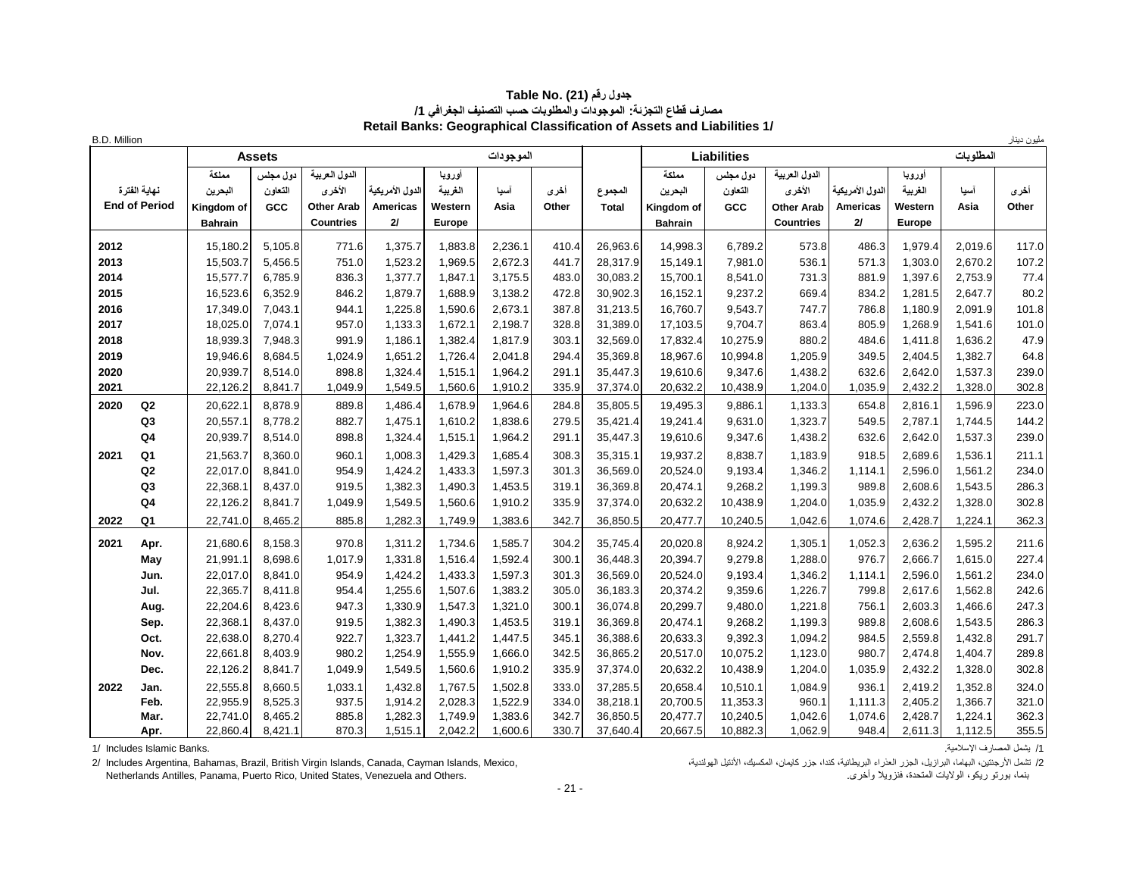| جدول رقم (21) .Table No                                                |
|------------------------------------------------------------------------|
| مصارف فطاع التجزئة: الموجودات والمطلوبات حسب التصنيف الجغرافي 1/       |
| Retail Banks: Geographical Classification of Assets and Liabilities 1/ |

| <b>B.D. Million</b> |                                      |                                                  |                            |                                                                  |                                           |                                               |                    |                |                         |                                                  |                            |                                                                  |                                           |                                        |                    | مليون دينار    |
|---------------------|--------------------------------------|--------------------------------------------------|----------------------------|------------------------------------------------------------------|-------------------------------------------|-----------------------------------------------|--------------------|----------------|-------------------------|--------------------------------------------------|----------------------------|------------------------------------------------------------------|-------------------------------------------|----------------------------------------|--------------------|----------------|
|                     |                                      |                                                  | Assets                     |                                                                  |                                           |                                               | الموجودات          |                |                         |                                                  | <b>Liabilities</b>         |                                                                  |                                           |                                        | المطلوبات          |                |
|                     | نهابة الفترة<br><b>End of Period</b> | مملكة<br>البحرين<br>Kingdom of<br><b>Bahrain</b> | دول مجلس<br>النعاون<br>GCC | الدول العربية<br>الأخرى<br><b>Other Arab</b><br><b>Countries</b> | الدول الأمر بكبة<br><b>Americas</b><br>21 | اوروپا<br>الغريبة<br>Western<br><b>Europe</b> | آسيا<br>Asia       | أخرى<br>Other  | المجموع<br><b>Total</b> | مملكة<br>البحرين<br>Kingdom of<br><b>Bahrain</b> | دول مجلس<br>التعاون<br>GCC | الدول العربية<br>الأخرى<br><b>Other Arab</b><br><b>Countries</b> | الدول الأمر بكبة<br><b>Americas</b><br>2I | اوروپا<br>الغريبة<br>Western<br>Europe | أسيا<br>Asia       | أخرى<br>Other  |
| 2012                |                                      | 15,180.2                                         | 5,105.8                    | 771.6                                                            | 1,375.7                                   | 1,883.8                                       | 2,236.1            | 410.4          | 26,963.6                | 14,998.3                                         | 6,789.2                    | 573.8                                                            | 486.3                                     | 1,979.4                                | 2,019.6            | 117.0          |
| 2013                |                                      | 15,503.7                                         | 5,456.5                    | 751.0                                                            | 1,523.2                                   | 1,969.5                                       | 2,672.3            | 441.7          | 28,317.9                | 15,149.1                                         | 7,981.0                    | 536.1                                                            | 571.3                                     | 1,303.0                                | 2,670.2            | 107.2          |
| 2014                |                                      | 15,577.7                                         | 6,785.9                    | 836.3                                                            | 1,377.7                                   | 1,847.1                                       | 3,175.5            | 483.0          | 30,083.2                | 15,700.1                                         | 8,541.0                    | 731.3                                                            | 881.9                                     | 1,397.6                                | 2,753.9            | 77.4           |
| 2015                |                                      | 16,523.6                                         | 6,352.9                    | 846.2                                                            | 1,879.7                                   | 1,688.9                                       | 3,138.2            | 472.8          | 30,902.3                | 16,152.1                                         | 9,237.2                    | 669.4                                                            | 834.2                                     | 1,281.5                                | 2,647.7            | 80.2           |
| 2016                |                                      | 17,349.0                                         | 7,043.1                    | 944.1                                                            | 1,225.8                                   | 1,590.6                                       | 2,673.1            | 387.8          | 31,213.5                | 16,760.7                                         | 9,543.7                    | 747.7                                                            | 786.8                                     | 1,180.9                                | 2,091.9            | 101.8          |
| 2017                |                                      | 18,025.0                                         | 7,074.1                    | 957.0                                                            | 1,133.3                                   | 1,672.1                                       | 2,198.7            | 328.8          | 31,389.0                | 17,103.5                                         | 9,704.7                    | 863.4                                                            | 805.9                                     | 1,268.9                                | 1,541.6            | 101.0          |
| 2018                |                                      | 18,939.3                                         | 7,948.3                    | 991.9                                                            | 1,186.1                                   | 1,382.4                                       | 1,817.9            | 303.1          | 32,569.0                | 17,832.4                                         | 10,275.9                   | 880.2                                                            | 484.6                                     | 1,411.8                                | 1,636.2            | 47.9           |
| 2019                |                                      | 19,946.6                                         | 8,684.5                    | 1,024.9                                                          | 1,651.2                                   | 1,726.4                                       | 2,041.8            | 294.4          | 35,369.8                | 18,967.6                                         | 10,994.8                   | 1,205.9                                                          | 349.5                                     | 2,404.5                                | 1,382.7            | 64.8           |
| 2020                |                                      | 20,939.7                                         | 8,514.0                    | 898.8                                                            | 1,324.4                                   | 1,515.1                                       | 1,964.2            | 291.1          | 35,447.3                | 19,610.6                                         | 9,347.6                    | 1,438.2                                                          | 632.6                                     | 2,642.0                                | 1,537.3            | 239.0          |
| 2021                |                                      | 22,126.2                                         | 8,841.7                    | 1,049.9                                                          | 1,549.5                                   | 1,560.6                                       | 1,910.2            | 335.9          | 37,374.0                | 20,632.2                                         | 10,438.9                   | 1,204.0                                                          | 1,035.9                                   | 2,432.2                                | 1,328.0            | 302.8          |
| 2020                | Q2                                   | 20,622.1                                         | 8,878.9                    | 889.8                                                            | 1,486.4                                   | 1,678.9                                       | 1,964.6            | 284.8          | 35,805.5                | 19,495.3                                         | 9,886.1                    | 1,133.3                                                          | 654.8                                     | 2,816.1                                | 1,596.9            | 223.0          |
|                     | Q <sub>3</sub>                       | 20,557.1                                         | 8,778.2                    | 882.7                                                            | 1,475.1                                   | 1,610.2                                       | 1,838.6            | 279.5          | 35,421.4                | 19,241.4                                         | 9,631.0                    | 1,323.7                                                          | 549.5                                     | 2,787.1                                | 1,744.5            | 144.2          |
|                     | Q <sub>4</sub>                       | 20,939.7                                         | 8,514.0                    | 898.8                                                            | 1,324.4                                   | 1,515.1                                       | 1,964.2            | 291.1          | 35,447.3                | 19,610.6                                         | 9,347.6                    | 1,438.2                                                          | 632.6                                     | 2,642.0                                | 1,537.3            | 239.0          |
| 2021                | Q1                                   | 21,563.7                                         | 8,360.0                    | 960.1                                                            | 1,008.3                                   | 1,429.3                                       | 1,685.4            | 308.3          | 35,315.1                | 19,937.2                                         | 8,838.7                    | 1,183.9                                                          | 918.5                                     | 2,689.6                                | 1,536.1            | 211.1          |
|                     | Q2                                   | 22,017.0                                         | 8,841.0                    | 954.9                                                            | 1,424.2                                   | 1,433.3                                       | 1,597.3            | 301.3          | 36,569.0                | 20,524.0                                         | 9,193.4                    | 1,346.2                                                          | 1,114.1                                   | 2,596.0                                | 1,561.2            | 234.0          |
|                     | Q <sub>3</sub>                       | 22,368.1                                         | 8.437.0                    | 919.5                                                            | 1,382.3                                   | 1,490.3                                       | 1,453.5            | 319.1          | 36,369.8                | 20,474.1                                         | 9,268.2                    | 1,199.3                                                          | 989.8                                     | 2,608.6                                | 1,543.5            | 286.3          |
|                     | Q <sub>4</sub>                       | 22,126.2                                         | 8,841.7                    | 1,049.9                                                          | 1,549.5                                   | 1,560.6                                       | 1,910.2            | 335.9          | 37,374.0                | 20,632.2                                         | 10,438.9                   | 1,204.0                                                          | 1,035.9                                   | 2,432.2                                | 1,328.0            | 302.8          |
| 2022                | Q <sub>1</sub>                       | 22,741.0                                         | 8,465.2                    | 885.8                                                            | 1,282.3                                   | 1,749.9                                       | 1,383.6            | 342.7          | 36,850.5                | 20,477.7                                         | 10,240.5                   | 1,042.6                                                          | 1,074.6                                   | 2,428.7                                | 1,224.1            | 362.3          |
| 2021                | Apr.                                 | 21,680.6                                         | 8,158.3                    | 970.8                                                            | 1,311.2                                   | 1,734.6                                       | 1,585.7            | 304.2          | 35,745.4                | 20,020.8                                         | 8,924.2                    | 1,305.1                                                          | 1,052.3                                   | 2,636.2                                | 1,595.2            | 211.6          |
|                     | May                                  | 21,991.1                                         | 8.698.6                    | 1,017.9                                                          | 1,331.8                                   | 1,516.4                                       | 1,592.4            | 300.1          | 36,448.3                | 20.394.7                                         | 9,279.8                    | 1,288.0                                                          | 976.7                                     | 2,666.7                                | 1,615.0            | 227.4          |
|                     | Jun.                                 | 22,017.0                                         | 8.841.0                    | 954.9                                                            | 1,424.2                                   | 1,433.3                                       | 1,597.3            | 301.3          | 36,569.0                | 20,524.0                                         | 9,193.4                    | 1,346.2                                                          | 1,114.1                                   | 2,596.0                                | 1,561.2            | 234.0          |
|                     | Jul.                                 | 22,365.7                                         | 8,411.8                    | 954.4                                                            | 1,255.6                                   | 1,507.6                                       | 1,383.2            | 305.0          | 36,183.3                | 20,374.2                                         | 9,359.6                    | 1,226.7                                                          | 799.8                                     | 2,617.6                                | 1,562.8            | 242.6          |
|                     | Aug.                                 | 22,204.6                                         | 8,423.6                    | 947.3                                                            | 1,330.9                                   | 1,547.3                                       | 1,321.0            | 300.1          | 36,074.8                | 20,299.7                                         | 9,480.0                    | 1,221.8                                                          | 756.1                                     | 2,603.3                                | 1,466.6            | 247.3          |
|                     | Sep.                                 | 22,368.1                                         | 8,437.0                    | 919.5                                                            | 1,382.3                                   | 1,490.3                                       | 1,453.5            | 319.1          | 36,369.8                | 20,474.1                                         | 9,268.2                    | 1,199.3                                                          | 989.8                                     | 2,608.6                                | 1,543.5            | 286.3          |
|                     | Oct.                                 | 22,638.0                                         | 8,270.4                    | 922.7                                                            | 1,323.7                                   | 1,441.2                                       | 1,447.5            | 345.1          | 36,388.6                | 20,633.3                                         | 9,392.3                    | 1,094.2                                                          | 984.5                                     | 2,559.8                                | 1,432.8            | 291.7          |
|                     | Nov.                                 | 22,661.8                                         | 8,403.9                    | 980.2                                                            | 1,254.9                                   | 1,555.9                                       | 1,666.0            | 342.5          | 36,865.2                | 20,517.0                                         | 10,075.2                   | 1,123.0                                                          | 980.7                                     | 2,474.8                                | 1,404.7            | 289.8          |
|                     | Dec.                                 | 22,126.2                                         | 8,841.7                    | 1,049.9                                                          | 1,549.5                                   | 1,560.6                                       | 1,910.2            | 335.9          | 37,374.0                | 20,632.2                                         | 10,438.9                   | 1,204.0                                                          | 1,035.9                                   | 2,432.2                                | 1,328.0            | 302.8          |
| 2022                | Jan.                                 | 22,555.8                                         | 8,660.5                    | 1,033.1                                                          | 1,432.8                                   | 1,767.5                                       | 1,502.8            | 333.0          | 37,285.5                | 20,658.4                                         | 10,510.1                   | 1,084.9                                                          | 936.1                                     | 2,419.2                                | 1,352.8            | 324.0          |
|                     | Feb.                                 | 22,955.9                                         | 8,525.3                    | 937.5                                                            | 1,914.2                                   | 2,028.3                                       | 1,522.9            | 334.0          | 38,218.1                | 20,700.5                                         | 11,353.3                   | 960.1                                                            | 1,111.3                                   | 2,405.2                                | 1,366.7            | 321.0          |
|                     | Mar.<br>Apr.                         | 22,741.0<br>22,860.4                             | 8,465.2<br>8,421.1         | 885.8<br>870.3                                                   | 1,282.3<br>1,515.1                        | 1,749.9<br>2,042.2                            | 1,383.6<br>1,600.6 | 342.7<br>330.7 | 36,850.5<br>37,640.4    | 20,477.7<br>20,667.5                             | 10,240.5<br>10,882.3       | 1,042.6<br>1,062.9                                               | 1,074.6<br>948.4                          | 2,428.7<br>2,611.3                     | 1,224.1<br>1,112.5 | 362.3<br>355.5 |
|                     |                                      |                                                  |                            |                                                                  |                                           |                                               |                    |                |                         |                                                  |                            |                                                                  |                                           |                                        |                    |                |

1/ يشمل المصارف الإسلامية.<br>2/ تشمل الأرجنتين، البهاما، البرازيل، الجزر العذراء البريطانية، كندا، جزر كايمان، المكسوك، الأنتيل المحسوك، ال<br>بنما، بورتو ريكو، الولايات المتحدة، فنزويلا وأخرى. . . . . . . . . . . . . . . . . 2/ Includes Argentina, Bahamas, Brazil, British Virgin Islands, Canada, Cayman Islands, Mexico, Netherlands Antilles, Panama, Puerto Rico, United States, Venezuela and Others.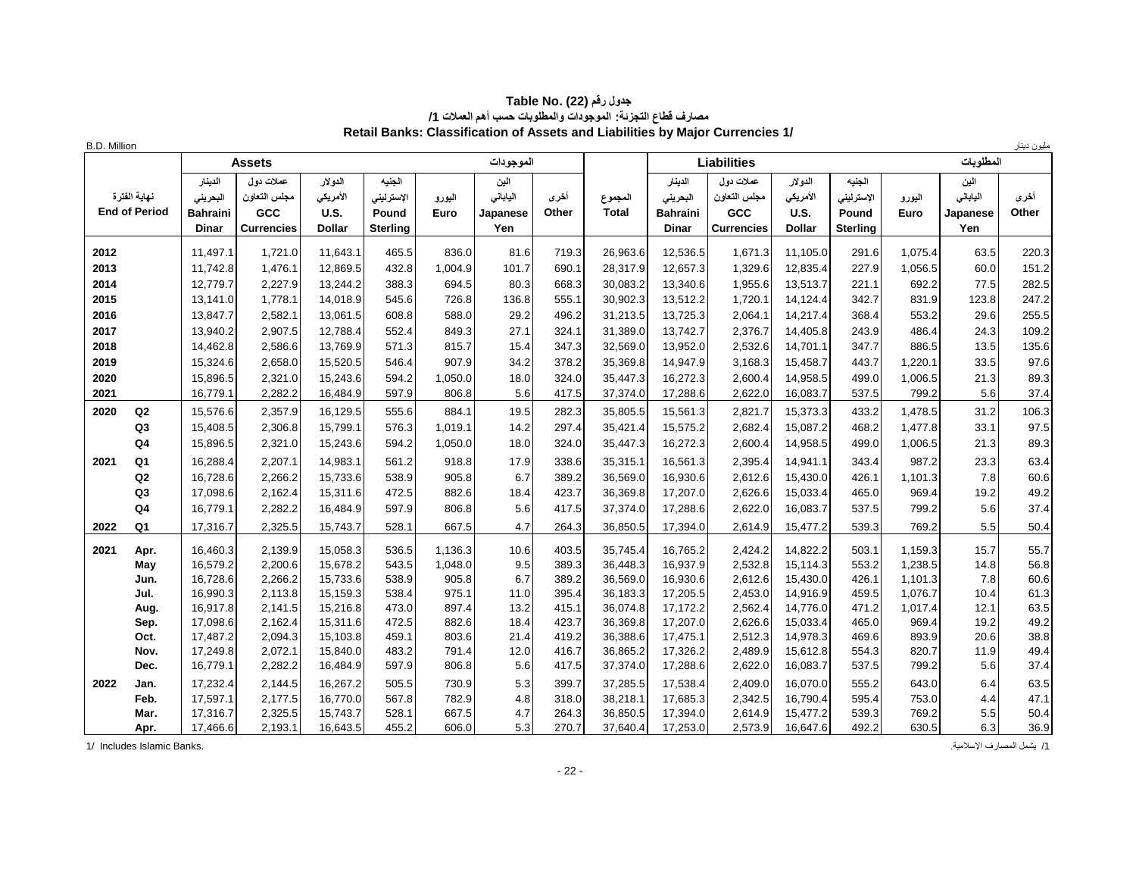| <b>B.D. Million</b> |                      |                 |                   |               |                 |         |           |       |              |                 |                    |               |                 |         |           | مليون دينار |
|---------------------|----------------------|-----------------|-------------------|---------------|-----------------|---------|-----------|-------|--------------|-----------------|--------------------|---------------|-----------------|---------|-----------|-------------|
|                     |                      |                 | <b>Assets</b>     |               |                 |         | الموجودات |       |              |                 | <b>Liabilities</b> |               |                 |         | المطلوبات |             |
|                     |                      | الدينار         | عملات دول         | الدولار       | الجنيه          |         | الين      |       |              | الدينار         | عملات دول          | الدولار       | الجنيه          |         | الين      |             |
|                     | نهابة الفتر ة        | البحريني        | مجلس التعاون      | الأمريكي      | الإسترليني      | اليورو  | اليابانى  | أخرى  | المجموع      | البحرينى        | مجلس التعاون       | الأمريكي      | الإسترليني      | اليورو  | اليابانى  | أخرى        |
|                     | <b>End of Period</b> | <b>Bahraini</b> | GCC               | <b>U.S.</b>   | Pound           | Euro    | Japanese  | Other | <b>Total</b> | <b>Bahraini</b> | GCC                | <b>U.S.</b>   | Pound           | Euro    | Japanese  | Other       |
|                     |                      | <b>Dinar</b>    | <b>Currencies</b> | <b>Dollar</b> | <b>Sterling</b> |         | Yen       |       |              | <b>Dinar</b>    | <b>Currencies</b>  | <b>Dollar</b> | <b>Sterling</b> |         | Yen       |             |
| 2012                |                      | 11,497.1        | 1,721.0           | 11,643.1      | 465.5           | 836.0   | 81.6      | 719.3 | 26,963.6     | 12,536.5        | 1,671.3            | 11,105.0      | 291.6           | 1,075.4 | 63.5      | 220.3       |
| 2013                |                      | 11,742.8        | 1,476.1           | 12,869.5      | 432.8           | 1,004.9 | 101.7     | 690.1 | 28,317.9     | 12,657.3        | 1,329.6            | 12,835.4      | 227.9           | 1,056.5 | 60.0      | 151.2       |
| 2014                |                      | 12,779.7        | 2,227.9           | 13,244.2      | 388.3           | 694.5   | 80.3      | 668.3 | 30,083.2     | 13,340.6        | 1,955.6            | 13,513.7      | 221.1           | 692.2   | 77.5      | 282.5       |
| 2015                |                      | 13,141.0        | 1,778.1           | 14,018.9      | 545.6           | 726.8   | 136.8     | 555.1 | 30,902.3     | 13,512.2        | 1,720.1            | 14,124.4      | 342.7           | 831.9   | 123.8     | 247.2       |
| 2016                |                      | 13,847.7        | 2,582.1           | 13,061.5      | 608.8           | 588.0   | 29.2      | 496.2 | 31,213.5     | 13,725.3        | 2,064.1            | 14,217.4      | 368.4           | 553.2   | 29.6      | 255.5       |
| 2017                |                      | 13,940.2        | 2,907.5           | 12,788.4      | 552.4           | 849.3   | 27.1      | 324.1 | 31,389.0     | 13,742.7        | 2,376.7            | 14,405.8      | 243.9           | 486.4   | 24.3      | 109.2       |
| 2018                |                      | 14,462.8        | 2,586.6           | 13,769.9      | 571.3           | 815.7   | 15.4      | 347.3 | 32,569.0     | 13,952.0        | 2,532.6            | 14,701.1      | 347.7           | 886.5   | 13.5      | 135.6       |
| 2019                |                      | 15,324.6        | 2,658.0           | 15,520.5      | 546.4           | 907.9   | 34.2      | 378.2 | 35,369.8     | 14,947.9        | 3,168.3            | 15,458.7      | 443.7           | 1,220.1 | 33.5      | 97.6        |
| 2020                |                      | 15,896.5        | 2,321.0           | 15,243.6      | 594.2           | 1,050.0 | 18.0      | 324.0 | 35,447.3     | 16,272.3        | 2,600.4            | 14,958.5      | 499.0           | 1,006.5 | 21.3      | 89.3        |
| 2021                |                      | 16,779.1        | 2,282.2           | 16,484.9      | 597.9           | 806.8   | 5.6       | 417.5 | 37,374.0     | 17,288.6        | 2,622.0            | 16,083.7      | 537.5           | 799.2   | 5.6       | 37.4        |
| 2020                | Q2                   | 15,576.6        | 2,357.9           | 16,129.5      | 555.6           | 884.1   | 19.5      | 282.3 | 35,805.5     | 15,561.3        | 2,821.7            | 15,373.3      | 433.2           | 1,478.5 | 31.2      | 106.3       |
|                     | Q <sub>3</sub>       | 15,408.5        | 2,306.8           | 15,799.1      | 576.3           | 1,019.1 | 14.2      | 297.4 | 35,421.4     | 15,575.2        | 2,682.4            | 15,087.2      | 468.2           | 1,477.8 | 33.1      | 97.5        |
|                     | Q <sub>4</sub>       | 15,896.5        | 2,321.0           | 15,243.6      | 594.2           | 1,050.0 | 18.0      | 324.0 | 35,447.3     | 16,272.3        | 2,600.4            | 14,958.5      | 499.0           | 1,006.5 | 21.3      | 89.3        |
| 2021                | Q <sub>1</sub>       | 16,288.4        | 2,207.1           | 14,983.1      | 561.2           | 918.8   | 17.9      | 338.6 | 35,315.1     | 16,561.3        | 2,395.4            | 14,941.1      | 343.4           | 987.2   | 23.3      | 63.4        |
|                     | Q2                   | 16,728.6        | 2,266.2           | 15,733.6      | 538.9           | 905.8   | 6.7       | 389.2 | 36,569.0     | 16,930.6        | 2,612.6            | 15,430.0      | 426.1           | 1,101.3 | 7.8       | 60.6        |
|                     | Q <sub>3</sub>       | 17,098.6        | 2,162.4           | 15,311.6      | 472.5           | 882.6   | 18.4      | 423.7 | 36,369.8     | 17,207.0        | 2,626.6            | 15,033.4      | 465.0           | 969.4   | 19.2      | 49.2        |
|                     | Q <sub>4</sub>       | 16,779.1        | 2,282.2           | 16,484.9      | 597.9           | 806.8   | 5.6       | 417.5 | 37,374.0     | 17,288.6        | 2,622.0            | 16,083.7      | 537.5           | 799.2   | 5.6       | 37.4        |
| 2022                | Q1                   | 17,316.7        | 2,325.5           | 15,743.7      | 528.1           | 667.5   | 4.7       | 264.3 | 36,850.5     | 17,394.0        | 2,614.9            | 15,477.2      | 539.3           | 769.2   | 5.5       | 50.4        |
| 2021                | Apr.                 | 16,460.3        | 2,139.9           | 15,058.3      | 536.5           | 1,136.3 | 10.6      | 403.5 | 35,745.4     | 16.765.2        | 2,424.2            | 14,822.2      | 503.1           | 1,159.3 | 15.7      | 55.7        |
|                     | May                  | 16,579.2        | 2,200.6           | 15,678.2      | 543.5           | 1,048.0 | 9.5       | 389.3 | 36,448.3     | 16,937.9        | 2,532.8            | 15,114.3      | 553.2           | 1,238.5 | 14.8      | 56.8        |
|                     | Jun.                 | 16,728.6        | 2,266.2           | 15,733.6      | 538.9           | 905.8   | 6.7       | 389.2 | 36,569.0     | 16,930.6        | 2,612.6            | 15,430.0      | 426.1           | 1,101.3 | 7.8       | 60.6        |
|                     | Jul.                 | 16,990.3        | 2,113.8           | 15,159.3      | 538.4           | 975.1   | 11.0      | 395.4 | 36,183.3     | 17,205.5        | 2,453.0            | 14,916.9      | 459.5           | 1.076.7 | 10.4      | 61.3        |
|                     | Aug.                 | 16.917.8        | 2,141.5           | 15,216.8      | 473.0           | 897.4   | 13.2      | 415.1 | 36,074.8     | 17,172.2        | 2,562.4            | 14,776.0      | 471.2           | 1,017.4 | 12.1      | 63.5        |
|                     | Sep.                 | 17,098.6        | 2,162.4           | 15,311.6      | 472.5           | 882.6   | 18.4      | 423.7 | 36,369.8     | 17,207.0        | 2,626.6            | 15,033.4      | 465.0           | 969.4   | 19.2      | 49.2        |
|                     | Oct.                 | 17,487.2        | 2,094.3           | 15,103.8      | 459.1           | 803.6   | 21.4      | 419.2 | 36,388.6     | 17,475.1        | 2,512.3            | 14,978.3      | 469.6           | 893.9   | 20.6      | 38.8        |
|                     | Nov.                 | 17,249.8        | 2,072.1           | 15,840.0      | 483.2           | 791.4   | 12.0      | 416.7 | 36,865.2     | 17,326.2        | 2,489.9            | 15,612.8      | 554.3           | 820.7   | 11.9      | 49.4        |
|                     | Dec.                 | 16,779.1        | 2,282.2           | 16,484.9      | 597.9           | 806.8   | 5.6       | 417.5 | 37,374.0     | 17,288.6        | 2,622.0            | 16,083.7      | 537.5           | 799.2   | 5.6       | 37.4        |
| 2022                | Jan.                 | 17,232.4        | 2,144.5           | 16,267.2      | 505.5           | 730.9   | 5.3       | 399.7 | 37,285.5     | 17,538.4        | 2,409.0            | 16,070.0      | 555.2           | 643.0   | 6.4       | 63.5        |
|                     | Feb.                 | 17,597.1        | 2,177.5           | 16,770.0      | 567.8           | 782.9   | 4.8       | 318.0 | 38,218.1     | 17,685.3        | 2,342.5            | 16,790.4      | 595.4           | 753.0   | 4.4       | 47.1        |
|                     | Mar.                 | 17,316.7        | 2,325.5           | 15,743.7      | 528.1           | 667.5   | 4.7       | 264.3 | 36,850.5     | 17,394.0        | 2,614.9            | 15,477.2      | 539.3           | 769.2   | 5.5       | 50.4        |
|                     | Apr.                 | 17,466.6        | 2,193.1           | 16,643.5      | 455.2           | 606.0   | 5.3       | 270.7 | 37,640.4     | 17,253.0        | 2,573.9            | 16,647.6      | 492.2           | 630.5   | 6.3       | 36.9        |

#### **جدول رقم (22) Table No. ( مصارف قطاع التجزئة: الموجودات والمطلوبات حسب أهم العمالت /1 Retail Banks: Classification of Assets and Liabilities by Major Currencies 1/**

/1 يشمل المصارف اإلسالمية. .Banks Islamic Includes 1/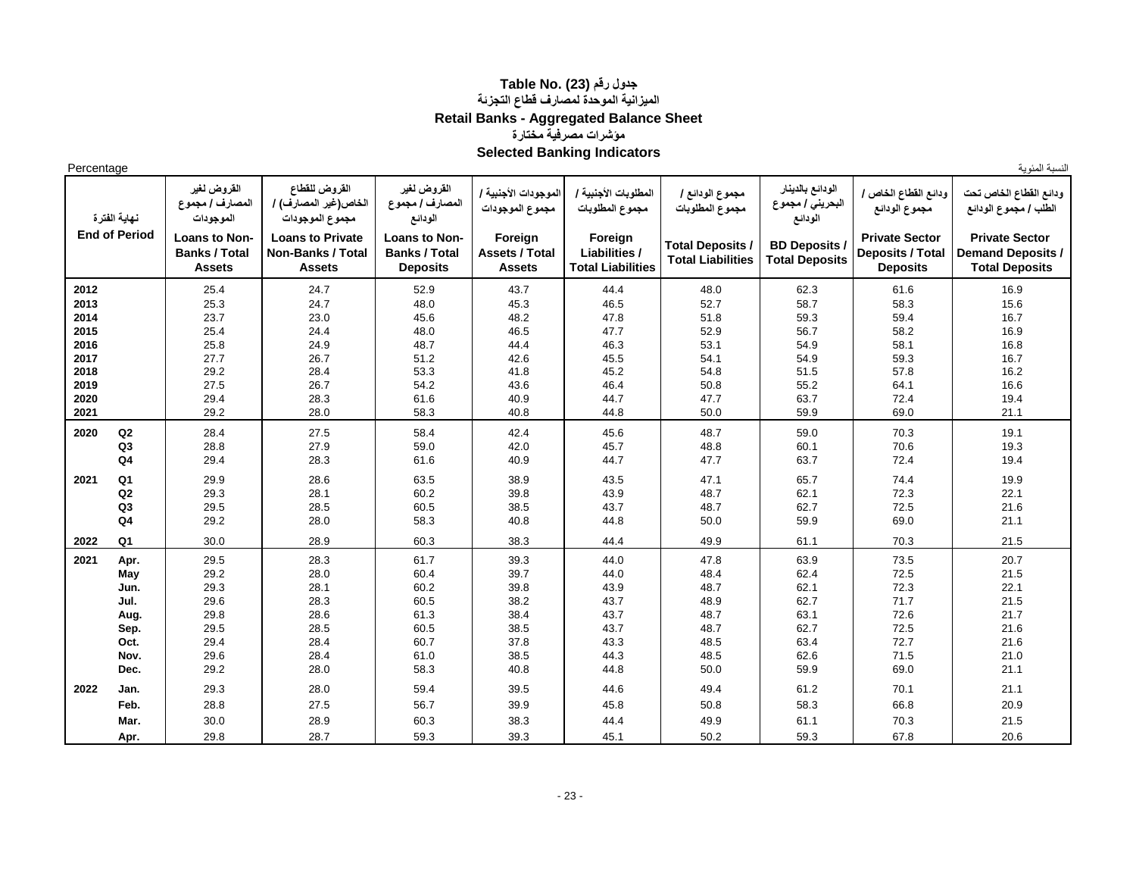## **جدول رقم (23) .No Table الميزانية الموحدة لمصارف قطاع التجزئة Retail Banks - Aggregated Balance Sheet مؤشرات مصرفية مختارة Selected Banking Indicators**

Percentage

**نهاية الفترة القروض لغير المصارف / مجموع الموجودات القروض للقطاع الخاص)غير المصارف( / مجموع الموجودات القروض لغير المصارف / مجموع الودائع الموجودات األجنبية / مجموع الموجودات المطلوبات األجنبية / مجموع المطلوبات مجموع الودائع / مجموع المطلوبات الودائع بالدينار البحريني / مجموع الودائع ودائع القطاع الخاص / مجموع الودائع ودائع القطاع الخاص تحت الطلب / مجموع الودائع End of Period Loans to Non-Banks / Total Assets Loans to Private Non-Banks / Total Assets Loans to Non-Banks / Total Deposits Foreign Assets / Total Assets Foreign Liabilities / Total Liabilities Total Deposits / Total Liabilities BD Deposits / Total Deposits Private Sector Deposits / Total Deposits Private Sector Demand Deposits / Total Deposits 2012** 25.4 24.7 52.9 43.7 44.4 48.0 62.3 61.6 16.9  **2013** 25.3 24.7 48.0 45.3 46.5 52.7 58.7 58.3 15.6  **2014** 23.7 23.0 45.6 48.2 47.8 51.8 59.3 59.4 16.7  **2015** 25.4 24.4 48.0 46.5 47.7 52.9 56.7 58.2 16.9 **2016** | 25.8 | 24.9 | 48.7 | 44.4 | 46.3 | 53.1 | 54.9 | 58.1 | 16.8  **2017** 27.7 26.7 51.2 42.6 45.5 54.1 54.9 59.3 16.7  **2018** 29.2 28.4 53.3 41.8 45.2 54.8 51.5 57.8 16.2  **2019** 27.5 26.7 54.2 43.6 46.4 50.8 55.2 64.1 16.6 **2020** 29.4 28.3 61.6 40.9 44.7 47.7 63.7 72.4 51.94  **2021** 29.2 28.0 58.3 40.8 44.8 50.0 59.9 69.0 21.1 **2020 Q2** 28.4 27.5 6 26.4 42.4 45.6 48.7 59.0 70.3 19.1 **Q3** | 28.8 | 27.9 | 59.0 | 42.0 | 45.7 | 48.8 | 60.1 | 70.6 | 19.3 **Q4** | 29.4 | 28.3 | 61.6 | 40.9 | 44.7 | 47.7 | 63.7 | 72.4 | 19.4 **2021 Q1** | 29.9 | 28.6 | 63.5 | 38.9 | 43.5 | 47.1 | 65.7 | 74.4 | 19.9 **Q2** | 29.3 | 28.1 | 60.2 | 39.8 | 43.9 | 48.7 | 62.1 | 72.3 | 22.1 **Q3** | 29.5 | 28.5 | 60.5 | 38.5 | 43.7 | 48.7 | 62.7 | 72.5 | 21.6 **Q4** | 29.2 | 28.0 | 58.3 | 40.8 | 44.8 | 50.0 | 59.9 | 69.0 | 21.1 **2022 Q1** | 30.0 | 28.9 | 60.3 | 38.3 | 44.4 | 49.9 | 61.1 | 70.3 | 21.5 **2021 Apr. |** 29.5 | 28.3 | 61.7 | 39.3 | 44.0 | 47.8 | 63.9 | 73.5 | 20.7 **May** | 29.2 | 28.0 | 60.4 | 39.7 | 44.0 | 48.4 | 62.4 | 72.5 | 21.5 **Jun. |** 29.3 | 28.1 | 60.2 | 39.8 | 43.9 | 48.7 | 62.1 | 72.3 | 22.1 **Jul. |** 29.6 | 28.3 | 60.5 | 38.2 | 43.7 | 48.9 | 62.7 | 71.7 | 21.5 **Aug. |** 29.8 | 28.6 | 61.3 | 38.4 | 43.7 | 48.7 | 63.1 | 72.6 | 21.7 **Sep. |** 29.5 | 28.5 | 60.5 | 38.5 | 43.7 | 48.7 | 62.7 | 72.5 | 21.6 **Oct. |** 29.4 | 28.4 | 60.7 | 37.8 | 43.3 | 48.5 | 63.4 | 72.7 | 21.6 **Nov.** | 29.6 | 28.4 | 61.0 | 38.5 | 44.3 | 48.5 | 62.6 | 71.5 | 21.0 **Dec.** | 29.2 | 28.0 | 58.3 | 40.8 | 44.8 | 50.0 | 59.9 | 69.0 | 21.1 **2022 Jan. | 29.3 | 28.0 | 59.4 | 39.5 | 44.6 | 49.4 | 61.2 | 70.1 | 21.1 Feb.** | 28.8 | 27.5 | 56.7 | 39.9 | 45.8 | 50.8 | 58.3 | 66.8 | 20.9 **Mar. |** 30.0 | 28.9 | 60.3 | 38.3 | 44.4 | 49.9 | 61.1 | 70.3 | 21.5 **Apr. |** 29.8 | 28.7 | 59.3 | 39.3 | 45.1 | 50.2 | 59.3 | 67.8 | 20.6

النسبة المئوية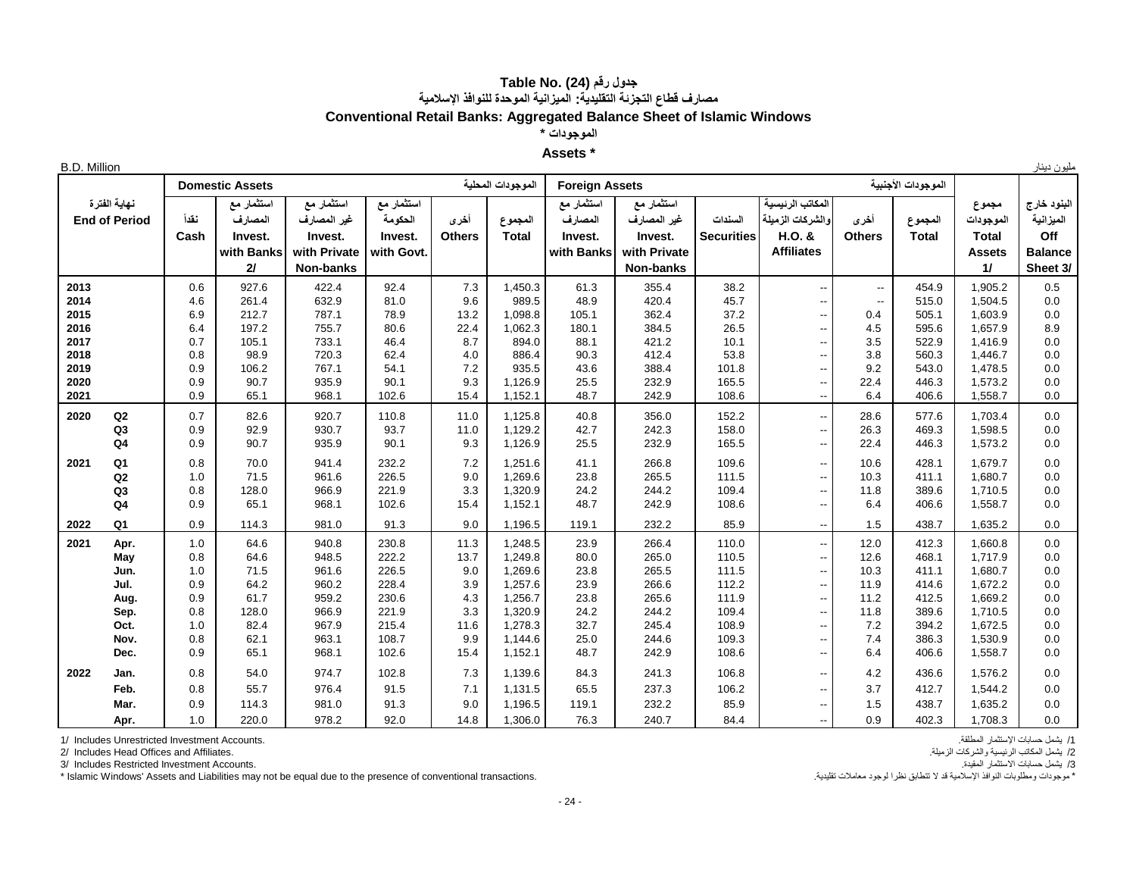### **جدول رقم (24) .Table No مصارف قطاع التجزئة التقليدية: الميزانية الموحدة للنوافذ اإلسالمية Conventional Retail Banks: Aggregated Balance Sheet of Islamic Windows**

**الموجودات \***

#### **Assets \***

| <b>B.D. Million</b> |                                      |            |                        |                           |                       |               |                    |                            |                                |                   |                                      |                          |                    |                    | مليون دينار              |
|---------------------|--------------------------------------|------------|------------------------|---------------------------|-----------------------|---------------|--------------------|----------------------------|--------------------------------|-------------------|--------------------------------------|--------------------------|--------------------|--------------------|--------------------------|
|                     |                                      |            | <b>Domestic Assets</b> |                           |                       |               | الموجودات المحلية  | <b>Foreign Assets</b>      |                                |                   |                                      |                          | الموجودات الأجنبية |                    |                          |
|                     | نهاية الفترة<br><b>End of Period</b> | نقدأ       | آستثمار مع<br>المصارف  | استثمار مع<br>غير المصارف | استثمار مع<br>الحكومة | أخرى          | المجموع            | ۔<br>استثمار مع<br>المصارف | ۔<br>استثمار مع<br>غير المصارف | السندات           | المكاتب الرئيسية<br>والشركات الزميلة | أخرى                     | المجموع            | مجموع<br>الموجودات | البنود خارج<br>الميزانية |
|                     |                                      | Cash       | Invest.                | Invest.                   | Invest.               | <b>Others</b> | <b>Total</b>       | Invest.                    | Invest.                        | <b>Securities</b> | H.O. &                               | <b>Others</b>            | Total              | <b>Total</b>       | Off                      |
|                     |                                      |            | with Banks             | with Private              | with Govt.            |               |                    | with Banks                 | with Private                   |                   | <b>Affiliates</b>                    |                          |                    | <b>Assets</b>      | <b>Balance</b>           |
|                     |                                      |            | 21                     | Non-banks                 |                       |               |                    |                            | Non-banks                      |                   |                                      |                          |                    | 11                 | Sheet 3/                 |
| 2013                |                                      | 0.6        | 927.6                  | 422.4                     | 92.4                  | $7.3$         | 1,450.3            | 61.3                       | 355.4                          | 38.2              | $\overline{\phantom{a}}$             | $\overline{\phantom{a}}$ | 454.9              | 1,905.2            | $0.5\,$                  |
| 2014                |                                      | 4.6        | 261.4                  | 632.9                     | 81.0                  | 9.6           | 989.5              | 48.9                       | 420.4                          | 45.7              | $\overline{\phantom{a}}$             | $\overline{\phantom{a}}$ | 515.0              | 1,504.5            | 0.0                      |
| 2015                |                                      | 6.9        | 212.7                  | 787.1                     | 78.9                  | 13.2          | 1,098.8            | 105.1                      | 362.4                          | 37.2              | --                                   | 0.4                      | 505.1              | 1,603.9            | 0.0                      |
| 2016                |                                      | 6.4        | 197.2                  | 755.7                     | 80.6                  | 22.4          | 1,062.3            | 180.1                      | 384.5                          | 26.5              | --                                   | 4.5                      | 595.6              | 1,657.9            | 8.9                      |
| 2017                |                                      | 0.7        | 105.1                  | 733.1                     | 46.4                  | 8.7           | 894.0              | 88.1                       | 421.2                          | 10.1              | --                                   | 3.5                      | 522.9              | 1,416.9            | 0.0                      |
| 2018                |                                      | 0.8        | 98.9                   | 720.3                     | 62.4                  | 4.0           | 886.4              | 90.3                       | 412.4                          | 53.8              | --                                   | 3.8                      | 560.3              | 1,446.7            | 0.0                      |
| 2019                |                                      | 0.9        | 106.2                  | 767.1                     | 54.1                  | 7.2           | 935.5              | 43.6                       | 388.4                          | 101.8             | $\overline{\phantom{a}}$             | 9.2                      | 543.0              | 1,478.5            | 0.0                      |
| 2020<br>2021        |                                      | 0.9<br>0.9 | 90.7<br>65.1           | 935.9<br>968.1            | 90.1<br>102.6         | 9.3<br>15.4   | 1,126.9<br>1,152.1 | 25.5<br>48.7               | 232.9<br>242.9                 | 165.5<br>108.6    | $\overline{\phantom{a}}$             | 22.4<br>6.4              | 446.3<br>406.6     | 1,573.2<br>1,558.7 | 0.0<br>0.0               |
|                     |                                      |            |                        |                           |                       |               |                    |                            |                                |                   | $\overline{\phantom{a}}$             |                          |                    |                    |                          |
| 2020                | Q2                                   | 0.7        | 82.6                   | 920.7                     | 110.8                 | 11.0          | 1,125.8            | 40.8                       | 356.0                          | 152.2             | $\overline{\phantom{a}}$             | 28.6                     | 577.6              | 1,703.4            | 0.0                      |
|                     | Q <sub>3</sub>                       | 0.9        | 92.9                   | 930.7                     | 93.7                  | 11.0          | 1,129.2            | 42.7                       | 242.3                          | 158.0             | --                                   | 26.3                     | 469.3              | 1,598.5            | 0.0                      |
|                     | Q <sub>4</sub>                       | 0.9        | 90.7                   | 935.9                     | 90.1                  | 9.3           | 1,126.9            | 25.5                       | 232.9                          | 165.5             | --                                   | 22.4                     | 446.3              | 1,573.2            | 0.0                      |
| 2021                | Q <sub>1</sub>                       | 0.8        | 70.0                   | 941.4                     | 232.2                 | 7.2           | 1,251.6            | 41.1                       | 266.8                          | 109.6             | --                                   | 10.6                     | 428.1              | 1,679.7            | 0.0                      |
|                     | Q2                                   | 1.0        | 71.5                   | 961.6                     | 226.5                 | 9.0           | 1,269.6            | 23.8                       | 265.5                          | 111.5             | --                                   | 10.3                     | 411.1              | 1,680.7            | 0.0                      |
|                     | Q <sub>3</sub>                       | 0.8        | 128.0                  | 966.9                     | 221.9                 | 3.3           | 1,320.9            | 24.2                       | 244.2                          | 109.4             | --                                   | 11.8                     | 389.6              | 1,710.5            | 0.0                      |
|                     | Q <sub>4</sub>                       | 0.9        | 65.1                   | 968.1                     | 102.6                 | 15.4          | 1,152.1            | 48.7                       | 242.9                          | 108.6             | --                                   | 6.4                      | 406.6              | 1,558.7            | 0.0                      |
| 2022                | Q <sub>1</sub>                       | 0.9        | 114.3                  | 981.0                     | 91.3                  | 9.0           | 1,196.5            | 119.1                      | 232.2                          | 85.9              | $\overline{\phantom{a}}$             | 1.5                      | 438.7              | 1,635.2            | 0.0                      |
| 2021                | Apr.                                 | 1.0        | 64.6                   | 940.8                     | 230.8                 | 11.3          | 1,248.5            | 23.9                       | 266.4                          | 110.0             | $\overline{\phantom{a}}$             | 12.0                     | 412.3              | 1,660.8            | 0.0                      |
|                     | May                                  | 0.8        | 64.6                   | 948.5                     | 222.2                 | 13.7          | 1,249.8            | 80.0                       | 265.0                          | 110.5             | --                                   | 12.6                     | 468.1              | 1,717.9            | 0.0                      |
|                     | Jun.                                 | 1.0        | 71.5                   | 961.6                     | 226.5                 | 9.0           | 1,269.6            | 23.8                       | 265.5                          | 111.5             | ۰.                                   | 10.3                     | 411.1              | 1,680.7            | 0.0                      |
|                     | Jul.                                 | 0.9        | 64.2                   | 960.2                     | 228.4                 | 3.9           | 1,257.6            | 23.9                       | 266.6                          | 112.2             | --                                   | 11.9                     | 414.6              | 1,672.2            | 0.0                      |
|                     | Aug.                                 | 0.9        | 61.7                   | 959.2                     | 230.6                 | 4.3           | 1,256.7            | 23.8                       | 265.6                          | 111.9             | --                                   | 11.2                     | 412.5              | 1,669.2            | 0.0                      |
|                     | Sep.                                 | 0.8        | 128.0                  | 966.9                     | 221.9                 | 3.3           | 1,320.9            | 24.2                       | 244.2                          | 109.4             | --                                   | 11.8                     | 389.6              | 1,710.5            | 0.0                      |
|                     | Oct.                                 | 1.0        | 82.4                   | 967.9                     | 215.4                 | 11.6          | 1.278.3            | 32.7                       | 245.4                          | 108.9             | --                                   | 7.2                      | 394.2              | 1,672.5            | 0.0                      |
|                     | Nov.                                 | 0.8        | 62.1                   | 963.1                     | 108.7                 | 9.9           | 1,144.6            | 25.0                       | 244.6                          | 109.3             | --                                   | 7.4                      | 386.3              | 1,530.9            | 0.0                      |
|                     | Dec.                                 | 0.9        | 65.1                   | 968.1                     | 102.6                 | 15.4          | 1,152.1            | 48.7                       | 242.9                          | 108.6             | $\overline{\phantom{a}}$             | 6.4                      | 406.6              | 1,558.7            | 0.0                      |
| 2022                | Jan.                                 | 0.8        | 54.0                   | 974.7                     | 102.8                 | 7.3           | 1,139.6            | 84.3                       | 241.3                          | 106.8             | --                                   | 4.2                      | 436.6              | 1,576.2            | 0.0                      |
|                     | Feb.                                 | 0.8        | 55.7                   | 976.4                     | 91.5                  | 7.1           | 1,131.5            | 65.5                       | 237.3                          | 106.2             | --                                   | 3.7                      | 412.7              | 1,544.2            | 0.0                      |
|                     | Mar.                                 | 0.9        | 114.3                  | 981.0                     | 91.3                  | 9.0           | 1,196.5            | 119.1                      | 232.2                          | 85.9              | --                                   | 1.5                      | 438.7              | 1,635.2            | 0.0                      |
|                     | Apr.                                 | 1.0        | 220.0                  | 978.2                     | 92.0                  | 14.8          | 1,306.0            | 76.3                       | 240.7                          | 84.4              | $\overline{\phantom{a}}$             | 0.9                      | 402.3              | 1,708.3            | 0.0                      |

/1 يشمل حسابات اإلستثمار المطلقة. .Accounts Investment Unrestricted Includes 1/

2/ Includes Head Offices and Affiliates.

3/ يشمل حسابات الاستثمار المقيدة.<br>\* موجودات ومطلوبات النوافذ الإسلامية قد لا تتطابق نظرا لوجود معاملات تقليدة. .<br>\* موجودات ومطلوبات النوافذ الإسلامية قد لا تتطابق نظرا لوجود معاملات تقليدة. . . . " Islamic Windows' Assets \* Islamic Windows' Assets and Liabilities may not be equal due to the presence of conventional transactions.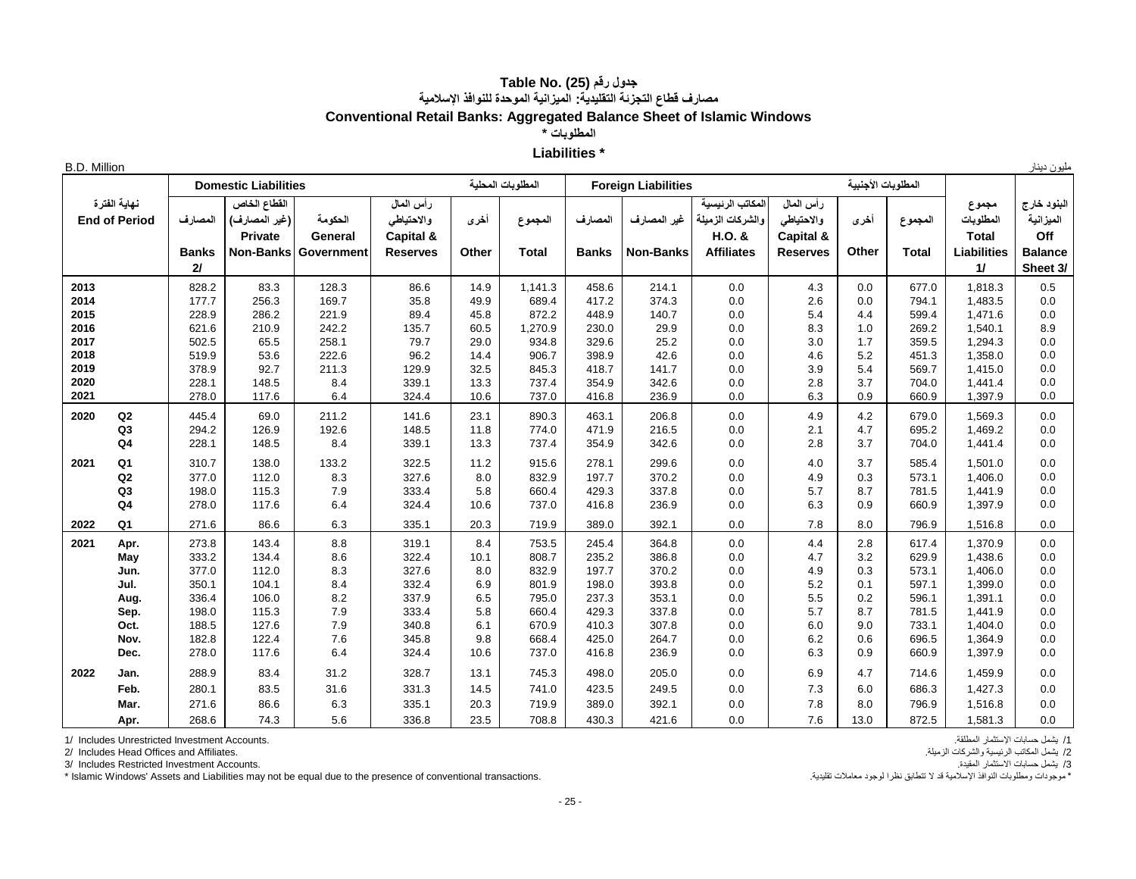## **جدول رقم (25) .Table No مصارف قطاع التجزئة التقليدية: الميزانية الموحدة للنوافذ اإلسالمية Conventional Retail Banks: Aggregated Balance Sheet of Islamic Windows**

**المطلوبات \***

#### **Liabilities \***

| <b>B.D. Million</b><br>۰۰۰ می | $-111$<br>. |  |
|-------------------------------|-------------|--|
|-------------------------------|-------------|--|

|      |                      |              | <b>Domestic Liabilities</b> |                             |                 |       | المطلوبات المحلبة |              | <b>Foreign Liabilities</b> |                   |                 | المطلوبات الأجنبية |              |                    |                |
|------|----------------------|--------------|-----------------------------|-----------------------------|-----------------|-------|-------------------|--------------|----------------------------|-------------------|-----------------|--------------------|--------------|--------------------|----------------|
|      | نهاية الفترة         |              | القطاع الخاص                |                             | رأس المال       |       |                   |              |                            | لمكاتب الرئبسبة   | رأس المال       |                    |              | مجموع              | البنود خارج    |
|      | <b>End of Period</b> | المصارف      | (غير المصارف)               | الحكومة                     | والاحتياطي      | أخرى  | المجموع           | المصارف      | غير المصارف                | والشركات الزميلة  | والاحتياطي      | أخرى               | المجموع      | المطلوبات          | الميزانية      |
|      |                      |              | <b>Private</b>              | General                     | Capital &       |       |                   |              |                            | H.O. &            | Capital &       |                    |              | <b>Total</b>       | Off            |
|      |                      | <b>Banks</b> |                             | <b>Non-Banks Government</b> | <b>Reserves</b> | Other | <b>Total</b>      | <b>Banks</b> | <b>Non-Banks</b>           | <b>Affiliates</b> | <b>Reserves</b> | Other              | <b>Total</b> | <b>Liabilities</b> | <b>Balance</b> |
|      |                      | 2I           |                             |                             |                 |       |                   |              |                            |                   |                 |                    |              | $\mathbf{1}$       | Sheet 3/       |
| 2013 |                      | 828.2        | 83.3                        | 128.3                       | 86.6            | 14.9  | 1,141.3           | 458.6        | 214.1                      | 0.0               | 4.3             | 0.0                | 677.0        | 1,818.3            | 0.5            |
| 2014 |                      | 177.7        | 256.3                       | 169.7                       | 35.8            | 49.9  | 689.4             | 417.2        | 374.3                      | 0.0               | 2.6             | 0.0                | 794.1        | 1,483.5            | 0.0            |
| 2015 |                      | 228.9        | 286.2                       | 221.9                       | 89.4            | 45.8  | 872.2             | 448.9        | 140.7                      | 0.0               | 5.4             | 4.4                | 599.4        | 1,471.6            | 0.0            |
| 2016 |                      | 621.6        | 210.9                       | 242.2                       | 135.7           | 60.5  | 1,270.9           | 230.0        | 29.9                       | 0.0               | 8.3             | 1.0                | 269.2        | 1,540.1            | 8.9            |
| 2017 |                      | 502.5        | 65.5                        | 258.1                       | 79.7            | 29.0  | 934.8             | 329.6        | 25.2                       | 0.0               | 3.0             | 1.7                | 359.5        | 1,294.3            | 0.0            |
| 2018 |                      | 519.9        | 53.6                        | 222.6                       | 96.2            | 14.4  | 906.7             | 398.9        | 42.6                       | 0.0               | 4.6             | 5.2                | 451.3        | 1,358.0            | 0.0            |
| 2019 |                      | 378.9        | 92.7                        | 211.3                       | 129.9           | 32.5  | 845.3             | 418.7        | 141.7                      | 0.0               | 3.9             | 5.4                | 569.7        | 1,415.0            | 0.0            |
| 2020 |                      | 228.1        | 148.5                       | 8.4                         | 339.1           | 13.3  | 737.4             | 354.9        | 342.6                      | 0.0               | 2.8             | 3.7                | 704.0        | 1,441.4            | 0.0            |
| 2021 |                      | 278.0        | 117.6                       | 6.4                         | 324.4           | 10.6  | 737.0             | 416.8        | 236.9                      | 0.0               | 6.3             | 0.9                | 660.9        | 1,397.9            | 0.0            |
| 2020 | Q2                   | 445.4        | 69.0                        | 211.2                       | 141.6           | 23.1  | 890.3             | 463.1        | 206.8                      | 0.0               | 4.9             | 4.2                | 679.0        | 1,569.3            | 0.0            |
|      | Q3                   | 294.2        | 126.9                       | 192.6                       | 148.5           | 11.8  | 774.0             | 471.9        | 216.5                      | 0.0               | 2.1             | 4.7                | 695.2        | 1,469.2            | 0.0            |
|      | Q <sub>4</sub>       | 228.1        | 148.5                       | 8.4                         | 339.1           | 13.3  | 737.4             | 354.9        | 342.6                      | 0.0               | 2.8             | 3.7                | 704.0        | 1,441.4            | 0.0            |
| 2021 | Q <sub>1</sub>       | 310.7        | 138.0                       | 133.2                       | 322.5           | 11.2  | 915.6             | 278.1        | 299.6                      | 0.0               | 4.0             | 3.7                | 585.4        | 1,501.0            | 0.0            |
|      | Q2                   | 377.0        | 112.0                       | 8.3                         | 327.6           | 8.0   | 832.9             | 197.7        | 370.2                      | 0.0               | 4.9             | 0.3                | 573.1        | 1,406.0            | 0.0            |
|      | Q3                   | 198.0        | 115.3                       | 7.9                         | 333.4           | 5.8   | 660.4             | 429.3        | 337.8                      | 0.0               | 5.7             | 8.7                | 781.5        | 1,441.9            | 0.0            |
|      | Q4                   | 278.0        | 117.6                       | 6.4                         | 324.4           | 10.6  | 737.0             | 416.8        | 236.9                      | 0.0               | 6.3             | 0.9                | 660.9        | 1,397.9            | 0.0            |
| 2022 | Q1                   | 271.6        | 86.6                        | 6.3                         | 335.1           | 20.3  | 719.9             | 389.0        | 392.1                      | 0.0               | 7.8             | 8.0                | 796.9        | 1,516.8            | 0.0            |
| 2021 | Apr.                 | 273.8        | 143.4                       | 8.8                         | 319.1           | 8.4   | 753.5             | 245.4        | 364.8                      | 0.0               | 4.4             | 2.8                | 617.4        | 1,370.9            | 0.0            |
|      | May                  | 333.2        | 134.4                       | 8.6                         | 322.4           | 10.1  | 808.7             | 235.2        | 386.8                      | 0.0               | 4.7             | 3.2                | 629.9        | 1,438.6            | 0.0            |
|      | Jun.                 | 377.0        | 112.0                       | 8.3                         | 327.6           | 8.0   | 832.9             | 197.7        | 370.2                      | 0.0               | 4.9             | 0.3                | 573.1        | 1,406.0            | 0.0            |
|      | Jul.                 | 350.1        | 104.1                       | 8.4                         | 332.4           | 6.9   | 801.9             | 198.0        | 393.8                      | 0.0               | 5.2             | 0.1                | 597.1        | 1,399.0            | 0.0            |
|      | Aug.                 | 336.4        | 106.0                       | 8.2                         | 337.9           | 6.5   | 795.0             | 237.3        | 353.1                      | 0.0               | 5.5             | 0.2                | 596.1        | 1,391.1            | 0.0            |
|      | Sep.                 | 198.0        | 115.3                       | 7.9                         | 333.4           | 5.8   | 660.4             | 429.3        | 337.8                      | 0.0               | 5.7             | 8.7                | 781.5        | 1,441.9            | 0.0            |
|      | Oct.                 | 188.5        | 127.6                       | 7.9                         | 340.8           | 6.1   | 670.9             | 410.3        | 307.8                      | 0.0               | 6.0             | 9.0                | 733.1        | 1,404.0            | 0.0            |
|      | Nov.                 | 182.8        | 122.4                       | 7.6                         | 345.8           | 9.8   | 668.4             | 425.0        | 264.7                      | 0.0               | 6.2             | 0.6                | 696.5        | 1,364.9            | 0.0            |
|      | Dec.                 | 278.0        | 117.6                       | 6.4                         | 324.4           | 10.6  | 737.0             | 416.8        | 236.9                      | 0.0               | 6.3             | 0.9                | 660.9        | 1,397.9            | 0.0            |
| 2022 | Jan.                 | 288.9        | 83.4                        | 31.2                        | 328.7           | 13.1  | 745.3             | 498.0        | 205.0                      | 0.0               | 6.9             | 4.7                | 714.6        | 1,459.9            | 0.0            |
|      | Feb.                 | 280.1        | 83.5                        | 31.6                        | 331.3           | 14.5  | 741.0             | 423.5        | 249.5                      | 0.0               | 7.3             | 6.0                | 686.3        | 1,427.3            | 0.0            |
|      | Mar.                 | 271.6        | 86.6                        | 6.3                         | 335.1           | 20.3  | 719.9             | 389.0        | 392.1                      | 0.0               | 7.8             | 8.0                | 796.9        | 1,516.8            | 0.0            |
|      | Apr.                 | 268.6        | 74.3                        | 5.6                         | 336.8           | 23.5  | 708.8             | 430.3        | 421.6                      | 0.0               | 7.6             | 13.0               | 872.5        | 1,581.3            | 0.0            |

/1 يشمل حسابات اإلستثمار المطلقة. .Accounts Investment Unrestricted Includes 1/

/2 يشمل المكاتب الرئيسية والشركات الزميلة. .Affiliates and Offices Head Includes 2/

7/ يشمل حسابات الاستثمار المقيدة.<br>\* موجودات ومطلوبات النوافذ الإسلامية قد لا تتطابق نظرا الموجود معاملات تقليدة. .<br>\* موجودات ومطلوبات النوافذ الإسلامية قد لا تتطابق نظرا الموجود معاملات تقليدة. . . . . . . . . . . . . . . \* Islamic Windows' Assets and Liabilities may not be equal due to the presence of conventional transactions.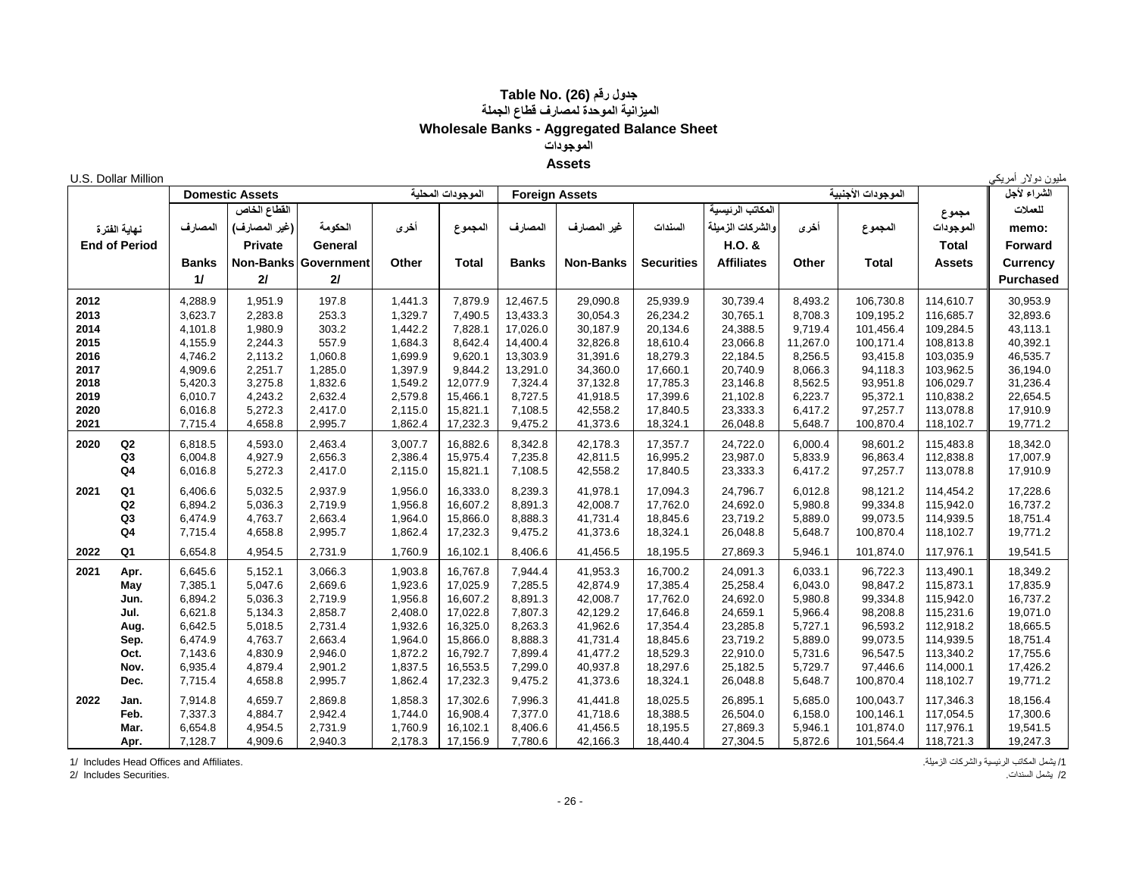#### **جدول رقم (26) Table No. الميزانية الموحدة لمصارف قطاع الجملة Wholesale Banks - Aggregated Balance Sheet الموجودات Assets**

|      | U.S. Dollar Million  |              |                        |            |         |                   |              |                       |                   |                   |          |                    |               | ملیون دولار <sup>ا</sup> مریک <sub>و</sub> |
|------|----------------------|--------------|------------------------|------------|---------|-------------------|--------------|-----------------------|-------------------|-------------------|----------|--------------------|---------------|--------------------------------------------|
|      |                      |              | <b>Domestic Assets</b> |            |         | الموجودات المحلبة |              | <b>Foreign Assets</b> |                   |                   |          | الموجودات الأجنبية |               | الشراء لأجل                                |
|      |                      |              | القطاع الخاص           |            |         |                   |              |                       |                   | المكاتب الرئيسية  |          |                    | مجموع         | للعملات                                    |
|      | نهاية الفترة         | المصارف      | (غير المصارف)          | الحكومة    | أخرى    | المجموع           | المصار ف     | غير المصارف           | السندات           | والشركات الزميلة  | أخرى     | المجموع            | الموجودات     | memo:                                      |
|      | <b>End of Period</b> |              | <b>Private</b>         | General    |         |                   |              |                       |                   | H.O. &            |          |                    | <b>Total</b>  | <b>Forward</b>                             |
|      |                      | <b>Banks</b> | <b>Non-Banks</b>       | Government | Other   | <b>Total</b>      | <b>Banks</b> | <b>Non-Banks</b>      | <b>Securities</b> | <b>Affiliates</b> | Other    | <b>Total</b>       | <b>Assets</b> | <b>Currency</b>                            |
|      |                      | 11           | 21                     | 2I         |         |                   |              |                       |                   |                   |          |                    |               | <b>Purchased</b>                           |
|      |                      |              |                        |            |         |                   |              |                       |                   |                   |          |                    |               |                                            |
| 2012 |                      | 4,288.9      | 1,951.9                | 197.8      | 1,441.3 | 7,879.9           | 12,467.5     | 29,090.8              | 25,939.9          | 30,739.4          | 8,493.2  | 106,730.8          | 114.610.7     | 30,953.9                                   |
| 2013 |                      | 3,623.7      | 2,283.8                | 253.3      | 1,329.7 | 7,490.5           | 13,433.3     | 30,054.3              | 26,234.2          | 30,765.1          | 8,708.3  | 109,195.2          | 116,685.7     | 32,893.6                                   |
| 2014 |                      | 4,101.8      | 1,980.9                | 303.2      | 1,442.2 | 7,828.1           | 17,026.0     | 30,187.9              | 20,134.6          | 24,388.5          | 9,719.4  | 101,456.4          | 109,284.5     | 43,113.1                                   |
| 2015 |                      | 4,155.9      | 2,244.3                | 557.9      | 1,684.3 | 8,642.4           | 14,400.4     | 32,826.8              | 18,610.4          | 23,066.8          | 11,267.0 | 100,171.4          | 108,813.8     | 40,392.1                                   |
| 2016 |                      | 4,746.2      | 2,113.2                | 1,060.8    | 1,699.9 | 9,620.1           | 13,303.9     | 31,391.6              | 18,279.3          | 22,184.5          | 8,256.5  | 93,415.8           | 103,035.9     | 46,535.7                                   |
| 2017 |                      | 4,909.6      | 2,251.7                | 1,285.0    | 1,397.9 | 9,844.2           | 13,291.0     | 34,360.0              | 17,660.1          | 20,740.9          | 8,066.3  | 94,118.3           | 103,962.5     | 36,194.0                                   |
| 2018 |                      | 5,420.3      | 3,275.8                | 1,832.6    | 1,549.2 | 12,077.9          | 7,324.4      | 37,132.8              | 17,785.3          | 23,146.8          | 8,562.5  | 93,951.8           | 106,029.7     | 31,236.4                                   |
| 2019 |                      | 6,010.7      | 4,243.2                | 2,632.4    | 2,579.8 | 15,466.1          | 8,727.5      | 41,918.5              | 17,399.6          | 21,102.8          | 6,223.7  | 95,372.1           | 110,838.2     | 22,654.5                                   |
| 2020 |                      | 6,016.8      | 5,272.3                | 2,417.0    | 2,115.0 | 15,821.1          | 7,108.5      | 42,558.2              | 17,840.5          | 23,333.3          | 6,417.2  | 97,257.7           | 113,078.8     | 17,910.9                                   |
| 2021 |                      | 7,715.4      | 4,658.8                | 2,995.7    | 1,862.4 | 17,232.3          | 9,475.2      | 41,373.6              | 18,324.1          | 26,048.8          | 5,648.7  | 100,870.4          | 118,102.7     | 19,771.2                                   |
| 2020 | Q2                   | 6,818.5      | 4,593.0                | 2,463.4    | 3,007.7 | 16,882.6          | 8,342.8      | 42,178.3              | 17,357.7          | 24,722.0          | 6,000.4  | 98,601.2           | 115,483.8     | 18,342.0                                   |
|      | Q <sub>3</sub>       | 6,004.8      | 4,927.9                | 2,656.3    | 2,386.4 | 15,975.4          | 7,235.8      | 42,811.5              | 16,995.2          | 23,987.0          | 5,833.9  | 96,863.4           | 112,838.8     | 17,007.9                                   |
|      | Q4                   | 6,016.8      | 5,272.3                | 2,417.0    | 2,115.0 | 15,821.1          | 7,108.5      | 42,558.2              | 17,840.5          | 23,333.3          | 6,417.2  | 97,257.7           | 113,078.8     | 17,910.9                                   |
| 2021 | Q <sub>1</sub>       | 6.406.6      | 5,032.5                | 2,937.9    | 1,956.0 | 16,333.0          | 8,239.3      | 41,978.1              | 17,094.3          | 24,796.7          | 6,012.8  | 98,121.2           | 114,454.2     | 17,228.6                                   |
|      | Q2                   | 6,894.2      | 5,036.3                | 2,719.9    | 1,956.8 | 16,607.2          | 8,891.3      | 42,008.7              | 17,762.0          | 24,692.0          | 5,980.8  | 99,334.8           | 115,942.0     | 16,737.2                                   |
|      | Q <sub>3</sub>       | 6,474.9      | 4,763.7                | 2,663.4    | 1,964.0 | 15,866.0          | 8,888.3      | 41,731.4              | 18,845.6          | 23,719.2          | 5,889.0  | 99,073.5           | 114,939.5     | 18,751.4                                   |
|      | Q <sub>4</sub>       | 7,715.4      | 4,658.8                | 2,995.7    | 1,862.4 | 17,232.3          | 9,475.2      | 41,373.6              | 18,324.1          | 26,048.8          | 5,648.7  | 100,870.4          | 118,102.7     | 19,771.2                                   |
| 2022 | Q <sub>1</sub>       | 6,654.8      | 4,954.5                | 2,731.9    | 1,760.9 | 16,102.1          | 8,406.6      | 41,456.5              | 18,195.5          | 27,869.3          | 5,946.1  | 101,874.0          | 117,976.1     | 19,541.5                                   |
| 2021 | Apr.                 | 6,645.6      | 5,152.1                | 3,066.3    | 1,903.8 | 16,767.8          | 7,944.4      | 41,953.3              | 16,700.2          | 24,091.3          | 6,033.1  | 96,722.3           | 113,490.1     | 18,349.2                                   |
|      | May                  | 7,385.1      | 5,047.6                | 2,669.6    | 1,923.6 | 17,025.9          | 7,285.5      | 42,874.9              | 17,385.4          | 25,258.4          | 6,043.0  | 98,847.2           | 115,873.1     | 17,835.9                                   |
|      | Jun.                 | 6,894.2      | 5,036.3                | 2,719.9    | 1,956.8 | 16,607.2          | 8,891.3      | 42,008.7              | 17,762.0          | 24,692.0          | 5,980.8  | 99,334.8           | 115,942.0     | 16,737.2                                   |
|      | Jul.                 | 6,621.8      | 5,134.3                | 2,858.7    | 2,408.0 | 17,022.8          | 7,807.3      | 42,129.2              | 17,646.8          | 24,659.1          | 5,966.4  | 98,208.8           | 115,231.6     | 19,071.0                                   |
|      | Aug.                 | 6,642.5      | 5,018.5                | 2,731.4    | 1,932.6 | 16,325.0          | 8,263.3      | 41,962.6              | 17,354.4          | 23,285.8          | 5,727.1  | 96,593.2           | 112,918.2     | 18,665.5                                   |
|      | Sep.                 | 6,474.9      | 4,763.7                | 2,663.4    | 1,964.0 | 15,866.0          | 8,888.3      | 41,731.4              | 18,845.6          | 23,719.2          | 5,889.0  | 99,073.5           | 114,939.5     | 18,751.4                                   |
|      | Oct.                 | 7,143.6      | 4,830.9                | 2,946.0    | 1,872.2 | 16,792.7          | 7,899.4      | 41,477.2              | 18,529.3          | 22,910.0          | 5,731.6  | 96,547.5           | 113,340.2     | 17,755.6                                   |
|      | Nov.                 | 6,935.4      | 4,879.4                | 2,901.2    | 1,837.5 | 16,553.5          | 7,299.0      | 40,937.8              | 18,297.6          | 25,182.5          | 5,729.7  | 97,446.6           | 114,000.1     | 17,426.2                                   |
|      | Dec.                 | 7,715.4      | 4,658.8                | 2,995.7    | 1,862.4 | 17,232.3          | 9,475.2      | 41,373.6              | 18,324.1          | 26,048.8          | 5,648.7  | 100,870.4          | 118,102.7     | 19,771.2                                   |
| 2022 | Jan.                 | 7,914.8      | 4,659.7                | 2,869.8    | 1,858.3 | 17,302.6          | 7,996.3      | 41,441.8              | 18,025.5          | 26,895.1          | 5,685.0  | 100,043.7          | 117,346.3     | 18,156.4                                   |
|      | Feb.                 | 7,337.3      | 4,884.7                | 2,942.4    | 1,744.0 | 16,908.4          | 7,377.0      | 41,718.6              | 18,388.5          | 26,504.0          | 6,158.0  | 100,146.1          | 117,054.5     | 17,300.6                                   |
|      | Mar.                 | 6,654.8      | 4,954.5                | 2,731.9    | 1,760.9 | 16,102.1          | 8,406.6      | 41,456.5              | 18,195.5          | 27,869.3          | 5,946.1  | 101,874.0          | 117,976.1     | 19,541.5                                   |
|      | Apr.                 | 7,128.7      | 4,909.6                | 2,940.3    | 2,178.3 | 17,156.9          | 7,780.6      | 42,166.3              | 18,440.4          | 27,304.5          | 5,872.6  | 101,564.4          | 118,721.3     | 19,247.3                                   |

/1 يشمل المكاتب الرئيسية والشركات الزميلة. .Affiliates and Offices Head Includes 1/

/2 يشمل السندات. .Securities Includes 2/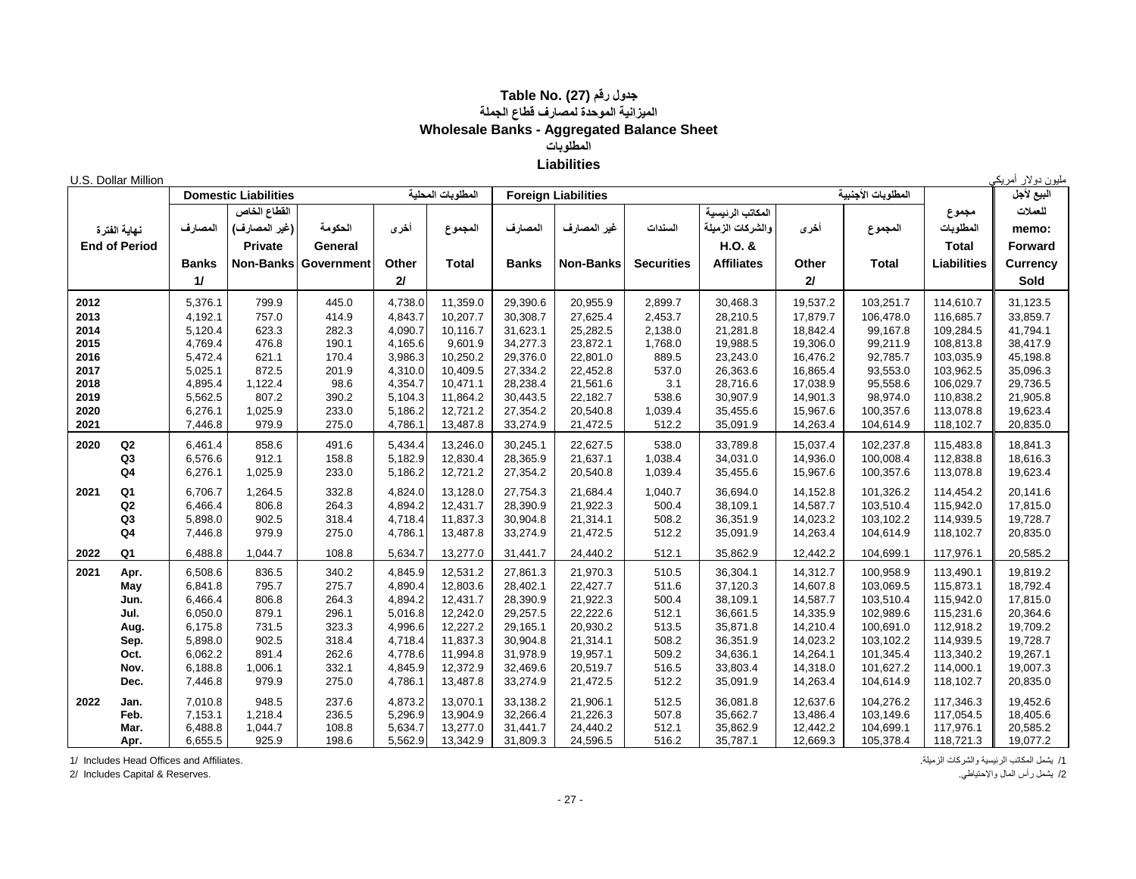#### **جدول رقم (27) Table No. الميزانية الموحدة لمصارف قطاع الجملة Wholesale Banks - Aggregated Balance Sheet المطلوبات Liabilities**

|              | U.S. Dollar Million  |                    |                             |                             |                    |                      |                      |                            |                   |                      |                      |                    |                        | مليون دولار أمريكي   |
|--------------|----------------------|--------------------|-----------------------------|-----------------------------|--------------------|----------------------|----------------------|----------------------------|-------------------|----------------------|----------------------|--------------------|------------------------|----------------------|
|              |                      |                    | <b>Domestic Liabilities</b> |                             |                    | المطلوبات المحلية    |                      | <b>Foreign Liabilities</b> |                   |                      |                      | المطلوبات الأجنبية |                        | البيع لأجل           |
|              |                      |                    | القطاع الخاص                |                             |                    |                      |                      |                            |                   | المكاتب الرئيسية     |                      |                    | مجموع                  | للعملات              |
|              | نهاية الفترة         | المصارف            | (غير المصارف)               | الحكومة                     | أخرى               | المجموع              | المصارف              | غير المصارف                | السندات           | والشركات الزميلة     | أخرى                 | المجموع            | المطلوبات              | memo:                |
|              | <b>End of Period</b> |                    | Private                     | General                     |                    |                      |                      |                            |                   | H.O. &               |                      |                    | <b>Total</b>           | <b>Forward</b>       |
|              |                      | <b>Banks</b>       |                             | <b>Non-Banks Government</b> | Other              | <b>Total</b>         | <b>Banks</b>         | <b>Non-Banks</b>           | <b>Securities</b> | <b>Affiliates</b>    | Other                | <b>Total</b>       | <b>Liabilities</b>     | <b>Currency</b>      |
|              |                      |                    |                             |                             |                    |                      |                      |                            |                   |                      |                      |                    |                        |                      |
|              |                      | 11                 |                             |                             | 2I                 |                      |                      |                            |                   |                      | 2I                   |                    |                        | Sold                 |
| 2012         |                      | 5,376.1            | 799.9                       | 445.0                       | 4,738.0            | 11,359.0             | 29,390.6             | 20,955.9                   | 2,899.7           | 30,468.3             | 19,537.2             | 103,251.7          | 114,610.7              | 31,123.5             |
| 2013         |                      | 4,192.1            | 757.0                       | 414.9                       | 4,843.7            | 10,207.7             | 30,308.7             | 27,625.4                   | 2,453.7           | 28,210.5             | 17,879.7             | 106.478.0          | 116,685.7              | 33,859.7             |
| 2014         |                      | 5,120.4            | 623.3                       | 282.3                       | 4,090.7            | 10,116.7             | 31,623.1             | 25,282.5                   | 2,138.0           | 21,281.8             | 18,842.4             | 99,167.8           | 109,284.5              | 41,794.1             |
| 2015         |                      | 4,769.4            | 476.8                       | 190.1                       | 4,165.6            | 9,601.9              | 34,277.3             | 23,872.1                   | 1,768.0           | 19,988.5             | 19,306.0             | 99,211.9           | 108,813.8              | 38,417.9             |
| 2016         |                      | 5,472.4            | 621.1                       | 170.4                       | 3,986.3            | 10,250.2             | 29,376.0             | 22,801.0                   | 889.5             | 23,243.0             | 16,476.2             | 92,785.7           | 103,035.9              | 45,198.8             |
| 2017         |                      | 5,025.1            | 872.5                       | 201.9                       | 4,310.0            | 10,409.5             | 27,334.2             | 22,452.8                   | 537.0             | 26,363.6             | 16,865.4             | 93,553.0           | 103,962.5              | 35,096.3             |
| 2018         |                      | 4,895.4            | 1,122.4                     | 98.6                        | 4,354.7            | 10,471.1             | 28,238.4             | 21,561.6                   | 3.1               | 28,716.6             | 17,038.9             | 95,558.6           | 106,029.7              | 29,736.5             |
| 2019         |                      | 5,562.5            | 807.2                       | 390.2                       | 5,104.3            | 11,864.2             | 30,443.5             | 22,182.7                   | 538.6             | 30,907.9             | 14,901.3             | 98,974.0           | 110,838.2              | 21,905.8             |
| 2020<br>2021 |                      | 6,276.1<br>7,446.8 | 1,025.9<br>979.9            | 233.0<br>275.0              | 5,186.2<br>4,786.1 | 12,721.2<br>13,487.8 | 27,354.2<br>33,274.9 | 20,540.8<br>21,472.5       | 1,039.4<br>512.2  | 35,455.6<br>35,091.9 | 15,967.6<br>14,263.4 | 100,357.6          | 113,078.8<br>118,102.7 | 19,623.4<br>20,835.0 |
|              |                      |                    |                             |                             |                    |                      |                      |                            |                   |                      |                      | 104,614.9          |                        |                      |
| 2020         | $\mathsf Q2$         | 6,461.4            | 858.6                       | 491.6                       | 5,434.4            | 13,246.0             | 30,245.1             | 22,627.5                   | 538.0             | 33,789.8             | 15,037.4             | 102,237.8          | 115,483.8              | 18,841.3             |
|              | Q <sub>3</sub>       | 6,576.6            | 912.1                       | 158.8                       | 5,182.9            | 12,830.4             | 28,365.9             | 21,637.1                   | 1,038.4           | 34,031.0             | 14,936.0             | 100,008.4          | 112,838.8              | 18,616.3             |
|              | Q4                   | 6,276.1            | 1,025.9                     | 233.0                       | 5,186.2            | 12,721.2             | 27,354.2             | 20,540.8                   | 1,039.4           | 35,455.6             | 15,967.6             | 100,357.6          | 113,078.8              | 19,623.4             |
| 2021         | Q1                   | 6,706.7            | 1,264.5                     | 332.8                       | 4,824.0            | 13,128.0             | 27,754.3             | 21,684.4                   | 1,040.7           | 36,694.0             | 14,152.8             | 101,326.2          | 114,454.2              | 20,141.6             |
|              | Q2                   | 6,466.4            | 806.8                       | 264.3                       | 4,894.2            | 12,431.7             | 28,390.9             | 21,922.3                   | 500.4             | 38,109.1             | 14,587.7             | 103,510.4          | 115,942.0              | 17,815.0             |
|              | Q3                   | 5,898.0            | 902.5                       | 318.4                       | 4,718.4            | 11,837.3             | 30,904.8             | 21,314.1                   | 508.2             | 36,351.9             | 14,023.2             | 103,102.2          | 114,939.5              | 19,728.7             |
|              | Q <sub>4</sub>       | 7,446.8            | 979.9                       | 275.0                       | 4,786.1            | 13,487.8             | 33,274.9             | 21,472.5                   | 512.2             | 35,091.9             | 14,263.4             | 104,614.9          | 118,102.7              | 20,835.0             |
| 2022         | Q1                   | 6,488.8            | 1,044.7                     | 108.8                       | 5,634.7            | 13,277.0             | 31,441.7             | 24,440.2                   | 512.1             | 35,862.9             | 12,442.2             | 104,699.1          | 117,976.1              | 20,585.2             |
| 2021         | Apr.                 | 6,508.6            | 836.5                       | 340.2                       | 4,845.9            | 12,531.2             | 27,861.3             | 21,970.3                   | 510.5             | 36,304.1             | 14,312.7             | 100,958.9          | 113,490.1              | 19,819.2             |
|              | May                  | 6,841.8            | 795.7                       | 275.7                       | 4,890.4            | 12,803.6             | 28,402.1             | 22,427.7                   | 511.6             | 37,120.3             | 14,607.8             | 103,069.5          | 115,873.1              | 18,792.4             |
|              | Jun.                 | 6,466.4            | 806.8                       | 264.3                       | 4,894.2            | 12,431.7             | 28,390.9             | 21,922.3                   | 500.4             | 38.109.1             | 14,587.7             | 103.510.4          | 115,942.0              | 17,815.0             |
|              | Jul.                 | 6,050.0            | 879.1                       | 296.1                       | 5,016.8            | 12,242.0             | 29,257.5             | 22,222.6                   | 512.1             | 36,661.5             | 14,335.9             | 102,989.6          | 115,231.6              | 20,364.6             |
|              | Aug.                 | 6,175.8            | 731.5                       | 323.3                       | 4,996.6            | 12,227.2             | 29,165.1             | 20,930.2                   | 513.5             | 35,871.8             | 14,210.4             | 100,691.0          | 112,918.2              | 19,709.2             |
|              | Sep.                 | 5,898.0            | 902.5                       | 318.4                       | 4,718.4            | 11,837.3             | 30,904.8             | 21,314.1                   | 508.2             | 36,351.9             | 14,023.2             | 103,102.2          | 114,939.5              | 19,728.7             |
|              | Oct.                 | 6,062.2            | 891.4                       | 262.6                       | 4,778.6            | 11,994.8             | 31,978.9             | 19,957.1                   | 509.2             | 34,636.1             | 14,264.1             | 101,345.4          | 113,340.2              | 19,267.1             |
|              | Nov.                 | 6,188.8            | 1,006.1                     | 332.1                       | 4,845.9            | 12,372.9             | 32,469.6             | 20,519.7                   | 516.5             | 33,803.4             | 14,318.0             | 101,627.2          | 114,000.1              | 19,007.3             |
|              | Dec.                 | 7,446.8            | 979.9                       | 275.0                       | 4,786.1            | 13,487.8             | 33,274.9             | 21,472.5                   | 512.2             | 35,091.9             | 14,263.4             | 104,614.9          | 118,102.7              | 20,835.0             |
| 2022         | Jan.                 | 7.010.8            | 948.5                       | 237.6                       | 4,873.2            | 13,070.1             | 33,138.2             | 21,906.1                   | 512.5             | 36,081.8             | 12,637.6             | 104,276.2          | 117.346.3              | 19,452.6             |
|              | Feb.                 | 7,153.1            | 1,218.4                     | 236.5                       | 5,296.9            | 13,904.9             | 32,266.4             | 21,226.3                   | 507.8             | 35.662.7             | 13,486.4             | 103.149.6          | 117,054.5              | 18,405.6             |
|              | Mar.                 | 6,488.8            | 1,044.7                     | 108.8                       | 5,634.7            | 13,277.0             | 31,441.7             | 24,440.2                   | 512.1             | 35,862.9             | 12,442.2             | 104,699.1          | 117,976.1              | 20,585.2             |
|              | Apr.                 | 6,655.5            | 925.9                       | 198.6                       | 5,562.9            | 13,342.9             | 31,809.3             | 24,596.5                   | 516.2             | 35,787.1             | 12,669.3             | 105,378.4          | 118,721.3              | 19,077.2             |

/1 يشمل المكاتب الرئيسية والشركات الزميلة. .Affiliates and Offices Head Includes 1/

2/ Includes Capital & Reserves.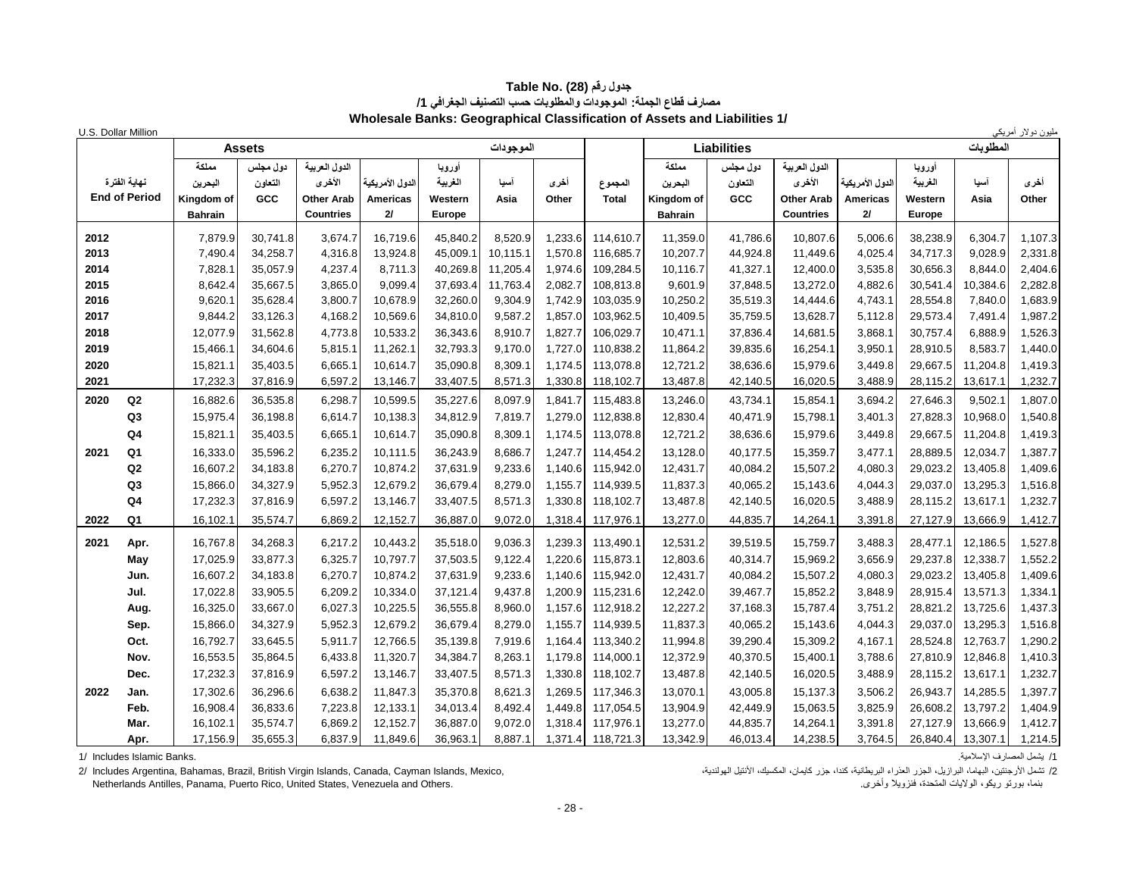| U.S. Dollar Million    |                |               |                   |                  |          |           |         |                   |                |                    |                  |                 |          |           | مليون دولار أمريكي |
|------------------------|----------------|---------------|-------------------|------------------|----------|-----------|---------|-------------------|----------------|--------------------|------------------|-----------------|----------|-----------|--------------------|
|                        |                | <b>Assets</b> |                   |                  |          | الموجودات |         |                   |                | <b>Liabilities</b> |                  |                 |          | المطلوبات |                    |
|                        | مملكة          | دول مجلس      | الدول العربية     |                  | أوروبا   |           |         |                   | مملكة          | دول مجلس           | الدول العربية    |                 | أورويا   |           |                    |
| نهاية الفترة           | البحرين        | التعاون       | الأخرى            | الدول الأمر بكبة | الغربية  | آسيا      | أخرى    | المجموع           | البحرين        | التعاون            | الأخرى           | الدول الأمريكية | الغريبة  | آسيا      | أخرى               |
| <b>End of Period</b>   | Kingdom of     | GCC           | <b>Other Arab</b> | <b>Americas</b>  | Western  | Asia      | Other   | <b>Total</b>      | Kingdom of     | GCC                | Other Arab       | <b>Americas</b> | Western  | Asia      | Other              |
|                        | <b>Bahrain</b> |               | <b>Countries</b>  | 21               | Europe   |           |         |                   | <b>Bahrain</b> |                    | <b>Countries</b> | 21              | Europe   |           |                    |
| 2012                   | 7,879.9        | 30,741.8      | 3,674.7           | 16,719.6         | 45,840.2 | 8,520.9   | 1,233.6 | 114,610.7         | 11,359.0       | 41,786.6           | 10,807.6         | 5,006.6         | 38,238.9 | 6,304.7   | 1,107.3            |
| 2013                   | 7,490.4        | 34,258.7      | 4,316.8           | 13,924.8         | 45,009.1 | 10,115.1  | 1,570.8 | 116,685.7         | 10,207.7       | 44,924.8           | 11,449.6         | 4,025.4         | 34,717.3 | 9,028.9   | 2,331.8            |
| 2014                   | 7,828.1        | 35,057.9      | 4,237.4           | 8,711.3          | 40,269.8 | 11,205.4  | 1,974.6 | 109,284.5         | 10,116.7       | 41,327.1           | 12,400.0         | 3,535.8         | 30,656.3 | 8,844.0   | 2,404.6            |
| 2015                   | 8,642.4        | 35,667.5      | 3,865.0           | 9,099.4          | 37,693.4 | 11,763.4  | 2,082.7 | 108,813.8         | 9,601.9        | 37,848.5           | 13,272.0         | 4,882.6         | 30,541.4 | 10,384.6  | 2,282.8            |
| 2016                   | 9,620.1        | 35,628.4      | 3,800.7           | 10,678.9         | 32,260.0 | 9,304.9   |         | 1,742.9 103,035.9 | 10,250.2       | 35,519.3           | 14,444.6         | 4,743.1         | 28,554.8 | 7,840.0   | 1,683.9            |
| 2017                   | 9,844.2        | 33,126.3      | 4,168.2           | 10,569.6         | 34,810.0 | 9,587.2   | 1,857.0 | 103,962.5         | 10,409.5       | 35,759.5           | 13,628.7         | 5,112.8         | 29,573.4 | 7,491.4   | 1,987.2            |
| 2018                   | 12,077.9       | 31,562.8      | 4,773.8           | 10,533.2         | 36,343.6 | 8,910.7   | 1,827.7 | 106,029.7         | 10,471.1       | 37,836.4           | 14,681.5         | 3,868.1         | 30,757.4 | 6,888.9   | 1,526.3            |
| 2019                   | 15,466.1       | 34,604.6      | 5,815.1           | 11,262.1         | 32,793.3 | 9,170.0   | 1,727.0 | 110,838.2         | 11,864.2       | 39,835.6           | 16,254.1         | 3,950.1         | 28,910.5 | 8,583.7   | 1,440.0            |
| 2020                   | 15,821.1       | 35,403.5      | 6,665.1           | 10,614.7         | 35,090.8 | 8,309.1   | 1,174.5 | 113,078.8         | 12,721.2       | 38,636.6           | 15,979.6         | 3,449.8         | 29,667.5 | 11,204.8  | 1,419.3            |
| 2021                   | 17,232.3       | 37,816.9      | 6,597.2           | 13,146.7         | 33,407.5 | 8,571.3   | 1,330.8 | 118,102.7         | 13,487.8       | 42,140.5           | 16,020.5         | 3,488.9         | 28,115.2 | 13,617.1  | 1,232.7            |
| Q2<br>2020             | 16,882.6       | 36,535.8      | 6,298.7           | 10,599.5         | 35,227.6 | 8,097.9   | 1,841.7 | 115,483.8         | 13,246.0       | 43,734.1           | 15,854.1         | 3,694.2         | 27,646.3 | 9,502.1   | 1,807.0            |
| Q3                     | 15,975.4       | 36,198.8      | 6,614.7           | 10,138.3         | 34,812.9 | 7,819.7   |         | 1,279.0 112,838.8 | 12,830.4       | 40,471.9           | 15,798.1         | 3,401.3         | 27,828.3 | 10,968.0  | 1,540.8            |
| Q <sub>4</sub>         | 15,821.1       | 35,403.5      | 6,665.1           | 10,614.7         | 35,090.8 | 8,309.1   |         | 1,174.5 113,078.8 | 12,721.2       | 38,636.6           | 15,979.6         | 3,449.8         | 29,667.5 | 11,204.8  | 1,419.3            |
| 2021<br>Q <sub>1</sub> | 16,333.0       | 35,596.2      | 6,235.2           | 10,111.5         | 36,243.9 | 8,686.7   | 1.247.7 | 114,454.2         | 13,128.0       | 40,177.5           | 15,359.7         | 3,477.1         | 28,889.5 | 12,034.7  | 1,387.7            |
| Q2                     | 16,607.2       | 34,183.8      | 6,270.7           | 10,874.2         | 37,631.9 | 9,233.6   |         | 1,140.6 115,942.0 | 12,431.7       | 40,084.2           | 15,507.2         | 4,080.3         | 29,023.2 | 13,405.8  | 1,409.6            |
| Q3                     | 15,866.0       | 34,327.9      | 5,952.3           | 12,679.2         | 36,679.4 | 8,279.0   | 1,155.7 | 114,939.5         | 11,837.3       | 40,065.2           | 15,143.6         | 4,044.3         | 29,037.0 | 13,295.3  | 1,516.8            |
| Q <sub>4</sub>         | 17,232.3       | 37,816.9      | 6,597.2           | 13,146.7         | 33,407.5 | 8,571.3   |         | 1,330.8 118,102.7 | 13,487.8       | 42,140.5           | 16,020.5         | 3,488.9         | 28,115.2 | 13,617.1  | 1,232.7            |
| 2022<br>Q1             | 16,102.1       | 35,574.7      | 6,869.2           | 12,152.7         | 36,887.0 | 9,072.0   |         | 1,318.4 117,976.1 | 13,277.0       | 44,835.7           | 14,264.1         | 3,391.8         | 27,127.9 | 13,666.9  | 1,412.7            |
| 2021<br>Apr.           | 16,767.8       | 34,268.3      | 6,217.2           | 10,443.2         | 35,518.0 | 9,036.3   |         | 1,239.3 113,490.1 | 12,531.2       | 39,519.5           | 15,759.7         | 3,488.3         | 28,477.1 | 12,186.5  | 1,527.8            |
| May                    | 17,025.9       | 33,877.3      | 6,325.7           | 10,797.7         | 37,503.5 | 9,122.4   |         | 1,220.6 115,873.1 | 12,803.6       | 40,314.7           | 15,969.2         | 3,656.9         | 29,237.8 | 12,338.7  | 1,552.2            |
| Jun.                   | 16,607.2       | 34,183.8      | 6,270.7           | 10,874.2         | 37,631.9 | 9,233.6   |         | 1,140.6 115,942.0 | 12,431.7       | 40,084.2           | 15,507.2         | 4,080.3         | 29,023.2 | 13,405.8  | 1,409.6            |
| Jul.                   | 17,022.8       | 33,905.5      | 6,209.2           | 10,334.0         | 37,121.4 | 9,437.8   |         | 1,200.9 115,231.6 | 12,242.0       | 39,467.7           | 15,852.2         | 3,848.9         | 28,915.4 | 13,571.3  | 1,334.1            |
| Aug.                   | 16,325.0       | 33,667.0      | 6,027.3           | 10,225.5         | 36,555.8 | 8,960.0   |         | 1,157.6 112,918.2 | 12,227.2       | 37,168.3           | 15,787.4         | 3,751.2         | 28,821.2 | 13,725.6  | 1,437.3            |
| Sep.                   | 15,866.0       | 34,327.9      | 5,952.3           | 12.679.2         | 36,679.4 | 8,279.0   | 1.155.7 | 114,939.5         | 11,837.3       | 40,065.2           | 15.143.6         | 4,044.3         | 29,037.0 | 13,295.3  | 1,516.8            |
| Oct.                   | 16,792.7       | 33,645.5      | 5,911.7           | 12,766.5         | 35,139.8 | 7,919.6   |         | 1,164.4 113,340.2 | 11,994.8       | 39,290.4           | 15,309.2         | 4,167.1         | 28,524.8 | 12,763.7  | 1,290.2            |
| Nov.                   | 16,553.5       | 35,864.5      | 6,433.8           | 11,320.7         | 34,384.7 | 8,263.1   |         | 1,179.8 114,000.1 | 12,372.9       | 40,370.5           | 15,400.1         | 3,788.6         | 27,810.9 | 12,846.8  | 1,410.3            |
| Dec.                   | 17,232.3       | 37,816.9      | 6,597.2           | 13,146.7         | 33,407.5 | 8,571.3   |         | 1,330.8 118,102.7 | 13,487.8       | 42,140.5           | 16,020.5         | 3,488.9         | 28,115.2 | 13,617.1  | 1,232.7            |
| 2022<br>Jan.           | 17,302.6       | 36,296.6      | 6,638.2           | 11,847.3         | 35,370.8 | 8,621.3   | 1,269.5 | 117,346.3         | 13,070.1       | 43,005.8           | 15,137.3         | 3,506.2         | 26,943.7 | 14,285.5  | 1,397.7            |
| Feb.                   | 16,908.4       | 36,833.6      | 7,223.8           | 12,133.1         | 34,013.4 | 8,492.4   |         | 1,449.8 117,054.5 | 13,904.9       | 42,449.9           | 15,063.5         | 3,825.9         | 26,608.2 | 13,797.2  | 1,404.9            |
| Mar.                   | 16,102.1       | 35,574.7      | 6,869.2           | 12,152.7         | 36,887.0 | 9,072.0   |         | 1,318.4 117,976.1 | 13,277.0       | 44,835.7           | 14,264.1         | 3,391.8         | 27,127.9 | 13,666.9  | 1,412.7            |
| Apr.                   | 17,156.9       | 35,655.3      | 6,837.9           | 11,849.6         | 36,963.1 | 8,887.1   |         | 1,371.4 118,721.3 | 13,342.9       | 46,013.4           | 14,238.5         | 3,764.5         | 26,840.4 | 13,307.1  | 1,214.5            |

#### **جدول رقم (28) .No Table مصارف قطاع الجملة: الموجودات والمطلوبات حسب التصنيف الجغرافي /1 Wholesale Banks: Geographical Classification of Assets and Liabilities 1/**

/1 يشمل المصارف اإلسالمية. .Banks Islamic Includes 1/

2/ اتشمل الأرجنتين، البهاما، البرازيل، الجزر العذراء البريطانية، كندا، جزر كايمان، المكسيك، النتيل المكسيك، ال<br>بنما، بورتو ريكو، الولايات المتحدة، فنزويلا وأخرى .<br>Metherlands Antilles, Panama, Puerto Rico, United States, Netherlands Antilles, Panama, Puerto Rico, United States, Venezuela and Others.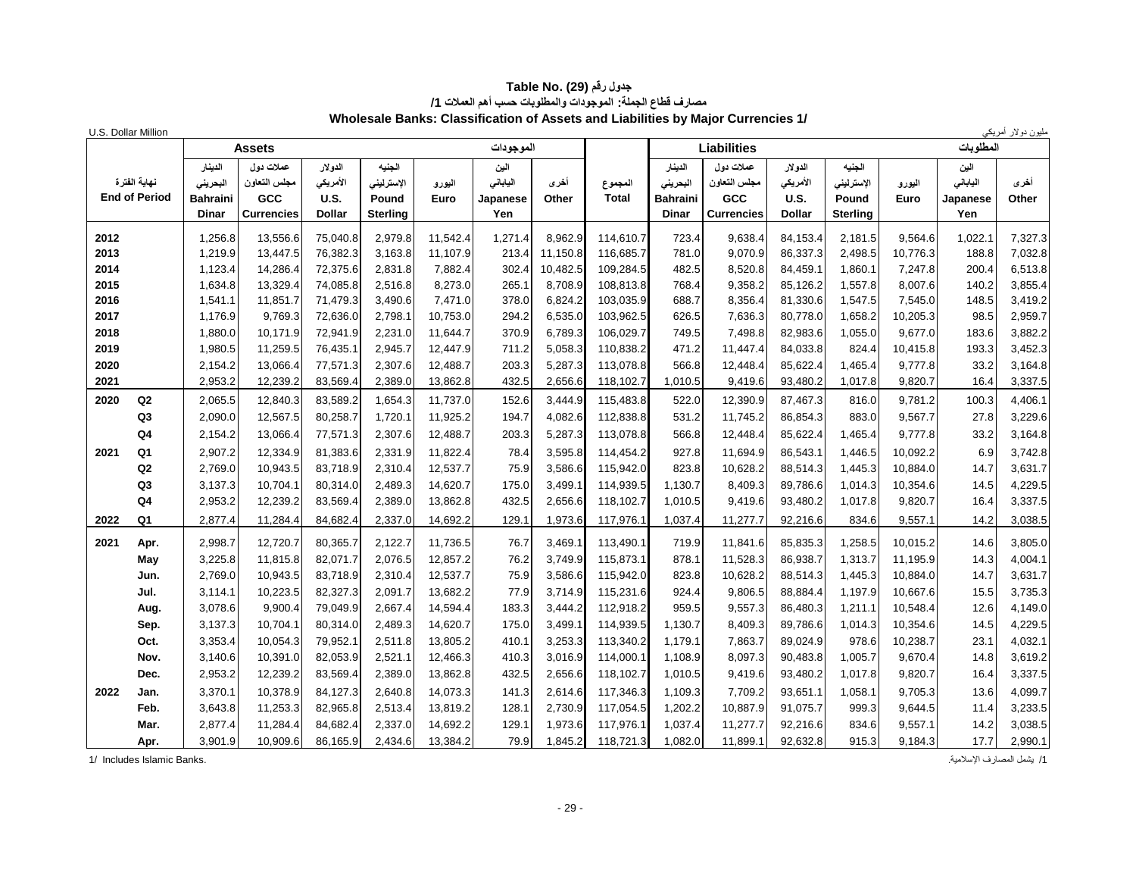| U.S. Dollar Million |                      |              |                   |               |                 |          |           |          |              |                 |                    |               |                 |          |           | ىليون دولار أمريك <u>ي</u> |
|---------------------|----------------------|--------------|-------------------|---------------|-----------------|----------|-----------|----------|--------------|-----------------|--------------------|---------------|-----------------|----------|-----------|----------------------------|
|                     |                      |              | <b>Assets</b>     |               |                 |          | الموجودات |          |              |                 | <b>Liabilities</b> |               |                 |          | المطلوبات |                            |
|                     |                      | الدينار      | عملات دول         | الدولار       | الجنبه          |          | الين      |          |              | الدينار         | عملات دول          | الدولار       | الجنيه          |          | الين      |                            |
|                     | نهابة الفتر ة        | البحريني     | مجلس التعاون      | الأمريكي      | الإسترليني      | اليورو   | الياباني  | أخرى     | المجموع      | البحريني        | مجلس التعاون       | الأمريكي      | الإسترليني      | اليورو   | الياباني  | أخرى                       |
|                     | <b>End of Period</b> | Bahraini     | GCC               | U.S.          | Pound           | Euro     | Japanese  | Other    | <b>Total</b> | <b>Bahraini</b> | GCC                | U.S.          | Pound           | Euro     | Japanese  | Other                      |
|                     |                      | <b>Dinar</b> | <b>Currencies</b> | <b>Dollar</b> | <b>Sterling</b> |          | Yen       |          |              | <b>Dinar</b>    | <b>Currencies</b>  | <b>Dollar</b> | <b>Sterling</b> |          | Yen       |                            |
| 2012                |                      | 1,256.8      | 13,556.6          | 75,040.8      | 2,979.8         | 11,542.4 | 1,271.4   | 8,962.9  | 114,610.7    | 723.4           | 9,638.4            | 84,153.4      | 2,181.5         | 9,564.6  | 1,022.1   | 7,327.3                    |
| 2013                |                      | 1,219.9      | 13,447.5          | 76,382.3      | 3,163.8         | 11,107.9 | 213.4     | 11,150.8 | 116,685.7    | 781.0           | 9,070.9            | 86,337.3      | 2,498.5         | 10,776.3 | 188.8     | 7,032.8                    |
| 2014                |                      | 1,123.4      | 14,286.4          | 72,375.6      | 2.831.8         | 7,882.4  | 302.4     | 10,482.5 | 109,284.5    | 482.5           | 8,520.8            | 84.459.1      | 1.860.1         | 7,247.8  | 200.4     | 6,513.8                    |
| 2015                |                      | 1,634.8      | 13,329.4          | 74,085.8      | 2,516.8         | 8,273.0  | 265.1     | 8,708.9  | 108,813.8    | 768.4           | 9,358.2            | 85,126.2      | 1,557.8         | 8,007.6  | 140.2     | 3,855.4                    |
| 2016                |                      | 1.541.1      | 11,851.7          | 71,479.3      | 3,490.6         | 7,471.0  | 378.0     | 6,824.2  | 103,035.9    | 688.7           | 8,356.4            | 81,330.6      | 1,547.5         | 7,545.0  | 148.5     | 3,419.2                    |
| 2017                |                      | 1,176.9      | 9,769.3           | 72,636.0      | 2,798.1         | 10,753.0 | 294.2     | 6,535.0  | 103,962.5    | 626.5           | 7,636.3            | 80,778.0      | 1,658.2         | 10,205.3 | 98.5      | 2,959.7                    |
| 2018                |                      | 1,880.0      | 10,171.9          | 72,941.9      | 2,231.0         | 11,644.7 | 370.9     | 6,789.3  | 106,029.7    | 749.5           | 7,498.8            | 82,983.6      | 1,055.0         | 9,677.0  | 183.6     | 3,882.2                    |
| 2019                |                      | 1,980.5      | 11,259.5          | 76,435.1      | 2,945.7         | 12,447.9 | 711.2     | 5,058.3  | 110,838.2    | 471.2           | 11,447.4           | 84,033.8      | 824.4           | 10,415.8 | 193.3     | 3,452.3                    |
| 2020                |                      | 2,154.2      | 13,066.4          | 77,571.3      | 2,307.6         | 12,488.7 | 203.3     | 5,287.3  | 113,078.8    | 566.8           | 12,448.4           | 85,622.4      | 1,465.4         | 9,777.8  | 33.2      | 3,164.8                    |
| 2021                |                      | 2,953.2      | 12,239.2          | 83,569.4      | 2,389.0         | 13,862.8 | 432.5     | 2,656.6  | 118,102.7    | 1,010.5         | 9,419.6            | 93,480.2      | 1,017.8         | 9,820.7  | 16.4      | 3,337.5                    |
| 2020                | Q2                   | 2,065.5      | 12,840.3          | 83,589.2      | 1,654.3         | 11,737.0 | 152.6     | 3,444.9  | 115,483.8    | 522.0           | 12,390.9           | 87,467.3      | 816.0           | 9.781.2  | 100.3     | 4,406.1                    |
|                     | Q3                   | 2,090.0      | 12,567.5          | 80,258.7      | 1,720.1         | 11,925.2 | 194.7     | 4,082.6  | 112,838.8    | 531.2           | 11,745.2           | 86,854.3      | 883.0           | 9,567.7  | 27.8      | 3,229.6                    |
|                     | Q4                   | 2,154.2      | 13,066.4          | 77,571.3      | 2,307.6         | 12,488.7 | 203.3     | 5,287.3  | 113,078.8    | 566.8           | 12,448.4           | 85,622.4      | 1,465.4         | 9,777.8  | 33.2      | 3,164.8                    |
| 2021                | Q <sub>1</sub>       | 2,907.2      | 12,334.9          | 81,383.6      | 2,331.9         | 11,822.4 | 78.4      | 3,595.8  | 114,454.2    | 927.8           | 11,694.9           | 86,543.1      | 1,446.5         | 10,092.2 | 6.9       | 3,742.8                    |
|                     | Q2                   | 2,769.0      | 10,943.5          | 83,718.9      | 2,310.4         | 12,537.7 | 75.9      | 3,586.6  | 115,942.0    | 823.8           | 10,628.2           | 88,514.3      | 1,445.3         | 10,884.0 | 14.7      | 3,631.7                    |
|                     | Q3                   | 3,137.3      | 10,704.1          | 80,314.0      | 2,489.3         | 14,620.7 | 175.0     | 3,499.1  | 114,939.5    | 1,130.7         | 8,409.3            | 89,786.6      | 1,014.3         | 10,354.6 | 14.5      | 4,229.5                    |
|                     | Q <sub>4</sub>       | 2,953.2      | 12,239.2          | 83,569.4      | 2,389.0         | 13,862.8 | 432.5     | 2,656.6  | 118,102.7    | 1,010.5         | 9,419.6            | 93,480.2      | 1,017.8         | 9,820.7  | 16.4      | 3,337.5                    |
| 2022                | Q <sub>1</sub>       | 2,877.4      | 11,284.4          | 84,682.4      | 2,337.0         | 14,692.2 | 129.1     | 1,973.6  | 117,976.1    | 1,037.4         | 11,277.7           | 92,216.6      | 834.6           | 9,557.1  | 14.2      | 3,038.5                    |
| 2021                | Apr.                 | 2,998.7      | 12,720.7          | 80,365.7      | 2,122.7         | 11,736.5 | 76.7      | 3,469.1  | 113,490.1    | 719.9           | 11,841.6           | 85,835.3      | 1,258.5         | 10,015.2 | 14.6      | 3,805.0                    |
|                     | May                  | 3,225.8      | 11,815.8          | 82,071.7      | 2,076.5         | 12,857.2 | 76.2      | 3,749.9  | 115,873.1    | 878.1           | 11,528.3           | 86,938.7      | 1,313.7         | 11,195.9 | 14.3      | 4,004.1                    |
|                     | Jun.                 | 2,769.0      | 10,943.5          | 83,718.9      | 2,310.4         | 12,537.7 | 75.9      | 3,586.6  | 115,942.0    | 823.8           | 10,628.2           | 88,514.3      | 1,445.3         | 10,884.0 | 14.7      | 3,631.7                    |
|                     | Jul.                 | 3,114.1      | 10,223.5          | 82,327.3      | 2,091.7         | 13,682.2 | 77.9      | 3,714.9  | 115,231.6    | 924.4           | 9,806.5            | 88,884.4      | 1.197.9         | 10,667.6 | 15.5      | 3,735.3                    |
|                     | Aug.                 | 3,078.6      | 9,900.4           | 79,049.9      | 2,667.4         | 14,594.4 | 183.3     | 3,444.2  | 112,918.2    | 959.5           | 9,557.3            | 86,480.3      | 1,211.1         | 10,548.4 | 12.6      | 4,149.0                    |
|                     | Sep.                 | 3,137.3      | 10,704.1          | 80,314.0      | 2,489.3         | 14,620.7 | 175.0     | 3,499.1  | 114,939.5    | 1,130.7         | 8,409.3            | 89,786.6      | 1,014.3         | 10,354.6 | 14.5      | 4,229.5                    |
|                     | Oct.                 | 3,353.4      | 10,054.3          | 79,952.1      | 2,511.8         | 13,805.2 | 410.1     | 3,253.3  | 113,340.2    | 1,179.1         | 7,863.7            | 89,024.9      | 978.6           | 10,238.7 | 23.1      | 4,032.1                    |
|                     | Nov.                 | 3,140.6      | 10,391.0          | 82,053.9      | 2,521.1         | 12,466.3 | 410.3     | 3,016.9  | 114,000.1    | 1,108.9         | 8,097.3            | 90,483.8      | 1,005.7         | 9,670.4  | 14.8      | 3,619.2                    |
|                     | Dec.                 | 2,953.2      | 12,239.2          | 83,569.4      | 2,389.0         | 13,862.8 | 432.5     | 2,656.6  | 118,102.7    | 1,010.5         | 9,419.6            | 93,480.2      | 1,017.8         | 9,820.7  | 16.4      | 3,337.5                    |
| 2022                | Jan.                 | 3,370.1      | 10,378.9          | 84,127.3      | 2,640.8         | 14,073.3 | 141.3     | 2,614.6  | 117,346.3    | 1,109.3         | 7,709.2            | 93.651.1      | 1,058.1         | 9,705.3  | 13.6      | 4,099.7                    |
|                     | Feb.                 | 3,643.8      | 11,253.3          | 82,965.8      | 2,513.4         | 13,819.2 | 128.1     | 2,730.9  | 117,054.5    | 1,202.2         | 10,887.9           | 91,075.7      | 999.3           | 9,644.5  | 11.4      | 3,233.5                    |
|                     | Mar.                 | 2,877.4      | 11,284.4          | 84,682.4      | 2,337.0         | 14,692.2 | 129.1     | 1,973.6  | 117,976.1    | 1,037.4         | 11,277.7           | 92,216.6      | 834.6           | 9,557.1  | 14.2      | 3,038.5                    |
|                     | Apr.                 | 3,901.9      | 10,909.6          | 86,165.9      | 2,434.6         | 13,384.2 | 79.9      | 1,845.2  | 118,721.3    | 1,082.0         | 11,899.1           | 92,632.8      | 915.3           | 9,184.3  | 17.7      | 2,990.1                    |

#### **جدول رقم (29) Table No. مصارف قطاع الجملة: الموجودات والمطلوبات حسب أهم العمالت /1 Wholesale Banks: Classification of Assets and Liabilities by Major Currencies 1/**

/1 يشمل المصارف اإلسالمية. .Banks Islamic Includes 1/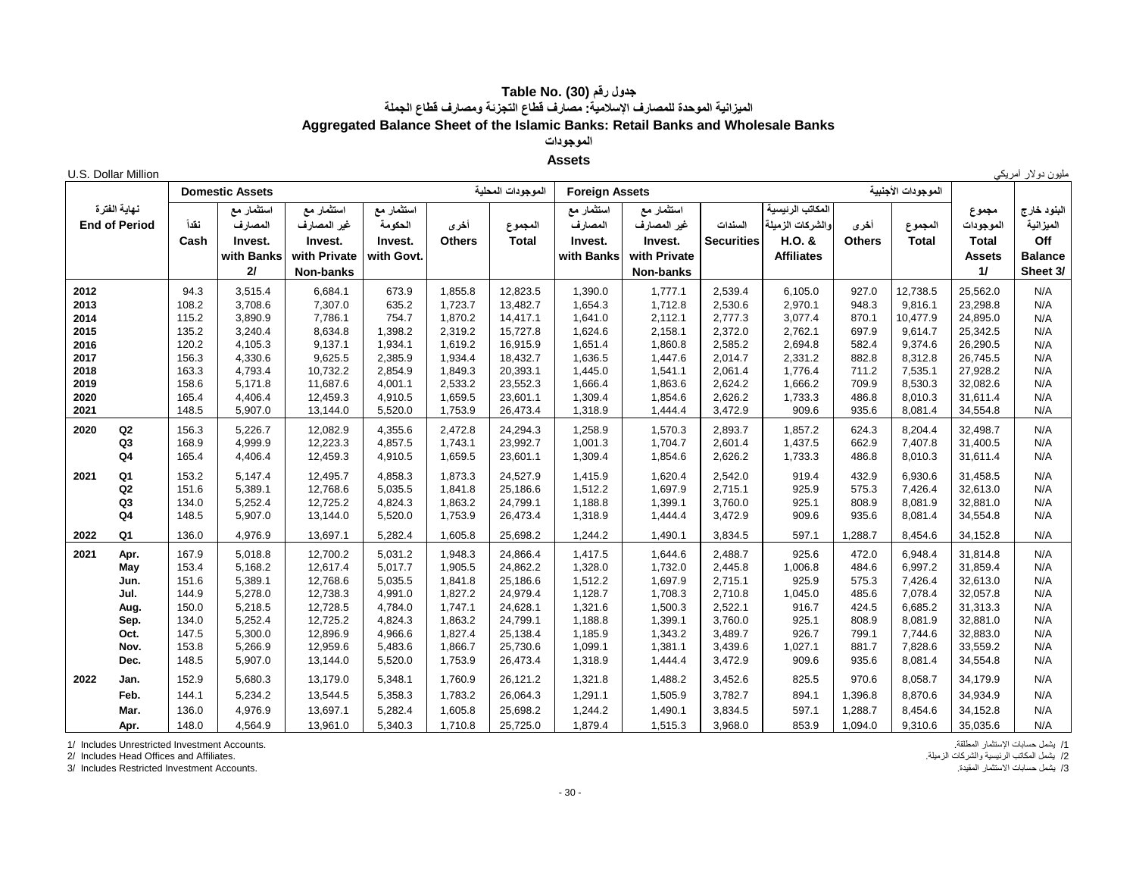#### **جدول رقم (30) Table No. الميزانية الموحدة للمصارف اإلسالمية: مصارف قطاع التجزئة ومصارف قطاع الجملة Aggregated Balance Sheet of the Islamic Banks: Retail Banks and Wholesale Banks الموجودات**

## **Assets**

| U.S. Dollar Million<br>مليون دولار أمريكي |  |  |  |
|-------------------------------------------|--|--|--|
|-------------------------------------------|--|--|--|

|              |                      |                | <b>Domestic Assets</b> |                      |            |                    | الموجودات المحلبة    | <b>Foreign Assets</b> |                    |                    |                    |                | الموجودات الأجنبية |                      |                |
|--------------|----------------------|----------------|------------------------|----------------------|------------|--------------------|----------------------|-----------------------|--------------------|--------------------|--------------------|----------------|--------------------|----------------------|----------------|
|              | نهاية الفترة         |                | استثمار مع             | استثمار مع           | استثمار مع |                    |                      | استثمار مع            | استثمار مع         |                    | المكاتب الرنيسية   |                |                    | مجموع                | البنود خارج    |
|              | <b>End of Period</b> | نقدأ           | المصارف                | غير المصارف          | الحكومة    | أخرى               | المجموع              | المصارف               | غير المصارف        | السندات            | رالشركات الزميلة   | أخرى           | المجموع            | الموجودات            | الميزانية      |
|              |                      | Cash           | Invest.                | Invest.              | Invest.    | <b>Others</b>      | <b>Total</b>         | Invest.               | Invest.            | <b>Securities</b>  | H.O. &             | <b>Others</b>  | <b>Total</b>       | <b>Total</b>         | Off            |
|              |                      |                | with Banks             | with Private         | with Govt. |                    |                      | with Banks            | with Private       |                    | <b>Affiliates</b>  |                |                    | <b>Assets</b>        | <b>Balance</b> |
|              |                      |                | 2I                     | Non-banks            |            |                    |                      |                       | Non-banks          |                    |                    |                |                    | 11                   | Sheet 3/       |
|              |                      |                |                        |                      |            |                    |                      |                       |                    |                    |                    |                |                    |                      |                |
| 2012         |                      | 94.3           | 3,515.4                | 6,684.1              | 673.9      | 1,855.8            | 12,823.5             | 1,390.0               | 1,777.1            | 2,539.4            | 6,105.0            | 927.0          | 12,738.5           | 25,562.0             | N/A            |
| 2013         |                      | 108.2          | 3,708.6                | 7,307.0              | 635.2      | 1,723.7            | 13,482.7             | 1,654.3               | 1,712.8            | 2,530.6            | 2,970.1            | 948.3          | 9.816.1            | 23,298.8             | N/A            |
| 2014         |                      | 115.2          | 3,890.9                | 7,786.1              | 754.7      | 1,870.2            | 14,417.1             | 1,641.0               | 2,112.1            | 2,777.3            | 3,077.4            | 870.1          | 10,477.9           | 24,895.0             | N/A            |
| 2015         |                      | 135.2          | 3,240.4                | 8,634.8              | 1,398.2    | 2,319.2            | 15,727.8             | 1,624.6               | 2,158.1            | 2,372.0            | 2,762.1            | 697.9          | 9,614.7            | 25,342.5             | N/A            |
| 2016         |                      | 120.2          | 4,105.3                | 9,137.1              | 1,934.1    | 1,619.2            | 16,915.9             | 1,651.4               | 1,860.8            | 2,585.2            | 2,694.8            | 582.4          | 9,374.6            | 26,290.5             | N/A            |
| 2017         |                      | 156.3          | 4,330.6                | 9,625.5              | 2,385.9    | 1,934.4            | 18,432.7             | 1,636.5               | 1,447.6            | 2,014.7            | 2,331.2            | 882.8          | 8,312.8            | 26,745.5             | N/A            |
| 2018<br>2019 |                      | 163.3          | 4,793.4                | 10,732.2<br>11,687.6 | 2,854.9    | 1,849.3            | 20,393.1             | 1,445.0               | 1,541.1            | 2,061.4            | 1,776.4            | 711.2          | 7,535.1            | 27,928.2             | N/A<br>N/A     |
| 2020         |                      | 158.6<br>165.4 | 5,171.8<br>4,406.4     | 12,459.3             | 4,001.1    | 2,533.2<br>1,659.5 | 23,552.3<br>23,601.1 | 1,666.4<br>1,309.4    | 1,863.6<br>1,854.6 | 2,624.2<br>2,626.2 | 1,666.2<br>1,733.3 | 709.9<br>486.8 | 8,530.3<br>8,010.3 | 32,082.6<br>31,611.4 | N/A            |
| 2021         |                      | 148.5          | 5,907.0                |                      | 4,910.5    |                    |                      |                       |                    |                    | 909.6              | 935.6          | 8,081.4            |                      | N/A            |
|              |                      |                |                        | 13,144.0             | 5,520.0    | 1,753.9            | 26,473.4             | 1,318.9               | 1,444.4            | 3,472.9            |                    |                |                    | 34,554.8             |                |
| 2020         | Q2                   | 156.3          | 5,226.7                | 12,082.9             | 4,355.6    | 2,472.8            | 24,294.3             | 1,258.9               | 1,570.3            | 2,893.7            | 1,857.2            | 624.3          | 8,204.4            | 32,498.7             | N/A            |
|              | Q <sub>3</sub>       | 168.9          | 4,999.9                | 12,223.3             | 4,857.5    | 1,743.1            | 23,992.7             | 1,001.3               | 1,704.7            | 2,601.4            | 1,437.5            | 662.9          | 7,407.8            | 31,400.5             | N/A            |
|              | Q4                   | 165.4          | 4,406.4                | 12,459.3             | 4,910.5    | 1,659.5            | 23,601.1             | 1,309.4               | 1,854.6            | 2,626.2            | 1,733.3            | 486.8          | 8,010.3            | 31,611.4             | N/A            |
| 2021         | Q1                   | 153.2          | 5,147.4                | 12,495.7             | 4,858.3    | 1,873.3            | 24,527.9             | 1,415.9               | 1,620.4            | 2,542.0            | 919.4              | 432.9          | 6,930.6            | 31,458.5             | N/A            |
|              | Q <sub>2</sub>       | 151.6          | 5,389.1                | 12,768.6             | 5,035.5    | 1,841.8            | 25,186.6             | 1,512.2               | 1,697.9            | 2,715.1            | 925.9              | 575.3          | 7,426.4            | 32,613.0             | N/A            |
|              | Q <sub>3</sub>       | 134.0          | 5,252.4                | 12,725.2             | 4,824.3    | 1,863.2            | 24,799.1             | 1,188.8               | 1,399.1            | 3,760.0            | 925.1              | 808.9          | 8,081.9            | 32,881.0             | N/A            |
|              | Q <sub>4</sub>       | 148.5          | 5,907.0                | 13,144.0             | 5,520.0    | 1,753.9            | 26,473.4             | 1,318.9               | 1,444.4            | 3,472.9            | 909.6              | 935.6          | 8,081.4            | 34,554.8             | N/A            |
| 2022         | Q1                   | 136.0          | 4,976.9                | 13,697.1             | 5,282.4    | 1,605.8            | 25,698.2             | 1,244.2               | 1,490.1            | 3,834.5            | 597.1              | 1,288.7        | 8,454.6            | 34,152.8             | N/A            |
| 2021         | Apr.                 | 167.9          | 5,018.8                | 12,700.2             | 5,031.2    | 1,948.3            | 24,866.4             | 1,417.5               | 1,644.6            | 2,488.7            | 925.6              | 472.0          | 6,948.4            | 31,814.8             | N/A            |
|              | May                  | 153.4          | 5,168.2                | 12,617.4             | 5,017.7    | 1,905.5            | 24,862.2             | 1,328.0               | 1,732.0            | 2,445.8            | 1,006.8            | 484.6          | 6,997.2            | 31,859.4             | N/A            |
|              | Jun.                 | 151.6          | 5,389.1                | 12,768.6             | 5,035.5    | 1,841.8            | 25,186.6             | 1,512.2               | 1,697.9            | 2,715.1            | 925.9              | 575.3          | 7,426.4            | 32,613.0             | N/A            |
|              | Jul.                 | 144.9          | 5,278.0                | 12,738.3             | 4,991.0    | 1,827.2            | 24,979.4             | 1,128.7               | 1,708.3            | 2,710.8            | 1,045.0            | 485.6          | 7,078.4            | 32,057.8             | N/A            |
|              | Aug.                 | 150.0          | 5,218.5                | 12,728.5             | 4,784.0    | 1,747.1            | 24,628.1             | 1,321.6               | 1,500.3            | 2,522.1            | 916.7              | 424.5          | 6,685.2            | 31,313.3             | N/A            |
|              | Sep.                 | 134.0          | 5,252.4                | 12,725.2             | 4,824.3    | 1,863.2            | 24,799.1             | 1,188.8               | 1,399.1            | 3,760.0            | 925.1              | 808.9          | 8,081.9            | 32,881.0             | N/A            |
|              | Oct.                 | 147.5          | 5,300.0                | 12,896.9             | 4,966.6    | 1,827.4            | 25,138.4             | 1,185.9               | 1,343.2            | 3,489.7            | 926.7              | 799.1          | 7,744.6            | 32,883.0             | N/A            |
|              | Nov.                 | 153.8          | 5,266.9                | 12,959.6             | 5,483.6    | 1,866.7            | 25,730.6             | 1,099.1               | 1,381.1            | 3,439.6            | 1,027.1            | 881.7          | 7,828.6            | 33,559.2             | N/A            |
|              | Dec.                 | 148.5          | 5,907.0                | 13,144.0             | 5,520.0    | 1,753.9            | 26,473.4             | 1,318.9               | 1,444.4            | 3,472.9            | 909.6              | 935.6          | 8,081.4            | 34,554.8             | N/A            |
| 2022         | Jan.                 | 152.9          | 5,680.3                | 13,179.0             | 5,348.1    | 1,760.9            | 26,121.2             | 1,321.8               | 1,488.2            | 3,452.6            | 825.5              | 970.6          | 8,058.7            | 34,179.9             | N/A            |
|              | Feb.                 | 144.1          | 5,234.2                | 13,544.5             | 5,358.3    | 1,783.2            | 26,064.3             | 1,291.1               | 1,505.9            | 3,782.7            | 894.1              | 1,396.8        | 8,870.6            | 34,934.9             | N/A            |
|              | Mar.                 | 136.0          | 4,976.9                | 13,697.1             | 5,282.4    | 1,605.8            | 25,698.2             | 1,244.2               | 1,490.1            | 3,834.5            | 597.1              | 1,288.7        | 8,454.6            | 34,152.8             | N/A            |
|              |                      |                |                        |                      |            |                    |                      |                       |                    |                    |                    |                |                    |                      |                |
|              | Apr.                 | 148.0          | 4,564.9                | 13,961.0             | 5,340.3    | 1,710.8            | 25,725.0             | 1,879.4               | 1,515.3            | 3,968.0            | 853.9              | 1,094.0        | 9,310.6            | 35,035.6             | N/A            |

/1 يشمل حسابات اإلستثمار المطلقة. .Accounts Investment Unrestricted Includes 1/

2/ يشمل المكاتب الرئيسية والشركات الزميلة.<br>3/ ايشمل المكاتب الرئيسية والشركات الزميلة .<br>3/ يشمل حسابات الاستثمار المقدة. المستثمل المقدمة المستثمر المقدمة المستثمر المقدمة المستثمر المقدمة . 3/ Includes Restricted Investment Accounts.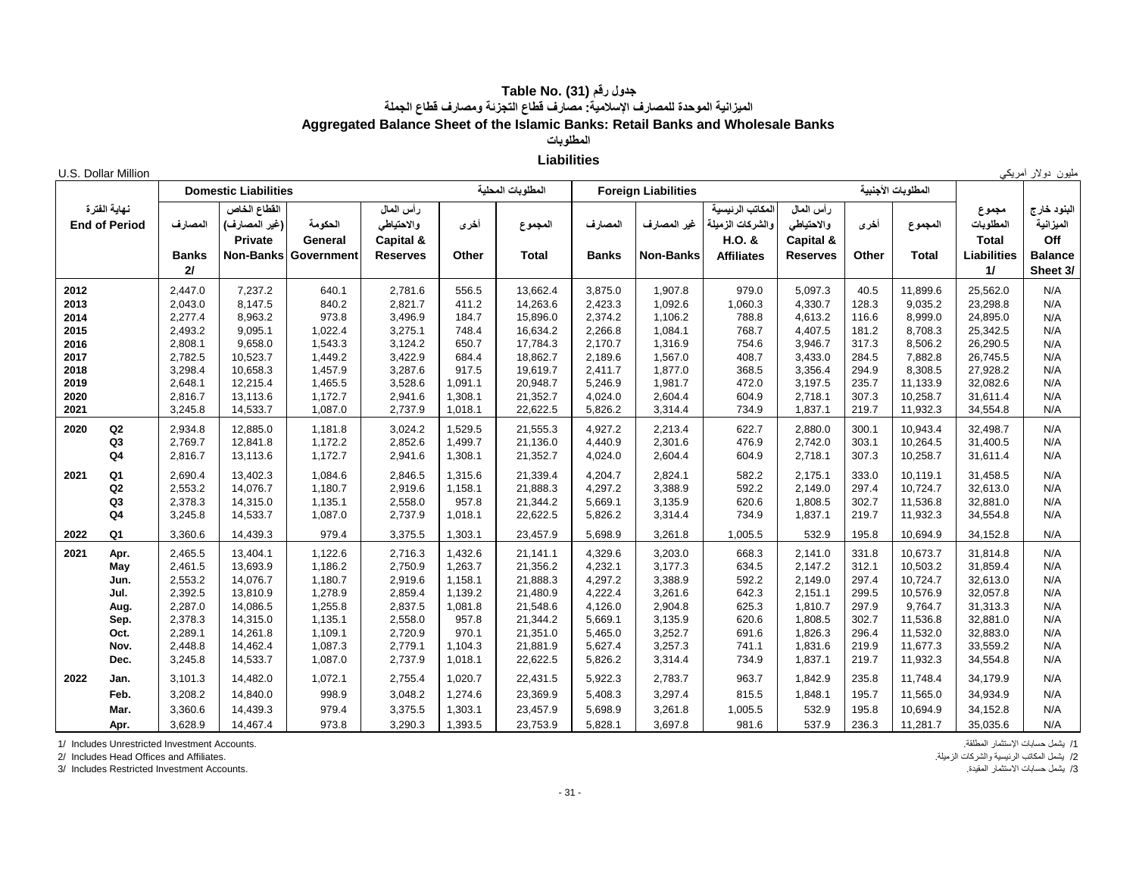### **جدول رقم (31) Table No. الميزانية الموحدة للمصارف اإلسالمية: مصارف قطاع التجزئة ومصارف قطاع الجملة Aggregated Balance Sheet of the Islamic Banks: Retail Banks and Wholesale Banks**

**المطلوبات**

## **Liabilities**

| U.S. Dollar Million  |              |                             |                      |                 |         |                   |                    |                            |                   |                 |                |                    |                    | مليون دولار أمريكي |
|----------------------|--------------|-----------------------------|----------------------|-----------------|---------|-------------------|--------------------|----------------------------|-------------------|-----------------|----------------|--------------------|--------------------|--------------------|
|                      |              | <b>Domestic Liabilities</b> |                      |                 |         | المطلوبات المحلية |                    | <b>Foreign Liabilities</b> |                   |                 |                | المطلوبات الأجنبية |                    |                    |
| نهاية الفترة         |              | القطاع الخاص                |                      | رأس المال       |         |                   |                    |                            | المكاتب الرنيسية  | رأس المال       |                |                    | مجموع              | البنود خارج        |
| <b>End of Period</b> | المصارف      | (غير المصارف)               | الحكومة              | والاحتياطي      | أخرى    | المجموع           | المصارف            | غير المصارف                | والشركات الزميلة  | والاحتياطي      | أخرى           | المجموع            | المطلوبات          | الميزانية          |
|                      |              | <b>Private</b>              | General              | Capital &       |         |                   |                    |                            | H.O. &            | Capital &       |                |                    | <b>Total</b>       | Off                |
|                      | <b>Banks</b> |                             | Non-Banks Government | <b>Reserves</b> | Other   | <b>Total</b>      | <b>Banks</b>       | <b>Non-Banks</b>           | <b>Affiliates</b> | <b>Reserves</b> | Other          | <b>Total</b>       | <b>Liabilities</b> | <b>Balance</b>     |
|                      | 2I           |                             |                      |                 |         |                   |                    |                            |                   |                 |                |                    | 11                 | Sheet 3/           |
| 2012                 | 2,447.0      | 7,237.2                     | 640.1                | 2,781.6         | 556.5   | 13,662.4          | 3,875.0            | 1,907.8                    | 979.0             | 5,097.3         | 40.5           | 11,899.6           | 25,562.0           | N/A                |
| 2013                 | 2,043.0      | 8,147.5                     | 840.2                | 2,821.7         | 411.2   | 14,263.6          | 2,423.3            | 1,092.6                    | 1,060.3           | 4,330.7         | 128.3          | 9,035.2            | 23,298.8           | N/A                |
| 2014                 | 2,277.4      | 8,963.2                     | 973.8                | 3,496.9         | 184.7   | 15,896.0          | 2,374.2            | 1,106.2                    | 788.8             | 4,613.2         | 116.6          | 8,999.0            | 24,895.0           | N/A                |
| 2015                 | 2,493.2      | 9,095.1                     | 1,022.4              | 3,275.1         | 748.4   | 16,634.2          | 2,266.8            | 1,084.1                    | 768.7             | 4,407.5         | 181.2          | 8,708.3            | 25,342.5           | N/A                |
| 2016                 | 2,808.1      | 9,658.0                     | 1,543.3              | 3,124.2         | 650.7   | 17,784.3          | 2,170.7            | 1,316.9                    | 754.6             | 3,946.7         | 317.3          | 8,506.2            | 26,290.5           | N/A                |
| 2017                 | 2,782.5      | 10,523.7                    | 1,449.2              | 3,422.9         | 684.4   | 18,862.7          | 2,189.6            | 1,567.0                    | 408.7             | 3,433.0         | 284.5          | 7,882.8            | 26,745.5           | N/A                |
| 2018                 | 3,298.4      | 10,658.3                    | 1,457.9              | 3,287.6         | 917.5   | 19,619.7          | 2,411.7            | 1,877.0                    | 368.5             | 3,356.4         | 294.9          | 8,308.5            | 27,928.2           | N/A                |
| 2019                 | 2,648.1      | 12,215.4                    | 1,465.5              | 3,528.6         | 1,091.1 | 20,948.7          | 5,246.9            | 1,981.7                    | 472.0             | 3,197.5         | 235.7          | 11,133.9           | 32,082.6           | N/A                |
| 2020<br>2021         | 2,816.7      | 13,113.6                    | 1,172.7              | 2,941.6         | 1,308.1 | 21,352.7          | 4,024.0<br>5,826.2 | 2,604.4                    | 604.9<br>734.9    | 2,718.1         | 307.3<br>219.7 | 10,258.7           | 31,611.4           | N/A<br>N/A         |
|                      | 3,245.8      | 14,533.7                    | 1,087.0              | 2,737.9         | 1,018.1 | 22,622.5          |                    | 3,314.4                    |                   | 1,837.1         |                | 11,932.3           | 34,554.8           |                    |
| Q2<br>2020           | 2,934.8      | 12,885.0                    | 1,181.8              | 3,024.2         | 1,529.5 | 21,555.3          | 4,927.2            | 2,213.4                    | 622.7             | 2,880.0         | 300.1          | 10.943.4           | 32.498.7           | N/A                |
| Q3                   | 2,769.7      | 12,841.8                    | 1,172.2              | 2,852.6         | 1,499.7 | 21,136.0          | 4,440.9            | 2,301.6                    | 476.9             | 2,742.0         | 303.1          | 10,264.5           | 31,400.5           | N/A                |
| Q <sub>4</sub>       | 2,816.7      | 13,113.6                    | 1,172.7              | 2,941.6         | 1,308.1 | 21,352.7          | 4,024.0            | 2,604.4                    | 604.9             | 2,718.1         | 307.3          | 10,258.7           | 31,611.4           | N/A                |
| Q1<br>2021           | 2,690.4      | 13,402.3                    | 1,084.6              | 2,846.5         | 1,315.6 | 21,339.4          | 4,204.7            | 2,824.1                    | 582.2             | 2,175.1         | 333.0          | 10,119.1           | 31,458.5           | N/A                |
| Q <sub>2</sub>       | 2,553.2      | 14,076.7                    | 1,180.7              | 2,919.6         | 1,158.1 | 21,888.3          | 4,297.2            | 3,388.9                    | 592.2             | 2,149.0         | 297.4          | 10,724.7           | 32,613.0           | N/A                |
| Q3                   | 2,378.3      | 14,315.0                    | 1,135.1              | 2,558.0         | 957.8   | 21,344.2          | 5,669.1            | 3,135.9                    | 620.6             | 1,808.5         | 302.7          | 11,536.8           | 32,881.0           | N/A                |
| Q <sub>4</sub>       | 3,245.8      | 14,533.7                    | 1,087.0              | 2,737.9         | 1,018.1 | 22,622.5          | 5,826.2            | 3,314.4                    | 734.9             | 1,837.1         | 219.7          | 11,932.3           | 34,554.8           | N/A                |
| 2022<br>Q1           | 3,360.6      | 14,439.3                    | 979.4                | 3,375.5         | 1,303.1 | 23,457.9          | 5,698.9            | 3,261.8                    | 1,005.5           | 532.9           | 195.8          | 10,694.9           | 34,152.8           | N/A                |
| 2021<br>Apr.         | 2,465.5      | 13,404.1                    | 1,122.6              | 2,716.3         | 1,432.6 | 21,141.1          | 4,329.6            | 3,203.0                    | 668.3             | 2,141.0         | 331.8          | 10,673.7           | 31,814.8           | N/A                |
| May                  | 2,461.5      | 13,693.9                    | 1,186.2              | 2,750.9         | 1,263.7 | 21,356.2          | 4,232.1            | 3,177.3                    | 634.5             | 2,147.2         | 312.1          | 10,503.2           | 31,859.4           | N/A                |
| Jun.                 | 2,553.2      | 14,076.7                    | 1,180.7              | 2,919.6         | 1,158.1 | 21,888.3          | 4,297.2            | 3,388.9                    | 592.2             | 2,149.0         | 297.4          | 10,724.7           | 32,613.0           | N/A                |
| Jul.                 | 2,392.5      | 13,810.9                    | 1,278.9              | 2,859.4         | 1,139.2 | 21,480.9          | 4,222.4            | 3,261.6                    | 642.3             | 2,151.1         | 299.5          | 10,576.9           | 32,057.8           | N/A                |
| Aug.                 | 2,287.0      | 14,086.5                    | 1,255.8              | 2,837.5         | 1,081.8 | 21,548.6          | 4,126.0            | 2,904.8                    | 625.3             | 1,810.7         | 297.9          | 9,764.7            | 31,313.3           | N/A                |
| Sep.                 | 2,378.3      | 14,315.0                    | 1,135.1              | 2,558.0         | 957.8   | 21,344.2          | 5,669.1            | 3,135.9                    | 620.6             | 1,808.5         | 302.7          | 11,536.8           | 32,881.0           | N/A                |
| Oct.                 | 2,289.1      | 14,261.8                    | 1,109.1              | 2,720.9         | 970.1   | 21,351.0          | 5,465.0            | 3,252.7                    | 691.6             | 1,826.3         | 296.4          | 11,532.0           | 32,883.0           | N/A                |
| Nov.                 | 2,448.8      | 14,462.4                    | 1,087.3              | 2,779.1         | 1,104.3 | 21,881.9          | 5,627.4            | 3,257.3                    | 741.1             | 1,831.6         | 219.9          | 11,677.3           | 33,559.2           | N/A                |
| Dec.                 | 3,245.8      | 14,533.7                    | 1,087.0              | 2,737.9         | 1,018.1 | 22,622.5          | 5,826.2            | 3,314.4                    | 734.9             | 1,837.1         | 219.7          | 11,932.3           | 34,554.8           | N/A                |
| 2022<br>Jan.         | 3,101.3      | 14,482.0                    | 1,072.1              | 2,755.4         | 1,020.7 | 22,431.5          | 5,922.3            | 2,783.7                    | 963.7             | 1,842.9         | 235.8          | 11,748.4           | 34,179.9           | N/A                |
| Feb.                 | 3,208.2      | 14,840.0                    | 998.9                | 3,048.2         | 1,274.6 | 23,369.9          | 5,408.3            | 3,297.4                    | 815.5             | 1,848.1         | 195.7          | 11,565.0           | 34,934.9           | N/A                |
| Mar.                 | 3,360.6      | 14,439.3                    | 979.4                | 3,375.5         | 1,303.1 | 23,457.9          | 5,698.9            | 3,261.8                    | 1,005.5           | 532.9           | 195.8          | 10,694.9           | 34,152.8           | N/A                |
| Apr.                 | 3,628.9      | 14,467.4                    | 973.8                | 3,290.3         | 1,393.5 | 23,753.9          | 5,828.1            | 3,697.8                    | 981.6             | 537.9           | 236.3          | 11,281.7           | 35,035.6           | N/A                |

/1 يشمل حسابات اإلستثمار المطلقة. .Accounts Investment Unrestricted Includes 1/

3/ Includes Restricted Investment Accounts.

7/ يشمل المكلئب الرئيسية والشركات الزميلة.<br>3/ Includes Head Offices and Affiliates. يشمل حسابات الاستثمار المقيدة. <br>3/ يشمل حسابات الاستثمار المقيدة.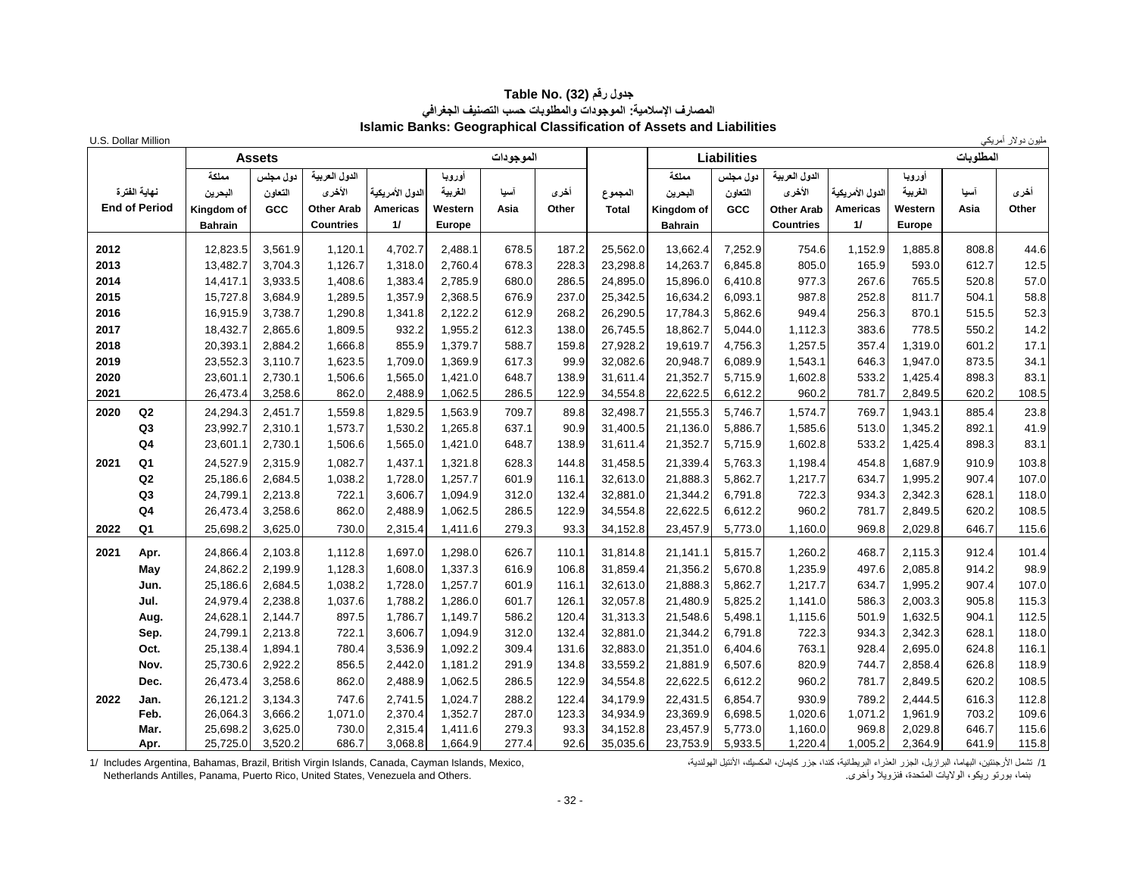#### **جدول رقم (32) Table No. المصارف اإلسالمية: الموجودات والمطلوبات حسب التصنيف الجغرافي Islamic Banks: Geographical Classification of Assets and Liabilities**

|      | U.S. Dollar Million                  |                                                  |                            |                                                                  |                                          |                                               |                |                |                         |                                                  |                            |                                                                  |                                          |                                               |                | مليون دولار أمريكي |
|------|--------------------------------------|--------------------------------------------------|----------------------------|------------------------------------------------------------------|------------------------------------------|-----------------------------------------------|----------------|----------------|-------------------------|--------------------------------------------------|----------------------------|------------------------------------------------------------------|------------------------------------------|-----------------------------------------------|----------------|--------------------|
|      |                                      |                                                  | <b>Assets</b>              |                                                                  |                                          |                                               | الموجودات      |                |                         |                                                  | <b>Liabilities</b>         |                                                                  |                                          |                                               | المطلوبات      |                    |
|      | نهاية الفترة<br><b>End of Period</b> | مملكة<br>البحرين<br>Kingdom of<br><b>Bahrain</b> | دول مجلس<br>التعاون<br>GCC | الدول العربية<br>الأخرى<br><b>Other Arab</b><br><b>Countries</b> | الدول الأمريكية<br><b>Americas</b><br>11 | أوروبا<br>الغربية<br>Western<br><b>Europe</b> | أسيا<br>Asia   | أخرى<br>Other  | المجموع<br><b>Total</b> | مملكة<br>البحرين<br>Kingdom of<br><b>Bahrain</b> | دول مجلس<br>التعاون<br>GCC | الدول العربية<br>الأخرى<br><b>Other Arab</b><br><b>Countries</b> | الدول الأمريكية<br><b>Americas</b><br>11 | أورويا<br>الغربية<br>Western<br><b>Europe</b> | آسيا<br>Asia   | أخرى<br>Other      |
| 2012 |                                      | 12,823.5                                         | 3,561.9                    | 1,120.1                                                          | 4,702.7                                  | 2,488.1                                       | 678.5          | 187.2          | 25,562.0                | 13,662.4                                         | 7,252.9                    | 754.6                                                            | 1,152.9                                  | 1,885.8                                       | 808.8          | 44.6               |
| 2013 |                                      | 13.482.7                                         | 3.704.3                    | 1.126.7                                                          | 1.318.0                                  | 2.760.4                                       | 678.3          | 228.3          | 23.298.8                | 14,263.7                                         | 6.845.8                    | 805.0                                                            | 165.9                                    | 593.0                                         | 612.7          | 12.5               |
| 2014 |                                      | 14,417.1                                         | 3,933.5                    | 1,408.6                                                          | 1,383.4                                  | 2,785.9                                       | 680.0          | 286.5          | 24,895.0                | 15,896.0                                         | 6,410.8                    | 977.3                                                            | 267.6                                    | 765.5                                         | 520.8          | 57.0               |
| 2015 |                                      | 15,727.8                                         | 3,684.9                    | 1,289.5                                                          | 1,357.9                                  | 2,368.5                                       | 676.9          | 237.0          | 25,342.5                | 16,634.2                                         | 6,093.1                    | 987.8                                                            | 252.8                                    | 811.7                                         | 504.1          | 58.8               |
| 2016 |                                      | 16,915.9                                         | 3,738.7                    | 1,290.8                                                          | 1,341.8                                  | 2,122.2                                       | 612.9          | 268.2          | 26,290.5                | 17,784.3                                         | 5,862.6                    | 949.4                                                            | 256.3                                    | 870.1                                         | 515.5          | 52.3               |
| 2017 |                                      | 18,432.7                                         | 2.865.6                    | 1,809.5                                                          | 932.2                                    | 1,955.2                                       | 612.3          | 138.0          | 26,745.5                | 18,862.7                                         | 5,044.0                    | 1,112.3                                                          | 383.6                                    | 778.5                                         | 550.2          | 14.2               |
| 2018 |                                      | 20,393.1                                         | 2,884.2                    | 1,666.8                                                          | 855.9                                    | 1,379.7                                       | 588.7          | 159.8          | 27,928.2                | 19,619.7                                         | 4,756.3                    | 1,257.5                                                          | 357.4                                    | 1,319.0                                       | 601.2          | 17.1               |
| 2019 |                                      | 23,552.3                                         | 3,110.7                    | 1,623.5                                                          | 1,709.0                                  | 1,369.9                                       | 617.3          | 99.9           | 32,082.6                | 20,948.7                                         | 6,089.9                    | 1,543.1                                                          | 646.3                                    | 1,947.0                                       | 873.5          | 34.1               |
| 2020 |                                      | 23,601.1                                         | 2,730.1                    | 1,506.6                                                          | 1,565.0                                  | 1,421.0                                       | 648.7          | 138.9          | 31,611.4                | 21,352.7                                         | 5,715.9                    | 1,602.8                                                          | 533.2                                    | 1,425.4                                       | 898.3          | 83.1               |
| 2021 |                                      | 26,473.4                                         | 3,258.6                    | 862.0                                                            | 2,488.9                                  | 1,062.5                                       | 286.5          | 122.9          | 34,554.8                | 22,622.5                                         | 6,612.2                    | 960.2                                                            | 781.7                                    | 2,849.5                                       | 620.2          | 108.5              |
| 2020 | Q2                                   | 24,294.3                                         | 2,451.7                    | 1,559.8                                                          | 1,829.5                                  | 1,563.9                                       | 709.7          | 89.8           | 32,498.7                | 21,555.3                                         | 5,746.7                    | 1,574.7                                                          | 769.7                                    | 1,943.1                                       | 885.4          | 23.8               |
|      | Q <sub>3</sub>                       | 23,992.7                                         | 2,310.1                    | 1,573.7                                                          | 1,530.2                                  | 1,265.8                                       | 637.1          | 90.9           | 31,400.5                | 21,136.0                                         | 5,886.7                    | 1,585.6                                                          | 513.0                                    | 1,345.2                                       | 892.1          | 41.9               |
|      | Q4                                   | 23,601.1                                         | 2,730.1                    | 1,506.6                                                          | 1,565.0                                  | 1,421.0                                       | 648.7          | 138.9          | 31,611.4                | 21,352.7                                         | 5,715.9                    | 1,602.8                                                          | 533.2                                    | 1,425.4                                       | 898.3          | 83.1               |
| 2021 | Q <sub>1</sub>                       | 24,527.9                                         | 2.315.9                    | 1,082.7                                                          | 1,437.1                                  | 1,321.8                                       | 628.3          | 144.8          | 31,458.5                | 21,339.4                                         | 5,763.3                    | 1,198.4                                                          | 454.8                                    | 1.687.9                                       | 910.9          | 103.8              |
|      | Q <sub>2</sub>                       | 25,186.6                                         | 2,684.5                    | 1,038.2                                                          | 1,728.0                                  | 1,257.7                                       | 601.9          | 116.1          | 32,613.0                | 21,888.3                                         | 5,862.7                    | 1,217.7                                                          | 634.7                                    | 1,995.2                                       | 907.4          | 107.0              |
|      | Q <sub>3</sub><br>Q <sub>4</sub>     | 24,799.1<br>26,473.4                             | 2,213.8<br>3,258.6         | 722.1<br>862.0                                                   | 3,606.7<br>2,488.9                       | 1,094.9<br>1,062.5                            | 312.0<br>286.5 | 132.4<br>122.9 | 32,881.0<br>34,554.8    | 21,344.2<br>22,622.5                             | 6,791.8<br>6,612.2         | 722.3<br>960.2                                                   | 934.3<br>781.7                           | 2,342.3<br>2,849.5                            | 628.1<br>620.2 | 118.0<br>108.5     |
|      |                                      |                                                  |                            |                                                                  |                                          |                                               |                |                |                         |                                                  |                            |                                                                  |                                          |                                               |                |                    |
| 2022 | Q1                                   | 25,698.2                                         | 3,625.0                    | 730.0                                                            | 2,315.4                                  | 1,411.6                                       | 279.3          | 93.3           | 34,152.8                | 23,457.9                                         | 5,773.0                    | 1,160.0                                                          | 969.8                                    | 2,029.8                                       | 646.7          | 115.6              |
| 2021 | Apr.                                 | 24,866.4                                         | 2,103.8                    | 1,112.8                                                          | 1,697.0                                  | 1,298.0                                       | 626.7          | 110.1          | 31,814.8                | 21,141.1                                         | 5,815.7                    | 1,260.2                                                          | 468.7                                    | 2,115.3                                       | 912.4          | 101.4              |
|      | May                                  | 24,862.2                                         | 2,199.9                    | 1,128.3                                                          | 1,608.0                                  | 1,337.3                                       | 616.9          | 106.8          | 31,859.4                | 21,356.2                                         | 5,670.8                    | 1,235.9                                                          | 497.6                                    | 2,085.8                                       | 914.2          | 98.9               |
|      | Jun.                                 | 25,186.6                                         | 2,684.5                    | 1,038.2                                                          | 1,728.0                                  | 1,257.7                                       | 601.9          | 116.1          | 32,613.0                | 21,888.3                                         | 5,862.7                    | 1,217.7                                                          | 634.7                                    | 1,995.2                                       | 907.4          | 107.0              |
|      | Jul.                                 | 24,979.4                                         | 2,238.8                    | 1,037.6                                                          | 1,788.2                                  | 1,286.0                                       | 601.7          | 126.1          | 32,057.8                | 21,480.9                                         | 5,825.2                    | 1,141.0                                                          | 586.3                                    | 2,003.3                                       | 905.8          | 115.3              |
|      | Aug.                                 | 24,628.1                                         | 2,144.7                    | 897.5                                                            | 1,786.7                                  | 1,149.7                                       | 586.2          | 120.4          | 31,313.3                | 21,548.6                                         | 5,498.1                    | 1,115.6                                                          | 501.9                                    | 1,632.5                                       | 904.1          | 112.5              |
|      | Sep.                                 | 24,799.1                                         | 2,213.8                    | 722.1                                                            | 3,606.7                                  | 1,094.9                                       | 312.0          | 132.4          | 32,881.0                | 21,344.2                                         | 6.791.8                    | 722.3                                                            | 934.3                                    | 2,342.3                                       | 628.1          | 118.0              |
|      | Oct.<br>Nov.                         | 25,138.4<br>25,730.6                             | 1,894.1<br>2,922.2         | 780.4<br>856.5                                                   | 3,536.9<br>2,442.0                       | 1,092.2<br>1,181.2                            | 309.4<br>291.9 | 131.6<br>134.8 | 32,883.0<br>33,559.2    | 21,351.0<br>21,881.9                             | 6,404.6<br>6,507.6         | 763.1<br>820.9                                                   | 928.4<br>744.7                           | 2,695.0<br>2,858.4                            | 624.8<br>626.8 | 116.1<br>118.9     |
|      | Dec.                                 | 26,473.4                                         | 3,258.6                    | 862.0                                                            | 2,488.9                                  | 1,062.5                                       | 286.5          | 122.9          | 34,554.8                | 22,622.5                                         | 6,612.2                    | 960.2                                                            | 781.7                                    | 2,849.5                                       | 620.2          | 108.5              |
| 2022 |                                      | 26,121.2                                         | 3,134.3                    | 747.6                                                            | 2,741.5                                  | 1,024.7                                       | 288.2          | 122.4          | 34,179.9                | 22,431.5                                         | 6,854.7                    | 930.9                                                            | 789.2                                    | 2,444.5                                       | 616.3          |                    |
|      | Jan.<br>Feb.                         | 26,064.3                                         | 3,666.2                    | 1,071.0                                                          | 2,370.4                                  | 1,352.7                                       | 287.0          | 123.3          | 34,934.9                | 23,369.9                                         | 6,698.5                    | 1,020.6                                                          | 1,071.2                                  | 1,961.9                                       | 703.2          | 112.8<br>109.6     |
|      | Mar.                                 | 25,698.2                                         | 3,625.0                    | 730.0                                                            | 2,315.4                                  | 1,411.6                                       | 279.3          | 93.3           | 34,152.8                | 23,457.9                                         | 5,773.0                    | 1,160.0                                                          | 969.8                                    | 2,029.8                                       | 646.7          | 115.6              |
|      | Apr.                                 | 25,725.0                                         | 3,520.2                    | 686.7                                                            | 3,068.8                                  | 1,664.9                                       | 277.4          | 92.6           | 35,035.6                | 23,753.9                                         | 5,933.5                    | 1,220.4                                                          | 1,005.2                                  | 2,364.9                                       | 641.9          | 115.8              |

1/ تشمل الأرجنتين، البهاما، البرازيل، الجزر العزراء البريطانية، كندا، جزر كايمان، المكسيك، الأنتيل الهولندية،<br>بنما، بورتو ريكو، الولايات المتحدة، فنزويلا وأخرى.<br>Metherlands Antilles, Panama, Puerto Rico, United States, Ve

Netherlands Antilles, Panama, Puerto Rico, United States, Venezuela and Others.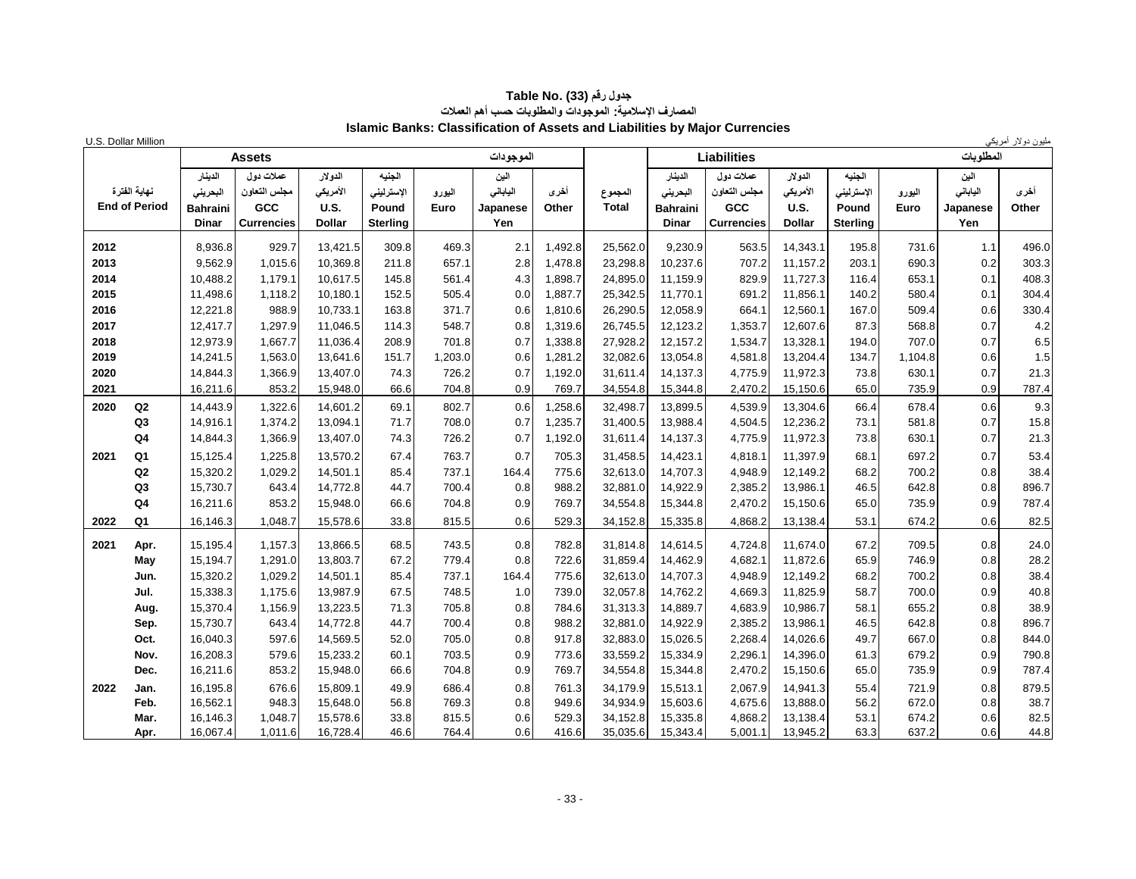#### **جدول رقم (33) Table No. المصارف اإلسالمية: الموجودات والمطلوبات حسب أهم العمالت Islamic Banks: Classification of Assets and Liabilities by Major Currencies**

| U.S. Dollar Million |                                      |                                                        |                                                        |                                              |                                                  |                |                                     |               |                         |                                                 |                                                               |                                                     |                                                  |                |                                     | مليون دولار أمريكي |
|---------------------|--------------------------------------|--------------------------------------------------------|--------------------------------------------------------|----------------------------------------------|--------------------------------------------------|----------------|-------------------------------------|---------------|-------------------------|-------------------------------------------------|---------------------------------------------------------------|-----------------------------------------------------|--------------------------------------------------|----------------|-------------------------------------|--------------------|
|                     |                                      |                                                        | <b>Assets</b>                                          |                                              |                                                  |                | الموجودات                           |               |                         |                                                 | <b>Liabilities</b>                                            |                                                     |                                                  |                | المطلوبات                           |                    |
|                     | نهابة الفترة<br><b>End of Period</b> | الدينار<br>البحريني<br><b>Bahraini</b><br><b>Dinar</b> | عملات دو ل<br>مجلس التعاون<br>GCC<br><b>Currencies</b> | الدولار<br>الأمريكي<br>U.S.<br><b>Dollar</b> | الجنيه<br>الإسترليني<br>Pound<br><b>Sterling</b> | اليورو<br>Euro | الين<br>اليابانى<br>Japanese<br>Yen | أخرى<br>Other | المجموع<br><b>Total</b> | الدينار<br>البحرينى<br>Bahraini<br><b>Dinar</b> | عملات دو ل<br>مجلس التعاون<br><b>GCC</b><br><b>Currencies</b> | الدولار<br>الأمريكي<br><b>U.S.</b><br><b>Dollar</b> | الجنيه<br>الإسترليني<br>Pound<br><b>Sterling</b> | اليورو<br>Euro | الين<br>الياباني<br>Japanese<br>Yen | أخرى<br>Other      |
| 2012                |                                      | 8,936.8                                                | 929.7                                                  | 13,421.5                                     | 309.8                                            | 469.3          | 2.1                                 | 1,492.8       | 25,562.0                | 9,230.9                                         | 563.5                                                         | 14,343.1                                            | 195.8                                            | 731.6          | 1.1                                 | 496.0              |
| 2013                |                                      | 9,562.9                                                | 1,015.6                                                | 10,369.8                                     | 211.8                                            | 657.1          | 2.8                                 | 1,478.8       | 23,298.8                | 10,237.6                                        | 707.2                                                         | 11.157.2                                            | 203.1                                            | 690.3          | 0.2                                 | 303.3              |
| 2014                |                                      | 10,488.2                                               | 1,179.1                                                | 10,617.5                                     | 145.8                                            | 561.4          | 4.3                                 | 1,898.7       | 24,895.0                | 11,159.9                                        | 829.9                                                         | 11,727.3                                            | 116.4                                            | 653.1          | 0.1                                 | 408.3              |
| 2015                |                                      | 11,498.6                                               | 1,118.2                                                | 10,180.1                                     | 152.5                                            | 505.4          | 0.0                                 | 1,887.7       | 25,342.5                | 11,770.1                                        | 691.2                                                         | 11,856.1                                            | 140.2                                            | 580.4          | 0.1                                 | 304.4              |
| 2016                |                                      | 12,221.8                                               | 988.9                                                  | 10,733.1                                     | 163.8                                            | 371.7          | 0.6                                 | 1,810.6       | 26,290.5                | 12,058.9                                        | 664.1                                                         | 12,560.1                                            | 167.0                                            | 509.4          | 0.6                                 | 330.4              |
| 2017                |                                      | 12,417.7                                               | 1,297.9                                                | 11,046.5                                     | 114.3                                            | 548.7          | 0.8                                 | 1,319.6       | 26,745.5                | 12,123.2                                        | 1,353.7                                                       | 12,607.6                                            | 87.3                                             | 568.8          | 0.7                                 | 4.2                |
| 2018                |                                      | 12,973.9                                               | 1,667.7                                                | 11,036.4                                     | 208.9                                            | 701.8          | 0.7                                 | 1,338.8       | 27,928.2                | 12,157.2                                        | 1,534.7                                                       | 13,328.1                                            | 194.0                                            | 707.0          | 0.7                                 | 6.5                |
| 2019                |                                      | 14,241.5                                               | 1,563.0                                                | 13,641.6                                     | 151.7                                            | 1,203.0        | 0.6                                 | 1,281.2       | 32,082.6                | 13,054.8                                        | 4,581.8                                                       | 13,204.4                                            | 134.7                                            | 1,104.8        | 0.6                                 | 1.5                |
| 2020                |                                      | 14,844.3                                               | 1,366.9                                                | 13,407.0                                     | 74.3                                             | 726.2          | 0.7                                 | 1,192.0       | 31,611.4                | 14,137.3                                        | 4,775.9                                                       | 11,972.3                                            | 73.8                                             | 630.1          | 0.7                                 | 21.3               |
| 2021                |                                      | 16,211.6                                               | 853.2                                                  | 15,948.0                                     | 66.6                                             | 704.8          | 0.9                                 | 769.7         | 34,554.8                | 15,344.8                                        | 2,470.2                                                       | 15,150.6                                            | 65.0                                             | 735.9          | 0.9                                 | 787.4              |
| 2020                | Q2                                   | 14,443.9                                               | 1,322.6                                                | 14,601.2                                     | 69.1                                             | 802.7          | 0.6                                 | 1,258.6       | 32,498.7                | 13,899.5                                        | 4,539.9                                                       | 13,304.6                                            | 66.4                                             | 678.4          | 0.6                                 | 9.3                |
|                     | Q <sub>3</sub>                       | 14,916.1                                               | 1,374.2                                                | 13,094.1                                     | 71.7                                             | 708.0          | 0.7                                 | 1,235.7       | 31,400.5                | 13,988.4                                        | 4,504.5                                                       | 12,236.2                                            | 73.1                                             | 581.8          | 0.7                                 | 15.8               |
|                     | Q <sub>4</sub>                       | 14,844.3                                               | 1,366.9                                                | 13,407.0                                     | 74.3                                             | 726.2          | 0.7                                 | 1,192.0       | 31,611.4                | 14,137.3                                        | 4,775.9                                                       | 11,972.3                                            | 73.8                                             | 630.1          | 0.7                                 | 21.3               |
| 2021                | Q <sub>1</sub>                       | 15,125.4                                               | 1,225.8                                                | 13,570.2                                     | 67.4                                             | 763.7          | 0.7                                 | 705.3         | 31,458.5                | 14,423.1                                        | 4,818.1                                                       | 11,397.9                                            | 68.1                                             | 697.2          | 0.7                                 | 53.4               |
|                     | Q2                                   | 15,320.2                                               | 1,029.2                                                | 14,501.1                                     | 85.4                                             | 737.1          | 164.4                               | 775.6         | 32,613.0                | 14,707.3                                        | 4,948.9                                                       | 12,149.2                                            | 68.2                                             | 700.2          | 0.8                                 | 38.4               |
|                     | Q <sub>3</sub>                       | 15,730.7                                               | 643.4                                                  | 14,772.8                                     | 44.7                                             | 700.4          | 0.8                                 | 988.2         | 32,881.0                | 14,922.9                                        | 2,385.2                                                       | 13,986.1                                            | 46.5                                             | 642.8          | 0.8                                 | 896.7              |
|                     | Q <sub>4</sub>                       | 16,211.6                                               | 853.2                                                  | 15,948.0                                     | 66.6                                             | 704.8          | 0.9                                 | 769.7         | 34,554.8                | 15,344.8                                        | 2,470.2                                                       | 15,150.6                                            | 65.0                                             | 735.9          | 0.9                                 | 787.4              |
| 2022                | Q <sub>1</sub>                       | 16,146.3                                               | 1,048.7                                                | 15,578.6                                     | 33.8                                             | 815.5          | 0.6                                 | 529.3         | 34,152.8                | 15,335.8                                        | 4,868.2                                                       | 13,138.4                                            | 53.1                                             | 674.2          | 0.6                                 | 82.5               |
| 2021                | Apr.                                 | 15.195.4                                               | 1,157.3                                                | 13,866.5                                     | 68.5                                             | 743.5          | 0.8                                 | 782.8         | 31.814.8                | 14,614.5                                        | 4,724.8                                                       | 11.674.0                                            | 67.2                                             | 709.5          | 0.8                                 | 24.0               |
|                     | May                                  | 15,194.7                                               | 1,291.0                                                | 13,803.7                                     | 67.2                                             | 779.4          | 0.8                                 | 722.6         | 31,859.4                | 14,462.9                                        | 4,682.1                                                       | 11,872.6                                            | 65.9                                             | 746.9          | 0.8                                 | 28.2               |
|                     | Jun.                                 | 15,320.2                                               | 1,029.2                                                | 14,501.1                                     | 85.4                                             | 737.1          | 164.4                               | 775.6         | 32,613.0                | 14.707.3                                        | 4,948.9                                                       | 12.149.2                                            | 68.2                                             | 700.2          | 0.8                                 | 38.4               |
|                     | Jul.                                 | 15,338.3                                               | 1,175.6                                                | 13,987.9                                     | 67.5                                             | 748.5          | 1.0                                 | 739.0         | 32,057.8                | 14,762.2                                        | 4,669.3                                                       | 11,825.9                                            | 58.7                                             | 700.0          | 0.9                                 | 40.8               |
|                     | Aug.                                 | 15,370.4                                               | 1,156.9                                                | 13,223.5                                     | 71.3                                             | 705.8          | 0.8                                 | 784.6         | 31,313.3                | 14,889.7                                        | 4,683.9                                                       | 10,986.7                                            | 58.1                                             | 655.2          | 0.8                                 | 38.9               |
|                     | Sep.                                 | 15,730.7                                               | 643.4                                                  | 14,772.8                                     | 44.7                                             | 700.4          | 0.8                                 | 988.2         | 32,881.0                | 14,922.9                                        | 2,385.2                                                       | 13,986.1                                            | 46.5                                             | 642.8          | 0.8                                 | 896.7              |
|                     | Oct.                                 | 16,040.3                                               | 597.6                                                  | 14,569.5                                     | 52.0                                             | 705.0          | 0.8                                 | 917.8         | 32,883.0                | 15,026.5                                        | 2,268.4                                                       | 14,026.6                                            | 49.7                                             | 667.0          | 0.8                                 | 844.0              |
|                     | Nov.                                 | 16,208.3                                               | 579.6                                                  | 15,233.2                                     | 60.1                                             | 703.5          | 0.9                                 | 773.6         | 33,559.2                | 15,334.9                                        | 2,296.1                                                       | 14,396.0                                            | 61.3                                             | 679.2          | 0.9                                 | 790.8              |
|                     | Dec.                                 | 16,211.6                                               | 853.2                                                  | 15,948.0                                     | 66.6                                             | 704.8          | 0.9                                 | 769.7         | 34,554.8                | 15,344.8                                        | 2,470.2                                                       | 15,150.6                                            | 65.0                                             | 735.9          | 0.9                                 | 787.4              |
| 2022                | Jan.                                 | 16,195.8                                               | 676.6                                                  | 15,809.1                                     | 49.9                                             | 686.4          | 0.8                                 | 761.3         | 34,179.9                | 15,513.1                                        | 2,067.9                                                       | 14,941.3                                            | 55.4                                             | 721.9          | 0.8                                 | 879.5              |
|                     | Feb.                                 | 16,562.1                                               | 948.3                                                  | 15,648.0                                     | 56.8                                             | 769.3          | 0.8                                 | 949.6         | 34,934.9                | 15,603.6                                        | 4,675.6                                                       | 13,888.0                                            | 56.2                                             | 672.0          | 0.8                                 | 38.7               |
|                     | Mar.                                 | 16,146.3                                               | 1,048.7                                                | 15,578.6                                     | 33.8                                             | 815.5          | 0.6                                 | 529.3         | 34,152.8                | 15,335.8                                        | 4,868.2                                                       | 13,138.4                                            | 53.1                                             | 674.2          | 0.6                                 | 82.5               |
|                     | Apr.                                 | 16,067.4                                               | 1,011.6                                                | 16,728.4                                     | 46.6                                             | 764.4          | 0.6                                 | 416.6         | 35,035.6                | 15,343.4                                        | 5,001.1                                                       | 13,945.2                                            | 63.3                                             | 637.2          | 0.6                                 | 44.8               |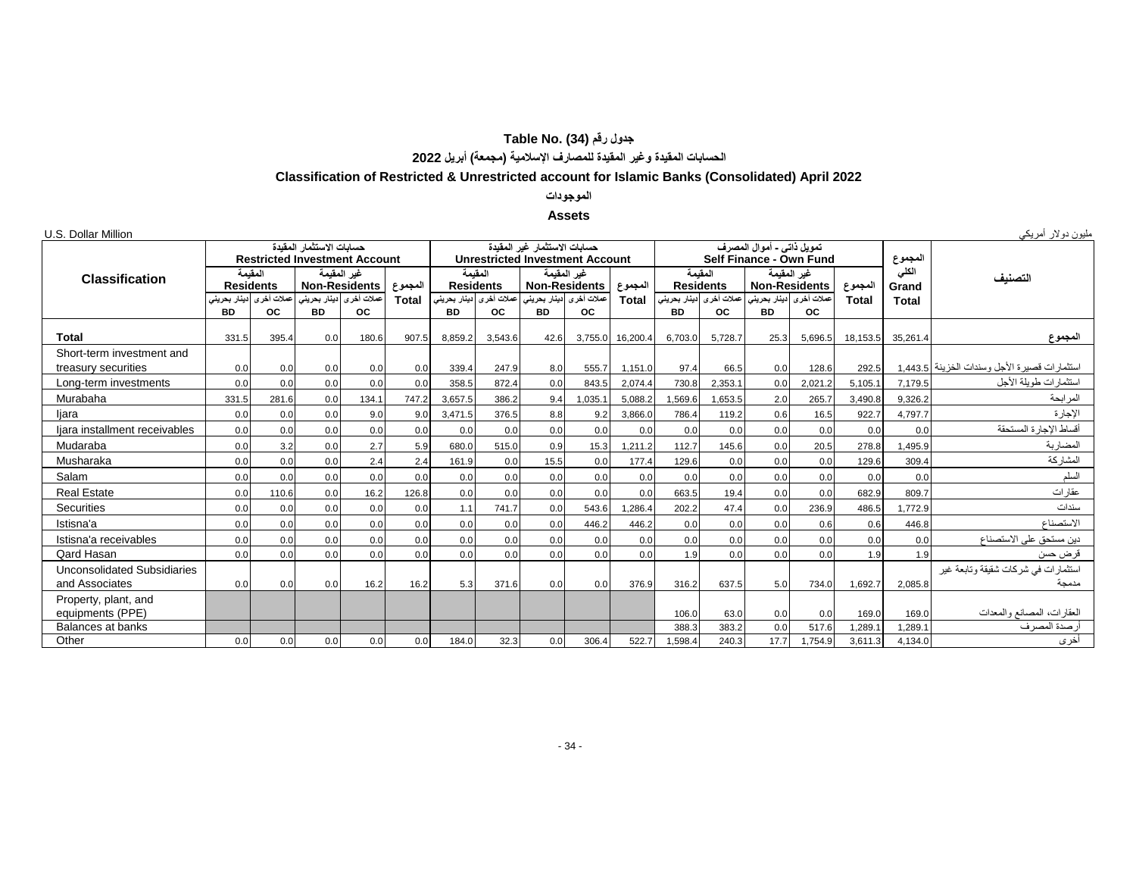## **جدول رقم (34) Table No. الحسابات المقيدة وغير المقيدة للمصارف اإلسالمية )مجمعة( أبريل 2022**

## **Classification of Restricted & Unrestricted account for Islamic Banks (Consolidated) April 2022**

#### **الموجودات**

#### **Assets**

| U.S. Dollar Million                                  |                            |                             |                                                                  |                                                     |              |                           |                             |                                                                        |                                                     |              |                           |                             |                                                      |                                      |          |                | مليون دولار أمريكي                             |
|------------------------------------------------------|----------------------------|-----------------------------|------------------------------------------------------------------|-----------------------------------------------------|--------------|---------------------------|-----------------------------|------------------------------------------------------------------------|-----------------------------------------------------|--------------|---------------------------|-----------------------------|------------------------------------------------------|--------------------------------------|----------|----------------|------------------------------------------------|
|                                                      |                            |                             | حسابات الاستثمار المقبدة<br><b>Restricted Investment Account</b> |                                                     |              |                           |                             | حسابات الاستثمار غبر المقبدة<br><b>Unrestricted Investment Account</b> |                                                     |              |                           |                             | تمويل ذاتي - أموال المصرف<br>Self Finance - Own Fund |                                      |          | المجموع        |                                                |
| <b>Classification</b>                                |                            | المقبمة<br><b>Residents</b> |                                                                  | غير المقيمة<br><b>Non-Residents</b>                 | المجموع      |                           | المقبمة<br><b>Residents</b> | <b>Non-Residents</b>                                                   | غير المقيمة                                         | المجموع      |                           | المقيمة<br><b>Residents</b> | <b>Non-Residents</b>                                 | غير المقيمة                          | المجموع  | الكلى<br>Grand | لتصنبف                                         |
|                                                      | ادينار بحرينى<br><b>BD</b> | عملات أخر ي<br><b>OC</b>    | <b>BD</b>                                                        | عملات أخرى <mark>ا</mark> دينار بحريني<br><b>OC</b> | <b>Total</b> | دينار بحريني<br><b>BD</b> | عملات أخرى<br><b>OC</b>     | <b>BD</b>                                                              | عملات أخرى <mark>ا</mark> دينار بحريني<br><b>OC</b> | <b>Total</b> | دینار بحرینی<br><b>BD</b> | عملات أخرى<br><b>OC</b>     | <b>BD</b>                                            | عملات أخرى دينار بحريني<br><b>OC</b> | Total    | Total          |                                                |
| <b>Total</b>                                         | 331.5                      | 395.4                       | 0.0                                                              | 180.6                                               | 907.5        | 8.859.2                   | 3.543.6                     | 42.6                                                                   | 3.755.0                                             | 16.200.4     | 6.703.0                   | 5.728.7                     | 25.3                                                 | 5.696.5                              | 18.153.5 | 35.261.4       | المجموع                                        |
| Short-term investment and<br>treasury securities     | 0.0                        | 0.0                         | 0.0                                                              | 0.0                                                 | 0.0          | 339.4                     | 247.9                       | 8.0                                                                    | 555.7                                               | 1,151.0      | 97.4                      | 66.5                        | 0.0                                                  | 128.6                                | 292.5    |                | استثمار ات قصير ة الأجل وسندات الخزينة 1,443.5 |
| Long-term investments                                | 0.0                        | 0.0                         | 0.0                                                              | 0.0                                                 | 0.0          | 358.5                     | 872.4                       | 0.0                                                                    | 843.5                                               | 2,074.4      | 730.8                     | 2,353.1                     | 0.0                                                  | 2,021.2                              | 5.105.1  | 7.179.5        | استثمارات طويلة الأجل                          |
| Murabaha                                             | 331.5                      | 281.6                       | 0.0                                                              | 134.1                                               | 747.2        | 3,657.5                   | 386.2                       | 9.4                                                                    | 1,035.                                              | 5,088.2      | 1.569.6                   | 1,653.5                     | 2.0                                                  | 265.7                                | 3.490.8  | 9.326.2        | المرابحة                                       |
| iara                                                 | 0.0                        | 0.0                         | 0.0                                                              | 9.0                                                 | 9.0          | 3,471.5                   | 376.5                       | 8.8                                                                    | 9.2                                                 | 3,866.0      | 786.4                     | 119.2                       | 0.6                                                  | 16.5                                 | 922.7    | 4,797.7        | الإجارة                                        |
| iara installment receivables                         | 0.0                        | 0.0                         | 0.0                                                              | 0.0                                                 | 0.0          | 0.0                       | 0.0                         | 0.0                                                                    | 0.0                                                 | 0.0          | 0.0                       | 0.0                         | 0.0                                                  | 0.0                                  | 0.0      | 0.0            | أقساط الإجارة المستحقة                         |
| Mudaraba                                             | 0.0                        | 3.2                         | 0.0                                                              | 2.7                                                 | 5.9          | 680.0                     | 515.0                       | 0.9                                                                    | 15.3                                                | 1,211.2      | 112.7                     | 145.6                       | 0.0                                                  | 20.5                                 | 278.8    | .495.9         | المضار بة                                      |
| Musharaka                                            | 0.0                        | 0.0                         | 0.0                                                              | 2.4                                                 | 2.4          | 161.9                     | 0.0                         | 15.5                                                                   | 0.0                                                 | 177.4        | 129.6                     | 0.0                         | 0.0                                                  | 0.0                                  | 129.6    | 309.4          | المشاركة                                       |
| Salam                                                | 0.0                        | 0.0                         | 0.0                                                              | 0.0                                                 | 0.0          | 0.0                       | 0.0                         | 0.0                                                                    | 0.0                                                 | 0.0          | 0.0                       | 0.0                         | 0.0                                                  | 0.0                                  | 0.0      | 0.0            | السلم                                          |
| <b>Real Estate</b>                                   | 0.0                        | 110.6                       | 0.0                                                              | 16.2                                                | 126.8        | 0.0                       | 0.0                         | 0.0                                                                    | 0.0                                                 | 0.0          | 663.5                     | 19.4                        | 0.0                                                  | 0.0                                  | 682.9    | 809.7          | عقار ات                                        |
| Securities                                           | 0.0                        | 0.0                         | 0.0                                                              | 0.0                                                 | 0.0          | 1.1                       | 741.7                       | 0.0                                                                    | 543.6                                               | .286.4       | 202.2                     | 47.4                        | 0.0                                                  | 236.9                                | 486.5    | .772.9         | سندات                                          |
| Istisna'a                                            | 0.0                        | 0.0                         | 0.0                                                              | 0.0                                                 | 0.0          | 0.0                       | 0.0                         | 0.0                                                                    | 446.2                                               | 446.2        | 0.0                       | 0.0                         | 0.0                                                  | 0.6                                  | 0.6      | 446.8          | الاستصناع                                      |
| Istisna'a receivables                                | 0.0                        | 0.0                         | 0.0                                                              | 0.0                                                 | 0.0          | 0.0                       | 0.0                         | 0.0                                                                    | 0.0                                                 | 0.0          | 0.0                       | 0.0                         | 0.0                                                  | 0.0                                  | 0.0      | 0.0            | دين مستحق على الاستصناع                        |
| <b>Qard Hasan</b>                                    | 0.0                        | 0.0                         | 0.0                                                              | 0.0                                                 | 0.0          | 0.0                       | 0.0                         | 0.0                                                                    | 0.0                                                 | 0.0          | 1.9                       | 0.0                         | 0.0                                                  | 0.0                                  | 1.9      | 1.9            | قرض حسن                                        |
| <b>Unconsolidated Subsidiaries</b><br>and Associates | 0.0                        | 0.0                         | 0.0                                                              | 16.2                                                | 16.2         | 5.3                       | 371.6                       | 0.0                                                                    | 0.0                                                 | 376.9        | 316.2                     | 637.5                       | 5.0                                                  | 734.0                                | 1,692.7  | 2,085.8        | استثمارات في شركات شقيقة وتابعة غير<br>مدمحة   |
| Property, plant, and<br>equipments (PPE)             |                            |                             |                                                                  |                                                     |              |                           |                             |                                                                        |                                                     |              | 106.0                     | 63.0                        | 0.0                                                  | 0.0                                  | 169.0    | 169.0          | العقارات، المصانع والمعدات                     |
| Balances at banks                                    |                            |                             |                                                                  |                                                     |              |                           |                             |                                                                        |                                                     |              | 388.3                     | 383.2                       | 0.0                                                  | 517.6                                | 1,289.1  | .289.1         | صدة المصر ف                                    |
| Other                                                | 0.0                        | 0.0                         | 0.0                                                              | 0.0                                                 | 0.0          | 184.0                     | 32.3                        | 0.0                                                                    | 306.4                                               | 522.7        | 1,598.4                   | 240.3                       | 17.7                                                 | 1,754.9                              | 3.611.3  | 4,134.0        | أخرى                                           |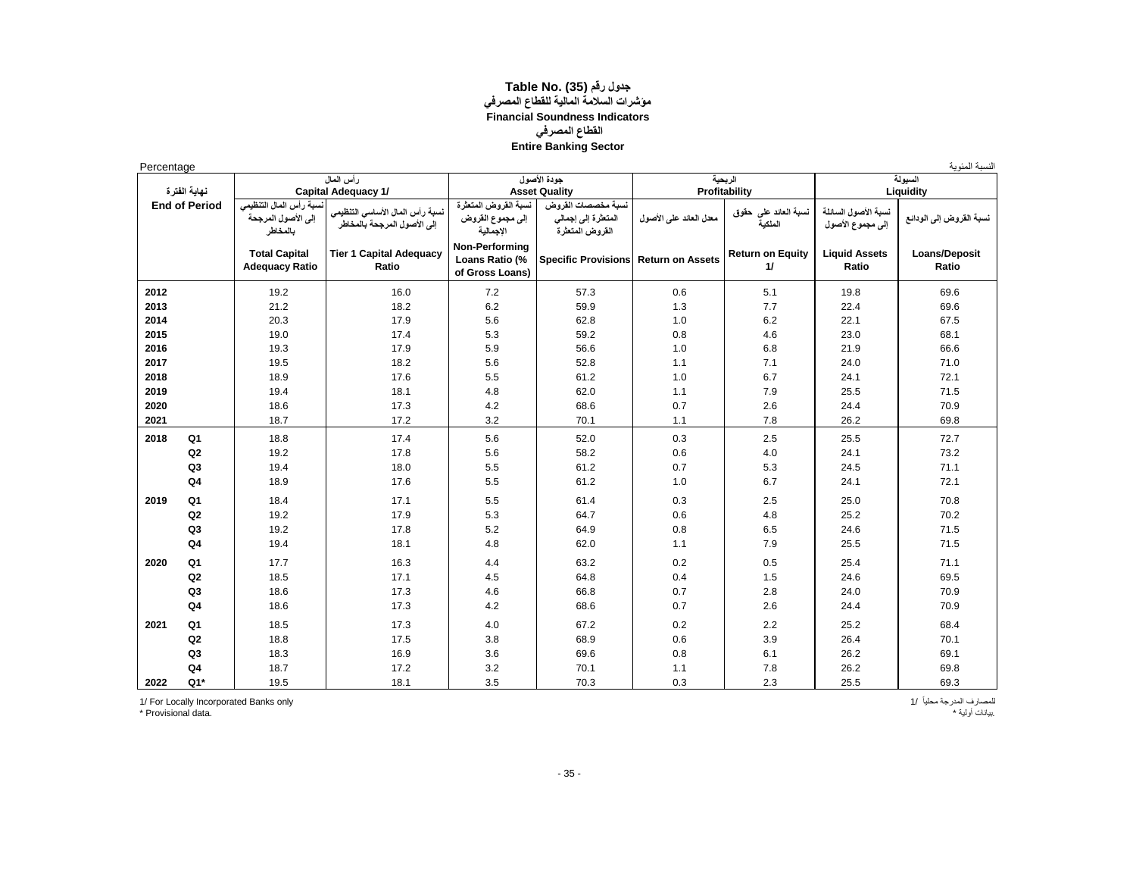#### **جدول رقم (35) Table No. مؤشرات السالمة المالية للقطاع المصرفي Financial Soundness Indicators القطاع المصرفي Entire Banking Sector**

| Percentage |                                      |                                                           |                                                                                              |                                                       |                                                                                       |                         |                                                  |                                         | النسبة المئوية                       |
|------------|--------------------------------------|-----------------------------------------------------------|----------------------------------------------------------------------------------------------|-------------------------------------------------------|---------------------------------------------------------------------------------------|-------------------------|--------------------------------------------------|-----------------------------------------|--------------------------------------|
|            |                                      |                                                           | رأس المعال                                                                                   |                                                       | جودة الأصول                                                                           |                         | الربحبة                                          |                                         | السبولة                              |
|            | نهابة الفترة<br><b>End of Period</b> | نسبة رأس المال التنظيمي<br>إلى الأصول المرجحة<br>بالمخاطر | <b>Capital Adequacy 1/</b><br>نسبة رأس المال الأساسي التنظيمي<br>إلى الأصول المرجحة بالمخاطر | نسبة القروض المتعثرة<br>إلى مجموع القروض<br>الاجمالية | <b>Asset Quality</b><br>نسبة مخصصات الفروض<br>المتعثرة إلى إجمالي<br>المقروض المتعثرة | معدل العاند علم الأصول  | Profitability<br>نسبة العاند على حقوق<br>الملكبة | نسبة الأصول السانلة<br>إلى مجموع الأصول | Liquidity<br>نسبة القروض إلى الودانع |
|            |                                      | <b>Total Capital</b><br><b>Adequacy Ratio</b>             | <b>Tier 1 Capital Adequacy</b><br>Ratio                                                      | Non-Performing<br>Loans Ratio (%<br>of Gross Loans)   | <b>Specific Provisions</b>                                                            | <b>Return on Assets</b> | <b>Return on Equity</b><br>11                    | <b>Liquid Assets</b><br>Ratio           | Loans/Deposit<br>Ratio               |
| 2012       |                                      | 19.2                                                      | 16.0                                                                                         | 7.2                                                   | 57.3                                                                                  | 0.6                     | 5.1                                              | 19.8                                    | 69.6                                 |
| 2013       |                                      | 21.2                                                      | 18.2                                                                                         | 6.2                                                   | 59.9                                                                                  | 1.3                     | 7.7                                              | 22.4                                    | 69.6                                 |
| 2014       |                                      | 20.3                                                      | 17.9                                                                                         | 5.6                                                   | 62.8                                                                                  | 1.0                     | 6.2                                              | 22.1                                    | 67.5                                 |
| 2015       |                                      | 19.0                                                      | 17.4                                                                                         | 5.3                                                   | 59.2                                                                                  | 0.8                     | 4.6                                              | 23.0                                    | 68.1                                 |
| 2016       |                                      | 19.3                                                      | 17.9                                                                                         | 5.9                                                   | 56.6                                                                                  | 1.0                     | 6.8                                              | 21.9                                    | 66.6                                 |
| 2017       |                                      | 19.5                                                      | 18.2                                                                                         | 5.6                                                   | 52.8                                                                                  | 1.1                     | 7.1                                              | 24.0                                    | 71.0                                 |
| 2018       |                                      | 18.9                                                      | 17.6                                                                                         | 5.5                                                   | 61.2                                                                                  | 1.0                     | 6.7                                              | 24.1                                    | 72.1                                 |
| 2019       |                                      | 19.4                                                      | 18.1                                                                                         | 4.8                                                   | 62.0                                                                                  | 1.1                     | 7.9                                              | 25.5                                    | 71.5                                 |
| 2020       |                                      | 18.6                                                      | 17.3                                                                                         | 4.2                                                   | 68.6                                                                                  | 0.7                     | 2.6                                              | 24.4                                    | 70.9                                 |
| 2021       |                                      | 18.7                                                      | 17.2                                                                                         | 3.2                                                   | 70.1                                                                                  | 1.1                     | 7.8                                              | 26.2                                    | 69.8                                 |
| 2018       | Q <sub>1</sub>                       | 18.8                                                      | 17.4                                                                                         | 5.6                                                   | 52.0                                                                                  | 0.3                     | 2.5                                              | 25.5                                    | 72.7                                 |
|            | Q2                                   | 19.2                                                      | 17.8                                                                                         | 5.6                                                   | 58.2                                                                                  | 0.6                     | 4.0                                              | 24.1                                    | 73.2                                 |
|            | Q <sub>3</sub>                       | 19.4                                                      | 18.0                                                                                         | 5.5                                                   | 61.2                                                                                  | 0.7                     | 5.3                                              | 24.5                                    | 71.1                                 |
|            | Q4                                   | 18.9                                                      | 17.6                                                                                         | 5.5                                                   | 61.2                                                                                  | 1.0                     | 6.7                                              | 24.1                                    | 72.1                                 |
| 2019       | Q <sub>1</sub>                       | 18.4                                                      | 17.1                                                                                         | 5.5                                                   | 61.4                                                                                  | 0.3                     | 2.5                                              | 25.0                                    | 70.8                                 |
|            | Q2                                   | 19.2                                                      | 17.9                                                                                         | 5.3                                                   | 64.7                                                                                  | 0.6                     | 4.8                                              | 25.2                                    | 70.2                                 |
|            | Q <sub>3</sub>                       | 19.2                                                      | 17.8                                                                                         | 5.2                                                   | 64.9                                                                                  | 0.8                     | 6.5                                              | 24.6                                    | 71.5                                 |
|            | Q <sub>4</sub>                       | 19.4                                                      | 18.1                                                                                         | 4.8                                                   | 62.0                                                                                  | 1.1                     | 7.9                                              | 25.5                                    | 71.5                                 |
| 2020       | Q <sub>1</sub>                       | 17.7                                                      | 16.3                                                                                         | 4.4                                                   | 63.2                                                                                  | 0.2                     | 0.5                                              | 25.4                                    | 71.1                                 |
|            | Q2                                   | 18.5                                                      | 17.1                                                                                         | 4.5                                                   | 64.8                                                                                  | 0.4                     | 1.5                                              | 24.6                                    | 69.5                                 |
|            | Q <sub>3</sub>                       | 18.6                                                      | 17.3                                                                                         | 4.6                                                   | 66.8                                                                                  | 0.7                     | 2.8                                              | 24.0                                    | 70.9                                 |
|            | Q <sub>4</sub>                       | 18.6                                                      | 17.3                                                                                         | 4.2                                                   | 68.6                                                                                  | 0.7                     | 2.6                                              | 24.4                                    | 70.9                                 |
| 2021       | Q <sub>1</sub>                       | 18.5                                                      | 17.3                                                                                         | 4.0                                                   | 67.2                                                                                  | 0.2                     | 2.2                                              | 25.2                                    | 68.4                                 |
|            | Q2                                   | 18.8                                                      | 17.5                                                                                         | 3.8                                                   | 68.9                                                                                  | 0.6                     | 3.9                                              | 26.4                                    | 70.1                                 |
|            | Q3                                   | 18.3                                                      | 16.9                                                                                         | 3.6                                                   | 69.6                                                                                  | 0.8                     | 6.1                                              | 26.2                                    | 69.1                                 |
|            | Q <sub>4</sub>                       | 18.7                                                      | 17.2                                                                                         | 3.2                                                   | 70.1                                                                                  | 1.1                     | 7.8                                              | 26.2                                    | 69.8                                 |
| 2022       | $Q1*$                                | 19.5                                                      | 18.1                                                                                         | 3.5                                                   | 70.3                                                                                  | 0.3                     | 2.3                                              | 25.5                                    | 69.3                                 |

1/ For Locally Incorporated Banks only<br>\* Provisional data.

للمصارف المدرجة محلياً /1<br>بيانات أولية \*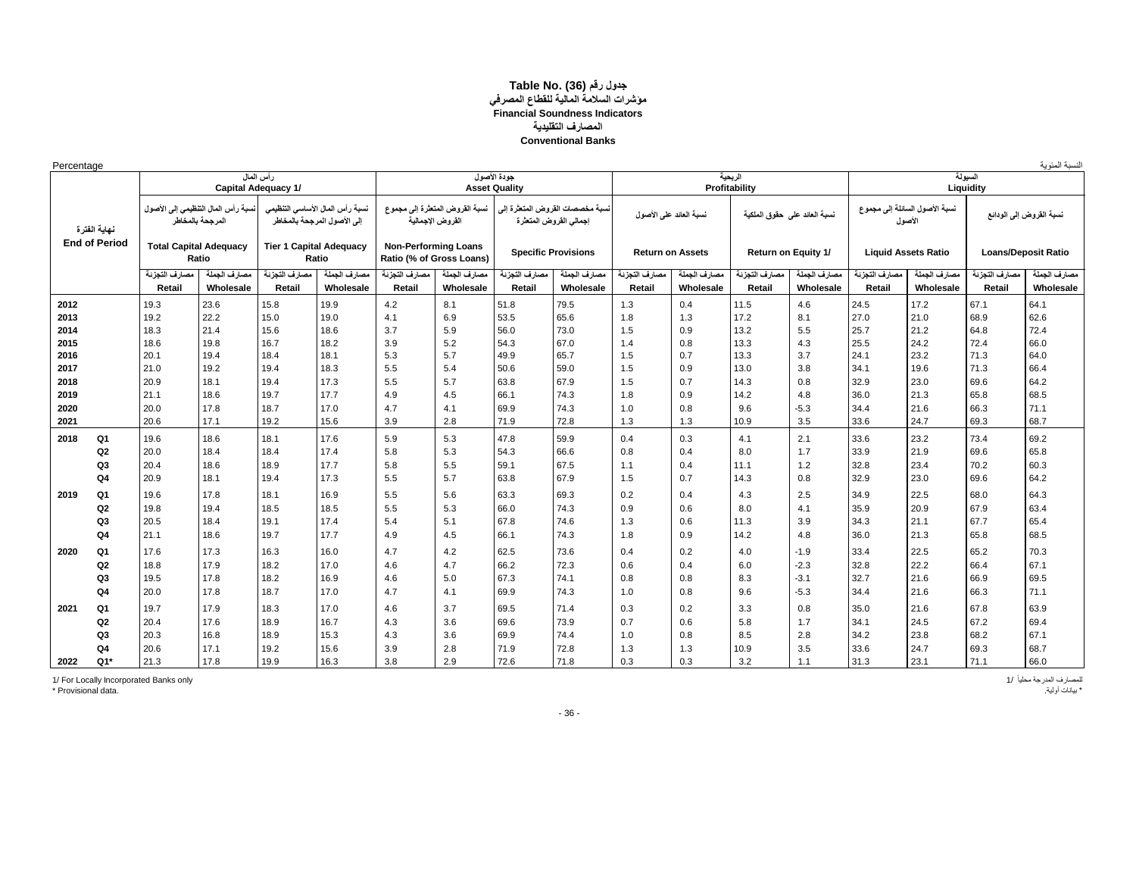#### **جدول رقم (36) .Table No مؤشرات السالمة المالية للقطاع المصرفي Financial Soundness Indicators المصارف التقليدية Conventional Banks**

| Percentage           |                         |                                                                                |                                |                                                                |                                                         |                                                    |                                     |                                                           |                         |                           |                              |                            |                         |                                         |                         | النسبة المئوية             |
|----------------------|-------------------------|--------------------------------------------------------------------------------|--------------------------------|----------------------------------------------------------------|---------------------------------------------------------|----------------------------------------------------|-------------------------------------|-----------------------------------------------------------|-------------------------|---------------------------|------------------------------|----------------------------|-------------------------|-----------------------------------------|-------------------------|----------------------------|
|                      |                         | رأس المعال<br><b>Capital Adequacy 1/</b><br>نسبة رأس المال التنظيمي إلى الأصول |                                |                                                                |                                                         |                                                    | جودة الأصول<br><b>Asset Quality</b> |                                                           |                         |                           | الربحية<br>Profitability     |                            |                         |                                         | السيولة<br>Liquidity    |                            |
| نهاية الفترة         |                         | المرجحة بالمخاطر                                                               |                                | نسبة رأس المال الأساسي التنظيمي<br>إلى الأصول المرجحة بالمخاطر |                                                         | نسبة القروض المنعثرة إلى مجموع<br>القروض الاجمالية |                                     | نسبة مخصصات القروض المتعثرة إلى<br>إجمالي القروض المتعثرة | نسبة العاند على الأصول  |                           | نسبة العاند على حقوق الملكية |                            |                         | نسبة الأصول السائلة إلى مجموع<br>الأصول | نسبة القروض إلى الودانع |                            |
| <b>End of Period</b> |                         | <b>Total Capital Adequacy</b><br>Ratio                                         | <b>Tier 1 Capital Adequacy</b> | Ratio                                                          | <b>Non-Performing Loans</b><br>Ratio (% of Gross Loans) |                                                    |                                     | <b>Specific Provisions</b>                                |                         | <b>Return on Assets</b>   |                              | <b>Return on Equity 1/</b> |                         | <b>Liquid Assets Ratio</b>              |                         | <b>Loans/Deposit Ratio</b> |
|                      | مصارف التجزنة<br>Retail | مصارف الجملة<br>Wholesale                                                      | مصارف التجزنة<br>Retail        | مصارف الجملة<br>Wholesale                                      | مصارف التجزنة<br>Retail                                 | مصارف الجملة<br>Wholesale                          | مصارف التجزنة<br>Retail             | مصارف الجملة<br>Wholesale                                 | مصارف التجزنة<br>Retail | مصارف الجملة<br>Wholesale | مصارف التجزنة<br>Retail      | مصارف الجملة<br>Wholesale  | مصارف التجزنة<br>Retail | مصارف الجملة<br>Wholesale               | مصارف التجزنة<br>Retail | مصارف الجملة<br>Wholesale  |
| 2012                 | 19.3                    | 23.6                                                                           | 15.8                           | 19.9                                                           | 4.2                                                     | 8.1                                                | 51.8                                | 79.5                                                      | 1.3                     | 0.4                       | 11.5                         | 4.6                        | 24.5                    | 17.2                                    | 67.1                    | 64.1                       |
| 2013                 | 19.2                    | 22.2                                                                           | 15.0                           | 19.0                                                           | 4.1                                                     | 6.9                                                | 53.5                                | 65.6                                                      | 1.8                     | 1.3                       | 17.2                         | 8.1                        | 27.0                    | 21.0                                    | 68.9                    | 62.6                       |
| 2014                 | 18.3                    | 21.4                                                                           | 15.6                           | 18.6                                                           | 3.7                                                     | 5.9                                                | 56.0                                | 73.0                                                      | 1.5                     | 0.9                       | 13.2                         | 5.5                        | 25.7                    | 21.2                                    | 64.8                    | 72.4                       |
| 2015                 | 18.6                    | 19.8                                                                           | 16.7                           | 18.2                                                           | 3.9                                                     | 5.2                                                | 54.3                                | 67.0                                                      | 1.4                     | 0.8                       | 13.3                         | 4.3                        | 25.5                    | 24.2                                    | 72.4                    | 66.0                       |
| 2016                 | 20.1                    | 19.4                                                                           | 18.4                           | 18.1                                                           | 5.3                                                     | 5.7                                                | 49.9                                | 65.7                                                      | 1.5                     | 0.7                       | 13.3                         | 3.7                        | 24.1                    | 23.2                                    | 71.3                    | 64.0                       |
| 2017                 | 21.0                    | 19.2                                                                           | 19.4                           | 18.3                                                           | 5.5                                                     | 5.4                                                | 50.6                                | 59.0                                                      | 1.5                     | 0.9                       | 13.0                         | 3.8                        | 34.1                    | 19.6                                    | 71.3                    | 66.4                       |
| 2018                 | 20.9                    | 18.1                                                                           | 19.4                           | 17.3                                                           | 5.5                                                     | 5.7                                                | 63.8                                | 67.9                                                      | 1.5                     | 0.7                       | 14.3                         | 0.8                        | 32.9                    | 23.0                                    | 69.6                    | 64.2                       |
| 2019                 | 21.1                    | 18.6                                                                           | 19.7                           | 17.7                                                           | 4.9                                                     | 4.5                                                | 66.1                                | 74.3                                                      | 1.8                     | 0.9                       | 14.2                         | 4.8                        | 36.0                    | 21.3                                    | 65.8                    | 68.5                       |
| 2020                 | 20.0                    | 17.8                                                                           | 18.7                           | 17.0                                                           | 4.7                                                     | 4.1                                                | 69.9                                | 74.3                                                      | 1.0                     | 0.8                       | 9.6                          | $-5.3$                     | 34.4                    | 21.6                                    | 66.3                    | 71.1                       |
| 2021                 | 20.6                    | 17.1                                                                           | 19.2                           | 15.6                                                           | 3.9                                                     | 2.8                                                | 71.9                                | 72.8                                                      | 1.3                     | 1.3                       | 10.9                         | 3.5                        | 33.6                    | 24.7                                    | 69.3                    | 68.7                       |
| Q1<br>2018           | 19.6                    | 18.6                                                                           | 18.1                           | 17.6                                                           | 5.9                                                     | 5.3                                                | 47.8                                | 59.9                                                      | 0.4                     | 0.3                       | 4.1                          | 2.1                        | 33.6                    | 23.2                                    | 73.4                    | 69.2                       |
| Q <sub>2</sub>       | 20.0                    | 18.4                                                                           | 18.4                           | 17.4                                                           | 5.8                                                     | 5.3                                                | 54.3                                | 66.6                                                      | 0.8                     | 0.4                       | 8.0                          | 1.7                        | 33.9                    | 21.9                                    | 69.6                    | 65.8                       |
| Q <sub>3</sub>       | 20.4                    | 18.6                                                                           | 18.9                           | 17.7                                                           | 5.8                                                     | 5.5                                                | 59.1                                | 67.5                                                      | 1.1                     | 0.4                       | 11.1                         | 1.2                        | 32.8                    | 23.4                                    | 70.2                    | 60.3                       |
| Q <sub>4</sub>       | 20.9                    | 18.1                                                                           | 19.4                           | 17.3                                                           | 5.5                                                     | 5.7                                                | 63.8                                | 67.9                                                      | 1.5                     | 0.7                       | 14.3                         | 0.8                        | 32.9                    | 23.0                                    | 69.6                    | 64.2                       |
| Q1<br>2019           | 19.6                    | 17.8                                                                           | 18.1                           | 16.9                                                           | 5.5                                                     | 5.6                                                | 63.3                                | 69.3                                                      | 0.2                     | 0.4                       | 4.3                          | 2.5                        | 34.9                    | 22.5                                    | 68.0                    | 64.3                       |
| Q2                   | 19.8                    | 19.4                                                                           | 18.5                           | 18.5                                                           | 5.5                                                     | 5.3                                                | 66.0                                | 74.3                                                      | 0.9                     | 0.6                       | 8.0                          | 4.1                        | 35.9                    | 20.9                                    | 67.9                    | 63.4                       |
| Q3                   | 20.5                    | 18.4                                                                           | 19.1                           | 17.4                                                           | 5.4                                                     | 5.1                                                | 67.8                                | 74.6                                                      | 1.3                     | 0.6                       | 11.3                         | 3.9                        | 34.3                    | 21.1                                    | 67.7                    | 65.4                       |
| Q <sub>4</sub>       | 21.1                    | 18.6                                                                           | 19.7                           | 17.7                                                           | 4.9                                                     | 4.5                                                | 66.1                                | 74.3                                                      | 1.8                     | 0.9                       | 14.2                         | 4.8                        | 36.0                    | 21.3                                    | 65.8                    | 68.5                       |
|                      | 17.6                    | 17.3                                                                           | 16.3                           | 16.0                                                           | 4.7                                                     | 4.2                                                | 62.5                                | 73.6                                                      | 0.4                     | 0.2                       |                              | $-1.9$                     | 33.4                    | 22.5                                    | 65.2                    | 70.3                       |
| Q1<br>2020<br>Q2     | 18.8                    | 17.9                                                                           | 18.2                           | 17.0                                                           | 4.6                                                     | 4.7                                                | 66.2                                | 72.3                                                      | 0.6                     | 0.4                       | 4.0<br>6.0                   | $-2.3$                     | 32.8                    | 22.2                                    | 66.4                    | 67.1                       |
| Q <sub>3</sub>       | 19.5                    | 17.8                                                                           | 18.2                           | 16.9                                                           | 4.6                                                     | 5.0                                                | 67.3                                | 74.1                                                      | 0.8                     | 0.8                       | 8.3                          | $-3.1$                     | 32.7                    | 21.6                                    | 66.9                    | 69.5                       |
| Q4                   | 20.0                    | 17.8                                                                           | 18.7                           | 17.0                                                           | 4.7                                                     | 4.1                                                | 69.9                                | 74.3                                                      | 1.0                     | 0.8                       | 9.6                          | $-5.3$                     | 34.4                    | 21.6                                    | 66.3                    | 71.1                       |
|                      |                         |                                                                                |                                |                                                                |                                                         |                                                    |                                     |                                                           |                         |                           |                              |                            |                         |                                         |                         |                            |
| Q1<br>2021           | 19.7                    | 17.9                                                                           | 18.3                           | 17.0                                                           | 4.6                                                     | 3.7                                                | 69.5                                | 71.4                                                      | 0.3                     | 0.2                       | 3.3                          | 0.8                        | 35.0                    | 21.6                                    | 67.8                    | 63.9                       |
| Q2                   | 20.4                    | 17.6                                                                           | 18.9                           | 16.7                                                           | 4.3                                                     | 3.6                                                | 69.6                                | 73.9                                                      | 0.7                     | 0.6                       | 5.8                          | 1.7                        | 34.1                    | 24.5                                    | 67.2                    | 69.4                       |
| Q <sub>3</sub>       | 20.3                    | 16.8                                                                           | 18.9                           | 15.3                                                           | 4.3                                                     | 3.6                                                | 69.9                                | 74.4                                                      | 1.0                     | 0.8                       | 8.5                          | 2.8                        | 34.2                    | 23.8                                    | 68.2                    | 67.1                       |
| Q4                   | 20.6                    | 17.1                                                                           | 19.2                           | 15.6                                                           | 3.9                                                     | 2.8                                                | 71.9                                | 72.8                                                      | 1.3                     | 1.3                       | 10.9                         | 3.5                        | 33.6                    | 24.7                                    | 69.3                    | 68.7                       |
| $Q1*$<br>2022        | 21.3                    | 17.8                                                                           | 19.9                           | 16.3                                                           | 3.8                                                     | 2.9                                                | 72.6                                | 71.8                                                      | 0.3                     | 0.3                       | 3.2                          | 1.1                        | 31.3                    | 23.1                                    | 71.1                    | 66.0                       |

1/ For Locally Incorporated Banks only 1/ ًمحليا المدرجة للمصارف \* بيانات أولية. .data Provisional\*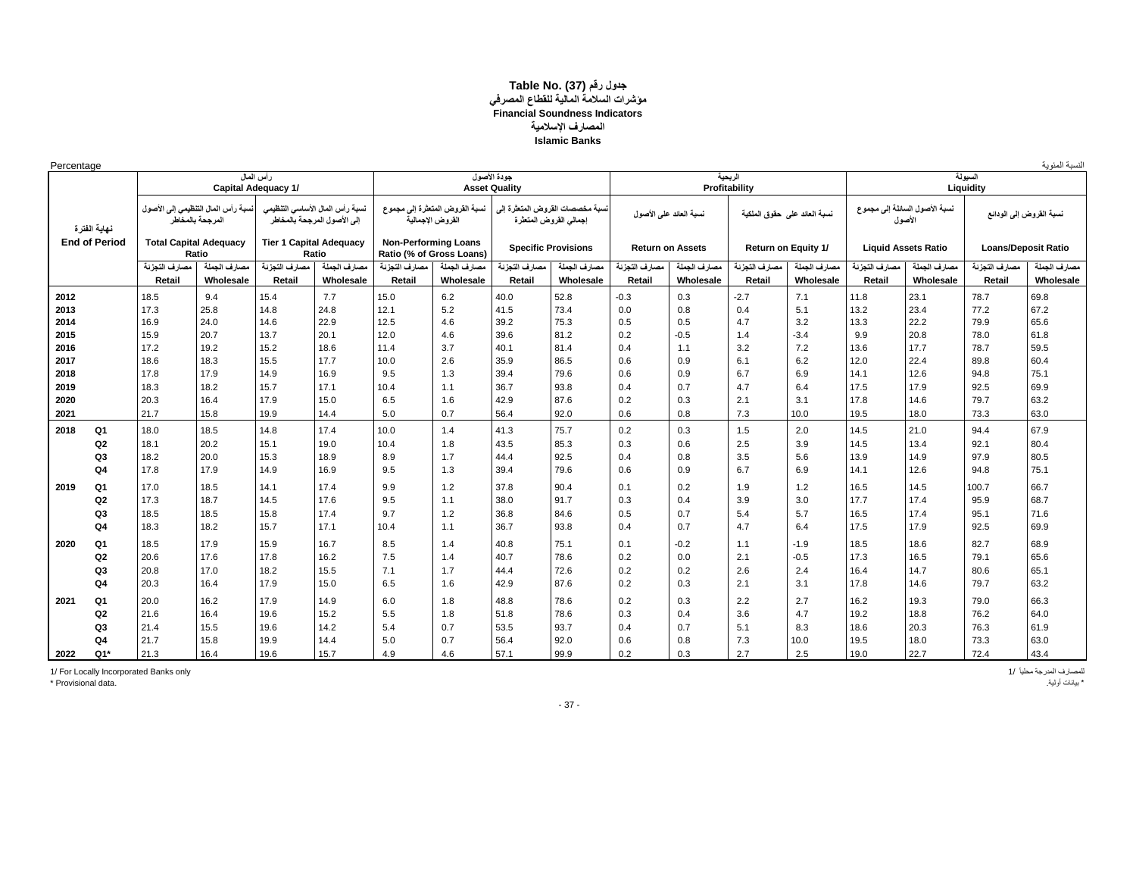#### **جدول رقم (37) Table No. مؤشرات السالمة المالية للقطاع المصرفي Financial Soundness Indicators المصارف اإلسالمية Islamic Banks**

| Percentage |
|------------|
|------------|

| Percentage |                      |                               |                                    |                                |                                                                |                                                         |                                |                      |                                                           |                        |                         |                              |              |               |                                         |                            | لنسبة المئوية           |
|------------|----------------------|-------------------------------|------------------------------------|--------------------------------|----------------------------------------------------------------|---------------------------------------------------------|--------------------------------|----------------------|-----------------------------------------------------------|------------------------|-------------------------|------------------------------|--------------|---------------|-----------------------------------------|----------------------------|-------------------------|
|            |                      |                               |                                    | رأس المعال                     |                                                                |                                                         |                                | جودة الأصول          |                                                           |                        |                         | الريحية<br>Profitability     |              |               |                                         | السيولة                    |                         |
|            |                      |                               |                                    | <b>Capital Adequacy 1/</b>     |                                                                |                                                         |                                | <b>Asset Quality</b> |                                                           |                        |                         |                              |              |               |                                         | Liquidity                  |                         |
|            | نهابة الفتر ة        | المرجحة بالمخاطر              | نسبة رأس المال التنظيمي إلى الأصول |                                | نسبة رأس المال الأساسي التنظيمي<br>إلى الأصول المرجحة بالمخاطر | القروض الإجمالية                                        | نسبة القروض المتعثرة إلى مجموع |                      | نسبة مخصصات القروض المنعثرة إلى<br>إجمالي القروض المتعثرة | نسبة العاند على الأصول |                         | نسبة العاند على حقوق الملكية |              |               | نسبة الأصول السانلة إلى مجموع<br>الأصول |                            | نسبة القروض إلى الودانع |
|            | <b>End of Period</b> | <b>Total Capital Adequacy</b> | Ratio                              | <b>Tier 1 Capital Adequacy</b> | Ratio                                                          | <b>Non-Performing Loans</b><br>Ratio (% of Gross Loans) |                                |                      | <b>Specific Provisions</b>                                |                        | <b>Return on Assets</b> | Return on Equity 1/          |              |               | <b>Liquid Assets Ratio</b>              | <b>Loans/Deposit Ratio</b> |                         |
|            |                      | مصارف التجزنة                 | مصارف الجملة                       | مصارف النجزنة                  | مصارف الجملة                                                   | مصارف التجزنة                                           | مصارف الجملة                   | مصارف التجزنة        | مصارف الجملة                                              | مصارف النجزنة          | مصارف الجملة            | مصارف التجزنة                | مصارف الجملة | مصارف التجزئة | مصارف الجملة                            | مصارف التجزنة              | مصارف الجملة            |
|            |                      | Retail                        | Wholesale                          | Retail                         | Wholesale                                                      | Retail                                                  | Wholesale                      | Retail               | Wholesale                                                 | Retail                 | Wholesale               | Retail                       | Wholesale    | Retail        | Wholesale                               | Retail                     | Wholesale               |
| 2012       |                      | 18.5                          | 9.4                                | 15.4                           | 7.7                                                            | 15.0                                                    | 6.2                            | 40.0                 | 52.8                                                      | $-0.3$                 | 0.3                     | $-2.7$                       | 7.1          | 11.8          | 23.1                                    | 78.7                       | 69.8                    |
| 2013       |                      | 17.3                          | 25.8                               | 14.8                           | 24.8                                                           | 12.1                                                    | 5.2                            | 41.5                 | 73.4                                                      | 0.0                    | 0.8                     | 0.4                          | 5.1          | 13.2          | 23.4                                    | 77.2                       | 67.2                    |
| 2014       |                      | 16.9                          | 24.0                               | 14.6                           | 22.9                                                           | 12.5                                                    | 4.6                            | 39.2                 | 75.3                                                      | 0.5                    | 0.5                     | 4.7                          | 3.2          | 13.3          | 22.2                                    | 79.9                       | 65.6                    |
| 2015       |                      | 15.9                          | 20.7                               | 13.7                           | 20.1                                                           | 12.0                                                    | 4.6                            | 39.6                 | 81.2                                                      | 0.2                    | $-0.5$                  | 1.4                          | $-3.4$       | 9.9           | 20.8                                    | 78.0                       | 61.8                    |
| 2016       |                      | 17.2                          | 19.2                               | 15.2                           | 18.6                                                           | 11.4                                                    | 3.7                            | 40.1                 | 81.4                                                      | 0.4                    | 1.1                     | 3.2                          | 7.2          | 13.6          | 17.7                                    | 78.7                       | 59.5                    |
| 2017       |                      | 18.6                          | 18.3                               | 15.5                           | 17.7                                                           | 10.0                                                    | 2.6                            | 35.9                 | 86.5                                                      | 0.6                    | 0.9                     | 6.1                          | 6.2          | 12.0          | 22.4                                    | 89.8                       | 60.4                    |
| 2018       |                      | 17.8                          | 17.9                               | 14.9                           | 16.9                                                           | 9.5                                                     | 1.3                            | 39.4                 | 79.6                                                      | 0.6                    | 0.9                     | 6.7                          | 6.9          | 14.1          | 12.6                                    | 94.8                       | 75.1                    |
| 2019       |                      | 18.3                          | 18.2                               | 15.7                           | 17.1                                                           | 10.4                                                    | 1.1                            | 36.7                 | 93.8                                                      | 0.4                    | 0.7                     | 4.7                          | 6.4          | 17.5          | 17.9                                    | 92.5                       | 69.9                    |
| 2020       |                      | 20.3                          | 16.4                               | 17.9                           | 15.0                                                           | 6.5                                                     | 1.6                            | 42.9                 | 87.6                                                      | 0.2                    | 0.3                     | 2.1                          | 3.1          | 17.8          | 14.6                                    | 79.7                       | 63.2                    |
| 2021       |                      | 21.7                          | 15.8                               | 19.9                           | 14.4                                                           | 5.0                                                     | 0.7                            | 56.4                 | 92.0                                                      | 0.6                    | 0.8                     | 7.3                          | 10.0         | 19.5          | 18.0                                    | 73.3                       | 63.0                    |
| 2018       | Q <sub>1</sub>       | 18.0                          | 18.5                               | 14.8                           | 17.4                                                           | 10.0                                                    | 1.4                            | 41.3                 | 75.7                                                      | 0.2                    | 0.3                     | 1.5                          | 2.0          | 14.5          | 21.0                                    | 94.4                       | 67.9                    |
|            | Q2                   | 18.1                          | 20.2                               | 15.1                           | 19.0                                                           | 10.4                                                    | 1.8                            | 43.5                 | 85.3                                                      | 0.3                    | 0.6                     | 2.5                          | 3.9          | 14.5          | 13.4                                    | 92.1                       | 80.4                    |
|            | Q <sub>3</sub>       | 18.2                          | 20.0                               | 15.3                           | 18.9                                                           | 8.9                                                     | 1.7                            | 44.4                 | 92.5                                                      | 0.4                    | 0.8                     | 3.5                          | 5.6          | 13.9          | 14.9                                    | 97.9                       | 80.5                    |
|            | Q4                   | 17.8                          | 17.9                               | 14.9                           | 16.9                                                           | 9.5                                                     | 1.3                            | 39.4                 | 79.6                                                      | 0.6                    | 0.9                     | 6.7                          | 6.9          | 14.1          | 12.6                                    | 94.8                       | 75.1                    |
| 2019       | Q <sub>1</sub>       | 17.0                          | 18.5                               | 14.1                           | 17.4                                                           | 9.9                                                     | 1.2                            | 37.8                 | 90.4                                                      | 0.1                    | 0.2                     | 1.9                          | 1.2          | 16.5          | 14.5                                    | 100.7                      | 66.7                    |
|            | Q2                   | 17.3                          | 18.7                               | 14.5                           | 17.6                                                           | 9.5                                                     | 1.1                            | 38.0                 | 91.7                                                      | 0.3                    | 0.4                     | 3.9                          | 3.0          | 17.7          | 17.4                                    | 95.9                       | 68.7                    |
|            | Q <sub>3</sub>       | 18.5                          | 18.5                               | 15.8                           | 17.4                                                           | 9.7                                                     | 1.2                            | 36.8                 | 84.6                                                      | 0.5                    | 0.7                     | 5.4                          | 5.7          | 16.5          | 17.4                                    | 95.1                       | 71.6                    |
|            | Q <sub>4</sub>       | 18.3                          | 18.2                               | 15.7                           | 17.1                                                           | 10.4                                                    | 1.1                            | 36.7                 | 93.8                                                      | 0.4                    | 0.7                     | 4.7                          | 6.4          | 17.5          | 17.9                                    | 92.5                       | 69.9                    |
| 2020       | Q <sub>1</sub>       | 18.5                          | 17.9                               | 15.9                           | 16.7                                                           | 8.5                                                     | 1.4                            | 40.8                 | 75.1                                                      | 0.1                    | $-0.2$                  | 1.1                          | $-1.9$       | 18.5          | 18.6                                    | 82.7                       | 68.9                    |
|            | Q2                   | 20.6                          | 17.6                               | 17.8                           | 16.2                                                           | 7.5                                                     | 1.4                            | 40.7                 | 78.6                                                      | 0.2                    | 0.0                     | 2.1                          | $-0.5$       | 17.3          | 16.5                                    | 79.1                       | 65.6                    |
|            | Q <sub>3</sub>       | 20.8                          | 17.0                               | 18.2                           | 15.5                                                           | 7.1                                                     | 1.7                            | 44.4                 | 72.6                                                      | 0.2                    | 0.2                     | 2.6                          | 2.4          | 16.4          | 14.7                                    | 80.6                       | 65.1                    |
|            | Q4                   | 20.3                          | 16.4                               | 17.9                           | 15.0                                                           | 6.5                                                     | 1.6                            | 42.9                 | 87.6                                                      | 0.2                    | 0.3                     | 2.1                          | 3.1          | 17.8          | 14.6                                    | 79.7                       | 63.2                    |
|            |                      |                               |                                    |                                |                                                                |                                                         |                                |                      |                                                           |                        |                         |                              |              |               |                                         |                            |                         |
| 2021       | Q <sub>1</sub>       | 20.0                          | 16.2                               | 17.9                           | 14.9                                                           | 6.0                                                     | 1.8                            | 48.8                 | 78.6                                                      | 0.2                    | 0.3                     | 2.2                          | 2.7          | 16.2          | 19.3                                    | 79.0                       | 66.3                    |
|            | Q2                   | 21.6                          | 16.4                               | 19.6                           | 15.2                                                           | 5.5                                                     | 1.8                            | 51.8                 | 78.6                                                      | 0.3                    | 0.4                     | 3.6                          | 4.7          | 19.2          | 18.8                                    | 76.2                       | 64.0                    |
|            | Q <sub>3</sub>       | 21.4                          | 15.5                               | 19.6                           | 14.2                                                           | 5.4                                                     | 0.7                            | 53.5                 | 93.7                                                      | 0.4                    | 0.7                     | 5.1                          | 8.3          | 18.6          | 20.3                                    | 76.3                       | 61.9                    |
|            | Q <sub>4</sub>       | 21.7                          | 15.8                               | 19.9                           | 14.4                                                           | 5.0                                                     | 0.7                            | 56.4                 | 92.0                                                      | 0.6                    | 0.8                     | 7.3                          | 10.0         | 19.5          | 18.0                                    | 73.3                       | 63.0                    |
| 2022       | $Q1*$                | 21.3                          | 16.4                               | 19.6                           | 15.7                                                           | 4.9                                                     | 4.6                            | 57.1                 | 99.9                                                      | 0.2                    | 0.3                     | 2.7                          | 2.5          | 19.0          | 22.7                                    | 72.4                       | 43.4                    |

\* بيانات أولية. .data Provisional\*

1/ For Locally Incorporated Banks only 1/ ًمحليا المدرجة للمصارف

- 37 -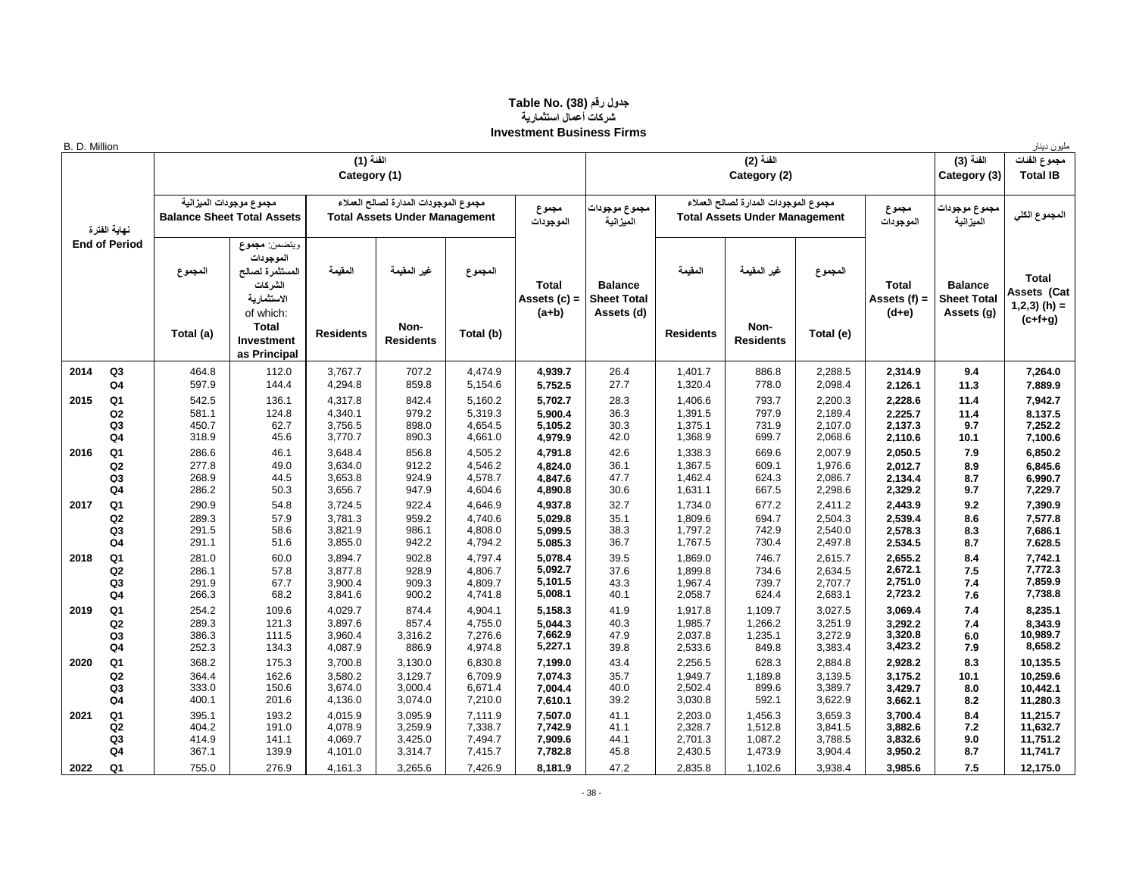#### **جدول رقم (38) Table No. شركات أعمال استثمارية Investment Business Firms**

| B. D. Million |                                  |                      |                                                                                                                                    |                             |                                                                               |                      |                                           |                                                    |                             |                                                                               |                      |                                           |                                                    | مليون دينار                                                |
|---------------|----------------------------------|----------------------|------------------------------------------------------------------------------------------------------------------------------------|-----------------------------|-------------------------------------------------------------------------------|----------------------|-------------------------------------------|----------------------------------------------------|-----------------------------|-------------------------------------------------------------------------------|----------------------|-------------------------------------------|----------------------------------------------------|------------------------------------------------------------|
|               |                                  |                      |                                                                                                                                    | الفنة (1)<br>Category (1)   |                                                                               |                      |                                           |                                                    |                             | الفنة (2)<br>Category (2)                                                     |                      |                                           | الفنة (3)<br>Category (3)                          | مجموع الفنات<br><b>Total IB</b>                            |
|               | نهاية الفترة                     |                      | مجموع موجودات الميزانية<br><b>Balance Sheet Total Assets</b>                                                                       |                             | مجموع الموجودات المدارة لصالح العملاء<br><b>Total Assets Under Management</b> |                      | مجموع<br>الموجودات                        | مجموع موجودات<br>الميزانية                         |                             | مجموع الموجودات المدارة لصالح العملاء<br><b>Total Assets Under Management</b> |                      | مجموع<br>الموجودات                        | مجموع موجودات <mark>ا</mark><br>الميزانية          | المجموع الكلي                                              |
|               | <b>End of Period</b>             | المجموع<br>Total (a) | ويتضمن: مجموع<br>الموجودات<br>المستثمرة لصالح<br>الشركات<br>الاستثمارية<br>of which:<br><b>Total</b><br>Investment<br>as Principal | المقنمة<br><b>Residents</b> | غير المقيمة<br>Non-<br><b>Residents</b>                                       | المجموع<br>Total (b) | <b>Total</b><br>Assets $(c)$ =<br>$(a+b)$ | <b>Balance</b><br><b>Sheet Total</b><br>Assets (d) | المقبمة<br><b>Residents</b> | غير المقيمة<br>Non-<br><b>Residents</b>                                       | المجموع<br>Total (e) | <b>Total</b><br>Assets $(f)$ =<br>$(d+e)$ | <b>Balance</b><br><b>Sheet Total</b><br>Assets (g) | <b>Total</b><br>Assets (Cat<br>$1,2,3)$ (h) =<br>$(c+f+g)$ |
| 2014          | Q <sub>3</sub>                   | 464.8                | 112.0                                                                                                                              | 3,767.7                     | 707.2                                                                         | 4,474.9              | 4,939.7                                   | 26.4                                               | 1,401.7                     | 886.8                                                                         | 2,288.5              | 2,314.9                                   | 9.4                                                | 7,264.0                                                    |
|               | Q <sub>4</sub>                   | 597.9                | 144.4                                                                                                                              | 4,294.8                     | 859.8                                                                         | 5,154.6              | 5,752.5                                   | 27.7                                               | 1,320.4                     | 778.0                                                                         | 2,098.4              | 2,126.1                                   | 11.3                                               | 7,889.9                                                    |
| 2015          | Q1                               | 542.5                | 136.1                                                                                                                              | 4,317.8                     | 842.4                                                                         | 5,160.2              | 5,702.7                                   | 28.3                                               | 1,406.6                     | 793.7                                                                         | 2,200.3              | 2,228.6                                   | 11.4                                               | 7,942.7                                                    |
|               | Q2                               | 581.1                | 124.8                                                                                                                              | 4,340.1                     | 979.2                                                                         | 5,319.3              | 5,900.4                                   | 36.3                                               | 1,391.5                     | 797.9                                                                         | 2,189.4              | 2,225.7                                   | 11.4                                               | 8,137.5                                                    |
|               | Q <sub>3</sub><br>Q <sub>4</sub> | 450.7<br>318.9       | 62.7<br>45.6                                                                                                                       | 3,756.5<br>3,770.7          | 898.0<br>890.3                                                                | 4,654.5<br>4,661.0   | 5,105.2<br>4,979.9                        | 30.3<br>42.0                                       | 1,375.1<br>1,368.9          | 731.9<br>699.7                                                                | 2,107.0<br>2,068.6   | 2,137.3<br>2,110.6                        | 9.7<br>10.1                                        | 7,252.2<br>7,100.6                                         |
| 2016          | Q1                               | 286.6                | 46.1                                                                                                                               | 3,648.4                     | 856.8                                                                         | 4,505.2              | 4,791.8                                   | 42.6                                               | 1,338.3                     | 669.6                                                                         | 2,007.9              | 2,050.5                                   | 7.9                                                | 6,850.2                                                    |
|               | Q <sub>2</sub>                   | 277.8                | 49.0                                                                                                                               | 3,634.0                     | 912.2                                                                         | 4,546.2              | 4,824.0                                   | 36.1                                               | 1,367.5                     | 609.1                                                                         | 1,976.6              | 2,012.7                                   | 8.9                                                | 6,845.6                                                    |
|               | Q <sub>3</sub>                   | 268.9                | 44.5                                                                                                                               | 3,653.8                     | 924.9                                                                         | 4,578.7              | 4.847.6                                   | 47.7                                               | 1,462.4                     | 624.3                                                                         | 2,086.7              | 2,134.4                                   | 8.7                                                | 6,990.7                                                    |
|               | Q <sub>4</sub>                   | 286.2                | 50.3                                                                                                                               | 3,656.7                     | 947.9                                                                         | 4,604.6              | 4,890.8                                   | 30.6                                               | 1,631.1                     | 667.5                                                                         | 2,298.6              | 2,329.2                                   | 9.7                                                | 7,229.7                                                    |
| 2017          | Q <sub>1</sub>                   | 290.9                | 54.8                                                                                                                               | 3,724.5                     | 922.4                                                                         | 4,646.9              | 4,937.8                                   | 32.7                                               | 1,734.0                     | 677.2                                                                         | 2,411.2              | 2,443.9                                   | 9.2                                                | 7,390.9                                                    |
|               | Q2                               | 289.3                | 57.9                                                                                                                               | 3,781.3                     | 959.2                                                                         | 4,740.6              | 5,029.8                                   | 35.1                                               | 1,809.6                     | 694.7                                                                         | 2,504.3              | 2,539.4                                   | 8.6                                                | 7,577.8                                                    |
|               | Q3<br>Q <sub>4</sub>             | 291.5<br>291.1       | 58.6<br>51.6                                                                                                                       | 3,821.9<br>3,855.0          | 986.1<br>942.2                                                                | 4,808.0<br>4,794.2   | 5,099.5<br>5,085.3                        | 38.3<br>36.7                                       | 1,797.2<br>1,767.5          | 742.9<br>730.4                                                                | 2,540.0<br>2,497.8   | 2,578.3<br>2,534.5                        | 8.3<br>8.7                                         | 7,686.1<br>7,628.5                                         |
| 2018          | Q <sub>1</sub>                   | 281.0                | 60.0                                                                                                                               | 3,894.7                     | 902.8                                                                         | 4,797.4              | 5,078.4                                   | 39.5                                               | 1,869.0                     | 746.7                                                                         | 2,615.7              | 2,655.2                                   | 8.4                                                | 7,742.1                                                    |
|               | Q2                               | 286.1                | 57.8                                                                                                                               | 3,877.8                     | 928.9                                                                         | 4,806.7              | 5,092.7                                   | 37.6                                               | 1,899.8                     | 734.6                                                                         | 2,634.5              | 2,672.1                                   | 7.5                                                | 7,772.3                                                    |
|               | Q <sub>3</sub>                   | 291.9                | 67.7                                                                                                                               | 3,900.4                     | 909.3                                                                         | 4,809.7              | 5,101.5                                   | 43.3                                               | 1,967.4                     | 739.7                                                                         | 2,707.7              | 2,751.0                                   | 7.4                                                | 7,859.9                                                    |
|               | Q4                               | 266.3                | 68.2                                                                                                                               | 3,841.6                     | 900.2                                                                         | 4,741.8              | 5,008.1                                   | 40.1                                               | 2,058.7                     | 624.4                                                                         | 2,683.1              | 2,723.2                                   | 7.6                                                | 7,738.8                                                    |
| 2019          | Q <sub>1</sub>                   | 254.2                | 109.6                                                                                                                              | 4,029.7                     | 874.4                                                                         | 4,904.1              | 5,158.3                                   | 41.9                                               | 1,917.8                     | 1,109.7                                                                       | 3,027.5              | 3,069.4                                   | 7.4                                                | 8,235.1                                                    |
|               | Q2                               | 289.3                | 121.3                                                                                                                              | 3,897.6                     | 857.4                                                                         | 4,755.0              | 5.044.3                                   | 40.3                                               | 1,985.7                     | 1,266.2                                                                       | 3.251.9              | 3.292.2                                   | 7.4                                                | 8,343.9                                                    |
|               | Q <sub>3</sub><br>Q <sub>4</sub> | 386.3<br>252.3       | 111.5<br>134.3                                                                                                                     | 3,960.4<br>4,087.9          | 3,316.2<br>886.9                                                              | 7,276.6<br>4,974.8   | 7,662.9<br>5,227.1                        | 47.9<br>39.8                                       | 2,037.8<br>2,533.6          | 1,235.1<br>849.8                                                              | 3,272.9<br>3,383.4   | 3,320.8<br>3,423.2                        | 6.0<br>7.9                                         | 10,989.7<br>8,658.2                                        |
| 2020          | Q <sub>1</sub>                   | 368.2                | 175.3                                                                                                                              | 3,700.8                     | 3,130.0                                                                       | 6,830.8              | 7,199.0                                   | 43.4                                               | 2,256.5                     | 628.3                                                                         | 2,884.8              | 2,928.2                                   | 8.3                                                | 10,135.5                                                   |
|               | Q2                               | 364.4                | 162.6                                                                                                                              | 3,580.2                     | 3,129.7                                                                       | 6,709.9              | 7,074.3                                   | 35.7                                               | 1,949.7                     | 1,189.8                                                                       | 3,139.5              | 3,175.2                                   | 10.1                                               | 10,259.6                                                   |
|               | Q <sub>3</sub>                   | 333.0                | 150.6                                                                                                                              | 3,674.0                     | 3,000.4                                                                       | 6,671.4              | 7,004.4                                   | 40.0                                               | 2,502.4                     | 899.6                                                                         | 3,389.7              | 3,429.7                                   | 8.0                                                | 10,442.1                                                   |
|               | Q <sub>4</sub>                   | 400.1                | 201.6                                                                                                                              | 4,136.0                     | 3,074.0                                                                       | 7,210.0              | 7,610.1                                   | 39.2                                               | 3,030.8                     | 592.1                                                                         | 3,622.9              | 3,662.1                                   | 8.2                                                | 11,280.3                                                   |
| 2021          | Q <sub>1</sub>                   | 395.1                | 193.2                                                                                                                              | 4,015.9                     | 3,095.9                                                                       | 7,111.9              | 7,507.0                                   | 41.1                                               | 2,203.0                     | 1,456.3                                                                       | 3,659.3              | 3,700.4                                   | 8.4                                                | 11,215.7                                                   |
|               | Q2                               | 404.2                | 191.0                                                                                                                              | 4,078.9                     | 3,259.9                                                                       | 7,338.7              | 7,742.9                                   | 41.1                                               | 2,328.7                     | 1,512.8                                                                       | 3,841.5              | 3,882.6                                   | 7.2                                                | 11,632.7                                                   |
|               | Q3<br>Q4                         | 414.9<br>367.1       | 141.1<br>139.9                                                                                                                     | 4,069.7<br>4,101.0          | 3,425.0<br>3,314.7                                                            | 7,494.7<br>7,415.7   | 7,909.6<br>7,782.8                        | 44.1<br>45.8                                       | 2,701.3<br>2,430.5          | 1,087.2<br>1,473.9                                                            | 3,788.5<br>3,904.4   | 3,832.6<br>3,950.2                        | 9.0<br>8.7                                         | 11,751.2<br>11,741.7                                       |
| 2022          | Q1                               | 755.0                | 276.9                                                                                                                              | 4,161.3                     | 3,265.6                                                                       | 7,426.9              | 8,181.9                                   | 47.2                                               | 2,835.8                     | 1,102.6                                                                       | 3,938.4              | 3,985.6                                   | 7.5                                                | 12,175.0                                                   |
|               |                                  |                      |                                                                                                                                    |                             |                                                                               |                      |                                           |                                                    |                             |                                                                               |                      |                                           |                                                    |                                                            |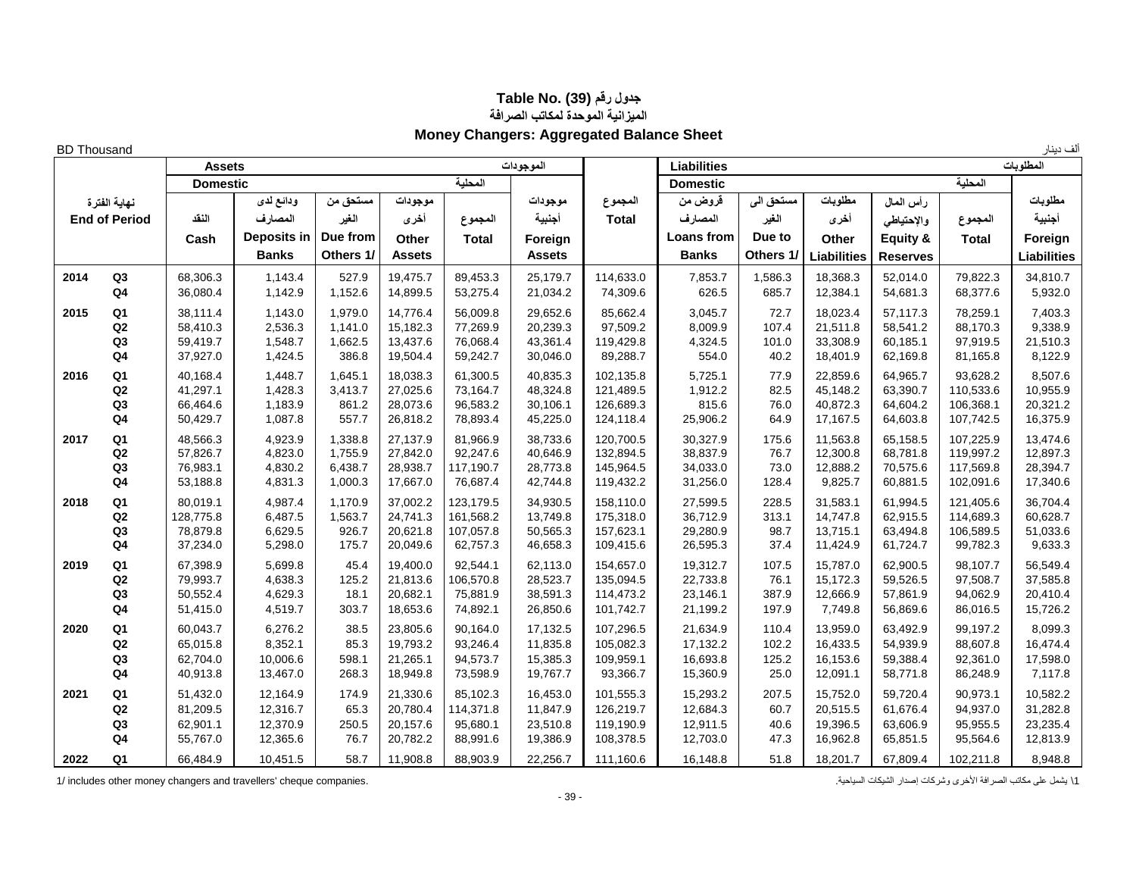## **جدول رقم (39) .No Table الميزانية الموحدة لمكاتب الصرافة Money Changers: Aggregated Balance Sheet**

ألف دينار Thousand BD **المطلوبات Liabilities الموجودات Assets المحلية Domestic المحلية Domestic مطلوبات رأس المال مطلوبات مستحق الى قروض من المجموع موجودات موجودات مستحق من ودائع لدى أجنبية المجموع واإلحتياطي أخرى الغير المصارف Total أجنبية المجموع أخرى الغير المصارف النقد Cash Deposits in Due from Other Total Foreign Loans from Due to Other Equity & Total Foreign Banks Others 1/ Assets Assets Banks Others 1/ Liabilities Reserves Liabilities 2014 Q3** 68,306.3 1,143.4 527.9 19,475.7 89,453.3 25,179.7 114,633.0 7,853.7 1,586.3 18,368.3 52,014.0 79,822.3 34,810.7 **Q4** 36,080.4 1,142.9 1,152.6 14,899.5 53,275.4 21,034.2 74,309.6 626.5 685.7 12,384.1 54,681.3 68,377.6 5,932.0  **2015 Q1** 38,111.4 1,143.0 1,979.0 14,776.4 56,009.8 29,652.6 85,662.4 3,045.7 72.7 18,023.4 57,117.3 78,259.1 7,403.3 **Q2** 58,410.3 2,536.3 1,141.0 15,182.3 77,269.9 20,239.3 97,509.2 8,009.9 107.4 21,511.8 58,541.2 88,170.3 9,338.9 **Q3** 59,419.7 1,548.7 1,662.5 13,437.6 76,068.4 43,361.4 119,429.8 4,324.5 101.0 33,308.9 60,185.1 97,919.5 21,510.3 **Q4** | 37,927.0 | 1,424.5 | 386.8 | 19,504.4 | 59,242.7 | 30,046.0 | 89,288.7 | 554.0 | 40.2 | 18,401.9 | 62,169.8 | 81,165.8 | 8,122.9  **2016 Q1** 40,168.4 1,448.7 1,645.1 18,038.3 61,300.5 40,835.3 102,135.8 5,725.1 77.9 22,859.6 64,965.7 93,628.2 8,507.6 **Q2** 41,297.1 | 1,428.3 | 3,413.7 | 27,025.6 | 73,164.7 | 48,324.8 | 121,489.5 | 1,912.2 | 82.5 | 45,148.2 | 63,390.7 | 110,533.6 | 10,955.9 **Q3** | 66,464.6 | 1,183.9 861.2 | 28,073.6 | 96,583.2 | 30,106.1 | 126,689.3 | 815.6 | 76.0 | 40,872.3 | 64,604.2 | 106,368.1 | 20,321.2 **Q4**  $\vert$  50,429.7  $\vert$  1,087.8  $\vert$  557.7  $\vert$  26,818.2  $\vert$  78,893.4  $\vert$  45,225.0  $\vert$  124,118.4  $\vert$  25,906.2  $\vert$  64.9  $\vert$  17,167.5  $\vert$  64,603.8  $\vert$  107,742.5  $\vert$  16,375.9  **2017 Q1** 48,566.3 4,923.9 1,338.8 27,137.9 81,966.9 38,733.6 120,700.5 30,327.9 175.6 11,563.8 65,158.5 107,225.9 13,474.6 **Q2** | 57,826.7 | 4,823.0 | 1,755.9 | 27,842.0 | 92,247.6 | 40,646.9 | 132,894.5 | 38,837.9 | 76.7 | 12,300.8 | 68,781.8 | 119,997.2 | 12,897.3 **Q3** 76,983.1 4,830.2 6,438.7 28,938.7 117,190.7 28,773.8 145,964.5 34,033.0 73.0 12,888.2 70,575.6 117,569.8 28,394.7 **Q4**  $\vert$  53,188.8  $\vert$  4,831.3  $\vert$  1,000.3  $\vert$  17,667.0  $\vert$  76,687.4  $\vert$  42,744.8  $\vert$  119,432.2  $\vert$  31,256.0  $\vert$  128.4  $\vert$  9,825.7  $\vert$  60,881.5  $\vert$  102,091.6  $\vert$  17,340.6  **2018 Q1** 80,019.1 4,987.4 1,170.9 37,002.2 123,179.5 34,930.5 158,110.0 27,599.5 228.5 31,583.1 61,994.5 121,405.6 36,704.4 **Q2** 128,775.8 6,487.5 1,563.7 24,741.3 161,568.2 13,749.8 175,318.0 36,712.9 313.1 14,747.8 62,915.5 114,689.3 60,628.7 **Q3** 78,879.8 6,629.5 926.7 20,621.8 107,057.8 50,565.3 157,623.1 29,280.9 98.7 13,715.1 63,494.8 106,589.5 51,033.6 **Q4**  $\vert$  37,234.0  $\vert$  5,298.0  $\vert$  175.7  $\vert$  20,049.6  $\vert$  62,757.3  $\vert$  46,658.3  $\vert$  109,415.6  $\vert$  26,595.3  $\vert$  37.4  $\vert$  11,424.9  $\vert$  61,724.7  $\vert$  99,782.3  $\vert$  9,633.3  **2019 Q1** 67,398.9 5,699.8 45.4 19,400.0 92,544.1 62,113.0 154,657.0 19,312.7 107.5 15,787.0 62,900.5 98,107.7 56,549.4 **Q2** 79,993.7 4,638.3 125.2 21,813.6 106,570.8 28,523.7 135,094.5 22,733.8 76.1 15,172.3 59,526.5 97,508.7 37,585.8 **Q3** | 50,552.4 | 4,629.3 | 18.1 | 20,682.1 | 75,881.9 | 38,591.3 | 114,473.2 | 23,146.1 | 387.9 | 12,666.9 | 57,861.9 | 94,062.9 | 20,410.4 **Q4**  $\vert$  51,415.0  $\vert$  4,519.7  $\vert$  303.7  $\vert$  18,653.6  $\vert$  74,892.1  $\vert$  26,850.6  $\vert$  101,742.7  $\vert$  21,199.2  $\vert$  197.9  $\vert$  7,749.8  $\vert$  56,869.6  $\vert$  86,016.5  $\vert$  15,726.2  **2020 Q1** 60,043.7 6,276.2 38.5 23,805.6 90,164.0 17,132.5 107,296.5 21,634.9 110.4 13,959.0 63,492.9 99,197.2 8,099.3 **Q2** | 65,015.8 | 8,352.1 | 85.3 | 19,793.2 | 93,246.4 | 11,835.8 | 105,082.3 | 17,132.2 | 102.2 | 16,433.5 | 54,939.9 | 88,607.8 | 16,474.4 **Q3** | 62,704.0 | 10,006.6 | 598.1 | 21,265.1 | 94,573.7 | 15,385.3 | 109,959.1 | 16,693.8 | 125.2 | 16,153.6 | 59,388.4 | 92,361.0 | 17,598.0 **Q4** 40,913.8 13,467.0 268.3 18,949.8 73,598.9 19,767.7 93,366.7 15,360.9 25.0 12,091.1 58,771.8 86,248.9 7,117.8  **2021 Q1** 51,432.0 12,164.9 174.9 21,330.6 85,102.3 16,453.0 101,555.3 15,293.2 207.5 15,752.0 59,720.4 90,973.1 10,582.2 **Q2** 81,209.5 | 12,316.7 | 65.3 |20,780.4 |114,371.8 | 11,847.9 | 126,219.7 | 12,684.3 | 60.7 | 20,515.5 | 61,676.4 | 94,937.0 | 31,282.8 **Q3** | 62,901.1 | 12,370.9 | 250.5 | 20,157.6 | 95,680.1 | 23,510.8 | 119,190.9 | 12,911.5 | 40.6 | 19,396.5 | 63,606.9 | 95,955.5 | 23,235.4 **Q4**  $\vert$  55,767.0  $\vert$  12,365.6  $\vert$  76.7  $\vert$  20,782.2  $\vert$  88,991.6  $\vert$  19,386.9  $\vert$  108,378.5  $\vert$  12,703.0  $\vert$  47.3  $\vert$  16,962.8  $\vert$  65,851.5  $\vert$  95,564.6  $\vert$  12,813.9  **2022 Q1** 66,484.9 10,451.5 58.7 11,908.8 88,903.9 22,256.7 111,160.6 16,148.8 51.8 18,201.7 67,809.4 102,211.8 8,948.8 **نهاية الفترة End of Period**

1\ يشمل على مكاتب الصرافة األخرى وشركات إصدار الشيكات السياحية. .companies cheque' travellers and changers money other includes 1/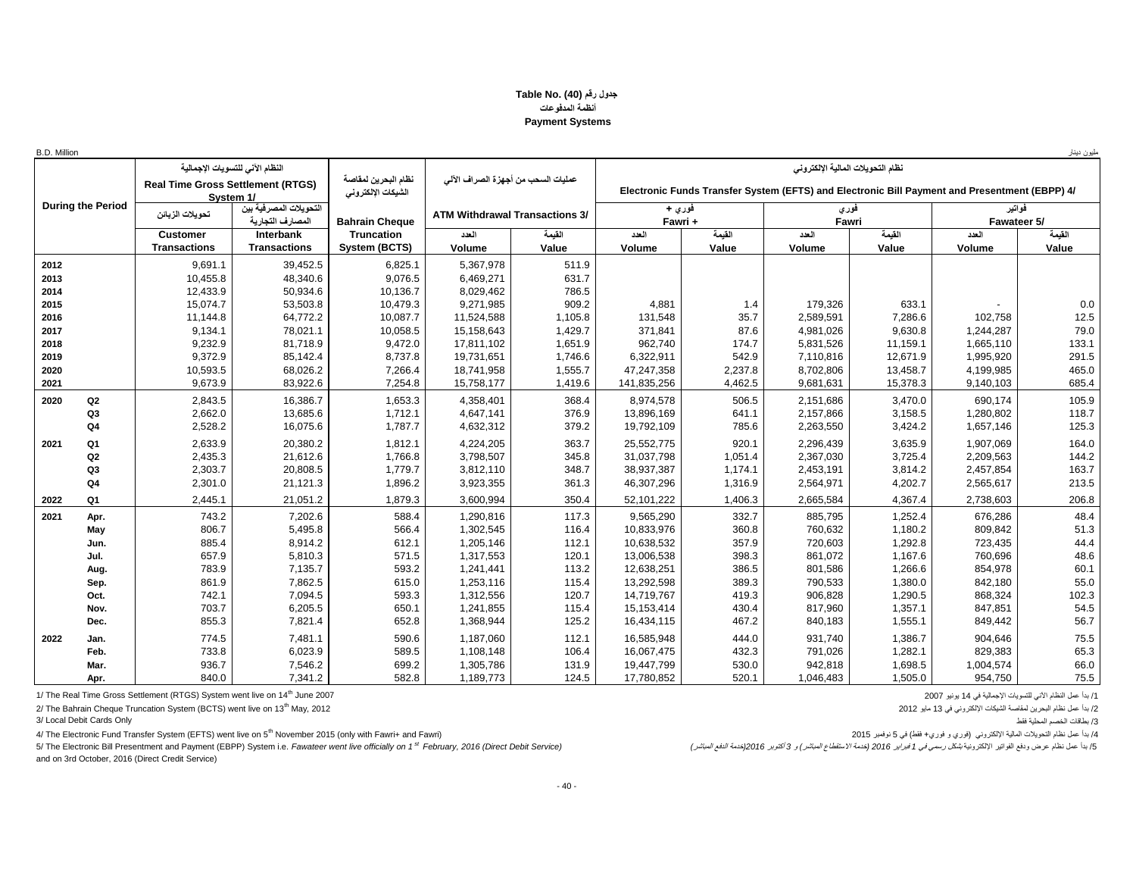#### **جدول رقم (40) .No Table أنظمة المدفوعات Payment Systems**

| B.D. Million             |                                          |                                               |                                           |                                       |         |                   |         |                                                                                               |          |                       | مليون دينار |
|--------------------------|------------------------------------------|-----------------------------------------------|-------------------------------------------|---------------------------------------|---------|-------------------|---------|-----------------------------------------------------------------------------------------------|----------|-----------------------|-------------|
|                          |                                          | النظام الآني للتسويات الإجمالية               |                                           |                                       |         |                   |         | نظام التحويلات المالية الالكتروني                                                             |          |                       |             |
|                          | <b>Real Time Gross Settlement (RTGS)</b> | System 1/                                     | نظام البحرين لمقاصة<br>الشيكات الإلكتروني | عمليات السحب من أجهز ة الصراف الآلي   |         |                   |         | Electronic Funds Transfer System (EFTS) and Electronic Bill Payment and Presentment (EBPP) 4/ |          |                       |             |
| <b>During the Period</b> | تحويلات الزبائن                          | النّحو بلات المصر فبة ببن<br>المصارف التجارية | <b>Bahrain Cheque</b>                     | <b>ATM Withdrawal Transactions 3/</b> |         | فوري +<br>Fawri + |         | فورى<br>Fawri                                                                                 |          | فواتير<br>Fawateer 5/ |             |
|                          | <b>Customer</b>                          | Interbank                                     | <b>Truncation</b>                         | العدد                                 | القيمة  | العدد             | القيمة  | العدد                                                                                         | القيمة   | العدد                 | القيمة      |
|                          | <b>Transactions</b>                      | <b>Transactions</b>                           | System (BCTS)                             | Volume                                | Value   | Volume            | Value   | Volume                                                                                        | Value    | Volume                | Value       |
| 2012                     | 9,691.1                                  | 39,452.5                                      | 6,825.1                                   | 5,367,978                             | 511.9   |                   |         |                                                                                               |          |                       |             |
| 2013                     | 10,455.8                                 | 48,340.6                                      | 9,076.5                                   | 6,469,271                             | 631.7   |                   |         |                                                                                               |          |                       |             |
| 2014                     | 12,433.9                                 | 50,934.6                                      | 10,136.7                                  | 8,029,462                             | 786.5   |                   |         |                                                                                               |          |                       |             |
| 2015                     | 15,074.7                                 | 53,503.8                                      | 10,479.3                                  | 9,271,985                             | 909.2   | 4,881             | 1.4     | 179,326                                                                                       | 633.1    |                       | 0.0         |
| 2016                     | 11,144.8                                 | 64,772.2                                      | 10,087.7                                  | 11,524,588                            | 1,105.8 | 131,548           | 35.7    | 2,589,591                                                                                     | 7,286.6  | 102,758               | 12.5        |
| 2017                     | 9,134.1                                  | 78,021.1                                      | 10,058.5                                  | 15,158,643                            | 1,429.7 | 371,841           | 87.6    | 4,981,026                                                                                     | 9,630.8  | 1,244,287             | 79.0        |
| 2018                     | 9,232.9                                  | 81,718.9                                      | 9,472.0                                   | 17,811,102                            | 1,651.9 | 962,740           | 174.7   | 5,831,526                                                                                     | 11,159.1 | 1,665,110             | 133.1       |
| 2019                     | 9,372.9                                  | 85,142.4                                      | 8,737.8                                   | 19,731,651                            | 1,746.6 | 6,322,911         | 542.9   | 7,110,816                                                                                     | 12,671.9 | 1,995,920             | 291.5       |
| 2020                     | 10,593.5                                 | 68,026.2                                      | 7,266.4                                   | 18,741,958                            | 1,555.7 | 47,247,358        | 2,237.8 | 8,702,806                                                                                     | 13,458.7 | 4,199,985             | 465.0       |
| 2021                     | 9,673.9                                  | 83,922.6                                      | 7,254.8                                   | 15,758,177                            | 1,419.6 | 141,835,256       | 4,462.5 | 9,681,631                                                                                     | 15,378.3 | 9,140,103             | 685.4       |
| 2020<br>Q2               | 2,843.5                                  | 16,386.7                                      | 1,653.3                                   | 4,358,401                             | 368.4   | 8,974,578         | 506.5   | 2,151,686                                                                                     | 3.470.0  | 690.174               | 105.9       |
| Q <sub>3</sub>           | 2,662.0                                  | 13,685.6                                      | 1,712.1                                   | 4,647,141                             | 376.9   | 13,896,169        | 641.1   | 2,157,866                                                                                     | 3,158.5  | 1,280,802             | 118.7       |
| Q <sub>4</sub>           | 2,528.2                                  | 16,075.6                                      | 1,787.7                                   | 4,632,312                             | 379.2   | 19,792,109        | 785.6   | 2,263,550                                                                                     | 3,424.2  | 1,657,146             | 125.3       |
| 2021<br>Q1               | 2,633.9                                  | 20,380.2                                      | 1,812.1                                   | 4,224,205                             | 363.7   | 25,552,775        | 920.1   | 2,296,439                                                                                     | 3,635.9  | 1,907,069             | 164.0       |
| Q2                       | 2,435.3                                  | 21,612.6                                      | 1,766.8                                   | 3,798,507                             | 345.8   | 31,037,798        | 1,051.4 | 2,367,030                                                                                     | 3,725.4  | 2,209,563             | 144.2       |
| Q <sub>3</sub>           | 2,303.7                                  | 20,808.5                                      | 1,779.7                                   | 3,812,110                             | 348.7   | 38,937,387        | 1,174.1 | 2,453,191                                                                                     | 3,814.2  | 2,457,854             | 163.7       |
| Q <sub>4</sub>           | 2,301.0                                  | 21,121.3                                      | 1,896.2                                   | 3,923,355                             | 361.3   | 46,307,296        | 1,316.9 | 2,564,971                                                                                     | 4,202.7  | 2,565,617             | 213.5       |
| 2022<br>Q1               | 2,445.1                                  | 21,051.2                                      | 1,879.3                                   | 3,600,994                             | 350.4   | 52,101,222        | 1,406.3 | 2,665,584                                                                                     | 4,367.4  | 2,738,603             | 206.8       |
| 2021<br>Apr.             | 743.2                                    | 7,202.6                                       | 588.4                                     | 1,290,816                             | 117.3   | 9,565,290         | 332.7   | 885.795                                                                                       | 1,252.4  | 676,286               | 48.4        |
| May                      | 806.7                                    | 5,495.8                                       | 566.4                                     | 1,302,545                             | 116.4   | 10,833,976        | 360.8   | 760,632                                                                                       | 1,180.2  | 809,842               | 51.3        |
| Jun.                     | 885.4                                    | 8,914.2                                       | 612.1                                     | 1,205,146                             | 112.1   | 10,638,532        | 357.9   | 720,603                                                                                       | 1,292.8  | 723,435               | 44.4        |
| Jul.                     | 657.9                                    | 5,810.3                                       | 571.5                                     | 1,317,553                             | 120.1   | 13,006,538        | 398.3   | 861,072                                                                                       | 1,167.6  | 760,696               | 48.6        |
| Aug.                     | 783.9                                    | 7,135.7                                       | 593.2                                     | 1,241,441                             | 113.2   | 12,638,251        | 386.5   | 801,586                                                                                       | 1,266.6  | 854,978               | 60.1        |
| Sep.                     | 861.9                                    | 7,862.5                                       | 615.0                                     | 1,253,116                             | 115.4   | 13,292,598        | 389.3   | 790,533                                                                                       | 1,380.0  | 842,180               | 55.0        |
| Oct.                     | 742.1                                    | 7,094.5                                       | 593.3                                     | 1,312,556                             | 120.7   | 14,719,767        | 419.3   | 906,828                                                                                       | 1,290.5  | 868,324               | 102.3       |
| Nov.                     | 703.7                                    | 6,205.5                                       | 650.1                                     | 1,241,855                             | 115.4   | 15, 153, 414      | 430.4   | 817,960                                                                                       | 1,357.1  | 847,851               | 54.5        |
| Dec.                     | 855.3                                    | 7,821.4                                       | 652.8                                     | 1,368,944                             | 125.2   | 16,434,115        | 467.2   | 840,183                                                                                       | 1,555.1  | 849,442               | 56.7        |
| 2022<br>Jan.             | 774.5                                    | 7,481.1                                       | 590.6                                     | 1,187,060                             | 112.1   | 16,585,948        | 444.0   | 931,740                                                                                       | 1,386.7  | 904,646               | 75.5        |
| Feb.                     | 733.8                                    | 6,023.9                                       | 589.5                                     | 1,108,148                             | 106.4   | 16,067,475        | 432.3   | 791,026                                                                                       | 1,282.1  | 829,383               | 65.3        |
| Mar.                     | 936.7                                    | 7,546.2                                       | 699.2                                     | 1,305,786                             | 131.9   | 19,447,799        | 530.0   | 942,818                                                                                       | 1,698.5  | 1,004,574             | 66.0        |
| Apr.                     | 840.0                                    | 7,341.2                                       | 582.8                                     | 1,189,773                             | 124.5   | 17,780,852        | 520.1   | 1,046,483                                                                                     | 1,505.0  | 954,750               | 75.5        |

1/ بدأ عمل النظام الأني للتسويك الإجمالية في 14 يونيو 2007 2007 2007 . [1] أيضاً هافي 14 في 14 يونيو 11 The Real Time Gross Settlement (RTGS) System went live on 14<sup>th</sup> June 2007 **المسويات الإجمالية للتي النظام الأن**ي للت

2/ تما الترين المقاصة الشيكات الإلكتروني في 13 مايو 1302 2/ The Bahrain Cheque Truncation System (BCTS) went live on 13<sup>th</sup> May, 2012 2012<br>3/ بطاقات الخصم المحلية فقط

4/ تما نظام التعويلات العالية الإلكتروني (فوري و فوري+ فقط) في 5 فيلغمبر 2015 / 4/ The Electronic Fund Transfer System (EFTS) went live on 5<sup>th</sup> November 2015 (only with Fawri+ and Fawri)

5/ جاً على نطام عرض ودفع الفواتير الإلكترونية بشكل *رسمي في 1 فبراير 2016 (خدمة الاستقطاع العباشر) 2018 (خدمة الاستقطاع العباشر) 2018 (خدمة الاستقطاع العباشر) 2018 (خدمة الاستقطاع العباشر) 2018 (خدمة الاستقطاع العباشر) 20* and on 3rd October, 2016 (Direct Credit Service)

/3 بطاقات الخصم المحلية فقط Only Cards Debit Local 3/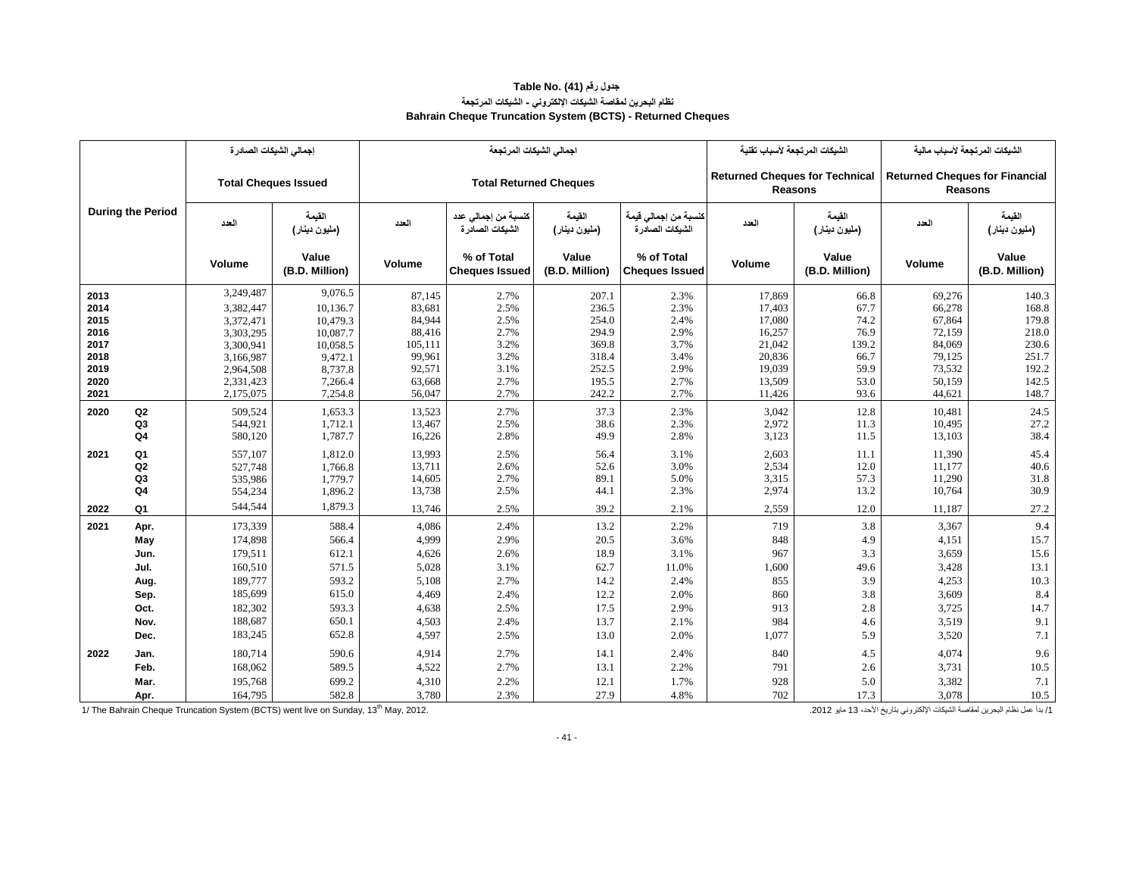#### **جدول رقم (41) .Table No نظام البحرين لمقاصة الشيكات اإللكتروني - الشيكات المرتجعة Bahrain Cheque Truncation System (BCTS) - Returned Cheques**

|              |                          | إجمالي الشبكات الصادرة      |                         |                  | اجمالي الشبكات المرتجعة                 |                         |                                          | الشيكات المرتجعة لأسباب تقنية         |                         | الشيكات المرتجعة لأسباب مالية                           |                         |
|--------------|--------------------------|-----------------------------|-------------------------|------------------|-----------------------------------------|-------------------------|------------------------------------------|---------------------------------------|-------------------------|---------------------------------------------------------|-------------------------|
|              |                          | <b>Total Cheques Issued</b> |                         |                  | <b>Total Returned Cheques</b>           |                         |                                          | <b>Returned Cheques for Technical</b> | <b>Reasons</b>          | <b>Returned Cheques for Financial</b><br><b>Reasons</b> |                         |
|              | <b>During the Period</b> | العدد                       | القيمة<br>(مليون دينار) | العدد            | كنسبة من إجمالي عدد<br>الشبكات الصادر ة | الفيمة<br>(مليون دينار) | كنسبة من إجمالي قيمة<br>الشبكات الصادر ة | العدد                                 | القيمة<br>(ملبون دينار) | العدد                                                   | القيمة<br>(مليون دينار) |
|              |                          | Volume                      | Value<br>(B.D. Million) | Volume           | % of Total<br><b>Cheques Issued</b>     | Value<br>(B.D. Million) | % of Total<br><b>Cheques Issued</b>      | Volume                                | Value<br>(B.D. Million) | Volume                                                  | Value<br>(B.D. Million) |
| 2013         |                          | 3,249,487                   | 9,076.5                 | 87,145           | 2.7%                                    | 207.1                   | 2.3%                                     | 17,869                                | 66.8                    | 69,276                                                  | 140.3                   |
| 2014         |                          | 3,382,447                   | 10,136.7                | 83,681           | 2.5%                                    | 236.5                   | 2.3%                                     | 17,403                                | 67.7                    | 66,278                                                  | 168.8                   |
| 2015         |                          | 3,372,471                   | 10,479.3                | 84,944           | 2.5%                                    | 254.0                   | 2.4%                                     | 17,080                                | 74.2                    | 67,864                                                  | 179.8                   |
| 2016         |                          | 3,303,295                   | 10,087.7                | 88,416           | 2.7%                                    | 294.9                   | 2.9%                                     | 16,257                                | 76.9                    | 72,159                                                  | 218.0                   |
| 2017         |                          | 3,300,941                   | 10,058.5                | 105,111          | 3.2%                                    | 369.8                   | 3.7%                                     | 21,042                                | 139.2                   | 84,069                                                  | 230.6                   |
| 2018         |                          | 3,166,987                   | 9,472.1                 | 99,961           | 3.2%                                    | 318.4                   | 3.4%                                     | 20,836                                | 66.7                    | 79,125                                                  | 251.7                   |
| 2019<br>2020 |                          | 2,964,508                   | 8,737.8                 | 92,571<br>63,668 | 3.1%<br>2.7%                            | 252.5<br>195.5          | 2.9%<br>2.7%                             | 19,039<br>13,509                      | 59.9<br>53.0            | 73,532<br>50,159                                        | 192.2<br>142.5          |
| 2021         |                          | 2,331,423<br>2,175,075      | 7,266.4<br>7,254.8      | 56,047           | 2.7%                                    | 242.2                   | 2.7%                                     | 11,426                                | 93.6                    | 44,621                                                  | 148.7                   |
|              |                          |                             |                         |                  |                                         |                         |                                          |                                       |                         |                                                         |                         |
| 2020         | Q2                       | 509,524                     | 1,653.3                 | 13,523           | 2.7%                                    | 37.3                    | 2.3%                                     | 3,042                                 | 12.8                    | 10,481                                                  | 24.5                    |
|              | Q3<br>Q <sub>4</sub>     | 544,921<br>580,120          | 1,712.1<br>1,787.7      | 13,467<br>16,226 | 2.5%<br>2.8%                            | 38.6<br>49.9            | 2.3%<br>2.8%                             | 2,972<br>3,123                        | 11.3<br>11.5            | 10,495<br>13,103                                        | 27.2<br>38.4            |
|              |                          |                             |                         |                  |                                         |                         |                                          |                                       |                         |                                                         |                         |
| 2021         | Q1                       | 557,107                     | 1,812.0                 | 13,993           | 2.5%                                    | 56.4                    | 3.1%                                     | 2,603                                 | 11.1                    | 11,390                                                  | 45.4                    |
|              | Q <sub>2</sub>           | 527,748                     | 1,766.8                 | 13,711           | 2.6%                                    | 52.6                    | 3.0%                                     | 2,534                                 | 12.0                    | 11,177                                                  | 40.6                    |
|              | Q3                       | 535,986                     | 1,779.7                 | 14,605           | 2.7%                                    | 89.1                    | 5.0%                                     | 3,315                                 | 57.3                    | 11,290                                                  | 31.8                    |
|              | Q4                       | 554,234                     | 1,896.2                 | 13,738           | 2.5%                                    | 44.1                    | 2.3%                                     | 2,974                                 | 13.2                    | 10,764                                                  | 30.9                    |
| 2022         | Q1                       | 544,544                     | 1,879.3                 | 13,746           | 2.5%                                    | 39.2                    | 2.1%                                     | 2,559                                 | 12.0                    | 11,187                                                  | 27.2                    |
| 2021         | Apr.                     | 173,339                     | 588.4                   | 4,086            | 2.4%                                    | 13.2                    | 2.2%                                     | 719                                   | 3.8                     | 3,367                                                   | 9.4                     |
|              | May                      | 174,898                     | 566.4                   | 4,999            | 2.9%                                    | 20.5                    | 3.6%                                     | 848                                   | 4.9                     | 4,151                                                   | 15.7                    |
|              | Jun.                     | 179,511                     | 612.1                   | 4,626            | 2.6%                                    | 18.9                    | 3.1%                                     | 967                                   | 3.3                     | 3,659                                                   | 15.6                    |
|              | Jul.                     | 160,510                     | 571.5                   | 5,028            | 3.1%                                    | 62.7                    | 11.0%                                    | 1,600                                 | 49.6                    | 3,428                                                   | 13.1                    |
|              | Aug.                     | 189,777                     | 593.2                   | 5,108            | 2.7%                                    | 14.2                    | 2.4%                                     | 855                                   | 3.9                     | 4,253                                                   | 10.3                    |
|              | Sep.                     | 185,699                     | 615.0                   | 4,469            | 2.4%                                    | 12.2                    | 2.0%                                     | 860                                   | 3.8                     | 3,609                                                   | 8.4                     |
|              | Oct.                     | 182,302                     | 593.3                   | 4,638            | 2.5%                                    | 17.5                    | 2.9%                                     | 913                                   | 2.8                     | 3,725                                                   | 14.7                    |
|              | Nov.                     | 188,687                     | 650.1                   | 4,503            | 2.4%                                    | 13.7                    | 2.1%                                     | 984                                   | 4.6                     | 3,519                                                   | 9.1                     |
|              | Dec.                     | 183,245                     | 652.8                   | 4,597            | 2.5%                                    | 13.0                    | 2.0%                                     | 1,077                                 | 5.9                     | 3,520                                                   | $7.1\,$                 |
| 2022         | Jan.                     | 180,714                     | 590.6                   | 4,914            | 2.7%                                    | 14.1                    | 2.4%                                     | 840                                   | 4.5                     | 4,074                                                   | 9.6                     |
|              | Feb.                     | 168,062                     | 589.5                   | 4,522            | 2.7%                                    | 13.1                    | 2.2%                                     | 791                                   | 2.6                     | 3,731                                                   | 10.5                    |
|              | Mar.                     | 195,768                     | 699.2                   | 4,310            | 2.2%                                    | 12.1                    | 1.7%                                     | 928                                   | 5.0                     | 3,382                                                   | 7.1                     |
|              | Apr.                     | 164,795                     | 582.8                   | 3,780            | 2.3%                                    | 27.9                    | 4.8%                                     | 702                                   | 17.3                    | 3,078                                                   | 10.5                    |

سم المستقل المقاصمة الشبكات الإلكتروني بتاريخ الأحد، 13 مايو 1302 مايو 1712 مويو 1712 مويو 1712 مويو 1752 مايو 1802 مايو 1802 مايو 1712 مويو 13 مايو 1302 مايو 1302 مايو 1712 مويو 1803 مايو 1712 ميا بدأ مقاصة البحرين لعقاص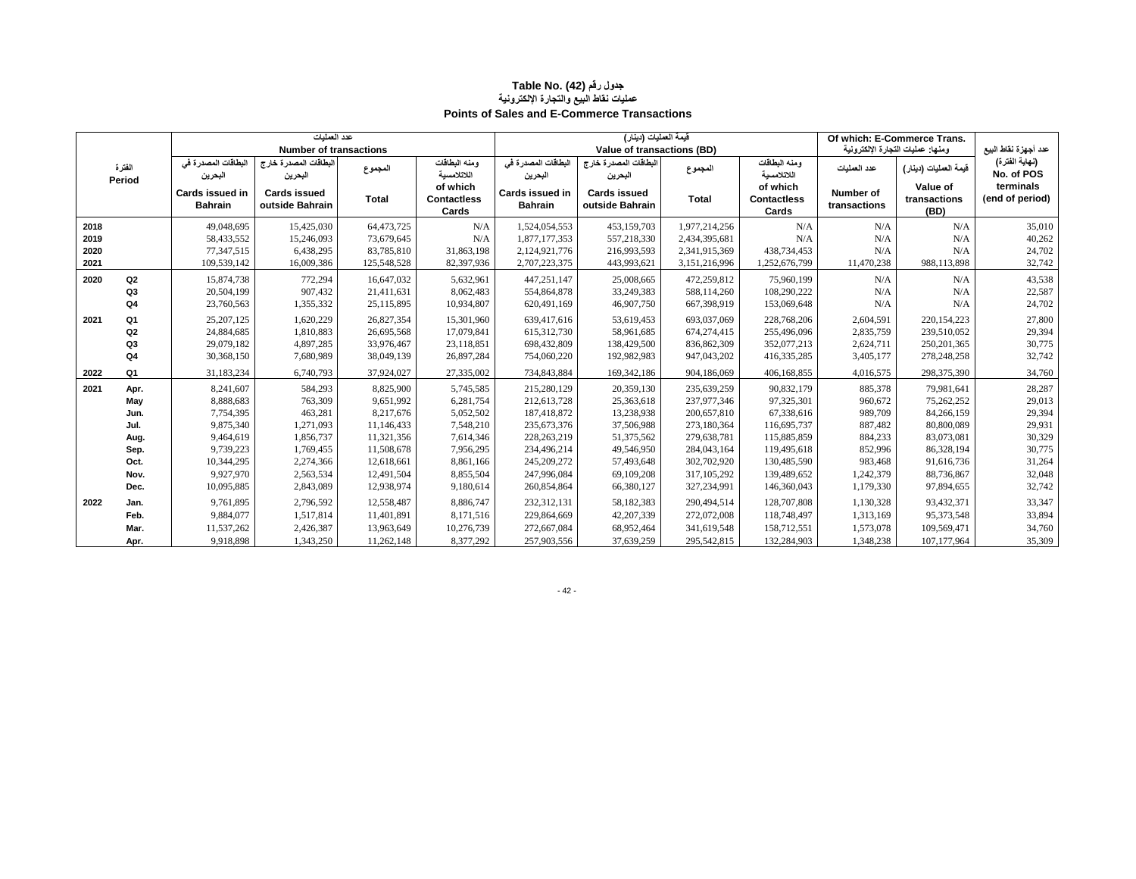#### **جدول رقم (42) Table No. عمليات نقاط البيع والتجارة اإللكترونية Points of Sales and E-Commerce Transactions**

|      |                |                                   | عدد العمليات                           |             |                                         |                                   | فَيمة العمليات (دينار)                 |               |                                         | Of which: E-Commerce Trans. |                                   |                              |
|------|----------------|-----------------------------------|----------------------------------------|-------------|-----------------------------------------|-----------------------------------|----------------------------------------|---------------|-----------------------------------------|-----------------------------|-----------------------------------|------------------------------|
|      |                |                                   | <b>Number of transactions</b>          |             |                                         |                                   | Value of transactions (BD)             |               |                                         |                             | ومنها: عمليات التجارة الإلكترونية | عدد أجهزة نقاط البيع         |
|      | الفتر ة        | البطاقات المصدرة في<br>البحرين    | البطاقات المصدرة خارج<br>البحرين       | المجموع     | ومنه البطاقات<br>اللاتلامسبة            | البطاقات المصدرة في<br>البحرين    | البطاقات المصدرة خارج<br>البحرين       | المجموع       | ومنه البطاقات<br>اللاتلامسية            | عدد العملبات                | فَيمة العمليات (دينار)            | (نهاية الفترة)<br>No. of POS |
|      | Period         | Cards issued in<br><b>Bahrain</b> | <b>Cards issued</b><br>outside Bahrain | Total       | of which<br><b>Contactless</b><br>Cards | Cards issued in<br><b>Bahrain</b> | <b>Cards issued</b><br>outside Bahrain | <b>Total</b>  | of which<br><b>Contactless</b><br>Cards | Number of<br>transactions   | Value of<br>transactions<br>(BD)  | terminals<br>(end of period) |
| 2018 |                | 49,048,695                        | 15,425,030                             | 64,473,725  | N/A                                     | 1,524,054,553                     | 453,159,703                            | 1,977,214,256 | N/A                                     | N/A                         | N/A                               | 35,010                       |
| 2019 |                | 58,433,552                        | 15,246,093                             | 73,679,645  | N/A                                     | 1,877,177,353                     | 557,218,330                            | 2,434,395,681 | N/A                                     | N/A                         | N/A                               | 40,262                       |
| 2020 |                | 77,347,515                        | 6,438,295                              | 83,785,810  | 31,863,198                              | 2,124,921,776                     | 216,993,593                            | 2,341,915,369 | 438,734,453                             | N/A                         | N/A                               | 24,702                       |
| 2021 |                | 109,539,142                       | 16,009,386                             | 125,548,528 | 82,397,936                              | 2,707,223,375                     | 443,993,621                            | 3,151,216,996 | 1,252,676,799                           | 11,470,238                  | 988,113,898                       | 32,742                       |
| 2020 | Q2             | 15,874,738                        | 772,294                                | 16,647,032  | 5,632,961                               | 447,251,147                       | 25,008,665                             | 472,259,812   | 75,960,199                              | N/A                         | N/A                               | 43,538                       |
|      | Q <sub>3</sub> | 20,504,199                        | 907,432                                | 21,411,631  | 8,062,483                               | 554,864,878                       | 33,249,383                             | 588,114,260   | 108,290,222                             | N/A                         | N/A                               | 22,587                       |
|      | Q <sub>4</sub> | 23,760,563                        | 1,355,332                              | 25,115,895  | 10,934,807                              | 620,491,169                       | 46,907,750                             | 667,398,919   | 153,069,648                             | N/A                         | N/A                               | 24,702                       |
| 2021 | Q1             | 25, 207, 125                      | 1,620,229                              | 26,827,354  | 15,301,960                              | 639,417,616                       | 53,619,453                             | 693,037,069   | 228,768,206                             | 2,604,591                   | 220,154,223                       | 27,800                       |
|      | Q2             | 24,884,685                        | 1,810,883                              | 26,695,568  | 17,079,841                              | 615,312,730                       | 58,961,685                             | 674, 274, 415 | 255,496,096                             | 2,835,759                   | 239,510,052                       | 29,394                       |
|      | Q3             | 29,079,182                        | 4,897,285                              | 33,976,467  | 23,118,851                              | 698,432,809                       | 138,429,500                            | 836, 862, 309 | 352,077,213                             | 2,624,711                   | 250, 201, 365                     | 30,775                       |
|      | Q <sub>4</sub> | 30,368,150                        | 7,680,989                              | 38,049,139  | 26,897,284                              | 754,060,220                       | 192,982,983                            | 947,043,202   | 416, 335, 285                           | 3,405,177                   | 278,248,258                       | 32,742                       |
| 2022 | Q <sub>1</sub> | 31,183,234                        | 6,740,793                              | 37,924,027  | 27,335,002                              | 734,843,884                       | 169, 342, 186                          | 904,186,069   | 406,168,855                             | 4,016,575                   | 298,375,390                       | 34,760                       |
| 2021 | Apr.           | 8,241,607                         | 584,293                                | 8,825,900   | 5,745,585                               | 215,280,129                       | 20,359,130                             | 235,639,259   | 90,832,179                              | 885,378                     | 79,981,641                        | 28,287                       |
|      | May            | 8,888,683                         | 763,309                                | 9,651,992   | 6,281,754                               | 212,613,728                       | 25,363,618                             | 237,977,346   | 97,325,301                              | 960,672                     | 75,262,252                        | 29,013                       |
|      | Jun.           | 7,754,395                         | 463,281                                | 8.217.676   | 5,052,502                               | 187.418.872                       | 13,238,938                             | 200,657,810   | 67,338,616                              | 989,709                     | 84,266,159                        | 29,394                       |
|      | Jul.           | 9,875,340                         | 1,271,093                              | 11,146,433  | 7,548,210                               | 235, 673, 376                     | 37,506,988                             | 273,180,364   | 116,695,737                             | 887,482                     | 80,800,089                        | 29,931                       |
|      | Aug.           | 9,464,619                         | 1,856,737                              | 11,321,356  | 7,614,346                               | 228, 263, 219                     | 51,375,562                             | 279,638,781   | 115,885,859                             | 884,233                     | 83,073,081                        | 30,329                       |
|      | Sep.           | 9,739,223                         | 1,769,455                              | 11,508,678  | 7,956,295                               | 234,496,214                       | 49,546,950                             | 284,043,164   | 119,495,618                             | 852,996                     | 86,328,194                        | 30,775                       |
|      | Oct.           | 10.344.295                        | 2,274,366                              | 12,618,661  | 8,861,166                               | 245.209.272                       | 57,493,648                             | 302,702,920   | 130,485,590                             | 983.468                     | 91,616,736                        | 31,264                       |
|      | Nov.           | 9,927,970                         | 2,563,534                              | 12,491,504  | 8,855,504                               | 247,996,084                       | 69,109,208                             | 317, 105, 292 | 139,489,652                             | 1,242,379                   | 88,736,867                        | 32,048                       |
|      | Dec.           | 10,095,885                        | 2,843,089                              | 12,938,974  | 9,180,614                               | 260,854,864                       | 66,380,127                             | 327,234,991   | 146,360,043                             | 1,179,330                   | 97,894,655                        | 32,742                       |
| 2022 | Jan.           | 9,761,895                         | 2,796,592                              | 12,558,487  | 8,886,747                               | 232,312,131                       | 58,182,383                             | 290,494,514   | 128,707,808                             | 1,130,328                   | 93,432,371                        | 33,347                       |
|      | Feb.           | 9,884,077                         | 1,517,814                              | 11,401,891  | 8,171,516                               | 229,864,669                       | 42,207,339                             | 272,072,008   | 118,748,497                             | 1,313,169                   | 95,373,548                        | 33,894                       |
|      | Mar.           | 11,537,262                        | 2,426,387                              | 13,963,649  | 10,276,739                              | 272,667,084                       | 68,952,464                             | 341,619,548   | 158,712,551                             | 1,573,078                   | 109,569,471                       | 34,760                       |
|      | Apr.           | 9,918,898                         | 1,343,250                              | 11,262,148  | 8,377,292                               | 257,903,556                       | 37,639,259                             | 295,542,815   | 132,284,903                             | 1,348,238                   | 107,177,964                       | 35,309                       |

- 42 -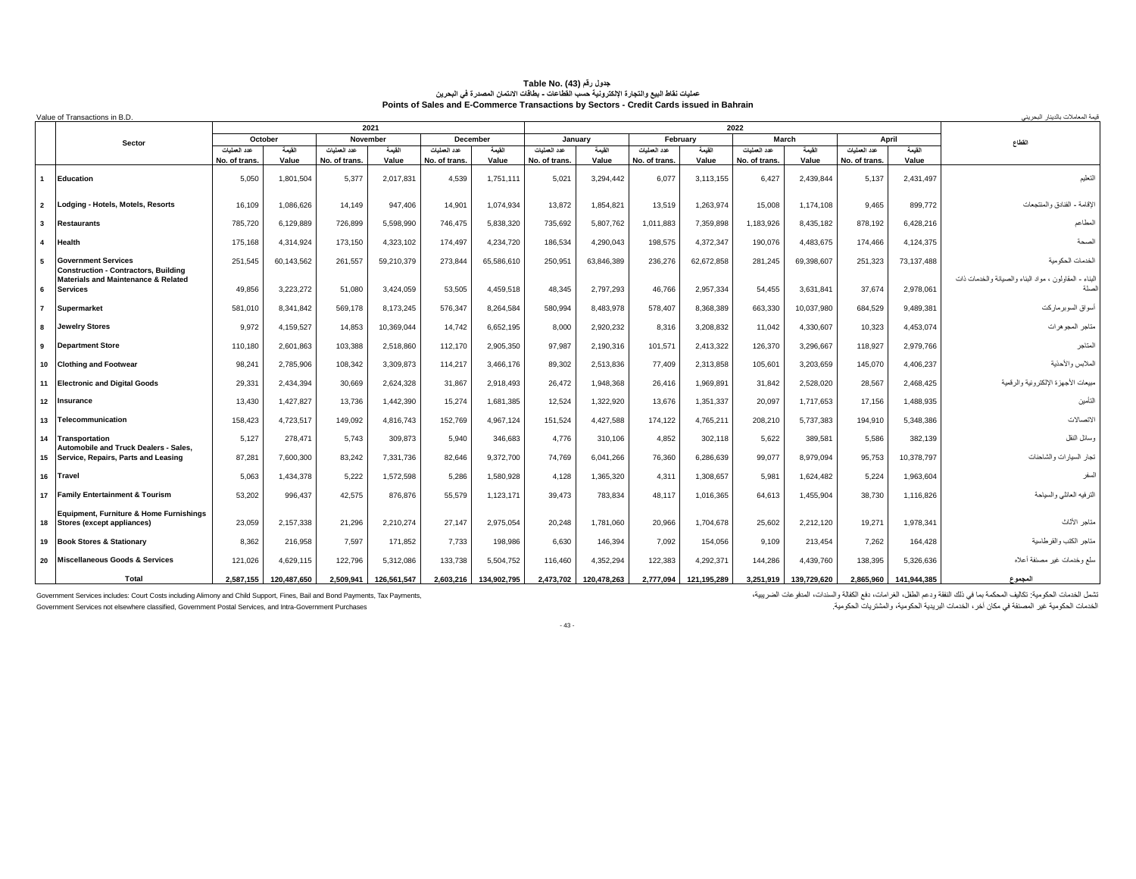|                | Value of Transactions in B.D.                                                    |              |                   |                          |             |              |                    |               |                   |                          |             |                       |             |               |                 | قيمة المعاملات بالديذار البحريني                       |
|----------------|----------------------------------------------------------------------------------|--------------|-------------------|--------------------------|-------------|--------------|--------------------|---------------|-------------------|--------------------------|-------------|-----------------------|-------------|---------------|-----------------|--------------------------------------------------------|
|                |                                                                                  |              |                   |                          | 2021        |              |                    |               |                   |                          |             | 2022                  |             |               |                 |                                                        |
|                | <b>Sector</b>                                                                    | عدد العمليات | October<br>القيمة | November<br>عدد العمليات | القيمة      | عدد العمليات | December<br>القيمة | عدد العمليات  | January<br>القيمة | February<br>عدد العمليات | القيمة      | March<br>عدد العمليات | القيمة      | عدد العملبات  | April<br>القيمة | القطاع                                                 |
|                |                                                                                  | No. of trans | Value             | No. of trans             | Value       | No. of trans | Value              | No. of trans. | Value             | No. of trans.            | Value       | No. of trans.         | Value       | No. of trans. | Value           |                                                        |
| $\mathbf{1}$   | Education                                                                        | 5.050        | 1.801.504         | 5,377                    | 2.017.831   | 4.539        | 1,751,111          | 5.021         | 3.294.442         | 6,077                    | 3.113.155   | 6,427                 | 2.439.844   | 5.137         | 2,431,497       | التعليم                                                |
| $\overline{2}$ | Lodaina - Hotels, Motels, Resorts                                                | 16.109       | 1,086,626         | 14,149                   | 947.406     | 14,901       | 1,074,934          | 13.872        | 1,854,821         | 13,519                   | 1,263,974   | 15,008                | 1,174,108   | 9.465         | 899,772         | الاقامة - الفنادق والمنتجعات                           |
| $\mathbf{3}$   | <b>Restaurants</b>                                                               | 785,720      | 6,129,889         | 726,899                  | 5.598.990   | 746.475      | 5,838,320          | 735.692       | 5.807.762         | 1.011.883                | 7,359,898   | 1,183,926             | 8.435.182   | 878.192       | 6,428,216       | المطاعم                                                |
| $\overline{a}$ | Health                                                                           | 175,168      | 4,314,924         | 173,150                  | 4,323,102   | 174.497      | 4,234,720          | 186,534       | 4,290,043         | 198,575                  | 4,372,347   | 190,076               | 4,483,675   | 174.466       | 4,124,375       | الصحة                                                  |
| 5              | <b>Government Services</b><br><b>Construction - Contractors, Building</b>        | 251.545      | 60,143,562        | 261.557                  | 59.210.379  | 273.844      | 65,586,610         | 250.951       | 63,846,389        | 236,276                  | 62,672,858  | 281.245               | 69.398.607  | 251.323       | 73,137,488      | الخدمات الحكومية                                       |
| 6              | <b>Materials and Maintenance &amp; Related</b><br><b>Services</b>                | 49.856       | 3,223,272         | 51.080                   | 3.424.059   | 53.505       | 4.459.518          | 48.345        | 2,797,293         | 46.766                   | 2.957.334   | 54.455                | 3,631,841   | 37.674        | 2,978,061       | البناء - المقاولون ، مواد البناء والصيانة والخدمات ذات |
| $\overline{7}$ | <b>Supermarket</b>                                                               | 581,010      | 8,341,842         | 569,178                  | 8,173,245   | 576,347      | 8,264,584          | 580,994       | 8,483,978         | 578,407                  | 8,368,389   | 663,330               | 10,037,980  | 684,529       | 9,489,381       | أسواق السوبرماركت                                      |
| 8              | <b>Jewelry Stores</b>                                                            | 9.972        | 4,159,527         | 14,853                   | 10,369,044  | 14.742       | 6,652,195          | 8.000         | 2,920,232         | 8,316                    | 3,208,832   | 11,042                | 4,330,607   | 10,323        | 4,453,074       | متلجر المجوهرات                                        |
| 9              | Department Store                                                                 | 110,180      | 2.601.863         | 103,388                  | 2,518,860   | 112.170      | 2,905,350          | 97.987        | 2,190,316         | 101,571                  | 2,413,322   | 126,370               | 3.296.667   | 118.927       | 2,979,766       | المتاجر                                                |
| 10             | <b>Clothing and Footwear</b>                                                     | 98,24'       | 2,785,906         | 108,342                  | 3,309,873   | 114,217      | 3,466,176          | 89.302        | 2,513,836         | 77,409                   | 2,313,858   | 105,60                | 3,203,659   | 145,070       | 4,406,237       | لملابس والأحذية                                        |
|                | 11 Electronic and Digital Goods                                                  | 29.331       | 2.434.394         | 30,669                   | 2.624.328   | 31.867       | 2.918.493          | 26.472        | 1,948,368         | 26.416                   | 1.969.891   | 31.842                | 2.528.020   | 28.567        | 2,468,425       | مبيعات الأجهزة الإلكترونية والرقمية                    |
|                | 12 Insurance                                                                     | 13.430       | 1,427,827         | 13,736                   | 1.442.390   | 15,274       | 1,681,385          | 12.524        | 1,322,920         | 13,676                   | 1,351,337   | 20,097                | 1,717,653   | 17.156        | 1,488,935       | التأمين                                                |
| 13             | Telecommunication                                                                | 158,423      | 4,723,517         | 149,092                  | 4,816,743   | 152,769      | 4,967,124          | 151,524       | 4,427,588         | 174,122                  | 4,765,211   | 208,210               | 5,737,383   | 194,910       | 5,348,386       | الاتصالات                                              |
| 14             | Transportation<br><b>Automobile and Truck Dealers - Sales.</b>                   | 5.127        | 278,471           | 5.743                    | 309.873     | 5.940        | 346,683            | 4.776         | 310,106           | 4,852                    | 302.118     | 5.622                 | 389,581     | 5.586         | 382,139         | وسائل النقل                                            |
|                | 15 Service, Repairs, Parts and Leasing                                           | 87.281       | 7.600.300         | 83.242                   | 7.331.736   | 82.646       | 9.372.700          | 74.769        | 6.041.266         | 76,360                   | 6.286.639   | 99.077                | 8.979.094   | 95.753        | 10,378,797      | نجار السيارات والشاحنات                                |
|                | 16 Trave                                                                         | 5.063        | 1,434,378         | 5.222                    | 1.572.598   | 5.286        | 1,580,928          | 4.128         | 1,365,320         | 4.311                    | 1,308,657   | 5.981                 | 1.624.482   | 5.224         | 1,963,604       | السفر                                                  |
|                | 17 Family Entertainment & Tourism                                                | 53,202       | 996.437           | 42.575                   | 876.876     | 55.579       | 1.123.171          | 39.473        | 783.834           | 48.117                   | 1.016.365   | 64.613                | 1.455.904   | 38.730        | 1.116.826       | الترفيه العانلي والسياحة                               |
| 18             | <b>Equipment, Furniture &amp; Home Furnishings</b><br>Stores (except appliances) | 23,059       | 2,157,338         | 21,296                   | 2,210,274   | 27.147       | 2,975,054          | 20,248        | 1,781,060         | 20,966                   | 1.704.678   | 25,602                | 2,212,120   | 19,271        | 1,978,341       | متاجر الأثاث                                           |
|                | 19 Book Stores & Stationary                                                      | 8,362        | 216,958           | 7,597                    | 171.852     | 7.733        | 198,986            | 6.630         | 146,394           | 7,092                    | 154.056     | 9,109                 | 213,454     | 7.262         | 164,428         | متاجر الكتب والقرطاسية                                 |
| 20             | Miscellaneous Goods & Services                                                   | 121.026      | 4.629.115         | 122.796                  | 5.312.086   | 133.738      | 5.504.752          | 116,460       | 4.352.294         | 122.383                  | 4.292.371   | 144.286               | 4.439.760   | 138.395       | 5.326.636       | سلع وخدمات غير مصنفة أعلاه                             |
|                | Total                                                                            | 2.587.155    | 120.487.650       | 2.509.941                | 126.561.547 | 2.603.216    | 134.902.795        | 2.473.702     | 120.478.263       | 2.777,094                | 121.195.289 | 3.251.919             | 139.729.620 | 2.865.960     | 141.944.385     | المجموع                                                |

# Table No. (43) قاط اللبع والنجارة المجول رفم (43) .<br>عمليات نقاط البيع والنجار 5 الإنكتريدية المسافحات - بطلقات الإنتمان المصدرة في البحرين<br>Points of Sales and E-Commerce Transactions by Sectors - Credit Cards issued in Ba

Government Services includes: Court Costs including Alimony and Child Support, Fines, Bail and Bond Payments, Tax Payments,<br>Government Services not elsewhere classified, Government Postal Services, and Intra-Government Pur

تثمل الخدمات الحكومية: تكاليف المحكمة بما في نلك النفقة ودعم الطفل، الغز امات، دفع الكفلة والمندات، المدفوعات الضريبية،<br>الخدمات الحكومية غير المصنفة في مكان آخر ، الخدمات البريدية الحكومية، والمثنثريات الحكومية.

- 43 -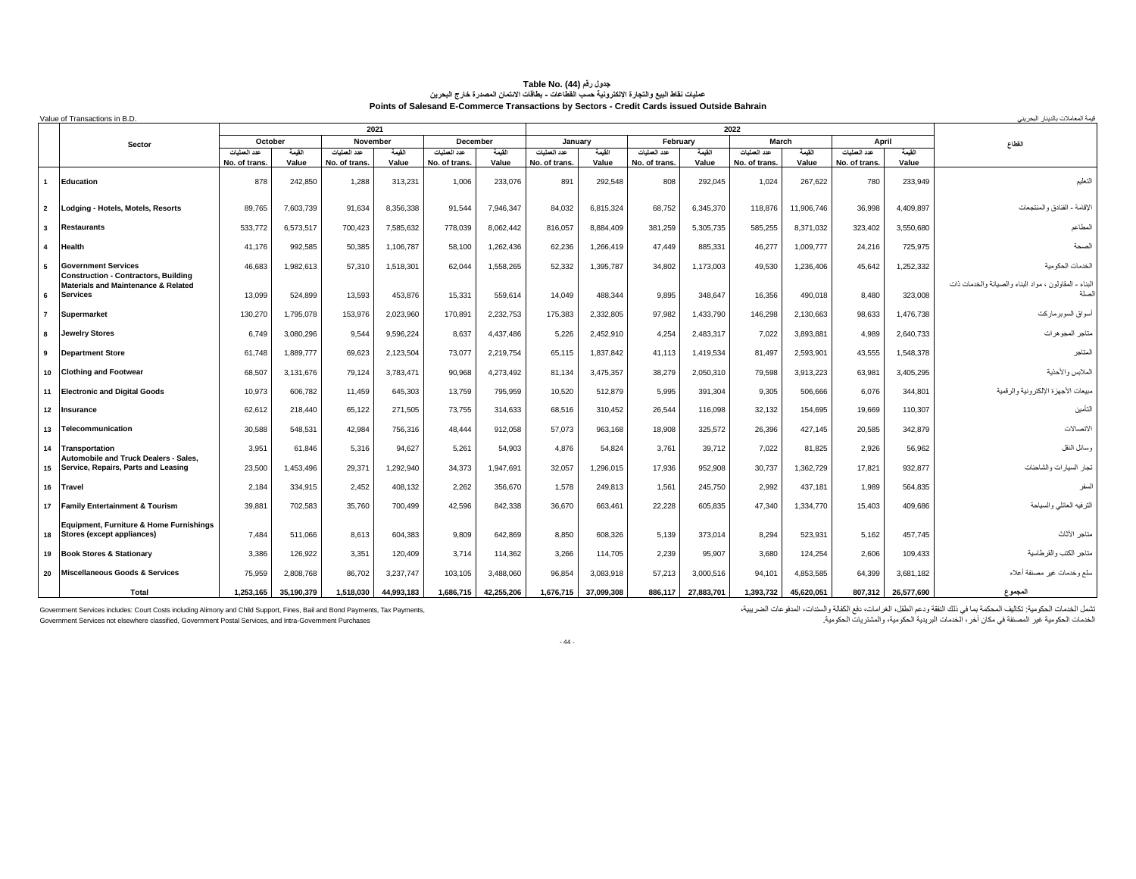### جدول رقم Table No. (44)<br>عمليات نقاط البيع والنجارة الإلكترونية حسب الفطاعات - بطاقات الانتمان المصدرة خارج البحرين **Points of Salesand E-Commerce Transactions by Sectors - Credit Cards issued Outside Bahrain**

|                | Value of Transactions in B.D.                                             |               |            |               |            |                 |            |               |            |               |            |               |            |              |            | قيمة المعاملات بالديذار البحريني                      |
|----------------|---------------------------------------------------------------------------|---------------|------------|---------------|------------|-----------------|------------|---------------|------------|---------------|------------|---------------|------------|--------------|------------|-------------------------------------------------------|
|                |                                                                           |               |            |               | 2021       |                 |            |               |            |               |            | 2022          |            |              |            |                                                       |
|                | Sector                                                                    | October       |            | November      |            | <b>December</b> |            | January       |            | February      |            | March         |            | April        |            | القطاع                                                |
|                |                                                                           | عدد العمليات  | القمة      | عدد العمليات  | القيمة     | عدد العمليات    | القمة      | عدد العمليات  | القيمة     | عدد العمليات  | القيمة     | عدد العملبات  | القمة      | عدد العمليات | القيمة     |                                                       |
|                |                                                                           | No. of trans. | Value      | No. of trans. | Value      | No. of trans.   | Value      | No. of trans. | Value      | No. of trans. | Value      | No. of trans. | Value      | No. of trans | Value      |                                                       |
|                | Education                                                                 | 878           | 242,850    | 1,288         | 313,231    | 1,006           | 233,076    | 891           | 292,548    | 808           | 292,045    | 1,024         | 267,622    | 780          | 233,949    | التعليم                                               |
| $\overline{2}$ | Lodging - Hotels, Motels, Resorts                                         | 89.765        | 7,603,739  | 91.634        | 8,356,338  | 91.544          | 7,946,347  | 84.032        | 6,815,324  | 68,752        | 6,345,370  | 118,876       | 11,906,746 | 36,998       | 4,409,897  | الاقامة - الفنادق والمنتجعات                          |
| $\mathbf{3}$   | <b>Restaurants</b>                                                        | 533,772       | 6.573.517  | 700,423       | 7.585.632  | 778.039         | 8.062.442  | 816,057       | 8.884.409  | 381,259       | 5,305,735  | 585.255       | 8,371,032  | 323.402      | 3,550,680  | المطاعد                                               |
| 4              | Health                                                                    | 41,176        | 992,585    | 50,385        | 1,106,787  | 58,100          | 1,262,436  | 62,236        | 1,266,419  | 47.449        | 885,331    | 46,277        | 1,009,777  | 24,216       | 725,975    | الصحة                                                 |
| $5^{\circ}$    | <b>Government Services</b><br><b>Construction - Contractors, Building</b> | 46,683        | 1,982,613  | 57,310        | 1,518,301  | 62.044          | 1,558,265  | 52,332        | 1,395,787  | 34,802        | 1,173,003  | 49,530        | 1,236,406  | 45.642       | 1,252,332  | الخدمات الحكو مبة                                     |
| 6              | Materials and Maintenance & Related<br><b>Services</b>                    | 13,099        | 524.899    | 13.593        | 453.876    | 15,331          | 559.614    | 14.049        | 488,344    | 9.895         | 348.647    | 16,356        | 490.018    | 8.480        | 323,008    | لبناء - المقاولون ، مواد البناء والصيانة والخدمات ذات |
| $\overline{7}$ | Supermarket                                                               | 130.270       | 1.795.078  | 153.976       | 2.023.960  | 170,891         | 2,232,753  | 175.383       | 2.332.805  | 97.982        | 1,433,790  | 146.298       | 2,130,663  | 98.633       | 1,476,738  | أسواق السوبرماركت                                     |
| 8              | <b>Jewelry Stores</b>                                                     | 6.749         | 3,080,296  | 9,544         | 9,596,224  | 8,637           | 4,437,486  | 5.226         | 2,452,910  | 4,254         | 2,483,317  | 7,022         | 3,893,881  | 4.989        | 2,640,733  | متاجر المجوهرات                                       |
| 9              | <b>Department Store</b>                                                   | 61.748        | 1.889.777  | 69,623        | 2,123,504  | 73,077          | 2,219,754  | 65.115        | 1,837,842  | 41,113        | 1,419,534  | 81.497        | 2,593,901  | 43.555       | 1,548,378  | المتاجر                                               |
|                | 10 Clothing and Footwear                                                  | 68,507        | 3.131.676  | 79.124        | 3.783.471  | 90.968          | 4.273.492  | 81.134        | 3,475,357  | 38.279        | 2.050.310  | 79.598        | 3.913.223  | 63.981       | 3.405.295  | الملابس والأحذية                                      |
|                | 11 Electronic and Digital Goods                                           | 10,973        | 606,782    | 11,459        | 645,303    | 13,759          | 795,959    | 10,520        | 512,879    | 5,995         | 391,304    | 9,305         | 506,666    | 6,076        | 344,801    | مبيعات الأجهزة الإلكترونية والرقمية                   |
| 12             | Insurance                                                                 | 62.612        | 218,440    | 65.122        | 271.505    | 73.755          | 314.633    | 68.516        | 310.452    | 26.544        | 116.098    | 32,132        | 154.695    | 19.669       | 110,307    | التأمين                                               |
| 13             | Telecommunication                                                         | 30,588        | 548,531    | 42,984        | 756,316    | 48,444          | 912,058    | 57,073        | 963,168    | 18,908        | 325,572    | 26,396        | 427.145    | 20,585       | 342,879    | لاتصالات                                              |
| 14             | Transportation<br>Automobile and Truck Dealers - Sales.                   | 3,951         | 61.846     | 5,316         | 94,627     | 5,261           | 54,903     | 4.876         | 54,824     | 3,761         | 39.712     | 7,022         | 81.825     | 2.926        | 56,962     | وسانل النقل                                           |
| 15             | Service, Repairs, Parts and Leasing                                       | 23,500        | 1,453,496  | 29,371        | 1,292,940  | 34,373          | 1.947.691  | 32.057        | 1,296,015  | 17,936        | 952,908    | 30,737        | 1,362,729  | 17.821       | 932,877    | نجار المىيارات والشاحنات                              |
|                | 16 Travel                                                                 | 2,184         | 334,915    | 2.452         | 408,132    | 2,262           | 356,670    | 1.578         | 249,813    | 1,561         | 245,750    | 2,992         | 437,181    | 1.989        | 564,835    | المىفر                                                |
|                | 17 Family Entertainment & Tourism                                         | 39,881        | 702.583    | 35,760        | 700,499    | 42,596          | 842,338    | 36,670        | 663,461    | 22,228        | 605,835    | 47.340        | 1,334,770  | 15.403       | 409,686    | الترفيه العانلي والسياحة                              |
| 18             | Equipment, Furniture & Home Furnishings<br>Stores (except appliances)     | 7.484         | 511.066    | 8.613         | 604.383    | 9.809           | 642.869    | 8.850         | 608.326    | 5.139         | 373.014    | 8.294         | 523.931    | 5.162        | 457.745    | متاجر الأثاث                                          |
|                | 19 Book Stores & Stationary                                               | 3,386         | 126,922    | 3,351         | 120,409    | 3.714           | 114,362    | 3.266         | 114,705    | 2,239         | 95,907     | 3,680         | 124,254    | 2.606        | 109,433    | مناجر الكتب والقرطاسية                                |
|                | 20 Miscellaneous Goods & Services                                         | 75.959        | 2.808.768  | 86.702        | 3,237,747  | 103,105         | 3,488,060  | 96.854        | 3,083,918  | 57,213        | 3,000,516  | 94.101        | 4.853.585  | 64.399       | 3,681,182  | سلع وخدمات غير مصنفة أعلاه                            |
|                | <b>Total</b>                                                              | 1.253.165     | 35.190.379 | 1.518.030     | 44.993.183 | 1.686.715       | 42.255.206 | 1.676.715     | 37.099.308 | 886.117       | 27.883.701 | 1.393.732     | 45.620.051 | 807.312      | 26.577.690 | المجموع                                               |

ثقمل المحكمة بمن الفي المعكمة بما في الثقة ودع الطفل الغرامات، نفع الكفاف المنفع المستحدر المستحدين المستحدث المستحدين المستحدين المستحدين المستحدين المستحدين المستحدين المستحدين المستحدين المستحدين المستحدين المستحدين ال الخدمات الحكومية غير المصنفة في مكان آخر، الخدمات البريدية الحكومية، والمشتريات الحكومية. Purchases Government-Intra and ,Services Postal Government ,classified elsewhere not Services Government

- 44 -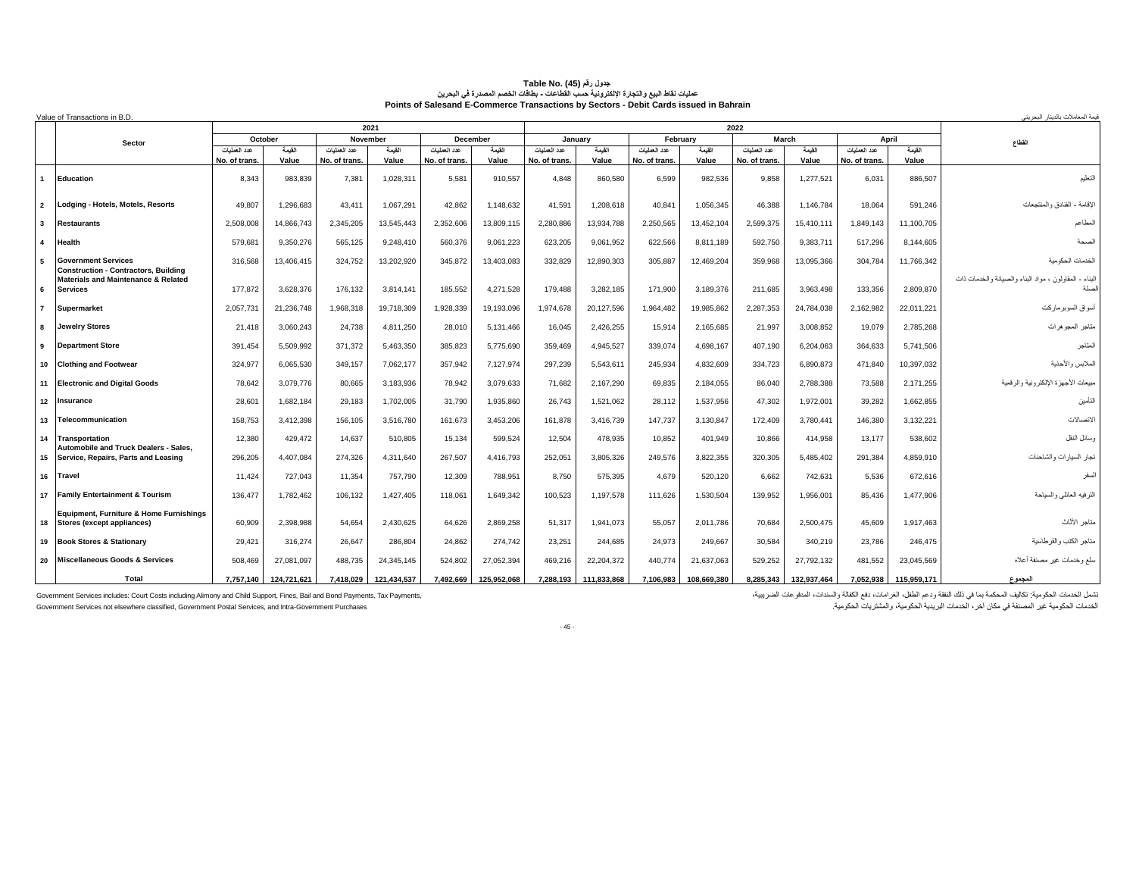|                | Value of Transactions in B.D.                                                    |               |                   |                          |             |               |                    |               |                   |                          |             |                       |             |               |                 | قيمة المعاملات بالديذار البحر ينے                      |
|----------------|----------------------------------------------------------------------------------|---------------|-------------------|--------------------------|-------------|---------------|--------------------|---------------|-------------------|--------------------------|-------------|-----------------------|-------------|---------------|-----------------|--------------------------------------------------------|
|                |                                                                                  |               |                   |                          | 2021        |               |                    |               |                   |                          |             | 2022                  |             |               |                 |                                                        |
|                | Sector                                                                           | عدد العمليات  | October<br>القيمة | November<br>عدد العمليات | القيمة      | عدد العمليات  | December<br>القيمة | عدد العطيات   | January<br>القيمة | February<br>عدد العمليات | القيمة      | March<br>عدد العمليات | القيمة      | عدد العمليات  | April<br>القيمة | القطاع                                                 |
|                |                                                                                  | No. of trans. | Value             | No. of trans             | Value       | No. of trans. | Value              | No. of trans. | Value             | No. of trans.            | Value       | No. of trans.         | Value       | No. of trans. | Value           |                                                        |
|                | Education                                                                        | 8.343         | 983.839           | 7,381                    | 1.028.311   | 5,581         | 910.557            | 4.848         | 860,580           | 6.599                    | 982.536     | 9,858                 | 1,277,521   | 6,031         | 886,507         | التعليم                                                |
| $\overline{2}$ | Lodging - Hotels, Motels, Resorts                                                | 49.807        | 1.296.683         | 43,411                   | 1.067.291   | 42.862        | 1,148,632          | 41.591        | 1,208,618         | 40,841                   | 1,056,345   | 46.388                | 1,146,784   | 18.064        | 591,246         | الإقامة - الفنادق والمنتجعات                           |
| $\mathbf{3}$   | <b>Restaurants</b>                                                               | 2.508.008     | 14.866.743        | 2.345.205                | 13.545.443  | 2.352.606     | 13.809.115         | 2.280.886     | 13,934,788        | 2.250.565                | 13.452.104  | 2.599.375             | 15.410.111  | 1.849.143     | 11,100,705      | المطاعم                                                |
| $\mathbf{A}$   | Health                                                                           | 579,681       | 9,350,276         | 565,125                  | 9,248,410   | 560,376       | 9,061,223          | 623,205       | 9,061,952         | 622,566                  | 8,811,189   | 592,750               | 9,383,711   | 517,296       | 8,144,605       | الصحة                                                  |
| -5             | <b>Government Services</b><br><b>Construction - Contractors, Building</b>        | 316,568       | 13,406,415        | 324,752                  | 13.202.920  | 345,872       | 13,403,083         | 332.829       | 12,890,303        | 305,887                  | 12,469,204  | 359.968               | 13,095,366  | 304.784       | 11,766,342      | الخدمات الحكومية                                       |
| 6              | <b>Materials and Maintenance &amp; Related</b><br><b>Services</b>                | 177.872       | 3,628,376         | 176,132                  | 3.814.141   | 185,552       | 4,271,528          | 179,488       | 3,282,185         | 171.900                  | 3,189,376   | 211,685               | 3,963,498   | 133,356       | 2,809,870       | البناء - المقاولون ، مواد البناء والصيانة والخدمات ذات |
| $\overline{7}$ | Supermarket                                                                      | 2,057,731     | 21,236,748        | 1,968,318                | 19.718.309  | 1,928,339     | 19,193,096         | 1.974.678     | 20,127,596        | 1.964.482                | 19,985,862  | 2,287,353             | 24.784.038  | 2,162,982     | 22,011,221      | أسواق السوبرماركت                                      |
| 8              | <b>Jewelry Stores</b>                                                            | 21,418        | 3,060,243         | 24,738                   | 4,811,250   | 28,010        | 5,131,466          | 16,045        | 2,426,255         | 15,914                   | 2,165,685   | 21,997                | 3,008,852   | 19,079        | 2,785,268       | متاجر المجوهرات                                        |
| 9              | <b>Department Store</b>                                                          | 391.454       | 5.509.992         | 371,372                  | 5,463,350   | 385,823       | 5.775.690          | 359.469       | 4,945,527         | 339,074                  | 4,698,167   | 407.190               | 6,204,063   | 364.633       | 5,741,506       | المتاجر                                                |
| 10             | <b>Clothing and Footwear</b>                                                     | 324.977       | 6.065.530         | 349,157                  | 7.062.177   | 357.942       | 7.127.974          | 297.239       | 5,543,611         | 245.934                  | 4.832.609   | 334.723               | 6.890.873   | 471.840       | 10,397,032      | الملابس والأحذية                                       |
| 11             | <b>Electronic and Digital Goods</b>                                              | 78.642        | 3,079,776         | 80,665                   | 3,183,936   | 78,942        | 3,079,633          | 71.682        | 2,167,290         | 69,835                   | 2,184,055   | 86,040                | 2,788,388   | 73.588        | 2,171,255       | مبيعات الأجهزة الإلكترونية والرقمية                    |
| 12             | Insurance                                                                        | 28,601        | 1,682,184         | 29,183                   | 1,702,005   | 31,790        | 1,935,860          | 26,743        | 1,521,062         | 28,112                   | 1,537,956   | 47,302                | 1,972,001   | 39,282        | 1,662,855       | التأمين                                                |
| 13             | Telecommunication                                                                | 158,753       | 3,412,398         | 156.105                  | 3.516.780   | 161.673       | 3,453,206          | 161.878       | 3,416,739         | 147.737                  | 3,130,847   | 172.409               | 3.780.441   | 146.380       | 3,132,221       | الاتصالات                                              |
| 14             | Transportation<br><b>Automobile and Truck Dealers - Sales</b>                    | 12,380        | 429.472           | 14,637                   | 510.805     | 15.134        | 599.524            | 12.504        | 478,935           | 10,852                   | 401.949     | 10.866                | 414.958     | 13.177        | 538,602         | وسائل النقل                                            |
| 15             | Service, Repairs, Parts and Leasing                                              | 296,205       | 4,407,084         | 274,326                  | 4,311,640   | 267.507       | 4,416,793          | 252,051       | 3,805,326         | 249,576                  | 3,822,355   | 320,305               | 5,485,402   | 291.384       | 4,859,910       | تجار السيارات والشاحنات                                |
| 16             | <b>Travel</b>                                                                    | 11.424        | 727.043           | 11.354                   | 757.790     | 12.309        | 788.951            | 8.750         | 575,395           | 4.679                    | 520.120     | 6.662                 | 742.631     | 5.536         | 672.616         | السفر                                                  |
| 17             | <b>Family Entertainment &amp; Tourism</b>                                        | 136,477       | 1,782,462         | 106,132                  | 1,427,405   | 118,061       | 1,649,342          | 100,523       | 1,197,578         | 111,626                  | 1,530,504   | 139,952               | 1,956,001   | 85.436        | 1,477,906       | الترفيه العانلي والسياحة                               |
| 18             | <b>Equipment. Furniture &amp; Home Furnishings</b><br>Stores (except appliances) | 60,909        | 2,398,988         | 54,654                   | 2,430,625   | 64,626        | 2,869,258          | 51.317        | 1,941,073         | 55,057                   | 2,011,786   | 70,684                | 2,500,475   | 45.609        | 1,917,463       | متاجر الأثاث                                           |
| 19             | <b>Book Stores &amp; Stationary</b>                                              | 29,421        | 316,274           | 26,647                   | 286,804     | 24,862        | 274.742            | 23,251        | 244,685           | 24,973                   | 249,667     | 30,584                | 340,219     | 23,786        | 246,475         | متاجر الكتب والقرطاسية                                 |
| 20             | Miscellaneous Goods & Services                                                   | 508.469       | 27,081,097        | 488,735                  | 24,345,145  | 524.802       | 27,052,394         | 469,216       | 22,204,372        | 440.774                  | 21,637,063  | 529,252               | 27,792,132  | 481.552       | 23,045,569      | سلع وخدمات غير مصنفة أعلاه                             |
|                | <b>Total</b>                                                                     | 7.757.140     | 124.721.621       | 7.418.029                | 121.434.537 | 7.492.669     | 125.952.068        | 7.288,193     | 111.833.868       | 7.106.983                | 108.669.380 | 8.285.343             | 132,937,464 | 7.052.938     | 115.959.171     | المجموع                                                |

# Table No. (45) (المقر (15) Table No. (45)<br>عمليات نقاط البيع والتجارة الإنكترندية بمنطقاعات . بطلقات الفصم المصدرة في البحرين<br>Points of Salesand E-Commerce Transactions by Sectors - Debit Cards issued in Bahrain

Government Services includes: Court Costs including Alimony and Child Support, Fines, Bail and Bond Payments, Tax Payments,<br>Government Services not elsewhere classified, Government Postal Services, and Intra-Government Pur

تثمل الخدمات الحكومية: تكاليف المحكمة بما في نلك النفقة ودعم الطفل، الغز امات، دفع الكفلة والمندات، المدفوعات الضريبية،<br>الخدمات الحكومية غير المصنفة في مكان آخر ، الخدمات البريدية الحكومية، والمثنثريات الحكومية.

- 45 -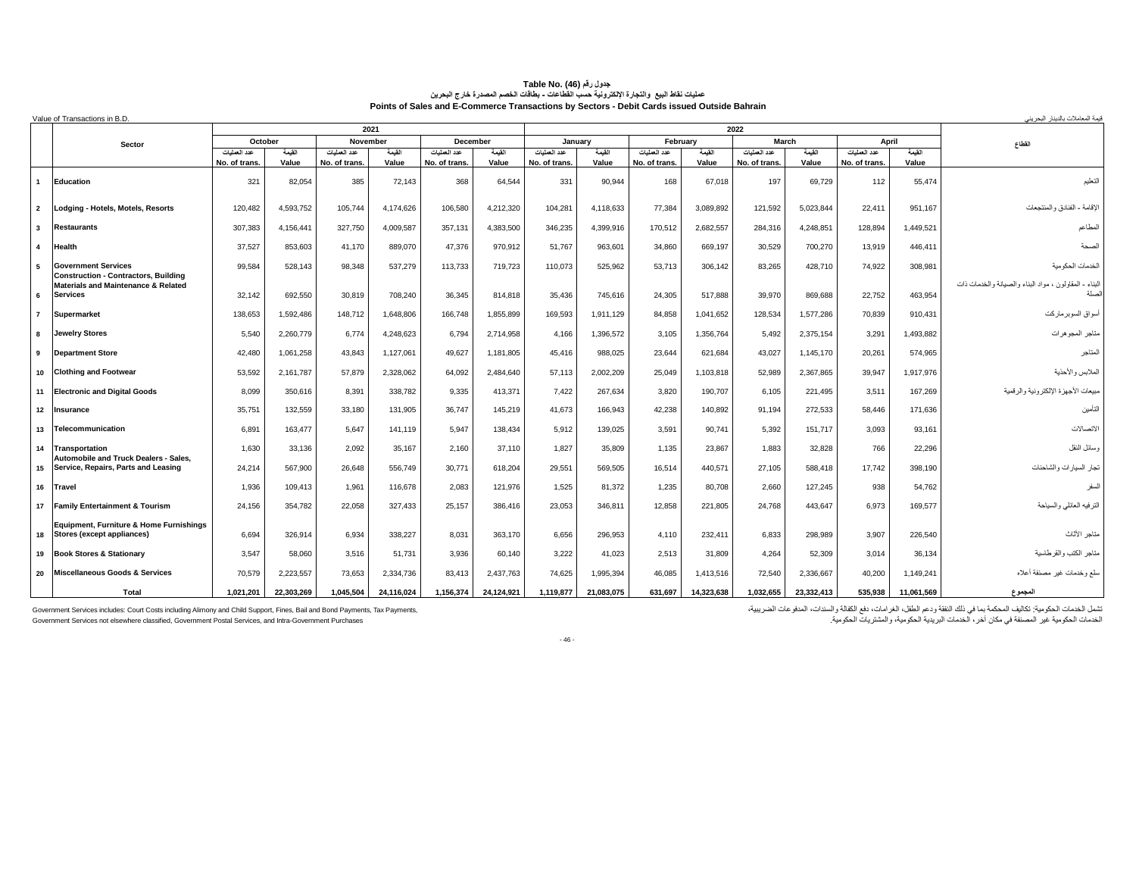| Value of Transactions in B.D.<br>2021<br>2022 |                                                                                  |                              |                 |                               |                 |                               |                 |                               |                 |                              |                 |                               | قيمة المعاملات بالديذار البحر ينے |                               |                 |                                                       |
|-----------------------------------------------|----------------------------------------------------------------------------------|------------------------------|-----------------|-------------------------------|-----------------|-------------------------------|-----------------|-------------------------------|-----------------|------------------------------|-----------------|-------------------------------|-----------------------------------|-------------------------------|-----------------|-------------------------------------------------------|
|                                               |                                                                                  |                              |                 |                               |                 |                               |                 |                               |                 |                              |                 |                               |                                   |                               |                 |                                                       |
|                                               | Sector                                                                           | October                      |                 | November                      |                 | December                      |                 | January                       |                 | February                     |                 | March                         |                                   | April                         |                 | القطاع                                                |
|                                               |                                                                                  | عدد العمليات<br>No. of trans | القيمة<br>Value | عدد العمليات<br>No. of trans. | القيمة<br>Value | عدد العملبات<br>No. of trans. | القيمة<br>Value | عدد العمليات<br>No. of trans. | القيمة<br>Value | عدد العمليات<br>No. of trans | القيمة<br>Value | عدد العمليات<br>No. of trans. | القيمة<br>Value                   | عدد العمليات<br>No. of trans. | القيمة<br>Value |                                                       |
| $\mathbf{1}$                                  | Education                                                                        | 321                          | 82,054          | 385                           | 72.143          | 368                           | 64,544          | 331                           | 90,944          | 168                          | 67.018          | 197                           | 69,729                            | 112                           | 55,474          | التعليم                                               |
| $\overline{2}$                                | Lodging - Hotels, Motels, Resorts                                                | 120,482                      | 4,593,752       | 105,744                       | 4.174.626       | 106,580                       | 4.212.320       | 104.281                       | 4,118,633       | 77.384                       | 3.089.892       | 121.592                       | 5,023,844                         | 22,411                        | 951.167         | لإقامة - الفنادق والمنتجعات                           |
| $\mathbf{3}$                                  | <b>Restaurants</b>                                                               | 307.383                      | 4,156,441       | 327,750                       | 4.009.587       | 357.131                       | 4.383.500       | 346.235                       | 4,399,916       | 170,512                      | 2.682.557       | 284.316                       | 4.248.851                         | 128.894                       | 1,449,521       | المطاعم                                               |
| $\overline{4}$                                | Health                                                                           | 37,527                       | 853.603         | 41.170                        | 889.070         | 47.376                        | 970.912         | 51.767                        | 963.601         | 34,860                       | 669.197         | 30.529                        | 700.270                           | 13.919                        | 446.411         | الصحة                                                 |
| $5^{\circ}$                                   | <b>Government Services</b><br><b>Construction - Contractors, Building</b>        | 99.584                       | 528,143         | 98,348                        | 537,279         | 113,733                       | 719,723         | 110,073                       | 525,962         | 53,713                       | 306,142         | 83,265                        | 428,710                           | 74.922                        | 308,981         | الخدمات الحكو مية                                     |
| 6                                             | Materials and Maintenance & Related<br><b>Services</b>                           | 32.142                       | 692,550         | 30,819                        | 708.240         | 36.345                        | 814.818         | 35.436                        | 745,616         | 24,305                       | 517.888         | 39,970                        | 869,688                           | 22.752                        | 463,954         | لبناء - المقاولون ، مواد البناء والصيانة والخدمات ذات |
| $\overline{7}$                                | Supermarket                                                                      | 138.653                      | 1.592.486       | 148.712                       | 1.648.806       | 166.748                       | 1.855.899       | 169.593                       | 1.911.129       | 84.858                       | 1.041.652       | 128,534                       | 1.577.286                         | 70,839                        | 910,431         | أسواق السوبرماركت                                     |
| 8                                             | <b>Jewelry Stores</b>                                                            | 5.540                        | 2,260,779       | 6,774                         | 4,248,623       | 6.794                         | 2,714,958       | 4.166                         | 1,396,572       | 3,105                        | 1,356,764       | 5,492                         | 2,375,154                         | 3.291                         | 1,493,882       | متاجر المجوهرات                                       |
| 9                                             | <b>Department Store</b>                                                          | 42,480                       | 1,061,258       | 43.843                        | 1.127.061       | 49.627                        | 1,181,805       | 45.416                        | 988.025         | 23.644                       | 621.684         | 43.027                        | 1,145,170                         | 20.261                        | 574.965         | المتاجر                                               |
| 10                                            | <b>Clothing and Footwear</b>                                                     | 53.592                       | 2.161.787       | 57.879                        | 2.328.062       | 64.092                        | 2.484.640       | 57.113                        | 2.002.209       | 25.049                       | 1.103.818       | 52.989                        | 2.367.865                         | 39.947                        | 1,917,976       | الملابس والأحذية                                      |
| 11                                            | <b>Electronic and Digital Goods</b>                                              | 8.099                        | 350,616         | 8,391                         | 338,782         | 9,335                         | 413,371         | 7.422                         | 267,634         | 3,820                        | 190,707         | 6,105                         | 221,495                           | 3.511                         | 167,269         | مبيعات الأجهزة الإلكترونية والرقمية                   |
| 12                                            | Insurance                                                                        | 35,751                       | 132,559         | 33,180                        | 131,905         | 36.747                        | 145,219         | 41.673                        | 166,943         | 42,238                       | 140.892         | 91.194                        | 272,533                           | 58.446                        | 171,636         | التأمين                                               |
| 13                                            | Telecommunication                                                                | 6,891                        | 163,477         | 5,647                         | 141.119         | 5,947                         | 138,434         | 5.912                         | 139,025         | 3,591                        | 90,741          | 5,392                         | 151.717                           | 3,093                         | 93,161          | لاتصالات                                              |
| 14                                            | Transportation<br><b>Automobile and Truck Dealers - Sales.</b>                   | 1.630                        | 33,136          | 2.092                         | 35.167          | 2.160                         | 37.110          | 1.827                         | 35.809          | 1,135                        | 23,867          | 1,883                         | 32.828                            | 766                           | 22,296          | وسائل النقل                                           |
| 15                                            | Service, Repairs, Parts and Leasing                                              | 24,214                       | 567,900         | 26,648                        | 556,749         | 30,771                        | 618,204         | 29,551                        | 569,505         | 16,514                       | 440,571         | 27,105                        | 588,418                           | 17.742                        | 398,190         | تجار السيارات والشاحنات                               |
| 16                                            | Travel                                                                           | 1,936                        | 109.413         | 1,961                         | 116,678         | 2,083                         | 121.976         | 1.525                         | 81.372          | 1,235                        | 80.708          | 2,660                         | 127.245                           | 938                           | 54,762          | السفر                                                 |
| 17                                            | <b>Family Entertainment &amp; Tourism</b>                                        | 24.156                       | 354.782         | 22.058                        | 327.433         | 25.157                        | 386.416         | 23.053                        | 346.811         | 12.858                       | 221.805         | 24.768                        | 443.647                           | 6.973                         | 169,577         | الترفيه العانلي والسياحة                              |
| 18                                            | <b>Equipment, Furniture &amp; Home Furnishings</b><br>Stores (except appliances) | 6.694                        | 326.914         | 6,934                         | 338.227         | 8.031                         | 363.170         | 6.656                         | 296,953         | 4,110                        | 232,411         | 6,833                         | 298.989                           | 3.907                         | 226,540         | متاجر الأثاث                                          |
| 19                                            | <b>Book Stores &amp; Stationary</b>                                              | 3.547                        | 58,060          | 3,516                         | 51.731          | 3.936                         | 60.140          | 3.222                         | 41.023          | 2,513                        | 31,809          | 4,264                         | 52.309                            | 3.014                         | 36,134          | متاجر الكتب والقر طاسية                               |
| 20                                            | <b>Miscellaneous Goods &amp; Services</b>                                        | 70.579                       | 2,223,557       | 73,653                        | 2,334,736       | 83,413                        | 2,437,763       | 74.625                        | 1,995,394       | 46,085                       | 1,413,516       | 72,540                        | 2,336,667                         | 40.200                        | 1,149,241       | سلع وخدمات غير مصنفة أعلاه                            |
|                                               | Total                                                                            | 1.021.201                    | 22.303.269      | 1.045.504                     | 24.116.024      | 1,156,374                     | 24.124.921      | 1.119.877                     | 21.083.075      | 631.697                      | 14.323.638      | 1.032.655                     | 23.332.413                        | 535.938                       | 11.061.569      | المجموع                                               |

#### **جدول رقم (46) Table No. عمليات نقاط البيع والتجارة اإللكترونية حسب القطاعات - بطاقات الخصم المصدرة خارج البحرين Points of Sales and E-Commerce Transactions by Sectors - Debit Cards issued Outside Bahrain**

Government Services includes: Court Costs including Alimony and Child Support, Fines, Bail and Bond Payments, Tax Payments,<br>Government Services not elsewhere classified, Government Postal Services, and Intra-Government Pur

تثمل الخدمات الحكومية: تكاليف المحكمة بما في ذلك النفقة ودعم الطفل، الغرامات، دفع الكفلة والمئذات، المدفو عات الضريبية،<br>الخدمات الحكومية غير المصنفة في مكان آخر، الخدمات البريدية الحكومية، والمشتريات الحكومية.

- 46 -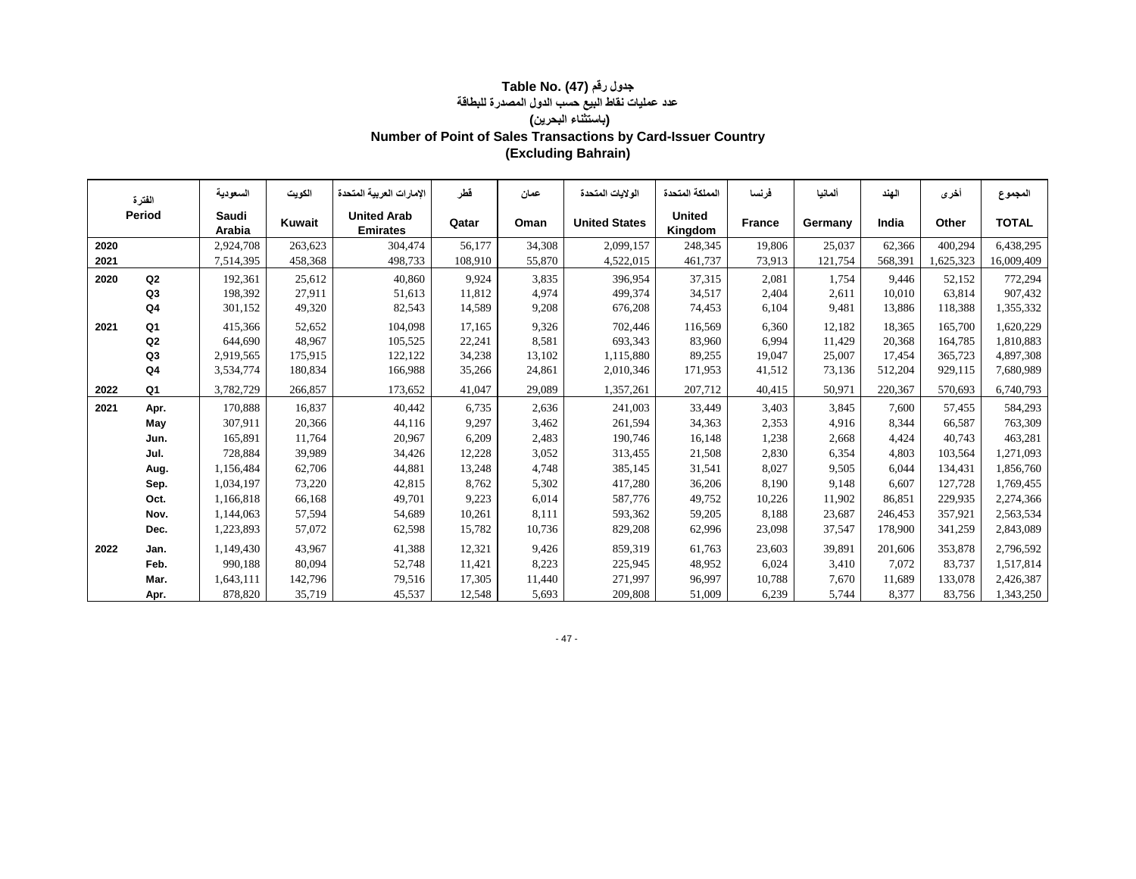#### **جدول رقم (47) .Table No عدد عمليات نقاط البيع حسب الدول المصدرة للبطاقة (باستثناء البحرين) Number of Point of Sales Transactions by Card-Issuer Country (Excluding Bahrain)**

|      | الفترة         | السعو دبـة      | الكويت  | الإمار ات العر ببة المتحدة            | قطر     | عمان   | الولايات المتحدة     | المملكة المتحدة          | فر نسا        | ألمانيا | الهند   | أخرى      | المجموع      |
|------|----------------|-----------------|---------|---------------------------------------|---------|--------|----------------------|--------------------------|---------------|---------|---------|-----------|--------------|
|      | Period         | Saudi<br>Arabia | Kuwait  | <b>United Arab</b><br><b>Emirates</b> | Qatar   | Oman   | <b>United States</b> | <b>United</b><br>Kingdom | <b>France</b> | Germany | India   | Other     | <b>TOTAL</b> |
| 2020 |                | 2,924,708       | 263,623 | 304,474                               | 56.177  | 34,308 | 2,099,157            | 248,345                  | 19.806        | 25,037  | 62,366  | 400.294   | 6,438,295    |
| 2021 |                | 7,514,395       | 458,368 | 498,733                               | 108,910 | 55,870 | 4,522,015            | 461,737                  | 73,913        | 121,754 | 568,391 | 1,625,323 | 16,009,409   |
| 2020 | Q <sub>2</sub> | 192,361         | 25,612  | 40,860                                | 9.924   | 3,835  | 396,954              | 37,315                   | 2,081         | 1.754   | 9.446   | 52,152    | 772,294      |
|      | Q3             | 198,392         | 27,911  | 51,613                                | 11,812  | 4.974  | 499,374              | 34,517                   | 2,404         | 2,611   | 10.010  | 63,814    | 907,432      |
|      | Q4             | 301,152         | 49,320  | 82,543                                | 14,589  | 9,208  | 676,208              | 74,453                   | 6,104         | 9,481   | 13,886  | 118,388   | 1,355,332    |
| 2021 | Q1             | 415,366         | 52,652  | 104,098                               | 17,165  | 9,326  | 702,446              | 116,569                  | 6,360         | 12,182  | 18,365  | 165,700   | 1,620,229    |
|      | Q <sub>2</sub> | 644,690         | 48,967  | 105,525                               | 22,241  | 8,581  | 693,343              | 83,960                   | 6,994         | 11,429  | 20,368  | 164,785   | 1,810,883    |
|      | Q3             | 2,919,565       | 175,915 | 122,122                               | 34,238  | 13,102 | 1,115,880            | 89,255                   | 19,047        | 25,007  | 17,454  | 365,723   | 4,897,308    |
|      | Q <sub>4</sub> | 3,534,774       | 180,834 | 166,988                               | 35,266  | 24,861 | 2,010,346            | 171,953                  | 41,512        | 73,136  | 512,204 | 929,115   | 7,680,989    |
| 2022 | Q1             | 3,782,729       | 266,857 | 173,652                               | 41,047  | 29,089 | 1,357,261            | 207,712                  | 40,415        | 50,971  | 220,367 | 570,693   | 6,740,793    |
| 2021 | Apr.           | 170,888         | 16,837  | 40,442                                | 6,735   | 2,636  | 241,003              | 33,449                   | 3,403         | 3,845   | 7,600   | 57,455    | 584,293      |
|      | May            | 307,911         | 20,366  | 44,116                                | 9,297   | 3,462  | 261,594              | 34,363                   | 2,353         | 4,916   | 8,344   | 66,587    | 763,309      |
|      | Jun.           | 165,891         | 11,764  | 20,967                                | 6,209   | 2,483  | 190,746              | 16,148                   | 1,238         | 2,668   | 4,424   | 40.743    | 463,281      |
|      | Jul.           | 728,884         | 39,989  | 34,426                                | 12,228  | 3,052  | 313,455              | 21,508                   | 2,830         | 6,354   | 4,803   | 103,564   | 1,271,093    |
|      | Aug.           | 1,156,484       | 62,706  | 44,881                                | 13,248  | 4,748  | 385,145              | 31,541                   | 8,027         | 9,505   | 6,044   | 134,431   | 1,856,760    |
|      | Sep.           | 1,034,197       | 73,220  | 42,815                                | 8,762   | 5,302  | 417,280              | 36,206                   | 8,190         | 9,148   | 6,607   | 127.728   | 1,769,455    |
|      | Oct.           | 1,166,818       | 66,168  | 49,701                                | 9,223   | 6,014  | 587,776              | 49,752                   | 10,226        | 11,902  | 86,851  | 229.935   | 2,274,366    |
|      | Nov.           | 1,144,063       | 57,594  | 54,689                                | 10,261  | 8,111  | 593,362              | 59,205                   | 8,188         | 23,687  | 246,453 | 357,921   | 2,563,534    |
|      | Dec.           | 1,223,893       | 57,072  | 62,598                                | 15,782  | 10,736 | 829,208              | 62,996                   | 23,098        | 37,547  | 178,900 | 341,259   | 2,843,089    |
| 2022 | Jan.           | 1,149,430       | 43,967  | 41,388                                | 12,321  | 9,426  | 859,319              | 61,763                   | 23,603        | 39,891  | 201.606 | 353.878   | 2,796,592    |
|      | Feb.           | 990,188         | 80,094  | 52,748                                | 11,421  | 8,223  | 225,945              | 48,952                   | 6,024         | 3,410   | 7,072   | 83,737    | 1,517,814    |
|      | Mar.           | 1,643,111       | 142,796 | 79,516                                | 17,305  | 11,440 | 271,997              | 96,997                   | 10,788        | 7.670   | 11,689  | 133,078   | 2,426,387    |
|      | Apr.           | 878,820         | 35,719  | 45,537                                | 12,548  | 5,693  | 209,808              | 51,009                   | 6,239         | 5,744   | 8,377   | 83,756    | 1,343,250    |

- 47 -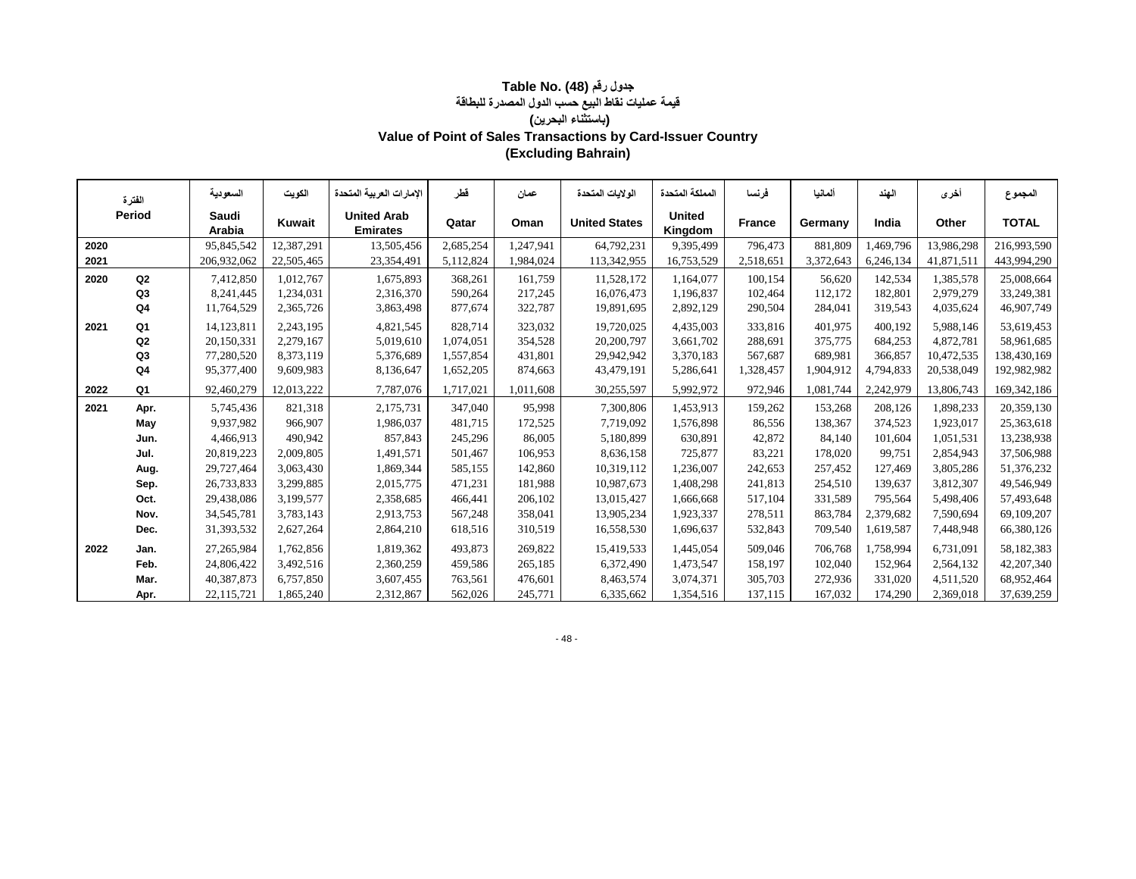#### **جدول رقم (48) Table No. (48 قيمة عمليات نقاط البيع حسب الدول المصدرة للبطاقة (باستثناء البحرين) Value of Point of Sales Transactions by Card-Issuer Country (Excluding Bahrain)**

|      |                                                                                                                                                                                                         | السعو دبـة      | الكويت     | الإمار ات العر بية المتحدة            | قطر       | عمان      | الو لإبات المتحدة    | المملكة المتحدة          | فرنسا         | ألمانيا   | الهند     | أخرى       | المجموع       |
|------|---------------------------------------------------------------------------------------------------------------------------------------------------------------------------------------------------------|-----------------|------------|---------------------------------------|-----------|-----------|----------------------|--------------------------|---------------|-----------|-----------|------------|---------------|
|      | الفترة<br>Period<br>2020<br>2021<br>Q2<br>2020<br>Q <sub>3</sub><br>Q4<br>Q1<br>2021<br>Q <sub>2</sub><br>Q3<br>Q4<br>Q1<br>2022<br>2021<br>Apr.<br>May<br>Jun.<br>Jul.<br>Aug.<br>Sep.<br>Oct.<br>Nov. | Saudi<br>Arabia | Kuwait     | <b>United Arab</b><br><b>Emirates</b> | Qatar     | Oman      | <b>United States</b> | <b>United</b><br>Kingdom | <b>France</b> | Germany   | India     | Other      | <b>TOTAL</b>  |
|      |                                                                                                                                                                                                         | 95,845,542      | 12,387,291 | 13,505,456                            | 2,685,254 | 1.247.941 | 64,792,231           | 9,395,499                | 796,473       | 881,809   | 1,469,796 | 13,986,298 | 216,993,590   |
|      |                                                                                                                                                                                                         | 206,932,062     | 22,505,465 | 23,354,491                            | 5,112,824 | 1,984,024 | 113,342,955          | 16,753,529               | 2,518,651     | 3,372,643 | 6,246,134 | 41,871,511 | 443,994,290   |
|      |                                                                                                                                                                                                         | 7,412,850       | 1.012.767  | 1,675,893                             | 368,261   | 161.759   | 11,528,172           | 1.164.077                | 100.154       | 56.620    | 142.534   | 1.385.578  | 25,008,664    |
|      |                                                                                                                                                                                                         | 8,241,445       | 1,234,031  | 2,316,370                             | 590,264   | 217,245   | 16,076,473           | 1,196,837                | 102,464       | 112,172   | 182,801   | 2,979,279  | 33,249,381    |
|      |                                                                                                                                                                                                         | 11,764,529      | 2,365,726  | 3,863,498                             | 877,674   | 322,787   | 19,891,695           | 2,892,129                | 290,504       | 284,041   | 319,543   | 4,035,624  | 46,907,749    |
|      |                                                                                                                                                                                                         | 14,123,811      | 2,243,195  | 4,821,545                             | 828,714   | 323,032   | 19,720,025           | 4,435,003                | 333,816       | 401.975   | 400.192   | 5,988,146  | 53,619,453    |
|      |                                                                                                                                                                                                         | 20,150,331      | 2,279,167  | 5,019,610                             | 1,074,051 | 354,528   | 20,200,797           | 3,661,702                | 288,691       | 375,775   | 684,253   | 4,872,781  | 58,961,685    |
|      |                                                                                                                                                                                                         | 77,280,520      | 8,373,119  | 5,376,689                             | 1,557,854 | 431,801   | 29,942,942           | 3,370,183                | 567,687       | 689.981   | 366,857   | 10,472,535 | 138,430,169   |
|      |                                                                                                                                                                                                         | 95,377,400      | 9,609,983  | 8,136,647                             | 1,652,205 | 874,663   | 43,479,191           | 5,286,641                | 1,328,457     | 1,904,912 | 4,794,833 | 20,538,049 | 192,982,982   |
|      |                                                                                                                                                                                                         | 92,460,279      | 12,013,222 | 7,787,076                             | 1,717,021 | 1,011,608 | 30,255,597           | 5,992,972                | 972,946       | 1,081,744 | 2,242,979 | 13,806,743 | 169, 342, 186 |
|      |                                                                                                                                                                                                         | 5,745,436       | 821,318    | 2,175,731                             | 347,040   | 95,998    | 7,300,806            | 1.453.913                | 159,262       | 153,268   | 208,126   | 1,898,233  | 20,359,130    |
|      |                                                                                                                                                                                                         | 9,937,982       | 966,907    | 1,986,037                             | 481,715   | 172,525   | 7,719,092            | 1,576,898                | 86,556        | 138,367   | 374,523   | 1,923,017  | 25,363,618    |
|      |                                                                                                                                                                                                         | 4,466,913       | 490,942    | 857,843                               | 245,296   | 86,005    | 5,180,899            | 630,891                  | 42,872        | 84.140    | 101,604   | 1,051,531  | 13,238,938    |
|      |                                                                                                                                                                                                         | 20,819,223      | 2,009,805  | 1,491,571                             | 501,467   | 106,953   | 8,636,158            | 725,877                  | 83,221        | 178,020   | 99,751    | 2,854,943  | 37,506,988    |
|      |                                                                                                                                                                                                         | 29,727,464      | 3,063,430  | 1,869,344                             | 585,155   | 142,860   | 10,319,112           | 1,236,007                | 242,653       | 257,452   | 127,469   | 3,805,286  | 51,376,232    |
|      |                                                                                                                                                                                                         | 26,733,833      | 3,299,885  | 2,015,775                             | 471,231   | 181,988   | 10,987,673           | 1,408,298                | 241,813       | 254,510   | 139,637   | 3,812,307  | 49,546,949    |
|      |                                                                                                                                                                                                         | 29,438,086      | 3,199,577  | 2,358,685                             | 466,441   | 206,102   | 13,015,427           | 1,666,668                | 517,104       | 331,589   | 795.564   | 5,498,406  | 57,493,648    |
|      |                                                                                                                                                                                                         | 34, 545, 781    | 3,783,143  | 2,913,753                             | 567,248   | 358,041   | 13,905,234           | 1,923,337                | 278,511       | 863,784   | 2,379,682 | 7,590,694  | 69,109,207    |
|      | Dec.                                                                                                                                                                                                    | 31,393,532      | 2,627,264  | 2,864,210                             | 618,516   | 310,519   | 16,558,530           | 1,696,637                | 532,843       | 709,540   | 1,619,587 | 7,448,948  | 66,380,126    |
| 2022 | Jan.                                                                                                                                                                                                    | 27,265,984      | 1,762,856  | 1,819,362                             | 493.873   | 269,822   | 15,419,533           | 1,445,054                | 509,046       | 706,768   | 1.758.994 | 6.731.091  | 58,182,383    |
|      | Feb.                                                                                                                                                                                                    | 24,806,422      | 3,492,516  | 2,360,259                             | 459,586   | 265,185   | 6,372,490            | 1,473,547                | 158,197       | 102,040   | 152,964   | 2,564,132  | 42, 207, 340  |
|      | Mar.                                                                                                                                                                                                    | 40,387,873      | 6,757,850  | 3,607,455                             | 763,561   | 476,601   | 8,463,574            | 3,074,371                | 305,703       | 272,936   | 331,020   | 4,511,520  | 68,952,464    |
|      | Apr.                                                                                                                                                                                                    | 22,115,721      | 1,865,240  | 2,312,867                             | 562,026   | 245,771   | 6,335,662            | 1,354,516                | 137,115       | 167,032   | 174,290   | 2,369,018  | 37,639,259    |

- 48 -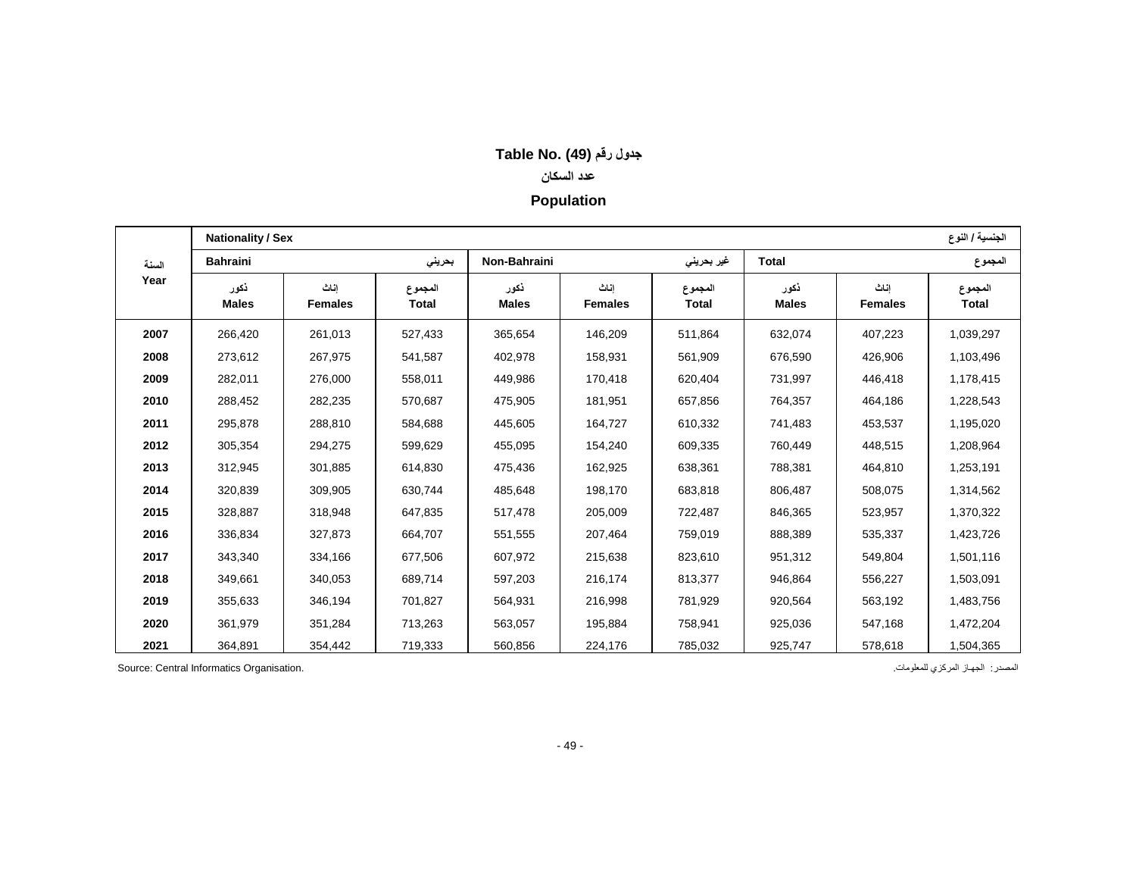## **جدول رقم (49) .No Table**

## **عدد السكان**

## **Population**

|       | <b>Nationality / Sex</b> |                        |                  |                      |                        |                         |                      |                        | الجنسية / النوع  |
|-------|--------------------------|------------------------|------------------|----------------------|------------------------|-------------------------|----------------------|------------------------|------------------|
| السنة | <b>Bahraini</b>          |                        | بحرينى           | Non-Bahraini         |                        | غیر بحرین <i>ی</i>      | <b>Total</b>         |                        | المجموع          |
| Year  | نكور<br><b>Males</b>     | اناث<br><b>Females</b> | المجموع<br>Total | نكور<br><b>Males</b> | اناث<br><b>Females</b> | المجموع<br><b>Total</b> | نكور<br><b>Males</b> | اناث<br><b>Females</b> | المجموع<br>Total |
| 2007  | 266,420                  | 261,013                | 527,433          | 365,654              | 146,209                | 511,864                 | 632,074              | 407,223                | 1,039,297        |
| 2008  | 273,612                  | 267,975                | 541,587          | 402,978              | 158,931                | 561,909                 | 676,590              | 426,906                | 1,103,496        |
| 2009  | 282,011                  | 276,000                | 558,011          | 449,986              | 170,418                | 620,404                 | 731,997              | 446,418                | 1,178,415        |
| 2010  | 288,452                  | 282,235                | 570,687          | 475,905              | 181,951                | 657,856                 | 764,357              | 464,186                | 1,228,543        |
| 2011  | 295,878                  | 288,810                | 584,688          | 445,605              | 164,727                | 610,332                 | 741,483              | 453,537                | 1,195,020        |
| 2012  | 305,354                  | 294,275                | 599,629          | 455,095              | 154,240                | 609,335                 | 760,449              | 448,515                | 1,208,964        |
| 2013  | 312,945                  | 301,885                | 614,830          | 475,436              | 162,925                | 638,361                 | 788,381              | 464,810                | 1,253,191        |
| 2014  | 320,839                  | 309,905                | 630,744          | 485,648              | 198,170                | 683,818                 | 806,487              | 508,075                | 1,314,562        |
| 2015  | 328,887                  | 318,948                | 647,835          | 517,478              | 205,009                | 722,487                 | 846,365              | 523,957                | 1,370,322        |
| 2016  | 336,834                  | 327,873                | 664,707          | 551,555              | 207,464                | 759,019                 | 888,389              | 535,337                | 1,423,726        |
| 2017  | 343,340                  | 334,166                | 677,506          | 607,972              | 215,638                | 823,610                 | 951,312              | 549,804                | 1,501,116        |
| 2018  | 349,661                  | 340,053                | 689,714          | 597,203              | 216,174                | 813,377                 | 946,864              | 556,227                | 1,503,091        |
| 2019  | 355,633                  | 346,194                | 701,827          | 564,931              | 216,998                | 781,929                 | 920,564              | 563,192                | 1,483,756        |
| 2020  | 361,979                  | 351,284                | 713,263          | 563,057              | 195,884                | 758,941                 | 925,036              | 547,168                | 1,472,204        |
| 2021  | 364,891                  | 354,442                | 719,333          | 560,856              | 224,176                | 785,032                 | 925,747              | 578,618                | 1,504,365        |

المصدر: الجهاز المركزي للمعلومات. .<br>المصدر: الجهاز المركزي للمعلومات. .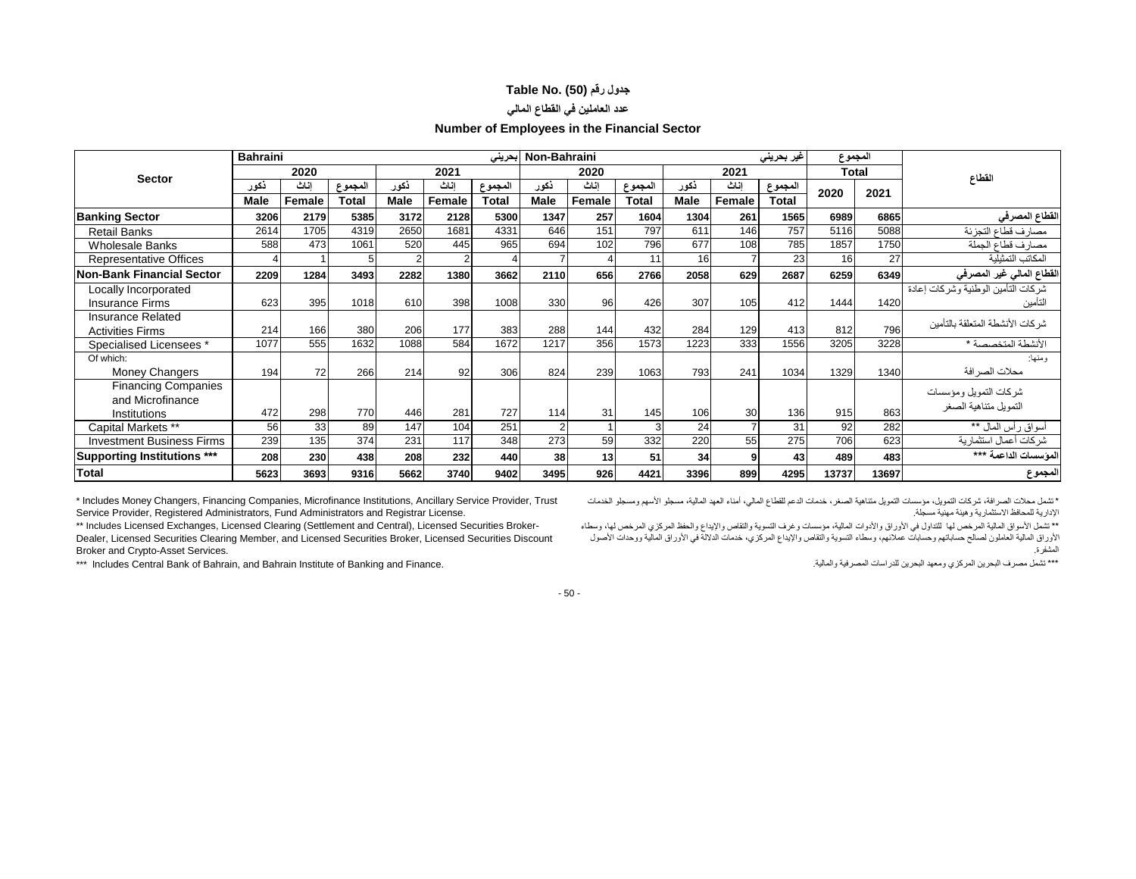### **جدول رقم (50) .No Table**

## **عدد العاملين في القطاع المالي**

#### **Number of Employees in the Financial Sector**

|                                    | <b>Bahraini</b> |        |              |                |                | بحرينى       | Non-Bahraini   |          |              |             |        | غیر بحرینی   | المجموع |              |                                        |
|------------------------------------|-----------------|--------|--------------|----------------|----------------|--------------|----------------|----------|--------------|-------------|--------|--------------|---------|--------------|----------------------------------------|
| <b>Sector</b>                      |                 | 2020   |              |                | 2021           |              |                | 2020     |              |             | 2021   |              |         | <b>Total</b> | القطاع                                 |
|                                    | نكور            | اناث   | المجموع      | ذكور           | اناث           | لمجموع       | ذكور           | اناث     | المجموع      | نكور        | اناث   | المجموع      | 2020    | 2021         |                                        |
|                                    | <b>Male</b>     | Female | <b>Total</b> | <b>Male</b>    | Female         | <b>Total</b> | <b>Male</b>    | Female   | <b>Total</b> | <b>Male</b> | Female | <b>Total</b> |         |              |                                        |
| <b>Banking Sector</b>              | 3206            | 2179   | 5385         | 3172           | 2128           | 5300         | 1347           | 257      | 1604         | 1304        | 261    | 1565         | 6989    | 6865         | القطاع المصرفي                         |
| <b>Retail Banks</b>                | 2614            | 1705   | 4319         | 2650           | 1681           | 4331         | 646            | 151      | 797          | 611         | 146    | 757          | 5116    | 5088         | مصارف قطاع التجزئة                     |
| <b>Wholesale Banks</b>             | 588             | 473    | 1061         | 520            | 445            | 965          | 694            | 102      | 796          | 677         | 108    | 785          | 1857    | 1750         | مصارف قطاع الجملة                      |
| <b>Representative Offices</b>      |                 |        | 5            | $\overline{2}$ | $\overline{2}$ |              |                | $\Delta$ | 11           | 16          |        | 23           | 16      | 27           | المكاتب التمثيلية                      |
| Non-Bank Financial Sector          | 2209            | 1284   | 3493         | 2282           | 1380           | 3662         | 2110           | 656      | 2766         | 2058        | 629    | 2687         | 6259    | 6349         | القطاع المالي غير المصرفي              |
| Locally Incorporated               |                 |        |              |                |                |              |                |          |              |             |        |              |         |              | شر كات التأمين الو طنية و شر كات إعادة |
| <b>Insurance Firms</b>             | 623             | 395    | 1018         | 610            | 398            | 1008         | 330            | 96       | 426          | 307         | 105    | 412          | 1444    | 1420         | التأمين                                |
| <b>Insurance Related</b>           |                 |        |              |                |                |              |                |          |              |             |        |              |         |              | شر كات الأنشطة المتعلقة بالتأمين       |
| <b>Activities Firms</b>            | 214             | 166    | 380          | 206            | 177            | 383          | 288            | 144      | 432          | 284         | 129    | 413          | 812     | 796          |                                        |
| Specialised Licensees *            | 1077            | 555    | 1632         | 1088           | 584            | 1672         | 1217           | 356      | 1573         | 1223        | 333    | 1556         | 3205    | 3228         | الأنشطة المتخصصة *                     |
| Of which:                          |                 |        |              |                |                |              |                |          |              |             |        |              |         |              | ومنها:                                 |
| <b>Money Changers</b>              | 194             | 72     | 266          | 214            | 92             | 306          | 824            | 239      | 1063         | 793         | 241    | 1034         | 1329    | 1340         | محلات الصر افة                         |
| <b>Financing Companies</b>         |                 |        |              |                |                |              |                |          |              |             |        |              |         |              | شركات التمويل ومؤسسات                  |
| and Microfinance                   |                 |        |              |                |                |              |                |          |              |             |        |              |         |              | التمويل متناهية الصغر                  |
| Institutions                       | 472             | 298    | 770          | 446            | 281            | 727          | 114            | 31       | 145          | 106         | 30     | 136          | 915     | 863          |                                        |
| Capital Markets **                 | 56              | 33     | 89           | 147            | 104            | 251          | $\overline{2}$ |          |              | 24          |        | 31           | 92      | 282          | أسواق رأس المال **                     |
| <b>Investment Business Firms</b>   | 239             | 135    | 374          | 231            | 117            | 348          | 273            | 59       | 332          | 220         | 55     | 275          | 706     | 623          | شر كات أعمال استثمار ية                |
| <b>Supporting Institutions ***</b> | 208             | 230    | 438          | 208            | 232            | 440          | 38             | 13       | 51           | 34          | 9      | 43           | 489     | 483          | المؤسسات الداعمة ***                   |
| <b>Total</b>                       | 5623            | 3693   | 9316         | 5662           | 3740           | 9402         | 3495           | 926      | 4421         | 3396        | 899    | 4295         | 13737   | 13697        | المجموع                                |

\* Includes Money Changers, Financing Companies, Microfinance Institutions, Ancillary Service Provider, Trust Service Provider, Registered Administrators, Fund Administrators and Registrar License.

\*\* Includes Licensed Exchanges, Licensed Clearing (Settlement and Central), Licensed Securities Broker-Dealer, Licensed Securities Clearing Member, and Licensed Securities Broker, Licensed Securities Discount Broker and Crypto-Asset Services.

\*\*\* Includes Central Bank of Bahrain, and Bahrain Institute of Banking and Finance.

\*تشمل محالت الصرافة، شركات التمويل، مؤسسات التمويل متناهية الصغر، خدمات الدعم للقطاع المالي، أمناء العهد المالية، مسجلو األسهم ومسجلو الخدمات اإلدارية للمحافظ االستثمارية وهيئة مهنية مسجلة.

\*\* تشمل األسواق المالية المرخص لها للتداول في األوراق واألدوات المالية، مؤسسات وغرف التسوية والتقاص واإليداع والحفظ المركزي المرخص لها، وسطاء األوراق المالية العاملون لصالح حساباتهم وحسابات عمالئهم، وسطاء التسوية والتقاص واإليداع المركزي، خدمات الداللة في األوراق المالية ووحدات األصول المشفرة.

\*\*\* تشمل مصرف البحرين المركزي ومعهد البحرين للدراسات المصرفية والمالية.

- 50 -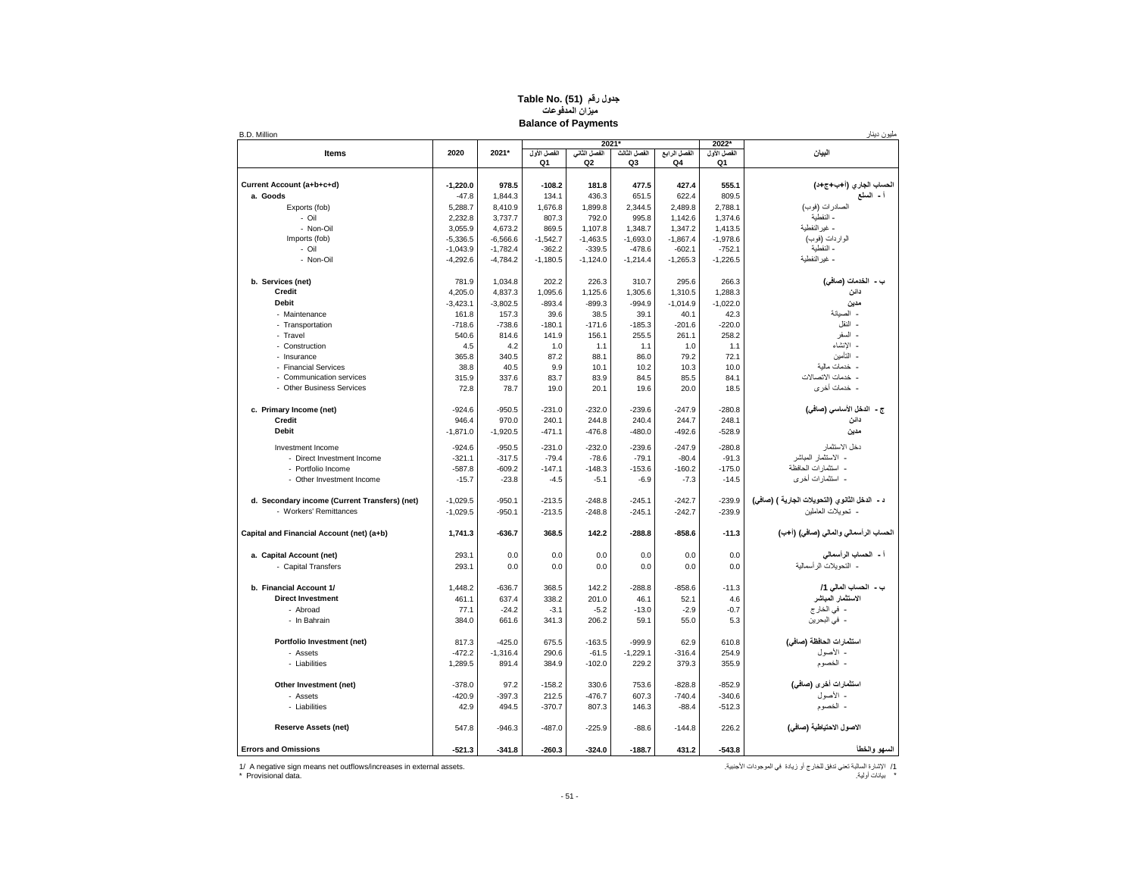#### **جدول رقم (51) Table No. ( ميزان المدفوعات Balance of Payments**

| <b>B.D. Million</b>                           |            |            |                   |                                |                    |                    |                   | مليون دينار                                    |
|-----------------------------------------------|------------|------------|-------------------|--------------------------------|--------------------|--------------------|-------------------|------------------------------------------------|
|                                               |            |            |                   |                                | 2021*              |                    | 2022*             |                                                |
| Items                                         | 2020       | 2021*      | الفصل الأول<br>Q1 | الفصل الثانى<br>Q <sub>2</sub> | الفصل الثالث<br>Q3 | الفصل الرابع<br>Q4 | الفصل الأول<br>Q1 | البيان                                         |
|                                               |            |            |                   |                                |                    |                    |                   |                                                |
| Current Account (a+b+c+d)                     | $-1,220.0$ | 978.5      | $-108.2$          | 181.8                          | 477.5              | 427.4              | 555.1             | لتساب الجارى (أ+ب+ج+د)                         |
| a. Goods                                      | $-47.8$    | 1,844.3    | 134.1             | 436.3                          | 651.5              | 622.4              | 809.5             | أ - السلع                                      |
| Exports (fob)                                 | 5,288.7    | 8,410.9    | 1,676.8           | 1,899.8                        | 2,344.5            | 2,489.8            | 2,788.1           | الصادرات (فوب)                                 |
| - Oil                                         | 2,232.8    | 3,737.7    | 807.3             | 792.0                          | 995.8              | 1,142.6            | 1,374.6           | - النفطية                                      |
| - Non-Oil                                     | 3,055.9    | 4,673.2    | 869.5             | 1,107.8                        | 1,348.7            | 1,347.2            | 1,413.5           | - غير النفطية                                  |
|                                               |            |            |                   |                                |                    |                    |                   | الواردات (فوب)                                 |
| Imports (fob)                                 | $-5,336.5$ | $-6,566.6$ | $-1,542.7$        | $-1,463.5$                     | $-1,693.0$         | $-1,867.4$         | $-1,978.6$        |                                                |
| - Oil                                         | $-1.043.9$ | $-1.782.4$ | $-362.2$          | $-339.5$                       | $-478.6$           | $-602.1$           | $-752.1$          | - النفطية                                      |
| - Non-Oil                                     | $-4,292.6$ | $-4,784.2$ | $-1,180.5$        | $-1,124.0$                     | $-1,214.4$         | $-1,265.3$         | $-1,226.5$        | - غير النفطية                                  |
| b. Services (net)                             | 781.9      | 1,034.8    | 202.2             | 226.3                          | 310.7              | 295.6              | 266.3             | ب - الخدمات (صافى)                             |
| Credit                                        | 4,205.0    | 4,837.3    | 1,095.6           | 1,125.6                        | 1,305.6            | 1,310.5            | 1,288.3           | دانن                                           |
| <b>Debit</b>                                  | $-3,423.1$ | $-3.802.5$ | $-893.4$          | $-899.3$                       | $-994.9$           | $-1,014.9$         | $-1.022.0$        | مدين                                           |
|                                               |            |            | 39.6              | 38.5                           |                    | 40.1               |                   | - الصيانة                                      |
| - Maintenance                                 | 161.8      | 157.3      |                   |                                | 39.1               |                    | 42.3              | ۔ النقل                                        |
| - Transportation                              | $-718.6$   | $-738.6$   | $-180.1$          | $-171.6$                       | $-185.3$           | $-201.6$           | $-220.0$          |                                                |
| - Travel                                      | 540.6      | 814.6      | 141.9             | 156.1                          | 255.5              | 261.1              | 258.2             | - السفر                                        |
| - Construction                                | 4.5        | 4.2        | 1.0               | 1.1                            | 1.1                | 1.0                | 1.1               | - الانشاء                                      |
| - Insurance                                   | 365.8      | 340.5      | 87.2              | 88.1                           | 86.0               | 79.2               | 72.1              | - التأمين                                      |
| - Financial Services                          | 38.8       | 40.5       | 9.9               | 10.1                           | 10.2               | 10.3               | 10.0              | - خدمات مالية                                  |
| - Communication services                      | 315.9      | 337.6      | 83.7              | 83.9                           | 84.5               | 85.5               | 84.1              | - خدمات الاتصالات                              |
| - Other Business Services                     | 72.8       | 78.7       | 19.0              | 20.1                           | 19.6               | 20.0               | 18.5              | - خدمات أخر ي                                  |
|                                               |            |            |                   | $-232.0$                       | $-239.6$           | $-247.9$           | $-280.8$          | ج - الدخل الأساسي (صافي)                       |
| c. Primary Income (net)                       | $-924.6$   | $-950.5$   | $-231.0$          |                                |                    |                    |                   | دانن                                           |
| Credit                                        | 946.4      | 970.0      | 240.1             | 244.8                          | 240.4              | 244.7              | 248.1             |                                                |
| <b>Debit</b>                                  | $-1,871.0$ | $-1,920.5$ | $-471.1$          | $-476.8$                       | $-480.0$           | $-492.6$           | $-528.9$          | مدين                                           |
| Investment Income                             | $-924.6$   | $-950.5$   | $-231.0$          | $-232.0$                       | $-239.6$           | $-247.9$           | $-280.8$          | دخل الاستثمار                                  |
| - Direct Investment Income                    | $-321.1$   | $-317.5$   | $-79.4$           | $-78.6$                        | $-79.1$            | $-80.4$            | $-91.3$           | - الاستثمار المباشر                            |
| - Portfolio Income                            | $-587.8$   | $-609.2$   | $-147.1$          | $-148.3$                       | $-153.6$           | $-160.2$           | $-175.0$          | - استثمار ات الحافظة                           |
| - Other Investment Income                     | $-15.7$    | $-23.8$    | $-4.5$            | $-5.1$                         | $-6.9$             | $-7.3$             | $-14.5$           | - استثمار ات أخر ي                             |
|                                               |            |            |                   |                                |                    |                    |                   |                                                |
| d. Secondary income (Current Transfers) (net) | $-1,029.5$ | $-950.1$   | $-213.5$          | $-248.8$                       | $-245.1$           | $-242.7$           | $-239.9$          | د - الدخل الثانوي (النحويلات الجارية ) (صافى)  |
| - Workers' Remittances                        | $-1,029.5$ | $-950.1$   | $-213.5$          | $-248.8$                       | $-245.1$           | $-242.7$           | $-239.9$          | - تحويلات العاملين                             |
| Capital and Financial Account (net) (a+b)     | 1,741.3    | $-636.7$   | 368.5             | 142.2                          | $-288.8$           | $-858.6$           | $-11.3$           | الحساب الرأسمالي والمالي (صافي) (أ+ب)          |
| a. Capital Account (net)                      | 293.1      | 0.0        | 0.0               | 0.0                            | 0.0                | 0.0                | 0.0               |                                                |
| - Capital Transfers                           | 293.1      | 0.0        | 0.0               | 0.0                            | 0.0                | 0.0                | 0.0               | أ - الصباب الرأسمالي<br>- التحويلات الرأسمالية |
|                                               |            |            |                   |                                |                    |                    |                   |                                                |
| b. Financial Account 1/                       | 1,448.2    | $-636.7$   | 368.5             | 142.2                          | $-288.8$           | $-858.6$           | $-11.3$           | ب - التساب المالي 1/                           |
| <b>Direct Investment</b>                      | 461.1      | 637.4      | 338.2             | 201.0                          | 46.1               | 52.1               | 4.6               | الاستثمار المباشر                              |
| - Abroad                                      | 77.1       | $-24.2$    | $-3.1$            | $-5.2$                         | $-13.0$            | $-2.9$             | $-0.7$            | - في الخارج                                    |
| - In Bahrain                                  | 384.0      | 661.6      | 341.3             | 206.2                          | 59.1               | 55.0               | 5.3               | - في البحرين                                   |
|                                               |            |            |                   |                                |                    |                    |                   |                                                |
| Portfolio Investment (net)                    | 817.3      | $-425.0$   | 675.5             | $-163.5$                       | $-999.9$           | 62.9               | 610.8             | استثمارات الحافظة (صافى)                       |
| - Assets                                      | $-472.2$   | $-1,316.4$ | 290.6             | $-61.5$                        | $-1,229.1$         | $-316.4$           | 254.9             | - الأصول                                       |
| - Liabilities                                 | 1,289.5    | 891.4      | 384.9             | $-102.0$                       | 229.2              | 379.3              | 355.9             | - الخصوم                                       |
|                                               |            |            |                   |                                |                    |                    |                   |                                                |
| Other Investment (net)                        | $-378.0$   | 97.2       | $-158.2$          | 330.6                          | 753.6              | $-828.8$           | $-852.9$          | استثمارات أخرى (صافى)                          |
| - Assets                                      | $-420.9$   | $-397.3$   | 212.5             | $-476.7$                       | 607.3              | $-740.4$           | $-340.6$          | - الأصول                                       |
| - Liabilities                                 | 42.9       | 494.5      | $-370.7$          | 807.3                          | 146.3              | $-88.4$            | $-512.3$          | - الخصوم                                       |
| <b>Reserve Assets (net)</b>                   | 547.8      | $-946.3$   | $-487.0$          | $-225.9$                       | $-88.6$            | $-144.8$           | 226.2             | الاصول الاحتياطية (صافي)                       |
| <b>Errors and Omissions</b>                   | $-521.3$   | $-341.8$   | $-260.3$          | $-324.0$                       | $-188.7$           | 431.2              | $-543.8$          | السهو والخطأ                                   |
|                                               |            |            |                   |                                |                    |                    |                   |                                                |

/1 اإلشارة السالبة تعني تدفق للخارج أو زيادة في الموجودات األجنبية. .assets external in increases/outflows net means sign negative A 1/ \* بيانات أولية. .data Provisional\*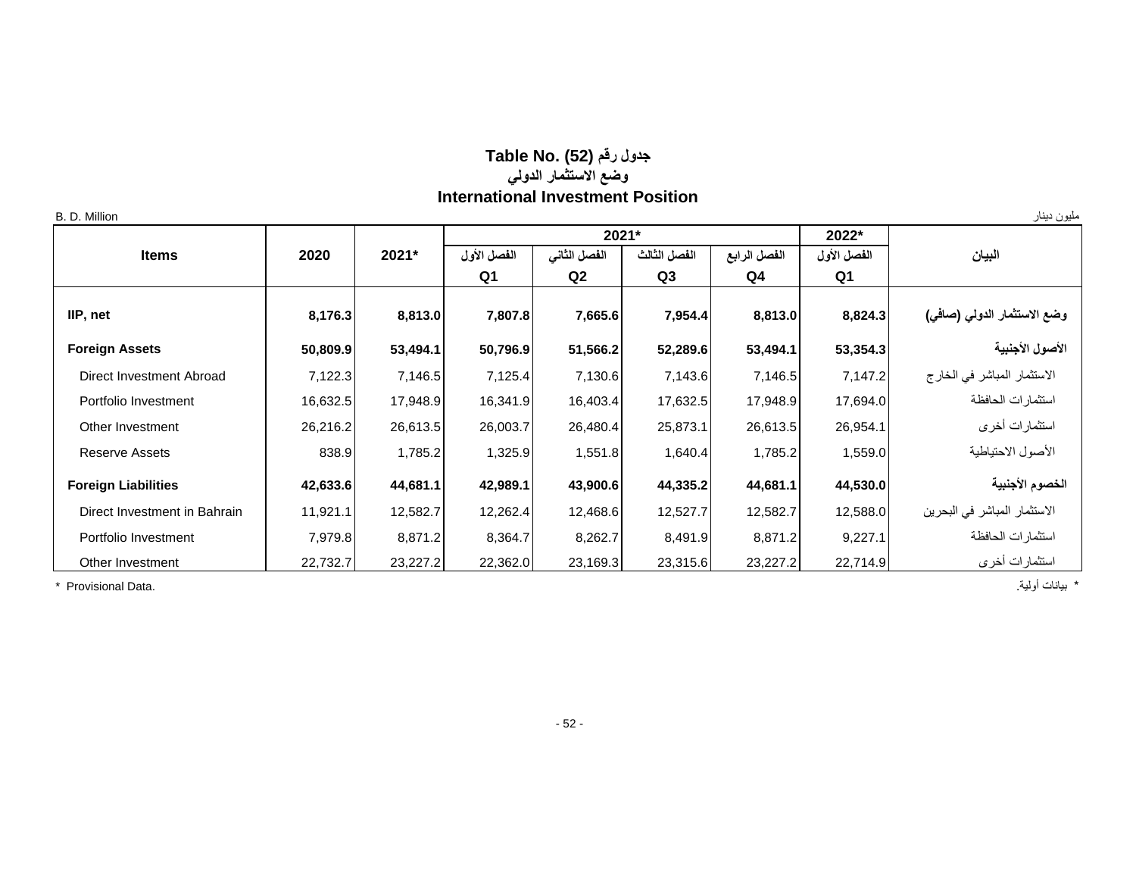## **جدول رقم (52) Table No. ( وضع االستثمار الدولي International Investment Position**

| B. D. Million                |          |          |             |                |              |              |                | مليون دينار                  |
|------------------------------|----------|----------|-------------|----------------|--------------|--------------|----------------|------------------------------|
|                              |          |          |             | 2021*          |              |              | 2022*          |                              |
| <b>Items</b>                 | 2020     | 2021*    | الفصل الأول | الفصل الثاني   | الفصل الثالث | الفصل الرابع | الفصل الأول    | البيان                       |
|                              |          |          | Q1          | Q <sub>2</sub> | Q3           | Q4           | Q <sub>1</sub> |                              |
| IIP, net                     | 8,176.3  | 8,813.0  | 7,807.8     | 7,665.6        | 7,954.4      | 8,813.0      | 8,824.3        | وضع الاستثمار الدولي (صافي)  |
| <b>Foreign Assets</b>        | 50,809.9 | 53,494.1 | 50,796.9    | 51,566.2       | 52,289.6     | 53,494.1     | 53,354.3       | الأصول الأجنبية              |
| Direct Investment Abroad     | 7,122.3  | 7,146.5  | 7,125.4     | 7,130.6        | 7,143.6      | 7,146.5      | 7,147.2        | الاستثمار المباشر في الخارج  |
| Portfolio Investment         | 16,632.5 | 17,948.9 | 16,341.9    | 16,403.4       | 17,632.5     | 17,948.9     | 17,694.0       | استثمارات الحافظة            |
| Other Investment             | 26,216.2 | 26,613.5 | 26,003.7    | 26,480.4       | 25,873.1     | 26,613.5     | 26,954.1       | استثمارات أخرى               |
| <b>Reserve Assets</b>        | 838.9    | 1,785.2  | 1,325.9     | 1,551.8        | 1,640.4      | 1,785.2      | 1,559.0        | الأصول الاحتياطية            |
| <b>Foreign Liabilities</b>   | 42,633.6 | 44,681.1 | 42,989.1    | 43,900.6       | 44,335.2     | 44,681.1     | 44,530.0       | الخصوم الأجنبية              |
| Direct Investment in Bahrain | 11,921.1 | 12,582.7 | 12,262.4    | 12,468.6       | 12,527.7     | 12,582.7     | 12,588.0       | الاستثمار المباشر في البحرين |
| Portfolio Investment         | 7,979.8  | 8,871.2  | 8,364.7     | 8,262.7        | 8,491.9      | 8,871.2      | 9,227.1        | استثمارات الحافظة            |
| Other Investment             | 22,732.7 | 23,227.2 | 22,362.0    | 23,169.3       | 23,315.6     | 23,227.2     | 22,714.9       | استثمارات أخرى               |

\* بيانات أولية. .Data Provisional\*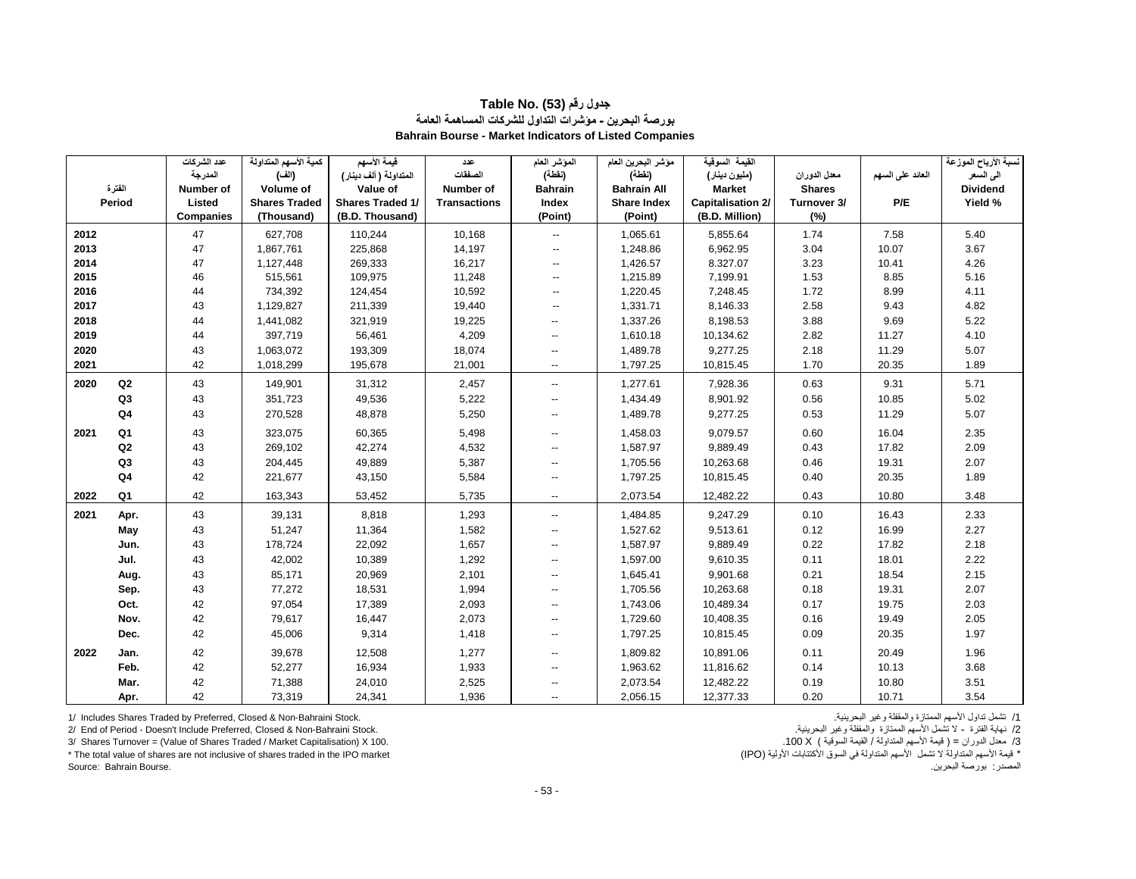|      |                | عدد الشركات      | كمية الأسهم المتداولة | فيمة الأسهم             | عدد                 | المؤشر العام             | مؤشر البحرين العام | القبمة السوقبة           |               |                  | نسبة الأرباح الموزعة |
|------|----------------|------------------|-----------------------|-------------------------|---------------------|--------------------------|--------------------|--------------------------|---------------|------------------|----------------------|
|      |                | المدرجة          | (الف)                 | المتداولة ( ألف دينار ) | الصفقات             | (نفطة)                   | (نقطة)             | (مليون دينار)            | معدل الدوران  | العائد على السهم | الى السعر            |
|      | الفترة         | Number of        | Volume of             | Value of                | Number of           | <b>Bahrain</b>           | <b>Bahrain All</b> | <b>Market</b>            | <b>Shares</b> |                  | <b>Dividend</b>      |
|      | Period         | Listed           | <b>Shares Traded</b>  | <b>Shares Traded 1/</b> | <b>Transactions</b> | Index                    | <b>Share Index</b> | <b>Capitalisation 2/</b> | Turnover 3/   | P/E              | Yield %              |
|      |                | <b>Companies</b> | (Thousand)            | (B.D. Thousand)         |                     | (Point)                  | (Point)            | (B.D. Million)           | $(\%)$        |                  |                      |
| 2012 |                | 47               | 627,708               | 110,244                 | 10,168              | $\overline{\phantom{a}}$ | 1,065.61           | 5,855.64                 | 1.74          | 7.58             | 5.40                 |
| 2013 |                | 47               | 1,867,761             | 225,868                 | 14,197              |                          | 1,248.86           | 6,962.95                 | 3.04          | 10.07            | 3.67                 |
| 2014 |                | 47               | 1,127,448             | 269,333                 | 16,217              | $\overline{\phantom{a}}$ | 1,426.57           | 8.327.07                 | 3.23          | 10.41            | 4.26                 |
| 2015 |                | 46               | 515,561               | 109,975                 | 11,248              | $\overline{\phantom{a}}$ | 1,215.89           | 7,199.91                 | 1.53          | 8.85             | 5.16                 |
| 2016 |                | 44               | 734,392               | 124,454                 | 10,592              |                          | 1,220.45           | 7,248.45                 | 1.72          | 8.99             | 4.11                 |
| 2017 |                | 43               | 1,129,827             | 211,339                 | 19,440              | $\overline{\phantom{a}}$ | 1,331.71           | 8,146.33                 | 2.58          | 9.43             | 4.82                 |
| 2018 |                | 44               | 1,441,082             | 321,919                 | 19,225              | --                       | 1,337.26           | 8,198.53                 | 3.88          | 9.69             | 5.22                 |
| 2019 |                | 44               | 397,719               | 56,461                  | 4,209               | $\overline{\phantom{a}}$ | 1,610.18           | 10,134.62                | 2.82          | 11.27            | 4.10                 |
| 2020 |                | 43               | 1,063,072             | 193,309                 | 18,074              | --                       | 1,489.78           | 9,277.25                 | 2.18          | 11.29            | 5.07                 |
| 2021 |                | 42               | 1,018,299             | 195,678                 | 21,001              | $\overline{\phantom{a}}$ | 1,797.25           | 10,815.45                | 1.70          | 20.35            | 1.89                 |
| 2020 | Q2             | 43               | 149,901               | 31,312                  | 2,457               | $\overline{\phantom{a}}$ | 1,277.61           | 7,928.36                 | 0.63          | 9.31             | 5.71                 |
|      | Q <sub>3</sub> | 43               | 351,723               | 49,536                  | 5,222               | $\overline{\phantom{a}}$ | 1,434.49           | 8,901.92                 | 0.56          | 10.85            | 5.02                 |
|      | Q <sub>4</sub> | 43               | 270,528               | 48,878                  | 5,250               | $\overline{\phantom{a}}$ | 1,489.78           | 9,277.25                 | 0.53          | 11.29            | 5.07                 |
| 2021 | Q1             | 43               | 323,075               | 60,365                  | 5,498               | --                       | 1,458.03           | 9,079.57                 | 0.60          | 16.04            | 2.35                 |
|      | Q <sub>2</sub> | 43               | 269,102               | 42,274                  | 4,532               | --                       | 1,587.97           | 9,889.49                 | 0.43          | 17.82            | 2.09                 |
|      | Q <sub>3</sub> | 43               | 204,445               | 49,889                  | 5,387               | --                       | 1,705.56           | 10,263.68                | 0.46          | 19.31            | 2.07                 |
|      | Q4             | 42               | 221,677               | 43,150                  | 5,584               |                          | 1,797.25           | 10,815.45                | 0.40          | 20.35            | 1.89                 |
| 2022 | Q <sub>1</sub> | 42               | 163,343               | 53,452                  | 5,735               | $\overline{\phantom{a}}$ | 2,073.54           | 12,482.22                | 0.43          | 10.80            | 3.48                 |
| 2021 | Apr.           | 43               | 39,131                | 8,818                   | 1,293               | $\overline{\phantom{a}}$ | 1,484.85           | 9,247.29                 | 0.10          | 16.43            | 2.33                 |
|      | May            | 43               | 51,247                | 11,364                  | 1,582               | $\overline{a}$           | 1,527.62           | 9,513.61                 | 0.12          | 16.99            | 2.27                 |
|      | Jun.           | 43               | 178,724               | 22,092                  | 1,657               | $-$                      | 1,587.97           | 9,889.49                 | 0.22          | 17.82            | 2.18                 |
|      | Jul.           | 43               | 42,002                | 10,389                  | 1,292               | $\overline{a}$           | 1,597.00           | 9,610.35                 | 0.11          | 18.01            | 2.22                 |
|      | Aug.           | 43               | 85,171                | 20,969                  | 2,101               | $\overline{\phantom{a}}$ | 1,645.41           | 9,901.68                 | 0.21          | 18.54            | 2.15                 |
|      | Sep.           | 43               | 77,272                | 18,531                  | 1,994               | $\overline{\phantom{a}}$ | 1,705.56           | 10,263.68                | 0.18          | 19.31            | 2.07                 |
|      | Oct.           | 42               | 97,054                | 17,389                  | 2,093               | --                       | 1,743.06           | 10,489.34                | 0.17          | 19.75            | 2.03                 |
|      | Nov.           | 42               | 79,617                | 16,447                  | 2,073               | --                       | 1,729.60           | 10,408.35                | 0.16          | 19.49            | 2.05                 |
|      | Dec.           | 42               | 45,006                | 9,314                   | 1,418               | --                       | 1,797.25           | 10,815.45                | 0.09          | 20.35            | 1.97                 |
| 2022 | Jan.           | 42               | 39,678                | 12,508                  | 1,277               | --                       | 1,809.82           | 10,891.06                | 0.11          | 20.49            | 1.96                 |
|      | Feb.           | 42               | 52,277                | 16,934                  | 1,933               | --                       | 1,963.62           | 11,816.62                | 0.14          | 10.13            | 3.68                 |
|      | Mar.           | 42               | 71,388                | 24,010                  | 2,525               | --                       | 2,073.54           | 12,482.22                | 0.19          | 10.80            | 3.51                 |
|      | Apr.           | 42               | 73,319                | 24,341                  | 1,936               | $\overline{\phantom{a}}$ | 2,056.15           | 12,377.33                | 0.20          | 10.71            | 3.54                 |

#### **جدول رقم (53) Table No. بورصة البحرين - مؤشرات التداول للشركات المساهمة العامة Bahrain Bourse - Market Indicators of Listed Companies**

1/ Includes Shares Traded by Preferred, Closed & Non-Bahraini Stock. .البحرينية وغير والمقفلة الممتازة األسهم تداول تشمل /1

3/ Shares Turnover = (Value of Shares Traded / Market Capitalisation) X 100.

2/ End of Period - Doesn't Include Preferred, Closed & Non-Bahraini Stock. [2] نهاية الفترة - لا تنفسل الأسهم الممتلزة والمقفلة وغير البحرينية.<br>3/ معنل الدوران = ( قيمة الأسهم المتداولة الممتاز الممتازية المسهم المعتبدات \* توسة الأسهم المتداولة لا تشمل الأسهم المتداولة في السوق الأكتتابات الأولية (IPO) (IPO) أي ليه المتداولة المت<br>المصدر : بورصة البحرين المصدر: بورصة البحرين. .Bourse Bahrain :Source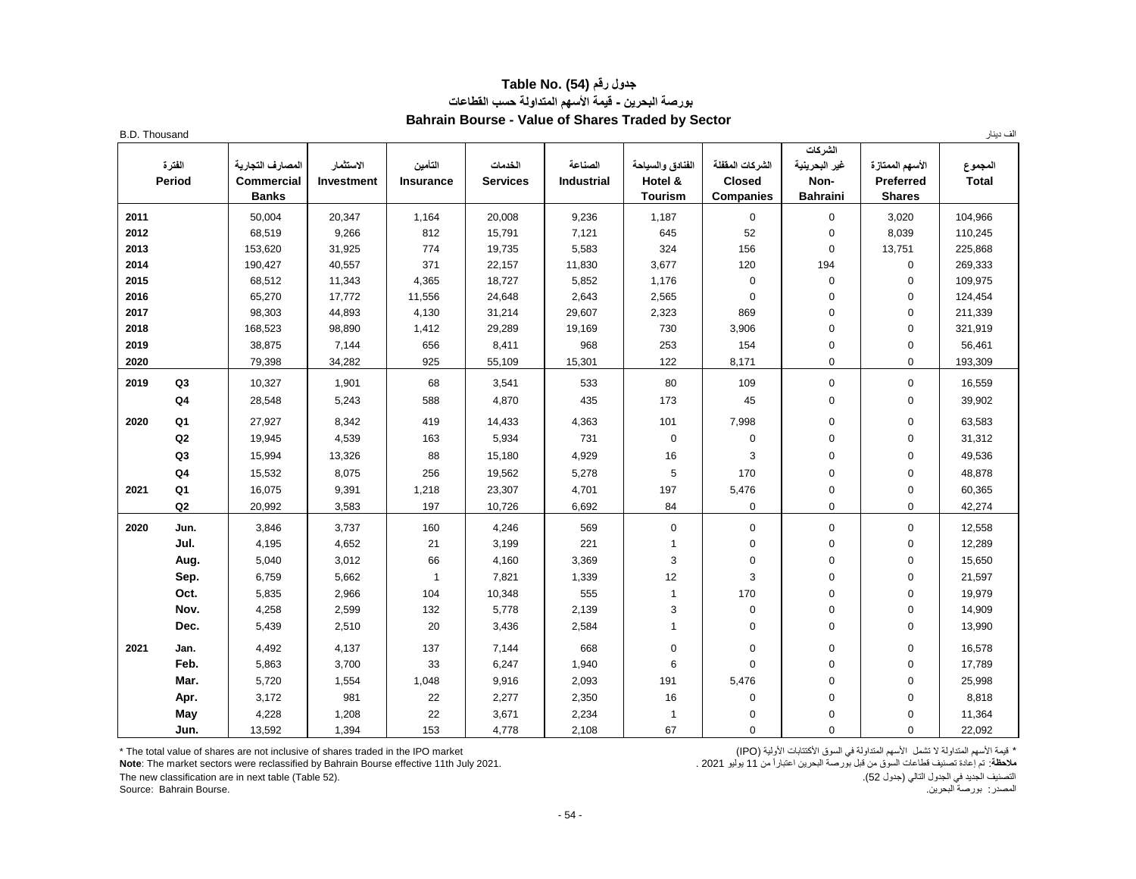## **جدول رقم (54) .No Table بورصة البحرين - قيمة األسهم المتداولة حسب القطاعات Bahrain Bourse - Value of Shares Traded by Sector**

| <b>B.D. Thousand</b> |                  |                                                       |                                |                             |                            |                              |                                               |                                                      |                                                     |                                                | الف دينار               |
|----------------------|------------------|-------------------------------------------------------|--------------------------------|-----------------------------|----------------------------|------------------------------|-----------------------------------------------|------------------------------------------------------|-----------------------------------------------------|------------------------------------------------|-------------------------|
|                      | الفترة<br>Period | المصارف التجارية<br><b>Commercial</b><br><b>Banks</b> | الاستثمار<br><b>Investment</b> | التأمين<br><b>Insurance</b> | الخدمات<br><b>Services</b> | الصناعة<br><b>Industrial</b> | الفنادق والسياحة<br>Hotel &<br><b>Tourism</b> | الشركات المقفلة<br><b>Closed</b><br><b>Companies</b> | الشركات<br>غير البحرينية<br>Non-<br><b>Bahraini</b> | الأسهم الممتاز ة<br>Preferred<br><b>Shares</b> | المجموع<br><b>Total</b> |
| 2011                 |                  | 50,004                                                | 20,347                         | 1,164                       | 20,008                     | 9,236                        | 1,187                                         | $\mathbf 0$                                          | $\mathbf 0$                                         | 3,020                                          | 104,966                 |
| 2012                 |                  | 68,519                                                | 9,266                          | 812                         | 15,791                     | 7,121                        | 645                                           | 52                                                   | $\mathbf 0$                                         | 8.039                                          | 110,245                 |
| 2013                 |                  | 153,620                                               | 31,925                         | 774                         | 19,735                     | 5,583                        | 324                                           | 156                                                  | $\mathbf 0$                                         | 13,751                                         | 225,868                 |
| 2014                 |                  | 190,427                                               | 40,557                         | 371                         | 22,157                     | 11,830                       | 3,677                                         | 120                                                  | 194                                                 | $\mathbf 0$                                    | 269,333                 |
| 2015                 |                  | 68,512                                                | 11,343                         | 4,365                       | 18,727                     | 5,852                        | 1,176                                         | $\mathbf 0$                                          | $\mathbf 0$                                         | $\mathbf 0$                                    | 109,975                 |
| 2016                 |                  | 65,270                                                | 17,772                         | 11,556                      | 24,648                     | 2,643                        | 2,565                                         | $\mathbf 0$                                          | $\mathbf 0$                                         | $\pmb{0}$                                      | 124,454                 |
| 2017                 |                  | 98,303                                                | 44,893                         | 4,130                       | 31,214                     | 29,607                       | 2,323                                         | 869                                                  | $\mathbf 0$                                         | $\mathbf 0$                                    | 211,339                 |
| 2018                 |                  | 168,523                                               | 98,890                         | 1,412                       | 29,289                     | 19,169                       | 730                                           | 3,906                                                | $\mathbf 0$                                         | $\mathbf 0$                                    | 321,919                 |
| 2019                 |                  | 38,875                                                | 7,144                          | 656                         | 8,411                      | 968                          | 253                                           | 154                                                  | $\mathbf 0$                                         | $\mathbf 0$                                    | 56,461                  |
| 2020                 |                  | 79,398                                                | 34,282                         | 925                         | 55,109                     | 15,301                       | 122                                           | 8,171                                                | $\mathbf 0$                                         | $\overline{0}$                                 | 193,309                 |
| 2019                 | Q3               | 10,327                                                | 1,901                          | 68                          | 3,541                      | 533                          | 80                                            | 109                                                  | $\mathbf 0$                                         | $\mathbf 0$                                    | 16,559                  |
|                      | Q <sub>4</sub>   | 28,548                                                | 5,243                          | 588                         | 4,870                      | 435                          | 173                                           | 45                                                   | $\Omega$                                            | $\mathbf 0$                                    | 39,902                  |
| 2020                 | Q <sub>1</sub>   | 27,927                                                | 8,342                          | 419                         | 14,433                     | 4,363                        | 101                                           | 7,998                                                | $\pmb{0}$                                           | $\mathbf 0$                                    | 63,583                  |
|                      | Q <sub>2</sub>   | 19,945                                                | 4,539                          | 163                         | 5,934                      | 731                          | $\pmb{0}$                                     | $\mathbf 0$                                          | $\mathbf 0$                                         | $\mathbf 0$                                    | 31,312                  |
|                      | Q3               | 15,994                                                | 13,326                         | 88                          | 15,180                     | 4,929                        | 16                                            | 3                                                    | $\mathbf 0$                                         | $\mathbf 0$                                    | 49,536                  |
|                      | Q <sub>4</sub>   | 15,532                                                | 8,075                          | 256                         | 19,562                     | 5,278                        | 5                                             | 170                                                  | $\mathbf 0$                                         | $\mathbf 0$                                    | 48,878                  |
| 2021                 | Q <sub>1</sub>   | 16,075                                                | 9,391                          | 1,218                       | 23,307                     | 4,701                        | 197                                           | 5,476                                                | $\mathbf 0$                                         | $\mathbf 0$                                    | 60,365                  |
|                      | Q <sub>2</sub>   | 20,992                                                | 3,583                          | 197                         | 10,726                     | 6,692                        | 84                                            | $\mathbf 0$                                          | $\mathbf 0$                                         | $\mathbf 0$                                    | 42,274                  |
| 2020                 | Jun.             | 3,846                                                 | 3,737                          | 160                         | 4,246                      | 569                          | $\mathbf 0$                                   | $\mathbf 0$                                          | $\mathsf 0$                                         | $\mathbf 0$                                    | 12,558                  |
|                      | Jul.             | 4,195                                                 | 4,652                          | 21                          | 3,199                      | 221                          | 1                                             | $\mathbf 0$                                          | $\mathbf 0$                                         | $\pmb{0}$                                      | 12,289                  |
|                      | Aug.             | 5,040                                                 | 3,012                          | 66                          | 4,160                      | 3,369                        | 3                                             | $\mathbf 0$                                          | $\mathbf 0$                                         | $\mathbf 0$                                    | 15,650                  |
|                      | Sep.             | 6,759                                                 | 5,662                          | $\overline{1}$              | 7,821                      | 1,339                        | 12                                            | 3                                                    | $\mathbf 0$                                         | $\mathbf 0$                                    | 21,597                  |
|                      | Oct.             | 5,835                                                 | 2,966                          | 104                         | 10,348                     | 555                          | $\mathbf{1}$                                  | 170                                                  | $\mathbf 0$                                         | $\mathbf 0$                                    | 19,979                  |
|                      | Nov.             | 4,258                                                 | 2,599                          | 132                         | 5,778                      | 2,139                        | 3                                             | $\mathbf 0$                                          | $\mathbf 0$                                         | $\mathbf 0$                                    | 14,909                  |
|                      | Dec.             | 5,439                                                 | 2,510                          | 20                          | 3,436                      | 2,584                        | $\mathbf{1}$                                  | $\Omega$                                             | $\Omega$                                            | $\Omega$                                       | 13,990                  |
| 2021                 | Jan.             | 4,492                                                 | 4,137                          | 137                         | 7,144                      | 668                          | 0                                             | $\mathbf 0$                                          | $\mathsf 0$                                         | $\mathbf 0$                                    | 16,578                  |
|                      | Feb.             | 5,863                                                 | 3,700                          | 33                          | 6,247                      | 1,940                        | 6                                             | $\mathbf 0$                                          | $\mathbf 0$                                         | $\mathbf 0$                                    | 17,789                  |
|                      | Mar.             | 5,720                                                 | 1,554                          | 1,048                       | 9,916                      | 2,093                        | 191                                           | 5,476                                                | $\mathbf 0$                                         | $\mathbf 0$                                    | 25,998                  |
|                      | Apr.             | 3,172                                                 | 981                            | 22                          | 2,277                      | 2,350                        | 16                                            | $\mathbf 0$                                          | $\mathbf 0$                                         | $\mathbf 0$                                    | 8,818                   |
|                      | May              | 4,228                                                 | 1,208                          | 22                          | 3,671                      | 2,234                        | 1                                             | $\mathbf 0$                                          | $\mathbf 0$                                         | $\mathbf 0$                                    | 11,364                  |
|                      | Jun.             | 13,592                                                | 1,394                          | 153                         | 4,778                      | 2,108                        | 67                                            | $\mathbf 0$                                          | $\mathbf 0$                                         | $\mathbf 0$                                    | 22,092                  |

\* قيمة الأسهم المتداولة لا تشمل الأسهم المتداولة في السوق الأكتتابات الأولية (IPO) The total value of shares are not inclusive of shares traded in the IPO market<br>ملاحظة: تم إعادة تصنيف قطاعات السوق من قيل بررصـة البحرين ا **ملاحظة**: تم إعادة تصنيف قطاعات السوق من قبل بورصة البحرين اعتباراً من 11 يوليو 2021 . **July the market sectors were reclassified by Bahrain Bourse effective 11th July 2021** .<br>التصنيف الجديد في الجدرل التالي (جدول 52). [2

The new classification are in next table (Table 52). .)52 جدول )التالي الجدول في الجديد التصنيف

Source: Bahrain Bourse.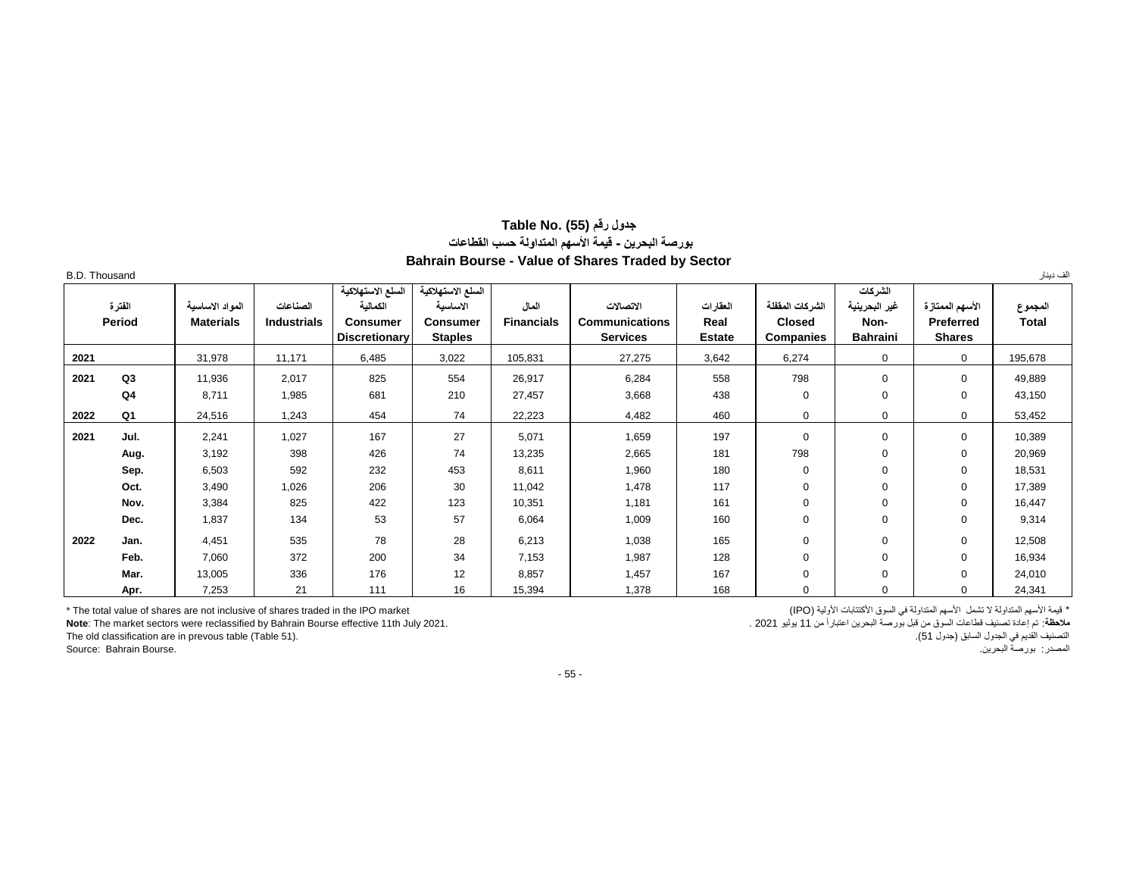## **جدول رقم (55) .No Table بورصة البحرين - قيمة األسهم المتداولة حسب القطاعات Bahrain Bourse - Value of Shares Traded by Sector**

| <b>B.D. Thousand</b> |                  |                                     |                                |                                                                          |                                                                    |                            |                                                       |                                   |                                                      |                                                     |                                               | الف دينار               |
|----------------------|------------------|-------------------------------------|--------------------------------|--------------------------------------------------------------------------|--------------------------------------------------------------------|----------------------------|-------------------------------------------------------|-----------------------------------|------------------------------------------------------|-----------------------------------------------------|-----------------------------------------------|-------------------------|
|                      | الفترة<br>Period | المواد الاساسبة<br><b>Materials</b> | الصناعات<br><b>Industrials</b> | السلع الاستهلاكية<br>الكمالبة<br><b>Consumer</b><br><b>Discretionary</b> | السلع الاستهلاكية<br>الاساسبة<br><b>Consumer</b><br><b>Staples</b> | المال<br><b>Financials</b> | الاتصالات<br><b>Communications</b><br><b>Services</b> | العقارات<br>Real<br><b>Estate</b> | الشركات المففلة<br><b>Closed</b><br><b>Companies</b> | الشركات<br>غير البحرينية<br>Non-<br><b>Bahraini</b> | الأسهم الممتازة<br>Preferred<br><b>Shares</b> | المجموع<br><b>Total</b> |
| 2021                 |                  | 31,978                              | 11,171                         | 6,485                                                                    | 3,022                                                              | 105,831                    | 27,275                                                | 3,642                             | 6,274                                                | $\mathbf 0$                                         | $\mathbf{0}$                                  | 195,678                 |
| 2021                 | Q <sub>3</sub>   | 11,936                              | 2,017                          | 825                                                                      | 554                                                                | 26,917                     | 6,284                                                 | 558                               | 798                                                  | 0                                                   | $\Omega$                                      | 49,889                  |
|                      | Q <sub>4</sub>   | 8,711                               | 1,985                          | 681                                                                      | 210                                                                | 27,457                     | 3,668                                                 | 438                               | $\mathbf 0$                                          | 0                                                   | $\mathbf 0$                                   | 43,150                  |
| 2022                 | Q <sub>1</sub>   | 24,516                              | 1,243                          | 454                                                                      | 74                                                                 | 22,223                     | 4,482                                                 | 460                               | $\mathbf 0$                                          | 0                                                   | 0                                             | 53,452                  |
| 2021                 | Jul.             | 2,241                               | 1,027                          | 167                                                                      | 27                                                                 | 5,071                      | 1,659                                                 | 197                               | $\mathbf 0$                                          | 0                                                   | 0                                             | 10,389                  |
|                      | Aug.             | 3,192                               | 398                            | 426                                                                      | 74                                                                 | 13,235                     | 2,665                                                 | 181                               | 798                                                  | 0                                                   | $\Omega$                                      | 20,969                  |
|                      | Sep.             | 6,503                               | 592                            | 232                                                                      | 453                                                                | 8,611                      | 1,960                                                 | 180                               | $\mathbf 0$                                          | 0                                                   | $\Omega$                                      | 18,531                  |
|                      | Oct.             | 3,490                               | 1,026                          | 206                                                                      | 30                                                                 | 11,042                     | 1,478                                                 | 117                               | $\mathbf 0$                                          | 0                                                   | 0                                             | 17,389                  |
|                      | Nov.             | 3,384                               | 825                            | 422                                                                      | 123                                                                | 10,351                     | 1,181                                                 | 161                               | $\mathbf 0$                                          | 0                                                   | $\Omega$                                      | 16,447                  |
|                      | Dec.             | 1,837                               | 134                            | 53                                                                       | 57                                                                 | 6,064                      | 1,009                                                 | 160                               | $\mathbf 0$                                          | 0                                                   | 0                                             | 9,314                   |
| 2022                 | Jan.             | 4,451                               | 535                            | 78                                                                       | 28                                                                 | 6,213                      | 1,038                                                 | 165                               | $\mathbf 0$                                          | 0                                                   | 0                                             | 12,508                  |
|                      | Feb.             | 7,060                               | 372                            | 200                                                                      | 34                                                                 | 7,153                      | 1,987                                                 | 128                               | $\mathbf 0$                                          | 0                                                   | 0                                             | 16,934                  |
|                      | Mar.             | 13,005                              | 336                            | 176                                                                      | 12                                                                 | 8,857                      | 1,457                                                 | 167                               | $\mathbf 0$                                          | 0                                                   | 0                                             | 24,010                  |
|                      | Apr.             | 7,253                               | 21                             | 111                                                                      | 16                                                                 | 15,394                     | 1,378                                                 | 168                               | $\mathbf 0$                                          | 0                                                   | $\Omega$                                      | 24,341                  |

\* قيمة الأسهم المتداولة في المتوقع المتكتبات الأولية (IPO) (IPO) المسهم المتداولة في المسوق الأكتتابات الأولية السوق الأكتتابات الأولية (IPO) ،<br>ملاحظة: تم إعادة تصنيف قطاعات السوق من قبل بررصة البحرين اعتباراً من 11 يوليو

م**لاطة**: تم إعادة تصنيف قطاعات السوق من قبل بورصة البحرين اعتباراً من 11 يوليو 2021 . **Note**: The market sectors were reclassified by Bahrain Bourse effective 11th July 2021.<br>التصنيف القديم في الجدول السابق (جدول 51). [1]

التصنيف القديم في الجدول السابق (جدول 51).<br>The old classification are in prevous table (Table 51).<br>المصدر : بورصة البحرين.

Source: Bahrain Bourse.

- 55 -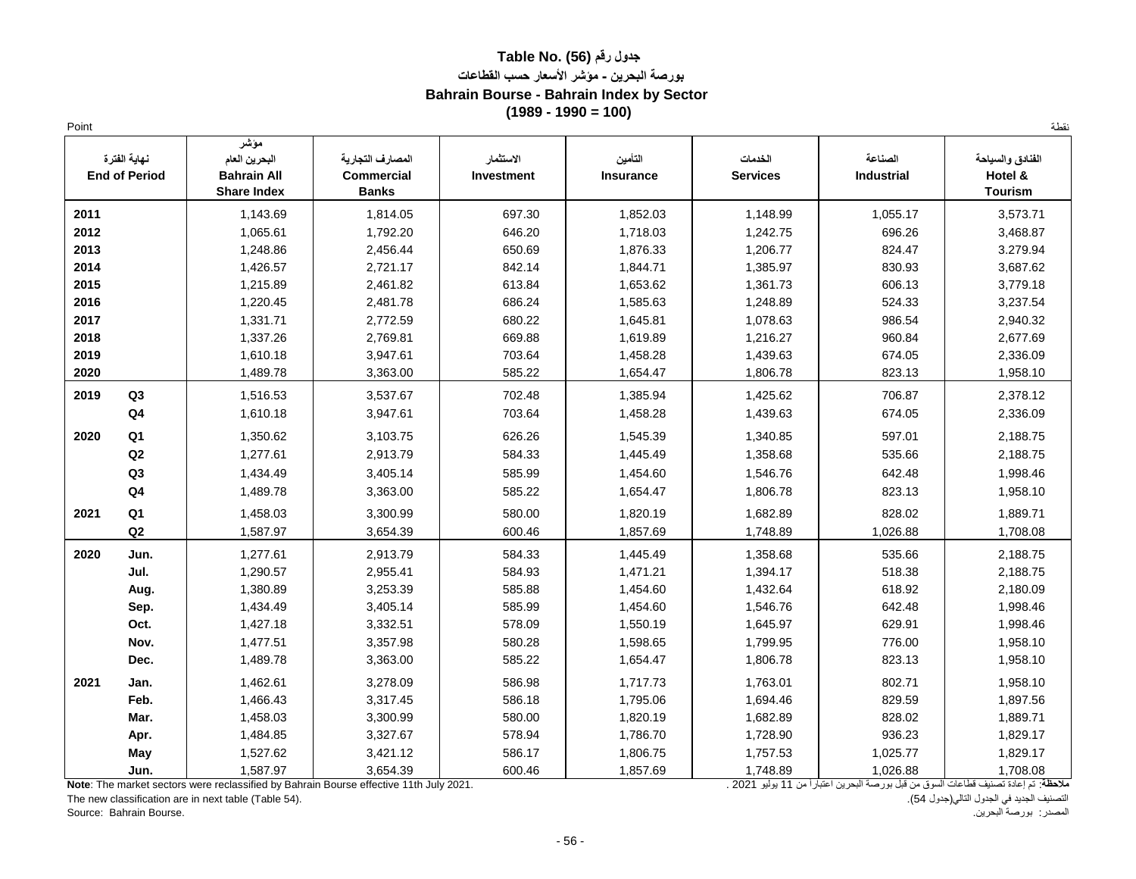## **جدول رقم (56) .No Table بورصة البحرين - مؤشر األسعار حسب القطاعات Bahrain Bourse - Bahrain Index by Sector (1989 - 1990 = 100)**

| Point |                                      |                                                                   |                                                       |                         |                             |                            |                              | نقطة                                          |
|-------|--------------------------------------|-------------------------------------------------------------------|-------------------------------------------------------|-------------------------|-----------------------------|----------------------------|------------------------------|-----------------------------------------------|
|       | نهاية الفترة<br><b>End of Period</b> | مؤشر<br>البحرين العام<br><b>Bahrain All</b><br><b>Share Index</b> | المصارف التجارية<br><b>Commercial</b><br><b>Banks</b> | الاستثمار<br>Investment | التأمين<br><b>Insurance</b> | الخدمات<br><b>Services</b> | الصناعة<br><b>Industrial</b> | الفنادق والسياحة<br>Hotel &<br><b>Tourism</b> |
| 2011  |                                      | 1,143.69                                                          | 1,814.05                                              | 697.30                  | 1,852.03                    | 1,148.99                   | 1,055.17                     | 3,573.71                                      |
| 2012  |                                      | 1,065.61                                                          | 1,792.20                                              | 646.20                  | 1,718.03                    | 1,242.75                   | 696.26                       | 3,468.87                                      |
| 2013  |                                      | 1,248.86                                                          | 2,456.44                                              | 650.69                  | 1,876.33                    | 1,206.77                   | 824.47                       | 3.279.94                                      |
| 2014  |                                      | 1,426.57                                                          | 2,721.17                                              | 842.14                  | 1,844.71                    | 1,385.97                   | 830.93                       | 3,687.62                                      |
| 2015  |                                      | 1,215.89                                                          | 2,461.82                                              | 613.84                  | 1,653.62                    | 1,361.73                   | 606.13                       | 3,779.18                                      |
| 2016  |                                      | 1,220.45                                                          | 2,481.78                                              | 686.24                  | 1,585.63                    | 1,248.89                   | 524.33                       | 3,237.54                                      |
| 2017  |                                      | 1,331.71                                                          | 2,772.59                                              | 680.22                  | 1,645.81                    | 1,078.63                   | 986.54                       | 2,940.32                                      |
| 2018  |                                      | 1,337.26                                                          | 2,769.81                                              | 669.88                  | 1,619.89                    | 1,216.27                   | 960.84                       | 2,677.69                                      |
| 2019  |                                      | 1,610.18                                                          | 3,947.61                                              | 703.64                  | 1,458.28                    | 1,439.63                   | 674.05                       | 2,336.09                                      |
| 2020  |                                      | 1,489.78                                                          | 3,363.00                                              | 585.22                  | 1,654.47                    | 1,806.78                   | 823.13                       | 1,958.10                                      |
| 2019  | Q <sub>3</sub>                       | 1,516.53                                                          | 3,537.67                                              | 702.48                  | 1,385.94                    | 1,425.62                   | 706.87                       | 2,378.12                                      |
|       | Q <sub>4</sub>                       | 1,610.18                                                          | 3,947.61                                              | 703.64                  | 1,458.28                    | 1,439.63                   | 674.05                       | 2,336.09                                      |
| 2020  | Q <sub>1</sub>                       | 1,350.62                                                          | 3,103.75                                              | 626.26                  | 1,545.39                    | 1,340.85                   | 597.01                       | 2,188.75                                      |
|       | Q2                                   | 1,277.61                                                          | 2,913.79                                              | 584.33                  | 1,445.49                    | 1,358.68                   | 535.66                       | 2,188.75                                      |
|       | Q <sub>3</sub>                       | 1,434.49                                                          | 3,405.14                                              | 585.99                  | 1,454.60                    | 1,546.76                   | 642.48                       | 1,998.46                                      |
|       | Q <sub>4</sub>                       | 1,489.78                                                          | 3,363.00                                              | 585.22                  | 1,654.47                    | 1,806.78                   | 823.13                       | 1,958.10                                      |
| 2021  | Q <sub>1</sub>                       | 1,458.03                                                          | 3,300.99                                              | 580.00                  | 1,820.19                    | 1,682.89                   | 828.02                       | 1,889.71                                      |
|       | Q2                                   | 1,587.97                                                          | 3,654.39                                              | 600.46                  | 1,857.69                    | 1,748.89                   | 1,026.88                     | 1,708.08                                      |
| 2020  | Jun.                                 | 1,277.61                                                          | 2,913.79                                              | 584.33                  | 1,445.49                    | 1,358.68                   | 535.66                       | 2,188.75                                      |
|       | Jul.                                 | 1,290.57                                                          | 2,955.41                                              | 584.93                  | 1,471.21                    | 1,394.17                   | 518.38                       | 2,188.75                                      |
|       | Aug.                                 | 1,380.89                                                          | 3,253.39                                              | 585.88                  | 1,454.60                    | 1,432.64                   | 618.92                       | 2,180.09                                      |
|       | Sep.                                 | 1,434.49                                                          | 3,405.14                                              | 585.99                  | 1,454.60                    | 1,546.76                   | 642.48                       | 1,998.46                                      |
|       | Oct.                                 | 1,427.18                                                          | 3,332.51                                              | 578.09                  | 1,550.19                    | 1,645.97                   | 629.91                       | 1,998.46                                      |
|       | Nov.                                 | 1,477.51                                                          | 3,357.98                                              | 580.28                  | 1,598.65                    | 1,799.95                   | 776.00                       | 1,958.10                                      |
|       | Dec.                                 | 1,489.78                                                          | 3,363.00                                              | 585.22                  | 1,654.47                    | 1,806.78                   | 823.13                       | 1,958.10                                      |
| 2021  | Jan.                                 | 1,462.61                                                          | 3,278.09                                              | 586.98                  | 1,717.73                    | 1,763.01                   | 802.71                       | 1,958.10                                      |
|       | Feb.                                 | 1,466.43                                                          | 3,317.45                                              | 586.18                  | 1,795.06                    | 1,694.46                   | 829.59                       | 1,897.56                                      |
|       | Mar.                                 | 1,458.03                                                          | 3,300.99                                              | 580.00                  | 1,820.19                    | 1,682.89                   | 828.02                       | 1,889.71                                      |
|       | Apr.                                 | 1,484.85                                                          | 3,327.67                                              | 578.94                  | 1,786.70                    | 1,728.90                   | 936.23                       | 1,829.17                                      |
|       | <b>May</b>                           | 1,527.62                                                          | 3,421.12                                              | 586.17                  | 1,806.75                    | 1,757.53                   | 1,025.77                     | 1,829.17                                      |
|       | Jun.                                 | 1,587.97                                                          | 3,654.39                                              | 600.46                  | 1,857.69                    | 1,748.89                   | 1,026.88                     | 1,708.08                                      |

ملاحظة: تم إعادة تصنيف قطاعات السوق من قبل بورصة البحرين اعتباراً من 11 يوليو 2021 . **Note**: The market sectors were reclassified by Bahrain Bourse effective 11th July 2021.

The new classification are in next table (Table 54). المصدر: بورصة البحرين. .Bourse Bahrain :Source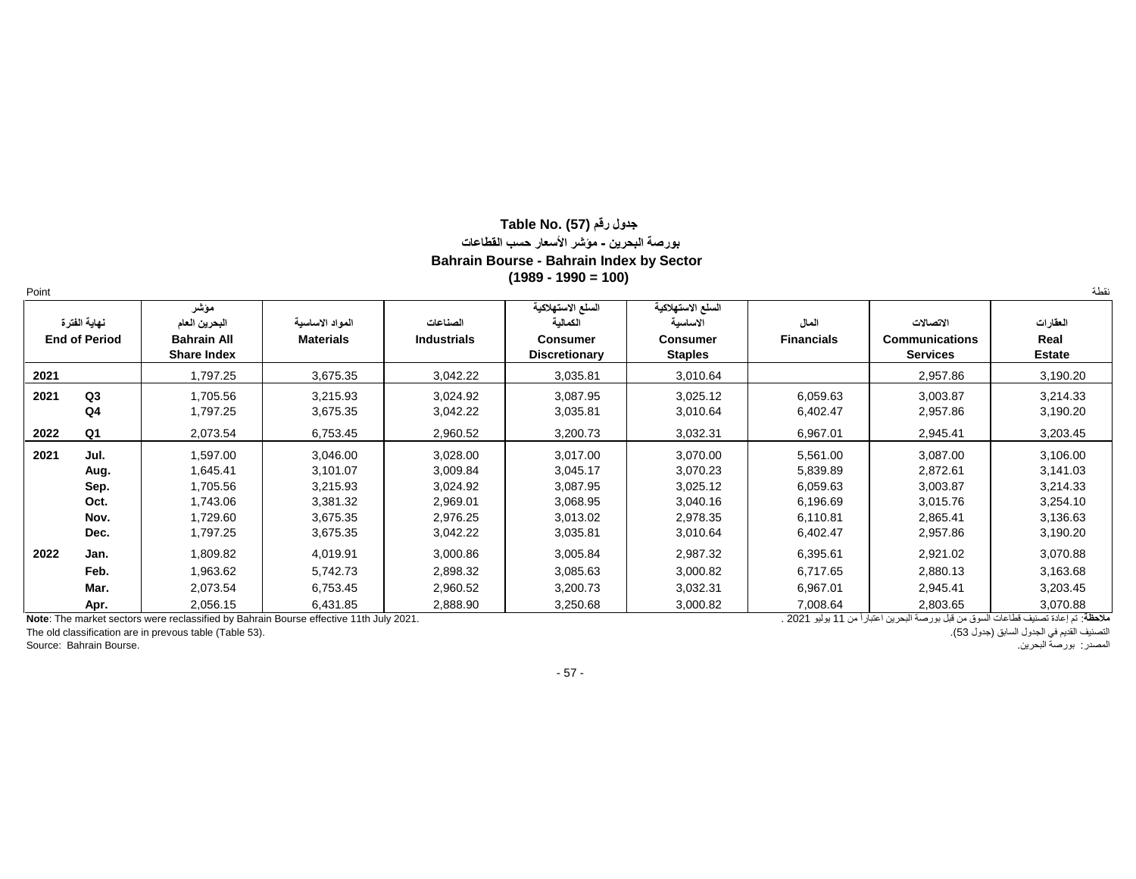## **جدول رقم (57) .No Table بورصة البحرين - مؤشر األسعار حسب القطاعات Bahrain Bourse - Bahrain Index by Sector (1989 - 1990 = 100)**

| Point |                                              |                                                                      |                                                                      |                                                                      |                                                                          |                                                                      |                                                                      |                                                                      | نقطة                                                                 |
|-------|----------------------------------------------|----------------------------------------------------------------------|----------------------------------------------------------------------|----------------------------------------------------------------------|--------------------------------------------------------------------------|----------------------------------------------------------------------|----------------------------------------------------------------------|----------------------------------------------------------------------|----------------------------------------------------------------------|
|       | نهاية الفترة<br><b>End of Period</b>         | مؤشر<br>البحرين العام<br><b>Bahrain All</b><br><b>Share Index</b>    | المواد الاساسية<br><b>Materials</b>                                  | الصناعات<br><b>Industrials</b>                                       | السلع الاستهلاكية<br>الكمالبة<br><b>Consumer</b><br><b>Discretionary</b> | السلع الاستهلاكية<br>الاساسية<br><b>Consumer</b><br><b>Staples</b>   | المال<br><b>Financials</b>                                           | الاتصالات<br><b>Communications</b><br><b>Services</b>                | العقارات<br>Real<br><b>Estate</b>                                    |
| 2021  |                                              | 1,797.25                                                             | 3,675.35                                                             | 3,042.22                                                             | 3,035.81                                                                 | 3,010.64                                                             |                                                                      | 2,957.86                                                             | 3,190.20                                                             |
| 2021  | Q3<br>Q <sub>4</sub>                         | 1,705.56<br>1,797.25                                                 | 3,215.93<br>3,675.35                                                 | 3,024.92<br>3,042.22                                                 | 3,087.95<br>3,035.81                                                     | 3,025.12<br>3,010.64                                                 | 6,059.63<br>6,402.47                                                 | 3,003.87<br>2,957.86                                                 | 3,214.33<br>3,190.20                                                 |
| 2022  | Q <sub>1</sub>                               | 2,073.54                                                             | 6,753.45                                                             | 2,960.52                                                             | 3,200.73                                                                 | 3,032.31                                                             | 6,967.01                                                             | 2,945.41                                                             | 3,203.45                                                             |
| 2021  | Jul.<br>Aug.<br>Sep.<br>Oct.<br>Nov.<br>Dec. | 1,597.00<br>1,645.41<br>1,705.56<br>1,743.06<br>1,729.60<br>1,797.25 | 3,046.00<br>3,101.07<br>3,215.93<br>3,381.32<br>3,675.35<br>3,675.35 | 3,028.00<br>3,009.84<br>3,024.92<br>2,969.01<br>2,976.25<br>3,042.22 | 3,017.00<br>3,045.17<br>3,087.95<br>3,068.95<br>3,013.02<br>3,035.81     | 3,070.00<br>3,070.23<br>3,025.12<br>3,040.16<br>2,978.35<br>3,010.64 | 5,561.00<br>5,839.89<br>6,059.63<br>6,196.69<br>6,110.81<br>6,402.47 | 3,087.00<br>2,872.61<br>3,003.87<br>3,015.76<br>2,865.41<br>2,957.86 | 3,106.00<br>3,141.03<br>3,214.33<br>3,254.10<br>3,136.63<br>3,190.20 |
| 2022  | Jan.<br>Feb.<br>Mar.<br>Apr.                 | 1,809.82<br>1,963.62<br>2,073.54<br>2,056.15                         | 4,019.91<br>5,742.73<br>6,753.45<br>6,431.85                         | 3,000.86<br>2,898.32<br>2,960.52<br>2,888.90                         | 3,005.84<br>3,085.63<br>3,200.73<br>3,250.68                             | 2,987.32<br>3,000.82<br>3,032.31<br>3,000.82                         | 6,395.61<br>6,717.65<br>6,967.01<br>7,008.64                         | 2,921.02<br>2,880.13<br>2,945.41<br>2,803.65                         | 3,070.88<br>3,163.68<br>3,203.45<br>3,070.88                         |

ملاحظة: تم إعادة تصنيف قطاعات السوق من قبل بورصة البحرين اعتباراً من 11 يوليو 2021 . 2021 . 2021 . 2021 . 2021 . المسوق من قبل بورصة البحرين اعتباراً من 11 يوليو 2021 . 2021 . 2021 . 20

The old classification are in prevous table (Table 53). التصنيف القديم في الجدّول السابق (جدول 53).<br>التصنيف القديم في الجدّول السابق (جدول 53).<br>المصدر: بورصة البحرين.

- 57 -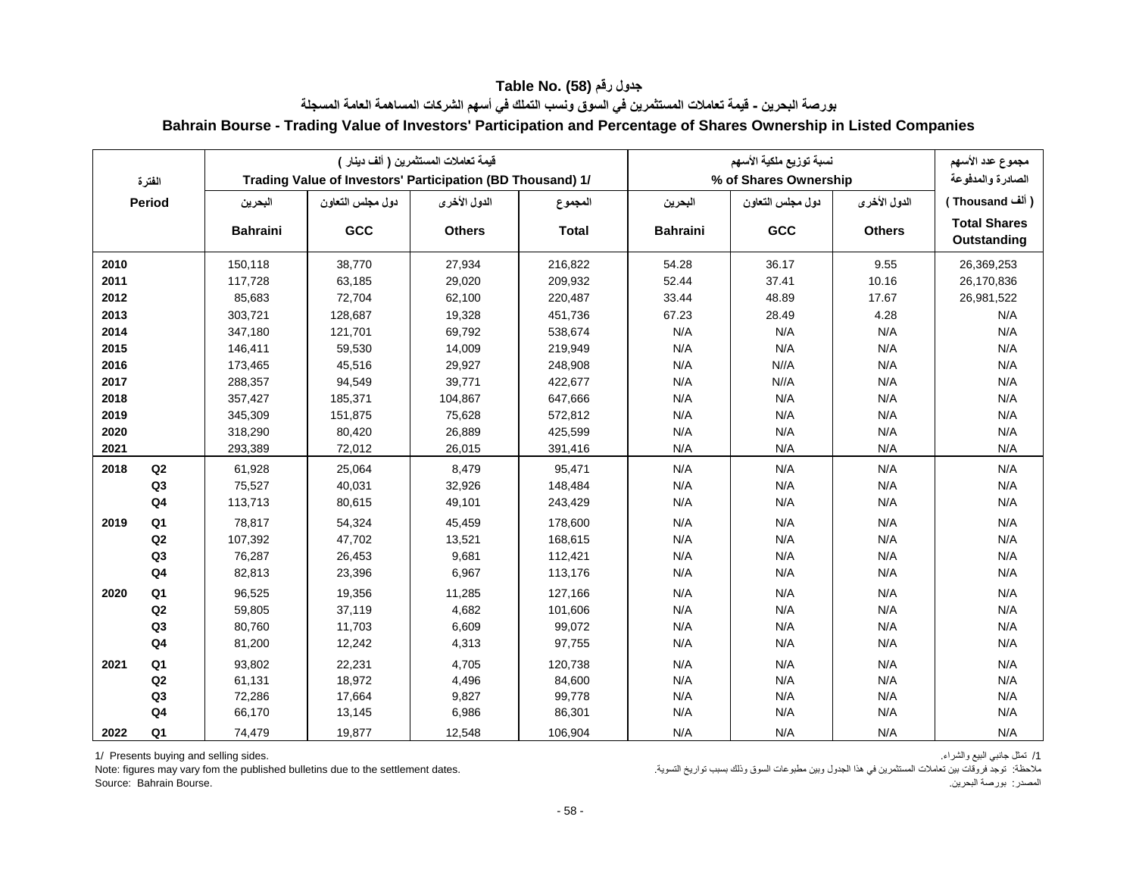| الفترة |                |                 | Trading Value of Investors' Participation (BD Thousand) 1/ | قيمة تعاملات المستثمر بن ( ألف دبنار ) |              | نسبة توزيع ملكية الأسهم<br>% of Shares Ownership |                  |               | مجموع عدد الأسهم<br>الصادرة والمدفوعة |  |
|--------|----------------|-----------------|------------------------------------------------------------|----------------------------------------|--------------|--------------------------------------------------|------------------|---------------|---------------------------------------|--|
|        | <b>Period</b>  | البحرين         | دول مجلس التعاون                                           | الدول الأخرى                           | المجموع      | البحرين                                          | دول مجلس التعاون | الدول الأخرى  | ( ألف Thousand )                      |  |
|        |                | <b>Bahraini</b> | <b>GCC</b>                                                 | <b>Others</b>                          | <b>Total</b> | <b>Bahraini</b>                                  | GCC              | <b>Others</b> | <b>Total Shares</b><br>Outstanding    |  |
| 2010   |                | 150,118         | 38,770                                                     | 27,934                                 | 216,822      | 54.28                                            | 36.17            | 9.55          | 26,369,253                            |  |
| 2011   |                | 117,728         | 63,185                                                     | 29,020                                 | 209,932      | 52.44                                            | 37.41            | 10.16         | 26,170,836                            |  |
| 2012   |                | 85,683          | 72,704                                                     | 62,100                                 | 220,487      | 33.44                                            | 48.89            | 17.67         | 26,981,522                            |  |
| 2013   |                | 303,721         | 128,687                                                    | 19,328                                 | 451,736      | 67.23                                            | 28.49            | 4.28          | N/A                                   |  |
| 2014   |                | 347,180         | 121,701                                                    | 69,792                                 | 538,674      | N/A                                              | N/A              | N/A           | N/A                                   |  |
| 2015   |                | 146,411         | 59,530                                                     | 14,009                                 | 219,949      | N/A                                              | N/A              | N/A           | N/A                                   |  |
| 2016   |                | 173,465         | 45,516                                                     | 29,927                                 | 248,908      | N/A                                              | N//A             | N/A           | N/A                                   |  |
| 2017   |                | 288,357         | 94,549                                                     | 39,771                                 | 422,677      | N/A                                              | N//A             | N/A           | N/A                                   |  |
| 2018   |                | 357,427         | 185,371                                                    | 104,867                                | 647,666      | N/A                                              | N/A              | N/A           | N/A                                   |  |
| 2019   |                | 345,309         | 151,875                                                    | 75,628                                 | 572,812      | N/A                                              | N/A              | N/A           | N/A                                   |  |
| 2020   |                | 318,290         | 80,420                                                     | 26,889                                 | 425,599      | N/A                                              | N/A              | N/A           | N/A                                   |  |
| 2021   |                | 293,389         | 72,012                                                     | 26,015                                 | 391,416      | N/A                                              | N/A              | N/A           | N/A                                   |  |
| 2018   | Q2             | 61,928          | 25,064                                                     | 8,479                                  | 95,471       | N/A                                              | N/A              | N/A           | N/A                                   |  |
|        | Q <sub>3</sub> | 75,527          | 40,031                                                     | 32,926                                 | 148,484      | N/A                                              | N/A              | N/A           | N/A                                   |  |
|        | Q <sub>4</sub> | 113,713         | 80,615                                                     | 49,101                                 | 243,429      | N/A                                              | N/A              | N/A           | N/A                                   |  |
| 2019   | Q <sub>1</sub> | 78,817          | 54,324                                                     | 45,459                                 | 178,600      | N/A                                              | N/A              | N/A           | N/A                                   |  |
|        | Q2             | 107,392         | 47,702                                                     | 13,521                                 | 168,615      | N/A                                              | N/A              | N/A           | N/A                                   |  |
|        | Q3             | 76,287          | 26,453                                                     | 9,681                                  | 112,421      | N/A                                              | N/A              | N/A           | N/A                                   |  |
|        | Q <sub>4</sub> | 82,813          | 23,396                                                     | 6,967                                  | 113,176      | N/A                                              | N/A              | N/A           | N/A                                   |  |
| 2020   | Q <sub>1</sub> | 96,525          | 19,356                                                     | 11,285                                 | 127,166      | N/A                                              | N/A              | N/A           | N/A                                   |  |
|        | Q <sub>2</sub> | 59,805          | 37,119                                                     | 4,682                                  | 101,606      | N/A                                              | N/A              | N/A           | N/A                                   |  |
|        | Q3             | 80,760          | 11,703                                                     | 6,609                                  | 99,072       | N/A                                              | N/A              | N/A           | N/A                                   |  |
|        | Q <sub>4</sub> | 81,200          | 12,242                                                     | 4,313                                  | 97,755       | N/A                                              | N/A              | N/A           | N/A                                   |  |
| 2021   | Q <sub>1</sub> | 93,802          | 22,231                                                     | 4,705                                  | 120,738      | N/A                                              | N/A              | N/A           | N/A                                   |  |
|        | Q <sub>2</sub> | 61,131          | 18,972                                                     | 4,496                                  | 84,600       | N/A                                              | N/A              | N/A           | N/A                                   |  |
|        | Q3             | 72,286          | 17,664                                                     | 9,827                                  | 99,778       | N/A                                              | N/A              | N/A           | N/A                                   |  |
|        | Q <sub>4</sub> | 66,170          | 13,145                                                     | 6,986                                  | 86,301       | N/A                                              | N/A              | N/A           | N/A                                   |  |
| 2022   | Q1             | 74,479          | 19,877                                                     | 12,548                                 | 106,904      | N/A                                              | N/A              | N/A           | N/A                                   |  |

## **جدول رقم (58) .Table No بورصة البحرين - قيمة تعامالت المستثمرين في السوق ونسب التملك في أسهم الشركات المساهمة العامة المسجلة Bahrain Bourse - Trading Value of Investors' Participation and Percentage of Shares Ownership in Listed Companies**

1/ Presents buying and selling sides. .والشراء البيع جانبي تمثل /1

ملاحظة: توجد فروقات بين تعاملات المستثمرين في هذا الجدول وبين مطبوعات السوق وذلك بسبب تواريخ التسوية. . . . . Note: figures may vary fom the published bulletins due to the settlement dates.

المصدر: بورصة البحرين. .Bourse Bahrain :Source